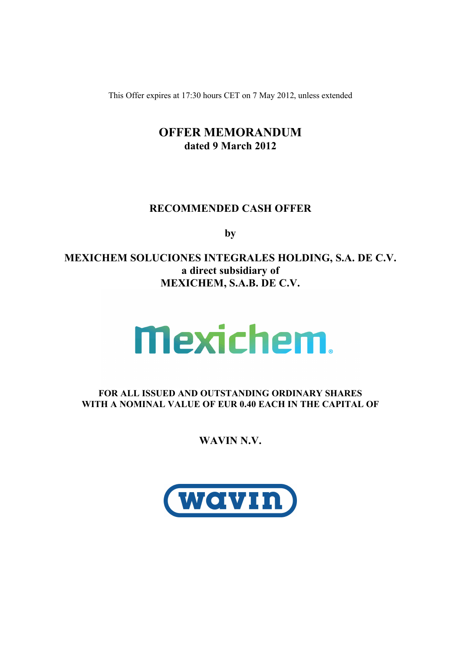This Offer expires at 17:30 hours CET on 7 May 2012, unless extended

# **OFFER MEMORANDUM dated 9 March 2012**

# **RECOMMENDED CASH OFFER**

**by**

# **MEXICHEM SOLUCIONES INTEGRALES HOLDING, S.A. DE C.V. a direct subsidiary of MEXICHEM, S.A.B. DE C.V.**

# **Mexichem.**

### **FOR ALL ISSUED AND OUTSTANDING ORDINARY SHARES WITH A NOMINAL VALUE OF EUR 0.40 EACH IN THE CAPITAL OF**

**WAVIN N.V.**

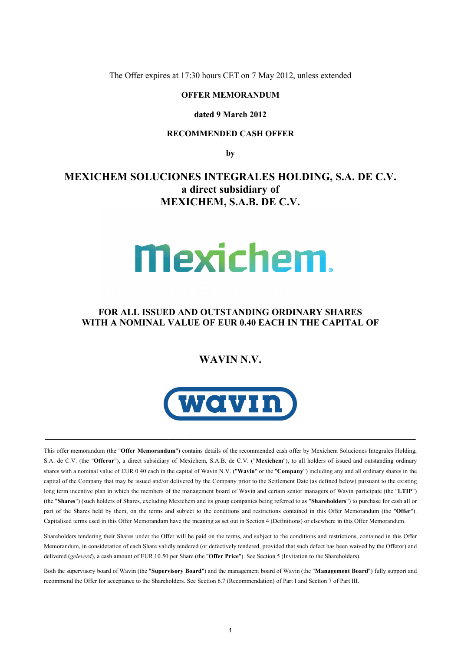The Offer expires at 17:30 hours CET on 7 May 2012, unless extended

#### **OFFER MEMORANDUM**

#### **dated 9 March 2012**

#### **RECOMMENDED CASH OFFER**

**by**

## **MEXICHEM SOLUCIONES INTEGRALES HOLDING, S.A. DE C.V. a direct subsidiary of MEXICHEM, S.A.B. DE C.V.**

# **Mexichem**

### **FOR ALL ISSUED AND OUTSTANDING ORDINARY SHARES WITH A NOMINAL VALUE OF EUR 0.40 EACH IN THE CAPITAL OF**

### **WAVIN N.V.**



**\_\_\_\_\_\_\_\_\_\_\_\_\_\_\_\_\_\_\_\_\_\_\_\_\_\_\_\_\_\_\_\_\_\_\_\_\_\_\_\_\_\_\_\_\_\_\_\_\_\_\_\_\_\_\_\_\_\_\_\_\_\_\_\_\_\_\_\_\_\_\_\_\_\_\_\_\_\_\_\_\_\_\_\_\_\_\_**

This offer memorandum (the "**Offer Memorandum**") contains details of the recommended cash offer by Mexichem Soluciones Integrales Holding, S.A. de C.V. (the "**Offeror**"), a direct subsidiary of Mexichem, S.A.B. de C.V. ("**Mexichem**"), to all holders of issued and outstanding ordinary shares with a nominal value of EUR 0.40 each in the capital of Wavin N.V. ("**Wavin**" or the "**Company**") including any and all ordinary shares in the capital of the Company that may be issued and/or delivered by the Company prior to the Settlement Date (as defined below) pursuant to the existing long term incentive plan in which the members of the management board of Wavin and certain senior managers of Wavin participate (the "**LTIP**") (the "**Shares**") (such holders of Shares, excluding Mexichem and its group companies being referred to as "**Shareholders**") to purchase for cash all or part of the Shares held by them, on the terms and subject to the conditions and restrictions contained in this Offer Memorandum (the "**Offer**"). Capitalised terms used in this Offer Memorandum have the meaning as set out in Section 4 (Definitions) or elsewhere in this Offer Memorandum.

Shareholders tendering their Shares under the Offer will be paid on the terms, and subject to the conditions and restrictions, contained in this Offer Memorandum, in consideration of each Share validly tendered (or defectively tendered, provided that such defect has been waived by the Offeror) and delivered (*geleverd*), a cash amount of EUR 10.50 per Share (the "**Offer Price**"). See Section 5 (Invitation to the Shareholders).

Both the supervisory board of Wavin (the "**Supervisory Board**") and the management board of Wavin (the "**Management Board**") fully support and recommend the Offer for acceptance to the Shareholders. See Section 6.7 (Recommendation) of Part I and Section 7 of Part III.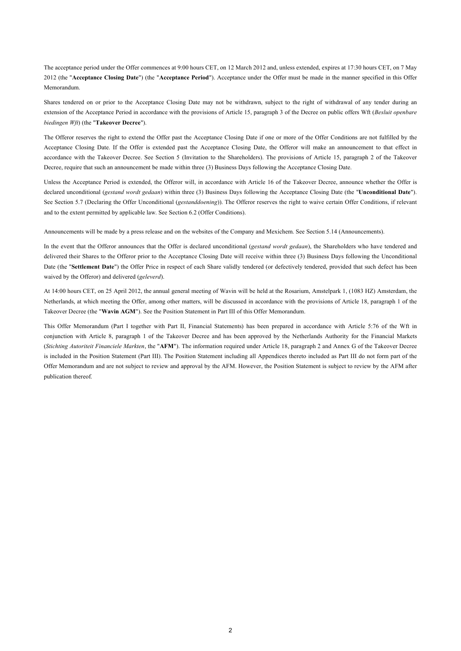The acceptance period under the Offer commences at 9:00 hours CET, on 12 March 2012 and, unless extended, expires at 17:30 hours CET, on 7 May 2012 (the "**Acceptance Closing Date**") (the "**Acceptance Period**"). Acceptance under the Offer must be made in the manner specified in this Offer Memorandum.

Shares tendered on or prior to the Acceptance Closing Date may not be withdrawn, subject to the right of withdrawal of any tender during an extension of the Acceptance Period in accordance with the provisions of Article 15, paragraph 3 of the Decree on public offers Wft (*Besluit openbare biedingen Wft*) (the "**Takeover Decree**").

The Offeror reserves the right to extend the Offer past the Acceptance Closing Date if one or more of the Offer Conditions are not fulfilled by the Acceptance Closing Date. If the Offer is extended past the Acceptance Closing Date, the Offeror will make an announcement to that effect in accordance with the Takeover Decree. See Section 5 (Invitation to the Shareholders). The provisions of Article 15, paragraph 2 of the Takeover Decree, require that such an announcement be made within three (3) Business Days following the Acceptance Closing Date.

Unless the Acceptance Period is extended, the Offeror will, in accordance with Article 16 of the Takeover Decree, announce whether the Offer is declared unconditional (*gestand wordt gedaan*) within three (3) Business Days following the Acceptance Closing Date (the "**Unconditional Date**"). See Section 5.7 (Declaring the Offer Unconditional (*gestanddoening*)). The Offeror reserves the right to waive certain Offer Conditions, if relevant and to the extent permitted by applicable law. See Section 6.2 (Offer Conditions).

Announcements will be made by a press release and on the websites of the Company and Mexichem. See Section 5.14 (Announcements).

In the event that the Offeror announces that the Offer is declared unconditional (*gestand wordt gedaan*), the Shareholders who have tendered and delivered their Shares to the Offeror prior to the Acceptance Closing Date will receive within three (3) Business Days following the Unconditional Date (the "**Settlement Date**") the Offer Price in respect of each Share validly tendered (or defectively tendered, provided that such defect has been waived by the Offeror) and delivered (*geleverd*).

At 14:00 hours CET, on 25 April 2012, the annual general meeting of Wavin will be held at the Rosarium, Amstelpark 1, (1083 HZ) Amsterdam, the Netherlands, at which meeting the Offer, among other matters, will be discussed in accordance with the provisions of Article 18, paragraph 1 of the Takeover Decree (the "**Wavin AGM**"). See the Position Statement in Part III of this Offer Memorandum.

This Offer Memorandum (Part I together with Part II, Financial Statements) has been prepared in accordance with Article 5:76 of the Wft in conjunction with Article 8, paragraph 1 of the Takeover Decree and has been approved by the Netherlands Authority for the Financial Markets (*Stichting Autoriteit Financiele Markten*, the "**AFM**"). The information required under Article 18, paragraph 2 and Annex G of the Takeover Decree is included in the Position Statement (Part III). The Position Statement including all Appendices thereto included as Part III do not form part of the Offer Memorandum and are not subject to review and approval by the AFM. However, the Position Statement is subject to review by the AFM after publication thereof.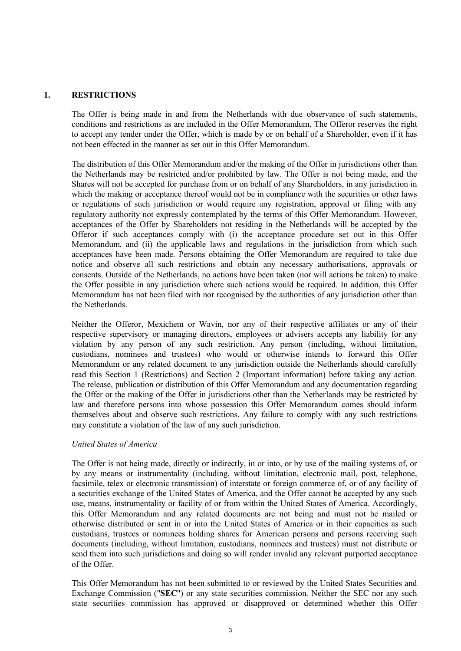#### **1. RESTRICTIONS**

The Offer is being made in and from the Netherlands with due observance of such statements, conditions and restrictions as are included in the Offer Memorandum. The Offeror reserves the right to accept any tender under the Offer, which is made by or on behalf of a Shareholder, even if it has not been effected in the manner as set out in this Offer Memorandum.

The distribution of this Offer Memorandum and/or the making of the Offer in jurisdictions other than the Netherlands may be restricted and/or prohibited by law. The Offer is not being made, and the Shares will not be accepted for purchase from or on behalf of any Shareholders, in any jurisdiction in which the making or acceptance thereof would not be in compliance with the securities or other laws or regulations of such jurisdiction or would require any registration, approval or filing with any regulatory authority not expressly contemplated by the terms of this Offer Memorandum. However, acceptances of the Offer by Shareholders not residing in the Netherlands will be accepted by the Offeror if such acceptances comply with (i) the acceptance procedure set out in this Offer Memorandum, and (ii) the applicable laws and regulations in the jurisdiction from which such acceptances have been made. Persons obtaining the Offer Memorandum are required to take due notice and observe all such restrictions and obtain any necessary authorisations, approvals or consents. Outside of the Netherlands, no actions have been taken (nor will actions be taken) to make the Offer possible in any jurisdiction where such actions would be required. In addition, this Offer Memorandum has not been filed with nor recognised by the authorities of any jurisdiction other than the Netherlands.

Neither the Offeror, Mexichem or Wavin, nor any of their respective affiliates or any of their respective supervisory or managing directors, employees or advisers accepts any liability for any violation by any person of any such restriction. Any person (including, without limitation, custodians, nominees and trustees) who would or otherwise intends to forward this Offer Memorandum or any related document to any jurisdiction outside the Netherlands should carefully read this Section 1 (Restrictions) and Section 2 (Important information) before taking any action. The release, publication or distribution of this Offer Memorandum and any documentation regarding the Offer or the making of the Offer in jurisdictions other than the Netherlands may be restricted by law and therefore persons into whose possession this Offer Memorandum comes should inform themselves about and observe such restrictions. Any failure to comply with any such restrictions may constitute a violation of the law of any such jurisdiction.

#### *United States of America*

The Offer is not being made, directly or indirectly, in or into, or by use of the mailing systems of, or by any means or instrumentality (including, without limitation, electronic mail, post, telephone, facsimile, telex or electronic transmission) of interstate or foreign commerce of, or of any facility of a securities exchange of the United States of America, and the Offer cannot be accepted by any such use, means, instrumentality or facility of or from within the United States of America. Accordingly, this Offer Memorandum and any related documents are not being and must not be mailed or otherwise distributed or sent in or into the United States of America or in their capacities as such custodians, trustees or nominees holding shares for American persons and persons receiving such documents (including, without limitation, custodians, nominees and trustees) must not distribute or send them into such jurisdictions and doing so will render invalid any relevant purported acceptance of the Offer.

This Offer Memorandum has not been submitted to or reviewed by the United States Securities and Exchange Commission ("**SEC**") or any state securities commission. Neither the SEC nor any such state securities commission has approved or disapproved or determined whether this Offer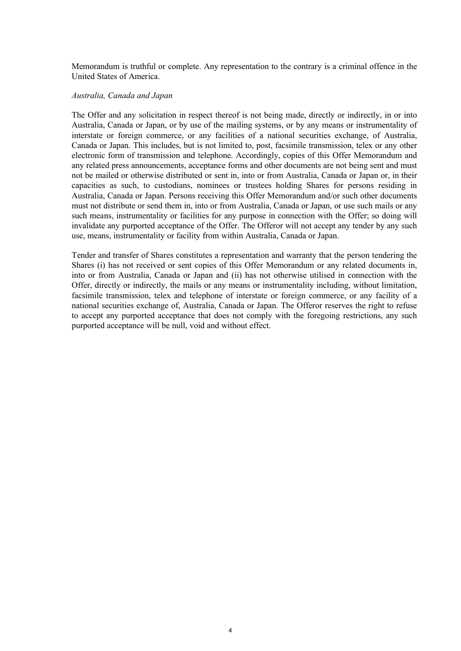Memorandum is truthful or complete. Any representation to the contrary is a criminal offence in the United States of America.

#### *Australia, Canada and Japan*

The Offer and any solicitation in respect thereof is not being made, directly or indirectly, in or into Australia, Canada or Japan, or by use of the mailing systems, or by any means or instrumentality of interstate or foreign commerce, or any facilities of a national securities exchange, of Australia, Canada or Japan. This includes, but is not limited to, post, facsimile transmission, telex or any other electronic form of transmission and telephone. Accordingly, copies of this Offer Memorandum and any related press announcements, acceptance forms and other documents are not being sent and must not be mailed or otherwise distributed or sent in, into or from Australia, Canada or Japan or, in their capacities as such, to custodians, nominees or trustees holding Shares for persons residing in Australia, Canada or Japan. Persons receiving this Offer Memorandum and/or such other documents must not distribute or send them in, into or from Australia, Canada or Japan, or use such mails or any such means, instrumentality or facilities for any purpose in connection with the Offer; so doing will invalidate any purported acceptance of the Offer. The Offeror will not accept any tender by any such use, means, instrumentality or facility from within Australia, Canada or Japan.

Tender and transfer of Shares constitutes a representation and warranty that the person tendering the Shares (i) has not received or sent copies of this Offer Memorandum or any related documents in, into or from Australia, Canada or Japan and (ii) has not otherwise utilised in connection with the Offer, directly or indirectly, the mails or any means or instrumentality including, without limitation, facsimile transmission, telex and telephone of interstate or foreign commerce, or any facility of a national securities exchange of, Australia, Canada or Japan. The Offeror reserves the right to refuse to accept any purported acceptance that does not comply with the foregoing restrictions, any such purported acceptance will be null, void and without effect.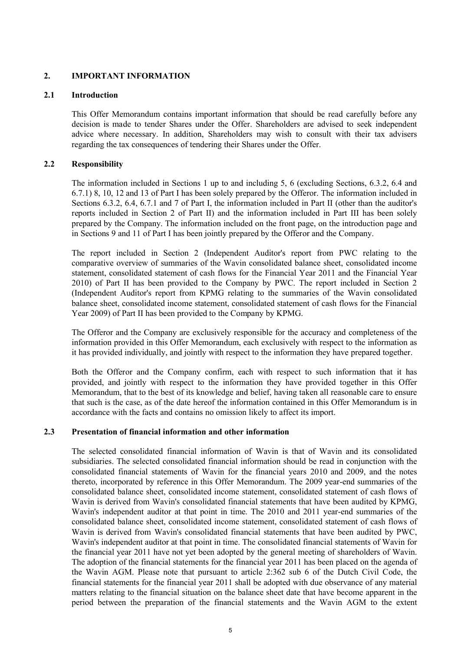#### **2. IMPORTANT INFORMATION**

#### **2.1 Introduction**

This Offer Memorandum contains important information that should be read carefully before any decision is made to tender Shares under the Offer. Shareholders are advised to seek independent advice where necessary. In addition, Shareholders may wish to consult with their tax advisers regarding the tax consequences of tendering their Shares under the Offer.

#### **2.2 Responsibility**

The information included in Sections 1 up to and including 5, 6 (excluding Sections, 6.3.2, 6.4 and 6.7.1) 8, 10, 12 and 13 of Part I has been solely prepared by the Offeror. The information included in Sections 6.3.2, 6.4, 6.7.1 and 7 of Part I, the information included in Part II (other than the auditor's reports included in Section 2 of Part II) and the information included in Part III has been solely prepared by the Company. The information included on the front page, on the introduction page and in Sections 9 and 11 of Part I has been jointly prepared by the Offeror and the Company.

The report included in Section 2 (Independent Auditor's report from PWC relating to the comparative overview of summaries of the Wavin consolidated balance sheet, consolidated income statement, consolidated statement of cash flows for the Financial Year 2011 and the Financial Year 2010) of Part II has been provided to the Company by PWC. The report included in Section 2 (Independent Auditor's report from KPMG relating to the summaries of the Wavin consolidated balance sheet, consolidated income statement, consolidated statement of cash flows for the Financial Year 2009) of Part II has been provided to the Company by KPMG.

The Offeror and the Company are exclusively responsible for the accuracy and completeness of the information provided in this Offer Memorandum, each exclusively with respect to the information as it has provided individually, and jointly with respect to the information they have prepared together.

Both the Offeror and the Company confirm, each with respect to such information that it has provided, and jointly with respect to the information they have provided together in this Offer Memorandum, that to the best of its knowledge and belief, having taken all reasonable care to ensure that such is the case, as of the date hereof the information contained in this Offer Memorandum is in accordance with the facts and contains no omission likely to affect its import.

#### **2.3 Presentation of financial information and other information**

The selected consolidated financial information of Wavin is that of Wavin and its consolidated subsidiaries. The selected consolidated financial information should be read in conjunction with the consolidated financial statements of Wavin for the financial years 2010 and 2009, and the notes thereto, incorporated by reference in this Offer Memorandum. The 2009 year-end summaries of the consolidated balance sheet, consolidated income statement, consolidated statement of cash flows of Wavin is derived from Wavin's consolidated financial statements that have been audited by KPMG, Wavin's independent auditor at that point in time. The 2010 and 2011 year-end summaries of the consolidated balance sheet, consolidated income statement, consolidated statement of cash flows of Wavin is derived from Wavin's consolidated financial statements that have been audited by PWC, Wavin's independent auditor at that point in time. The consolidated financial statements of Wavin for the financial year 2011 have not yet been adopted by the general meeting of shareholders of Wavin. The adoption of the financial statements for the financial year 2011 has been placed on the agenda of the Wavin AGM. Please note that pursuant to article 2:362 sub 6 of the Dutch Civil Code, the financial statements for the financial year 2011 shall be adopted with due observance of any material matters relating to the financial situation on the balance sheet date that have become apparent in the period between the preparation of the financial statements and the Wavin AGM to the extent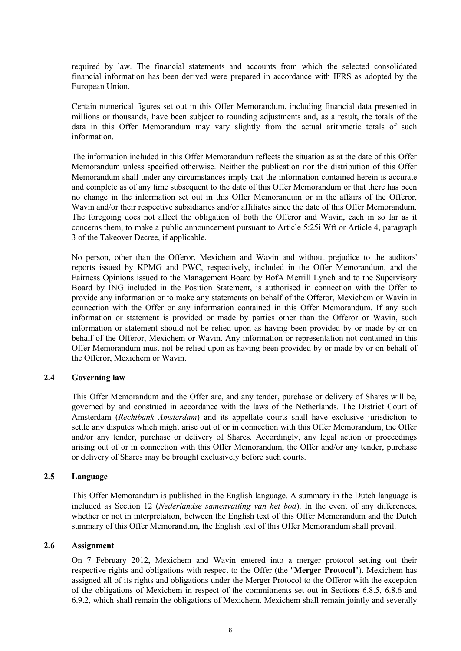required by law. The financial statements and accounts from which the selected consolidated financial information has been derived were prepared in accordance with IFRS as adopted by the European Union.

Certain numerical figures set out in this Offer Memorandum, including financial data presented in millions or thousands, have been subject to rounding adjustments and, as a result, the totals of the data in this Offer Memorandum may vary slightly from the actual arithmetic totals of such information.

The information included in this Offer Memorandum reflects the situation as at the date of this Offer Memorandum unless specified otherwise. Neither the publication nor the distribution of this Offer Memorandum shall under any circumstances imply that the information contained herein is accurate and complete as of any time subsequent to the date of this Offer Memorandum or that there has been no change in the information set out in this Offer Memorandum or in the affairs of the Offeror, Wavin and/or their respective subsidiaries and/or affiliates since the date of this Offer Memorandum. The foregoing does not affect the obligation of both the Offeror and Wavin, each in so far as it concerns them, to make a public announcement pursuant to Article 5:25i Wft or Article 4, paragraph 3 of the Takeover Decree, if applicable.

No person, other than the Offeror, Mexichem and Wavin and without prejudice to the auditors' reports issued by KPMG and PWC, respectively, included in the Offer Memorandum, and the Fairness Opinions issued to the Management Board by BofA Merrill Lynch and to the Supervisory Board by ING included in the Position Statement, is authorised in connection with the Offer to provide any information or to make any statements on behalf of the Offeror, Mexichem or Wavin in connection with the Offer or any information contained in this Offer Memorandum. If any such information or statement is provided or made by parties other than the Offeror or Wavin, such information or statement should not be relied upon as having been provided by or made by or on behalf of the Offeror, Mexichem or Wavin. Any information or representation not contained in this Offer Memorandum must not be relied upon as having been provided by or made by or on behalf of the Offeror, Mexichem or Wavin.

#### **2.4 Governing law**

This Offer Memorandum and the Offer are, and any tender, purchase or delivery of Shares will be, governed by and construed in accordance with the laws of the Netherlands. The District Court of Amsterdam (*Rechtbank Amsterdam*) and its appellate courts shall have exclusive jurisdiction to settle any disputes which might arise out of or in connection with this Offer Memorandum, the Offer and/or any tender, purchase or delivery of Shares. Accordingly, any legal action or proceedings arising out of or in connection with this Offer Memorandum, the Offer and/or any tender, purchase or delivery of Shares may be brought exclusively before such courts.

#### **2.5 Language**

This Offer Memorandum is published in the English language. A summary in the Dutch language is included as Section 12 (*Nederlandse samenvatting van het bod*). In the event of any differences, whether or not in interpretation, between the English text of this Offer Memorandum and the Dutch summary of this Offer Memorandum, the English text of this Offer Memorandum shall prevail.

#### **2.6 Assignment**

On 7 February 2012, Mexichem and Wavin entered into a merger protocol setting out their respective rights and obligations with respect to the Offer (the "**Merger Protocol**"). Mexichem has assigned all of its rights and obligations under the Merger Protocol to the Offeror with the exception of the obligations of Mexichem in respect of the commitments set out in Sections 6.8.5, 6.8.6 and 6.9.2, which shall remain the obligations of Mexichem. Mexichem shall remain jointly and severally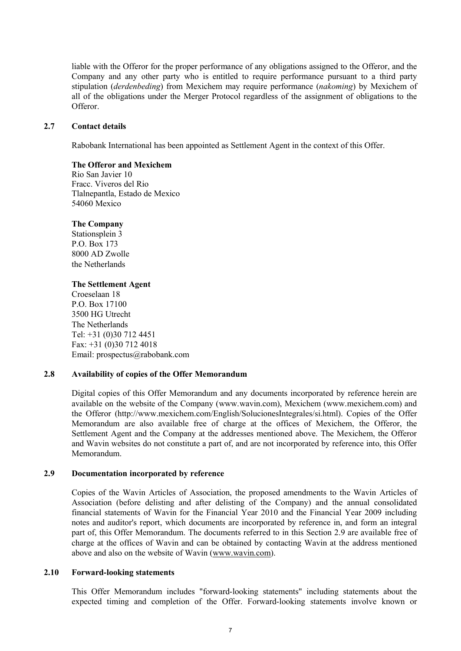liable with the Offeror for the proper performance of any obligations assigned to the Offeror, and the Company and any other party who is entitled to require performance pursuant to a third party stipulation (*derdenbeding*) from Mexichem may require performance (*nakoming*) by Mexichem of all of the obligations under the Merger Protocol regardless of the assignment of obligations to the Offeror.

#### **2.7 Contact details**

Rabobank International has been appointed as Settlement Agent in the context of this Offer.

#### **The Offeror and Mexichem**

Rio San Javier 10 Fracc. Viveros del Rio Tlalnepantla, Estado de Mexico 54060 Mexico

#### **The Company**

Stationsplein 3 P.O. Box 173 8000 AD Zwolle the Netherlands

#### **The Settlement Agent**

Croeselaan 18 P.O. Box 17100 3500 HG Utrecht The Netherlands Tel: +31 (0)30 712 4451 Fax: +31 (0)30 712 4018 Email: prospectus@rabobank.com

#### **2.8 Availability of copies of the Offer Memorandum**

Digital copies of this Offer Memorandum and any documents incorporated by reference herein are available on the website of the Company ([www.wavin.com\),](www.wavin.com),Mexichem) Mexichem ([www.mexichem.com\)](www.mexichem.com)and) and the Offeror ([http://](http://www.mexichem.com/English/SolucionesIntegrales/si.html).)[www.mexichem.com/English/SolucionesIntegrales/si.html\).](www.mexichem.com/English/SolucionesIntegrales/si.html).) [Copies of the O](http://www.mexichem.com/)ffer Memorandum are also available free of charge at the offices of Mexichem, the Offeror, the Settlement Agent and the Company at the addresses mentioned above. The Mexichem, the Offeror and Wavin websites do not constitute a part of, and are not incorporated by reference into, this Offer Memorandum.

#### **2.9 Documentation incorporated by reference**

Copies of the Wavin Articles of Association, the proposed amendments to the Wavin Articles of Association (before delisting and after delisting of the Company) and the annual consolidated financial statements of Wavin for the Financial Year 2010 and the Financial Year 2009 including notes and auditor's report, which documents are incorporated by reference in, and form an integral part of, this Offer Memorandum. The documents referred to in this Section 2.9 are available free of charge at the offices of Wavin and can be obtained by contacting Wavin at the address mentioned above and also on the website of Wavin ([www.wavin.com\)](www.wavin.com).

#### **2.10 Forward-looking statements**

This Offer Memorandum includes "forward-looking statements" including statements about the expected timing and completion of the Offer. Forward-looking statements involve known or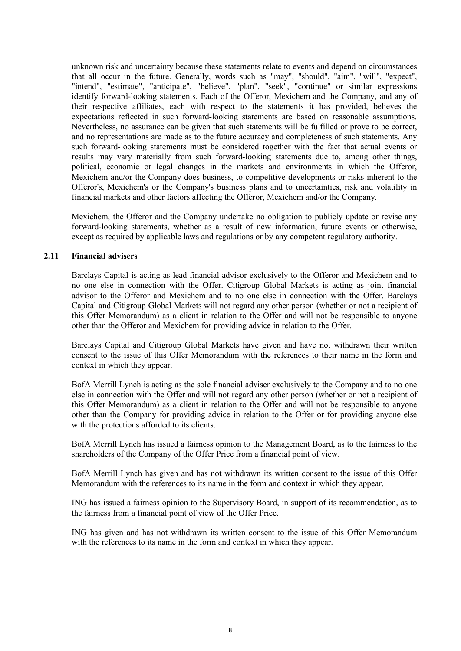unknown risk and uncertainty because these statements relate to events and depend on circumstances that all occur in the future. Generally, words such as "may", "should", "aim", "will", "expect", "intend", "estimate", "anticipate", "believe", "plan", "seek", "continue" or similar expressions identify forward-looking statements. Each of the Offeror, Mexichem and the Company, and any of their respective affiliates, each with respect to the statements it has provided, believes the expectations reflected in such forward-looking statements are based on reasonable assumptions. Nevertheless, no assurance can be given that such statements will be fulfilled or prove to be correct, and no representations are made as to the future accuracy and completeness of such statements. Any such forward-looking statements must be considered together with the fact that actual events or results may vary materially from such forward-looking statements due to, among other things, political, economic or legal changes in the markets and environments in which the Offeror, Mexichem and/or the Company does business, to competitive developments or risks inherent to the Offeror's, Mexichem's or the Company's business plans and to uncertainties, risk and volatility in financial markets and other factors affecting the Offeror, Mexichem and/or the Company.

Mexichem, the Offeror and the Company undertake no obligation to publicly update or revise any forward-looking statements, whether as a result of new information, future events or otherwise, except as required by applicable laws and regulations or by any competent regulatory authority.

#### **2.11 Financial advisers**

Barclays Capital is acting as lead financial advisor exclusively to the Offeror and Mexichem and to no one else in connection with the Offer. Citigroup Global Markets is acting as joint financial advisor to the Offeror and Mexichem and to no one else in connection with the Offer. Barclays Capital and Citigroup Global Markets will not regard any other person (whether or not a recipient of this Offer Memorandum) as a client in relation to the Offer and will not be responsible to anyone other than the Offeror and Mexichem for providing advice in relation to the Offer.

Barclays Capital and Citigroup Global Markets have given and have not withdrawn their written consent to the issue of this Offer Memorandum with the references to their name in the form and context in which they appear.

BofA Merrill Lynch is acting as the sole financial adviser exclusively to the Company and to no one else in connection with the Offer and will not regard any other person (whether or not a recipient of this Offer Memorandum) as a client in relation to the Offer and will not be responsible to anyone other than the Company for providing advice in relation to the Offer or for providing anyone else with the protections afforded to its clients.

BofA Merrill Lynch has issued a fairness opinion to the Management Board, as to the fairness to the shareholders of the Company of the Offer Price from a financial point of view.

BofA Merrill Lynch has given and has not withdrawn its written consent to the issue of this Offer Memorandum with the references to its name in the form and context in which they appear.

ING has issued a fairness opinion to the Supervisory Board, in support of its recommendation, as to the fairness from a financial point of view of the Offer Price.

ING has given and has not withdrawn its written consent to the issue of this Offer Memorandum with the references to its name in the form and context in which they appear.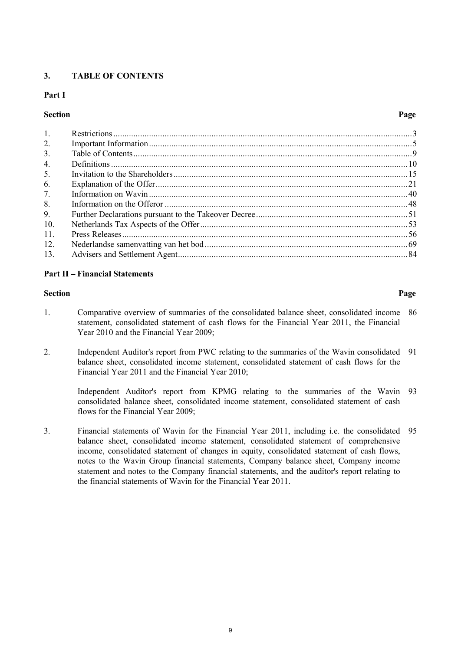#### **3. TABLE OF CONTENTS**

#### **Part I**

#### **Section Page**

| 1.               |  |
|------------------|--|
| 2.               |  |
| 3 <sub>1</sub>   |  |
| $\overline{4}$ . |  |
| 5.               |  |
| 6.               |  |
| 7.               |  |
| 8.               |  |
| 9.               |  |
| 10.              |  |
| 11.              |  |
| 12.              |  |
| 13.              |  |

#### **Part II – Financial Statements**

#### **Section Page**

- 1. Comparative overview of summaries of the consolidated balance sheet, consolidated income 86 statement, consolidated statement of cash flows for the Financial Year 2011, the Financial Year 2010 and the Financial Year 2009;
- 2. Independent Auditor's report from PWC relating to the summaries of the Wavin consolidated 91 balance sheet, consolidated income statement, consolidated statement of cash flows for the Financial Year 2011 and the Financial Year 2010;

Independent Auditor's report from KPMG relating to the summaries of the Wavin 93 consolidated balance sheet, consolidated income statement, consolidated statement of cash flows for the Financial Year 2009;

3. Financial statements of Wavin for the Financial Year 2011, including i.e. the consolidated 95balance sheet, consolidated income statement, consolidated statement of comprehensive income, consolidated statement of changes in equity, consolidated statement of cash flows, notes to the Wavin Group financial statements, Company balance sheet, Company income statement and notes to the Company financial statements, and the auditor's report relating to the financial statements of Wavin for the Financial Year 2011.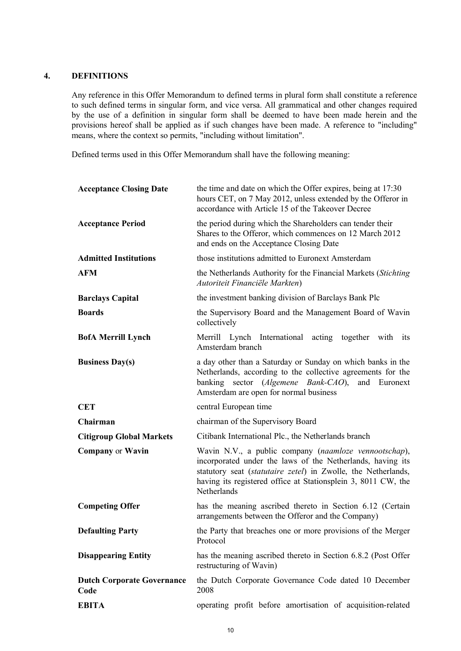#### **4. DEFINITIONS**

Any reference in this Offer Memorandum to defined terms in plural form shall constitute a reference to such defined terms in singular form, and vice versa. All grammatical and other changes required by the use of a definition in singular form shall be deemed to have been made herein and the provisions hereof shall be applied as if such changes have been made. A reference to "including" means, where the context so permits, "including without limitation".

Defined terms used in this Offer Memorandum shall have the following meaning:

| <b>Acceptance Closing Date</b>            | the time and date on which the Offer expires, being at 17:30<br>hours CET, on 7 May 2012, unless extended by the Offeror in<br>accordance with Article 15 of the Takeover Decree                                                                                     |  |  |
|-------------------------------------------|----------------------------------------------------------------------------------------------------------------------------------------------------------------------------------------------------------------------------------------------------------------------|--|--|
| <b>Acceptance Period</b>                  | the period during which the Shareholders can tender their<br>Shares to the Offeror, which commences on 12 March 2012<br>and ends on the Acceptance Closing Date                                                                                                      |  |  |
| <b>Admitted Institutions</b>              | those institutions admitted to Euronext Amsterdam                                                                                                                                                                                                                    |  |  |
| <b>AFM</b>                                | the Netherlands Authority for the Financial Markets (Stichting<br>Autoriteit Financiële Markten)                                                                                                                                                                     |  |  |
| <b>Barclays Capital</b>                   | the investment banking division of Barclays Bank Plc                                                                                                                                                                                                                 |  |  |
| <b>Boards</b>                             | the Supervisory Board and the Management Board of Wavin<br>collectively                                                                                                                                                                                              |  |  |
| <b>BofA Merrill Lynch</b>                 | Merrill Lynch International acting together with its<br>Amsterdam branch                                                                                                                                                                                             |  |  |
| <b>Business Day(s)</b>                    | a day other than a Saturday or Sunday on which banks in the<br>Netherlands, according to the collective agreements for the<br>banking sector (Algemene Bank-CAO),<br>and Euronext<br>Amsterdam are open for normal business                                          |  |  |
| <b>CET</b>                                | central European time                                                                                                                                                                                                                                                |  |  |
| Chairman                                  | chairman of the Supervisory Board                                                                                                                                                                                                                                    |  |  |
| <b>Citigroup Global Markets</b>           | Citibank International Plc., the Netherlands branch                                                                                                                                                                                                                  |  |  |
| <b>Company or Wavin</b>                   | Wavin N.V., a public company (naamloze vennootschap),<br>incorporated under the laws of the Netherlands, having its<br>statutory seat (statutaire zetel) in Zwolle, the Netherlands,<br>having its registered office at Stationsplein 3, 8011 CW, the<br>Netherlands |  |  |
| <b>Competing Offer</b>                    | has the meaning ascribed thereto in Section 6.12 (Certain<br>arrangements between the Offeror and the Company)                                                                                                                                                       |  |  |
| <b>Defaulting Party</b>                   | the Party that breaches one or more provisions of the Merger<br>Protocol                                                                                                                                                                                             |  |  |
| <b>Disappearing Entity</b>                | has the meaning ascribed thereto in Section 6.8.2 (Post Offer<br>restructuring of Wavin)                                                                                                                                                                             |  |  |
| <b>Dutch Corporate Governance</b><br>Code | the Dutch Corporate Governance Code dated 10 December<br>2008                                                                                                                                                                                                        |  |  |
|                                           |                                                                                                                                                                                                                                                                      |  |  |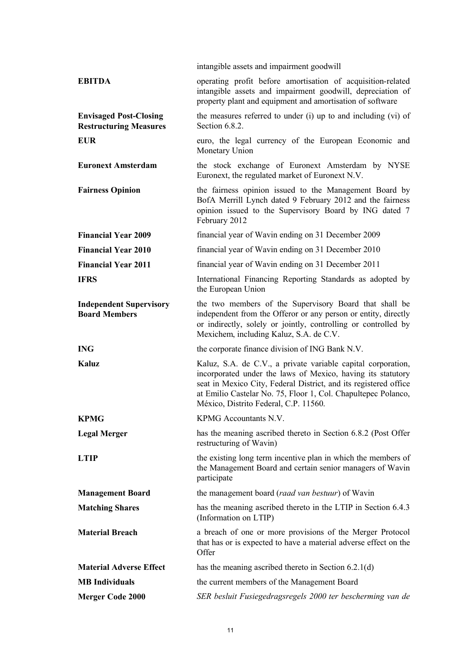|                                                                | intangible assets and impairment goodwill                                                                                                                                                                                                                                                                 |
|----------------------------------------------------------------|-----------------------------------------------------------------------------------------------------------------------------------------------------------------------------------------------------------------------------------------------------------------------------------------------------------|
| <b>EBITDA</b>                                                  | operating profit before amortisation of acquisition-related<br>intangible assets and impairment goodwill, depreciation of<br>property plant and equipment and amortisation of software                                                                                                                    |
| <b>Envisaged Post-Closing</b><br><b>Restructuring Measures</b> | the measures referred to under (i) up to and including (vi) of<br>Section 6.8.2.                                                                                                                                                                                                                          |
| <b>EUR</b>                                                     | euro, the legal currency of the European Economic and<br>Monetary Union                                                                                                                                                                                                                                   |
| <b>Euronext Amsterdam</b>                                      | the stock exchange of Euronext Amsterdam by NYSE<br>Euronext, the regulated market of Euronext N.V.                                                                                                                                                                                                       |
| <b>Fairness Opinion</b>                                        | the fairness opinion issued to the Management Board by<br>BofA Merrill Lynch dated 9 February 2012 and the fairness<br>opinion issued to the Supervisory Board by ING dated 7<br>February 2012                                                                                                            |
| <b>Financial Year 2009</b>                                     | financial year of Wavin ending on 31 December 2009                                                                                                                                                                                                                                                        |
| <b>Financial Year 2010</b>                                     | financial year of Wavin ending on 31 December 2010                                                                                                                                                                                                                                                        |
| <b>Financial Year 2011</b>                                     | financial year of Wavin ending on 31 December 2011                                                                                                                                                                                                                                                        |
| <b>IFRS</b>                                                    | International Financing Reporting Standards as adopted by<br>the European Union                                                                                                                                                                                                                           |
| <b>Independent Supervisory</b><br><b>Board Members</b>         | the two members of the Supervisory Board that shall be<br>independent from the Offeror or any person or entity, directly<br>or indirectly, solely or jointly, controlling or controlled by<br>Mexichem, including Kaluz, S.A. de C.V.                                                                     |
| <b>ING</b>                                                     | the corporate finance division of ING Bank N.V.                                                                                                                                                                                                                                                           |
| Kaluz                                                          | Kaluz, S.A. de C.V., a private variable capital corporation,<br>incorporated under the laws of Mexico, having its statutory<br>seat in Mexico City, Federal District, and its registered office<br>at Emilio Castelar No. 75, Floor 1, Col. Chapultepec Polanco,<br>México, Distrito Federal, C.P. 11560. |
| <b>KPMG</b>                                                    | KPMG Accountants N.V.                                                                                                                                                                                                                                                                                     |
| <b>Legal Merger</b>                                            | has the meaning ascribed thereto in Section 6.8.2 (Post Offer<br>restructuring of Wavin)                                                                                                                                                                                                                  |
| <b>LTIP</b>                                                    | the existing long term incentive plan in which the members of<br>the Management Board and certain senior managers of Wavin<br>participate                                                                                                                                                                 |
| <b>Management Board</b>                                        | the management board (raad van bestuur) of Wavin                                                                                                                                                                                                                                                          |
| <b>Matching Shares</b>                                         | has the meaning ascribed thereto in the LTIP in Section 6.4.3<br>(Information on LTIP)                                                                                                                                                                                                                    |
| <b>Material Breach</b>                                         | a breach of one or more provisions of the Merger Protocol<br>that has or is expected to have a material adverse effect on the<br>Offer                                                                                                                                                                    |
| <b>Material Adverse Effect</b>                                 | has the meaning ascribed thereto in Section $6.2.1(d)$                                                                                                                                                                                                                                                    |
| <b>MB</b> Individuals                                          | the current members of the Management Board                                                                                                                                                                                                                                                               |
| <b>Merger Code 2000</b>                                        | SER besluit Fusiegedragsregels 2000 ter bescherming van de                                                                                                                                                                                                                                                |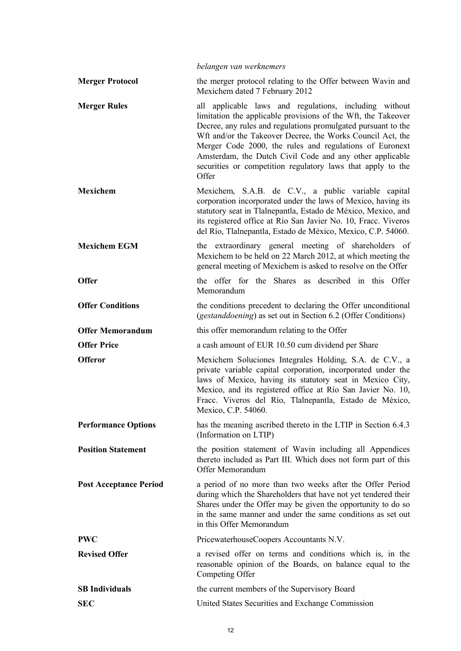|                               | belangen van werknemers                                                                                                                                                                                                                                                                                                                                                                                                                               |
|-------------------------------|-------------------------------------------------------------------------------------------------------------------------------------------------------------------------------------------------------------------------------------------------------------------------------------------------------------------------------------------------------------------------------------------------------------------------------------------------------|
| <b>Merger Protocol</b>        | the merger protocol relating to the Offer between Wavin and<br>Mexichem dated 7 February 2012                                                                                                                                                                                                                                                                                                                                                         |
| <b>Merger Rules</b>           | all applicable laws and regulations, including without<br>limitation the applicable provisions of the Wft, the Takeover<br>Decree, any rules and regulations promulgated pursuant to the<br>Wft and/or the Takeover Decree, the Works Council Act, the<br>Merger Code 2000, the rules and regulations of Euronext<br>Amsterdam, the Dutch Civil Code and any other applicable<br>securities or competition regulatory laws that apply to the<br>Offer |
| <b>Mexichem</b>               | Mexichem, S.A.B. de C.V., a public variable capital<br>corporation incorporated under the laws of Mexico, having its<br>statutory seat in Tlalnepantla, Estado de México, Mexico, and<br>its registered office at Río San Javier No. 10, Fracc. Viveros<br>del Río, Tlalnepantla, Estado de México, Mexico, C.P. 54060.                                                                                                                               |
| <b>Mexichem EGM</b>           | the extraordinary general meeting of shareholders of<br>Mexichem to be held on 22 March 2012, at which meeting the<br>general meeting of Mexichem is asked to resolve on the Offer                                                                                                                                                                                                                                                                    |
| <b>Offer</b>                  | the offer for the Shares as described in this Offer<br>Memorandum                                                                                                                                                                                                                                                                                                                                                                                     |
| <b>Offer Conditions</b>       | the conditions precedent to declaring the Offer unconditional<br>(gestanddoening) as set out in Section 6.2 (Offer Conditions)                                                                                                                                                                                                                                                                                                                        |
| <b>Offer Memorandum</b>       | this offer memorandum relating to the Offer                                                                                                                                                                                                                                                                                                                                                                                                           |
| <b>Offer Price</b>            | a cash amount of EUR 10.50 cum dividend per Share                                                                                                                                                                                                                                                                                                                                                                                                     |
| <b>Offeror</b>                | Mexichem Soluciones Integrales Holding, S.A. de C.V., a<br>private variable capital corporation, incorporated under the<br>laws of Mexico, having its statutory seat in Mexico City,<br>Mexico, and its registered office at Río San Javier No. 10,<br>Fracc. Viveros del Río, Tlalnepantla, Estado de México,<br>Mexico, C.P. 54060.                                                                                                                 |
| <b>Performance Options</b>    | has the meaning ascribed thereto in the LTIP in Section 6.4.3<br>(Information on LTIP)                                                                                                                                                                                                                                                                                                                                                                |
| <b>Position Statement</b>     | the position statement of Wavin including all Appendices<br>thereto included as Part III. Which does not form part of this<br>Offer Memorandum                                                                                                                                                                                                                                                                                                        |
| <b>Post Acceptance Period</b> | a period of no more than two weeks after the Offer Period<br>during which the Shareholders that have not yet tendered their<br>Shares under the Offer may be given the opportunity to do so<br>in the same manner and under the same conditions as set out<br>in this Offer Memorandum                                                                                                                                                                |
| <b>PWC</b>                    | PricewaterhouseCoopers Accountants N.V.                                                                                                                                                                                                                                                                                                                                                                                                               |
| <b>Revised Offer</b>          | a revised offer on terms and conditions which is, in the<br>reasonable opinion of the Boards, on balance equal to the<br>Competing Offer                                                                                                                                                                                                                                                                                                              |
| <b>SB</b> Individuals         | the current members of the Supervisory Board                                                                                                                                                                                                                                                                                                                                                                                                          |
| <b>SEC</b>                    | United States Securities and Exchange Commission                                                                                                                                                                                                                                                                                                                                                                                                      |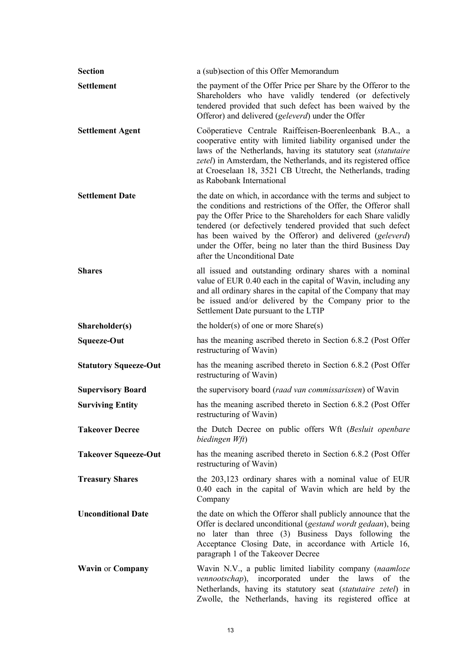| <b>Section</b>               | a (sub)section of this Offer Memorandum                                                                                                                                                                                                                                                                                                                                                                                       |
|------------------------------|-------------------------------------------------------------------------------------------------------------------------------------------------------------------------------------------------------------------------------------------------------------------------------------------------------------------------------------------------------------------------------------------------------------------------------|
| <b>Settlement</b>            | the payment of the Offer Price per Share by the Offeror to the<br>Shareholders who have validly tendered (or defectively<br>tendered provided that such defect has been waived by the<br>Offeror) and delivered (geleverd) under the Offer                                                                                                                                                                                    |
| <b>Settlement Agent</b>      | Coöperatieve Centrale Raiffeisen-Boerenleenbank B.A., a<br>cooperative entity with limited liability organised under the<br>laws of the Netherlands, having its statutory seat (statutaire<br>zetel) in Amsterdam, the Netherlands, and its registered office<br>at Croeselaan 18, 3521 CB Utrecht, the Netherlands, trading<br>as Rabobank International                                                                     |
| <b>Settlement Date</b>       | the date on which, in accordance with the terms and subject to<br>the conditions and restrictions of the Offer, the Offeror shall<br>pay the Offer Price to the Shareholders for each Share validly<br>tendered (or defectively tendered provided that such defect<br>has been waived by the Offeror) and delivered (geleverd)<br>under the Offer, being no later than the third Business Day<br>after the Unconditional Date |
| <b>Shares</b>                | all issued and outstanding ordinary shares with a nominal<br>value of EUR 0.40 each in the capital of Wavin, including any<br>and all ordinary shares in the capital of the Company that may<br>be issued and/or delivered by the Company prior to the<br>Settlement Date pursuant to the LTIP                                                                                                                                |
| Shareholder(s)               | the holder(s) of one or more $Share(s)$                                                                                                                                                                                                                                                                                                                                                                                       |
| Squeeze-Out                  | has the meaning ascribed thereto in Section 6.8.2 (Post Offer<br>restructuring of Wavin)                                                                                                                                                                                                                                                                                                                                      |
| <b>Statutory Squeeze-Out</b> | has the meaning ascribed thereto in Section 6.8.2 (Post Offer<br>restructuring of Wavin)                                                                                                                                                                                                                                                                                                                                      |
| <b>Supervisory Board</b>     | the supervisory board (raad van commissarissen) of Wavin                                                                                                                                                                                                                                                                                                                                                                      |
| <b>Surviving Entity</b>      | has the meaning ascribed thereto in Section 6.8.2 (Post Offer<br>restructuring of Wavin)                                                                                                                                                                                                                                                                                                                                      |
| <b>Takeover Decree</b>       | the Dutch Decree on public offers Wft (Besluit openbare<br>biedingen Wft)                                                                                                                                                                                                                                                                                                                                                     |
| <b>Takeover Squeeze-Out</b>  | has the meaning ascribed thereto in Section 6.8.2 (Post Offer<br>restructuring of Wavin)                                                                                                                                                                                                                                                                                                                                      |
| <b>Treasury Shares</b>       | the 203,123 ordinary shares with a nominal value of EUR<br>0.40 each in the capital of Wavin which are held by the<br>Company                                                                                                                                                                                                                                                                                                 |
| <b>Unconditional Date</b>    | the date on which the Offeror shall publicly announce that the<br>Offer is declared unconditional (gestand wordt gedaan), being<br>no later than three (3) Business Days following the<br>Acceptance Closing Date, in accordance with Article 16,<br>paragraph 1 of the Takeover Decree                                                                                                                                       |
| <b>Wavin or Company</b>      | Wavin N.V., a public limited liability company (naamloze<br><i>vennootschap</i> ), incorporated under the laws<br>of the<br>Netherlands, having its statutory seat (statutaire zetel) in<br>Zwolle, the Netherlands, having its registered office at                                                                                                                                                                          |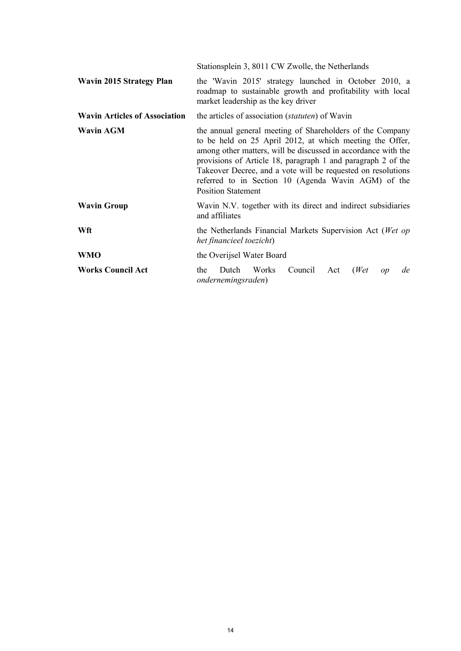|                                      | Stationsplein 3, 8011 CW Zwolle, the Netherlands                                                                                                                                                                                                                                                                                                                                                           |  |  |  |  |
|--------------------------------------|------------------------------------------------------------------------------------------------------------------------------------------------------------------------------------------------------------------------------------------------------------------------------------------------------------------------------------------------------------------------------------------------------------|--|--|--|--|
| <b>Wavin 2015 Strategy Plan</b>      | the 'Wavin 2015' strategy launched in October 2010, a<br>roadmap to sustainable growth and profitability with local<br>market leadership as the key driver                                                                                                                                                                                                                                                 |  |  |  |  |
| <b>Wavin Articles of Association</b> | the articles of association ( <i>statuten</i> ) of Wavin                                                                                                                                                                                                                                                                                                                                                   |  |  |  |  |
| <b>Wavin AGM</b>                     | the annual general meeting of Shareholders of the Company<br>to be held on 25 April 2012, at which meeting the Offer,<br>among other matters, will be discussed in accordance with the<br>provisions of Article 18, paragraph 1 and paragraph 2 of the<br>Takeover Decree, and a vote will be requested on resolutions<br>referred to in Section 10 (Agenda Wavin AGM) of the<br><b>Position Statement</b> |  |  |  |  |
| <b>Wavin Group</b>                   | Wavin N.V. together with its direct and indirect subsidiaries<br>and affiliates                                                                                                                                                                                                                                                                                                                            |  |  |  |  |
| Wft                                  | the Netherlands Financial Markets Supervision Act (Wet op<br>het financieel toezicht)                                                                                                                                                                                                                                                                                                                      |  |  |  |  |
| <b>WMO</b>                           | the Overijsel Water Board                                                                                                                                                                                                                                                                                                                                                                                  |  |  |  |  |
| <b>Works Council Act</b>             | Works<br>Council<br>the<br>Dutch<br>(Wet)<br>Act<br>de<br>op<br>ondernemingsraden)                                                                                                                                                                                                                                                                                                                         |  |  |  |  |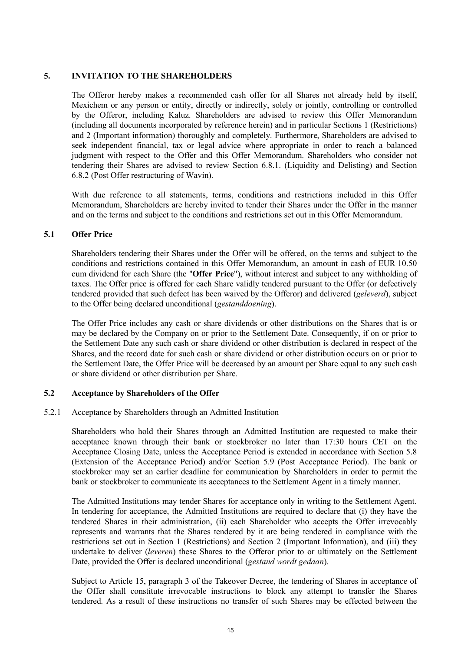#### **5. INVITATION TO THE SHAREHOLDERS**

The Offeror hereby makes a recommended cash offer for all Shares not already held by itself, Mexichem or any person or entity, directly or indirectly, solely or jointly, controlling or controlled by the Offeror, including Kaluz. Shareholders are advised to review this Offer Memorandum (including all documents incorporated by reference herein) and in particular Sections 1 (Restrictions) and 2 (Important information) thoroughly and completely. Furthermore, Shareholders are advised to seek independent financial, tax or legal advice where appropriate in order to reach a balanced judgment with respect to the Offer and this Offer Memorandum. Shareholders who consider not tendering their Shares are advised to review Section 6.8.1. (Liquidity and Delisting) and Section 6.8.2 (Post Offer restructuring of Wavin).

With due reference to all statements, terms, conditions and restrictions included in this Offer Memorandum, Shareholders are hereby invited to tender their Shares under the Offer in the manner and on the terms and subject to the conditions and restrictions set out in this Offer Memorandum.

#### **5.1 Offer Price**

Shareholders tendering their Shares under the Offer will be offered, on the terms and subject to the conditions and restrictions contained in this Offer Memorandum, an amount in cash of EUR 10.50 cum dividend for each Share (the "**Offer Price**"), without interest and subject to any withholding of taxes. The Offer price is offered for each Share validly tendered pursuant to the Offer (or defectively tendered provided that such defect has been waived by the Offeror) and delivered (*geleverd*), subject to the Offer being declared unconditional (*gestanddoening*).

The Offer Price includes any cash or share dividends or other distributions on the Shares that is or may be declared by the Company on or prior to the Settlement Date. Consequently, if on or prior to the Settlement Date any such cash or share dividend or other distribution is declared in respect of the Shares, and the record date for such cash or share dividend or other distribution occurs on or prior to the Settlement Date, the Offer Price will be decreased by an amount per Share equal to any such cash or share dividend or other distribution per Share.

#### **5.2 Acceptance by Shareholders of the Offer**

#### 5.2.1 Acceptance by Shareholders through an Admitted Institution

Shareholders who hold their Shares through an Admitted Institution are requested to make their acceptance known through their bank or stockbroker no later than 17:30 hours CET on the Acceptance Closing Date, unless the Acceptance Period is extended in accordance with Section 5.8 (Extension of the Acceptance Period) and/or Section 5.9 (Post Acceptance Period). The bank or stockbroker may set an earlier deadline for communication by Shareholders in order to permit the bank or stockbroker to communicate its acceptances to the Settlement Agent in a timely manner.

The Admitted Institutions may tender Shares for acceptance only in writing to the Settlement Agent. In tendering for acceptance, the Admitted Institutions are required to declare that (i) they have the tendered Shares in their administration, (ii) each Shareholder who accepts the Offer irrevocably represents and warrants that the Shares tendered by it are being tendered in compliance with the restrictions set out in Section 1 (Restrictions) and Section 2 (Important Information), and (iii) they undertake to deliver (*leveren*) these Shares to the Offeror prior to or ultimately on the Settlement Date, provided the Offer is declared unconditional (*gestand wordt gedaan*).

Subject to Article 15, paragraph 3 of the Takeover Decree, the tendering of Shares in acceptance of the Offer shall constitute irrevocable instructions to block any attempt to transfer the Shares tendered. As a result of these instructions no transfer of such Shares may be effected between the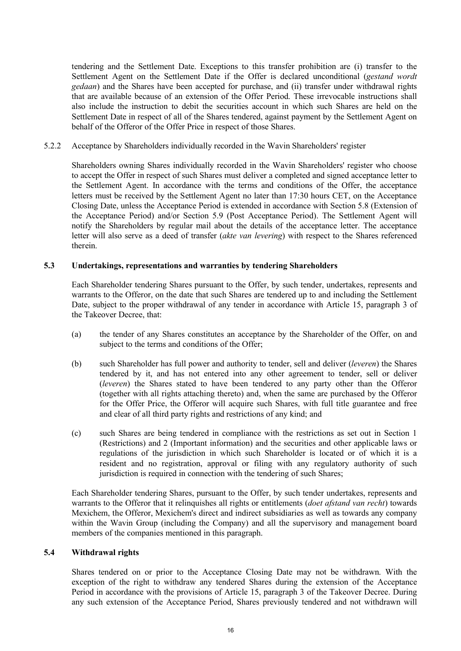tendering and the Settlement Date. Exceptions to this transfer prohibition are (i) transfer to the Settlement Agent on the Settlement Date if the Offer is declared unconditional (*gestand wordt gedaan*) and the Shares have been accepted for purchase, and (ii) transfer under withdrawal rights that are available because of an extension of the Offer Period. These irrevocable instructions shall also include the instruction to debit the securities account in which such Shares are held on the Settlement Date in respect of all of the Shares tendered, against payment by the Settlement Agent on behalf of the Offeror of the Offer Price in respect of those Shares.

5.2.2 Acceptance by Shareholders individually recorded in the Wavin Shareholders' register

Shareholders owning Shares individually recorded in the Wavin Shareholders' register who choose to accept the Offer in respect of such Shares must deliver a completed and signed acceptance letter to the Settlement Agent. In accordance with the terms and conditions of the Offer, the acceptance letters must be received by the Settlement Agent no later than 17:30 hours CET, on the Acceptance Closing Date, unless the Acceptance Period is extended in accordance with Section 5.8 (Extension of the Acceptance Period) and/or Section 5.9 (Post Acceptance Period). The Settlement Agent will notify the Shareholders by regular mail about the details of the acceptance letter. The acceptance letter will also serve as a deed of transfer (*akte van levering*) with respect to the Shares referenced therein.

#### **5.3 Undertakings, representations and warranties by tendering Shareholders**

Each Shareholder tendering Shares pursuant to the Offer, by such tender, undertakes, represents and warrants to the Offeror, on the date that such Shares are tendered up to and including the Settlement Date, subject to the proper withdrawal of any tender in accordance with Article 15, paragraph 3 of the Takeover Decree, that:

- (a) the tender of any Shares constitutes an acceptance by the Shareholder of the Offer, on and subject to the terms and conditions of the Offer;
- (b) such Shareholder has full power and authority to tender, sell and deliver (*leveren*) the Shares tendered by it, and has not entered into any other agreement to tender, sell or deliver (*leveren*) the Shares stated to have been tendered to any party other than the Offeror (together with all rights attaching thereto) and, when the same are purchased by the Offeror for the Offer Price, the Offeror will acquire such Shares, with full title guarantee and free and clear of all third party rights and restrictions of any kind; and
- (c) such Shares are being tendered in compliance with the restrictions as set out in Section 1 (Restrictions) and 2 (Important information) and the securities and other applicable laws or regulations of the jurisdiction in which such Shareholder is located or of which it is a resident and no registration, approval or filing with any regulatory authority of such jurisdiction is required in connection with the tendering of such Shares;

Each Shareholder tendering Shares, pursuant to the Offer, by such tender undertakes, represents and warrants to the Offeror that it relinquishes all rights or entitlements (*doet afstand van recht*) towards Mexichem, the Offeror, Mexichem's direct and indirect subsidiaries as well as towards any company within the Wavin Group (including the Company) and all the supervisory and management board members of the companies mentioned in this paragraph.

#### **5.4 Withdrawal rights**

Shares tendered on or prior to the Acceptance Closing Date may not be withdrawn. With the exception of the right to withdraw any tendered Shares during the extension of the Acceptance Period in accordance with the provisions of Article 15, paragraph 3 of the Takeover Decree. During any such extension of the Acceptance Period, Shares previously tendered and not withdrawn will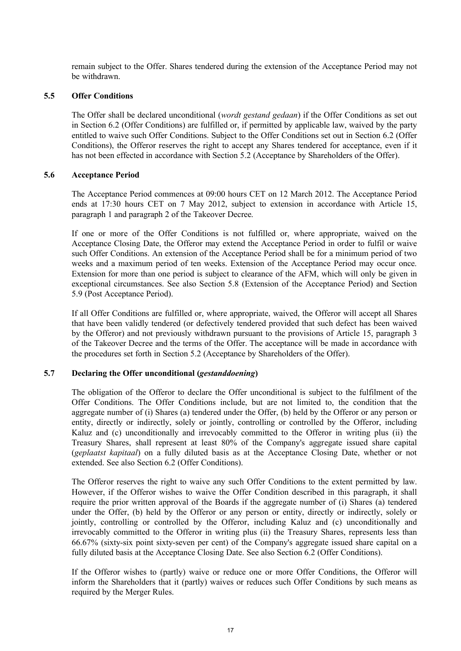remain subject to the Offer. Shares tendered during the extension of the Acceptance Period may not be withdrawn.

#### **5.5 Offer Conditions**

The Offer shall be declared unconditional (*wordt gestand gedaan*) if the Offer Conditions as set out in Section 6.2 (Offer Conditions) are fulfilled or, if permitted by applicable law, waived by the party entitled to waive such Offer Conditions. Subject to the Offer Conditions set out in Section 6.2 (Offer Conditions), the Offeror reserves the right to accept any Shares tendered for acceptance, even if it has not been effected in accordance with Section 5.2 (Acceptance by Shareholders of the Offer).

#### **5.6 Acceptance Period**

The Acceptance Period commences at 09:00 hours CET on 12 March 2012. The Acceptance Period ends at 17:30 hours CET on 7 May 2012, subject to extension in accordance with Article 15, paragraph 1 and paragraph 2 of the Takeover Decree.

If one or more of the Offer Conditions is not fulfilled or, where appropriate, waived on the Acceptance Closing Date, the Offeror may extend the Acceptance Period in order to fulfil or waive such Offer Conditions. An extension of the Acceptance Period shall be for a minimum period of two weeks and a maximum period of ten weeks. Extension of the Acceptance Period may occur once. Extension for more than one period is subject to clearance of the AFM, which will only be given in exceptional circumstances. See also Section 5.8 (Extension of the Acceptance Period) and Section 5.9 (Post Acceptance Period).

If all Offer Conditions are fulfilled or, where appropriate, waived, the Offeror will accept all Shares that have been validly tendered (or defectively tendered provided that such defect has been waived by the Offeror) and not previously withdrawn pursuant to the provisions of Article 15, paragraph 3 of the Takeover Decree and the terms of the Offer. The acceptance will be made in accordance with the procedures set forth in Section 5.2 (Acceptance by Shareholders of the Offer).

#### **5.7 Declaring the Offer unconditional (***gestanddoening***)**

The obligation of the Offeror to declare the Offer unconditional is subject to the fulfilment of the Offer Conditions. The Offer Conditions include, but are not limited to, the condition that the aggregate number of (i) Shares (a) tendered under the Offer, (b) held by the Offeror or any person or entity, directly or indirectly, solely or jointly, controlling or controlled by the Offeror, including Kaluz and (c) unconditionally and irrevocably committed to the Offeror in writing plus (ii) the Treasury Shares, shall represent at least 80% of the Company's aggregate issued share capital (*geplaatst kapitaal*) on a fully diluted basis as at the Acceptance Closing Date, whether or not extended. See also Section 6.2 (Offer Conditions).

The Offeror reserves the right to waive any such Offer Conditions to the extent permitted by law. However, if the Offeror wishes to waive the Offer Condition described in this paragraph, it shall require the prior written approval of the Boards if the aggregate number of (i) Shares (a) tendered under the Offer, (b) held by the Offeror or any person or entity, directly or indirectly, solely or jointly, controlling or controlled by the Offeror, including Kaluz and (c) unconditionally and irrevocably committed to the Offeror in writing plus (ii) the Treasury Shares, represents less than 66.67% (sixty-six point sixty-seven per cent) of the Company's aggregate issued share capital on a fully diluted basis at the Acceptance Closing Date. See also Section 6.2 (Offer Conditions).

If the Offeror wishes to (partly) waive or reduce one or more Offer Conditions, the Offeror will inform the Shareholders that it (partly) waives or reduces such Offer Conditions by such means as required by the Merger Rules.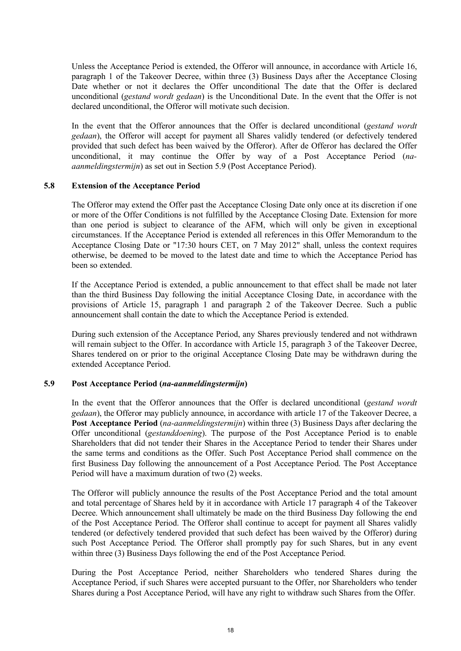Unless the Acceptance Period is extended, the Offeror will announce, in accordance with Article 16, paragraph 1 of the Takeover Decree, within three (3) Business Days after the Acceptance Closing Date whether or not it declares the Offer unconditional The date that the Offer is declared unconditional (*gestand wordt gedaan*) is the Unconditional Date. In the event that the Offer is not declared unconditional, the Offeror will motivate such decision.

In the event that the Offeror announces that the Offer is declared unconditional (*gestand wordt gedaan*), the Offeror will accept for payment all Shares validly tendered (or defectively tendered provided that such defect has been waived by the Offeror). After de Offeror has declared the Offer unconditional, it may continue the Offer by way of a Post Acceptance Period (*naaanmeldingstermijn*) as set out in Section 5.9 (Post Acceptance Period).

#### **5.8 Extension of the Acceptance Period**

The Offeror may extend the Offer past the Acceptance Closing Date only once at its discretion if one or more of the Offer Conditions is not fulfilled by the Acceptance Closing Date. Extension for more than one period is subject to clearance of the AFM, which will only be given in exceptional circumstances. If the Acceptance Period is extended all references in this Offer Memorandum to the Acceptance Closing Date or "17:30 hours CET, on 7 May 2012" shall, unless the context requires otherwise, be deemed to be moved to the latest date and time to which the Acceptance Period has been so extended.

If the Acceptance Period is extended, a public announcement to that effect shall be made not later than the third Business Day following the initial Acceptance Closing Date, in accordance with the provisions of Article 15, paragraph 1 and paragraph 2 of the Takeover Decree. Such a public announcement shall contain the date to which the Acceptance Period is extended.

During such extension of the Acceptance Period, any Shares previously tendered and not withdrawn will remain subject to the Offer. In accordance with Article 15, paragraph 3 of the Takeover Decree, Shares tendered on or prior to the original Acceptance Closing Date may be withdrawn during the extended Acceptance Period.

#### **5.9 Post Acceptance Period (***na-aanmeldingstermijn***)**

In the event that the Offeror announces that the Offer is declared unconditional (*gestand wordt gedaan*), the Offeror may publicly announce, in accordance with article 17 of the Takeover Decree, a **Post Acceptance Period** (*na-aanmeldingstermijn*) within three (3) Business Days after declaring the Offer unconditional (*gestanddoening*). The purpose of the Post Acceptance Period is to enable Shareholders that did not tender their Shares in the Acceptance Period to tender their Shares under the same terms and conditions as the Offer. Such Post Acceptance Period shall commence on the first Business Day following the announcement of a Post Acceptance Period. The Post Acceptance Period will have a maximum duration of two (2) weeks.

The Offeror will publicly announce the results of the Post Acceptance Period and the total amount and total percentage of Shares held by it in accordance with Article 17 paragraph 4 of the Takeover Decree. Which announcement shall ultimately be made on the third Business Day following the end of the Post Acceptance Period. The Offeror shall continue to accept for payment all Shares validly tendered (or defectively tendered provided that such defect has been waived by the Offeror) during such Post Acceptance Period. The Offeror shall promptly pay for such Shares, but in any event within three (3) Business Days following the end of the Post Acceptance Period.

During the Post Acceptance Period, neither Shareholders who tendered Shares during the Acceptance Period, if such Shares were accepted pursuant to the Offer, nor Shareholders who tender Shares during a Post Acceptance Period, will have any right to withdraw such Shares from the Offer.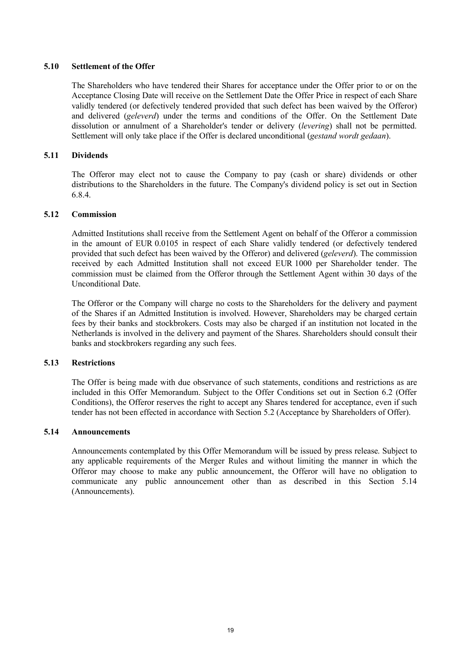#### **5.10 Settlement of the Offer**

The Shareholders who have tendered their Shares for acceptance under the Offer prior to or on the Acceptance Closing Date will receive on the Settlement Date the Offer Price in respect of each Share validly tendered (or defectively tendered provided that such defect has been waived by the Offeror) and delivered (*geleverd*) under the terms and conditions of the Offer. On the Settlement Date dissolution or annulment of a Shareholder's tender or delivery (*levering*) shall not be permitted. Settlement will only take place if the Offer is declared unconditional (*gestand wordt gedaan*).

#### **5.11 Dividends**

The Offeror may elect not to cause the Company to pay (cash or share) dividends or other distributions to the Shareholders in the future. The Company's dividend policy is set out in Section 6.8.4.

#### **5.12 Commission**

Admitted Institutions shall receive from the Settlement Agent on behalf of the Offeror a commission in the amount of EUR 0.0105 in respect of each Share validly tendered (or defectively tendered provided that such defect has been waived by the Offeror) and delivered (*geleverd*). The commission received by each Admitted Institution shall not exceed EUR 1000 per Shareholder tender. The commission must be claimed from the Offeror through the Settlement Agent within 30 days of the Unconditional Date.

The Offeror or the Company will charge no costs to the Shareholders for the delivery and payment of the Shares if an Admitted Institution is involved. However, Shareholders may be charged certain fees by their banks and stockbrokers. Costs may also be charged if an institution not located in the Netherlands is involved in the delivery and payment of the Shares. Shareholders should consult their banks and stockbrokers regarding any such fees.

#### **5.13 Restrictions**

The Offer is being made with due observance of such statements, conditions and restrictions as are included in this Offer Memorandum. Subject to the Offer Conditions set out in Section 6.2 (Offer Conditions), the Offeror reserves the right to accept any Shares tendered for acceptance, even if such tender has not been effected in accordance with Section 5.2 (Acceptance by Shareholders of Offer).

#### **5.14 Announcements**

Announcements contemplated by this Offer Memorandum will be issued by press release. Subject to any applicable requirements of the Merger Rules and without limiting the manner in which the Offeror may choose to make any public announcement, the Offeror will have no obligation to communicate any public announcement other than as described in this Section 5.14 (Announcements).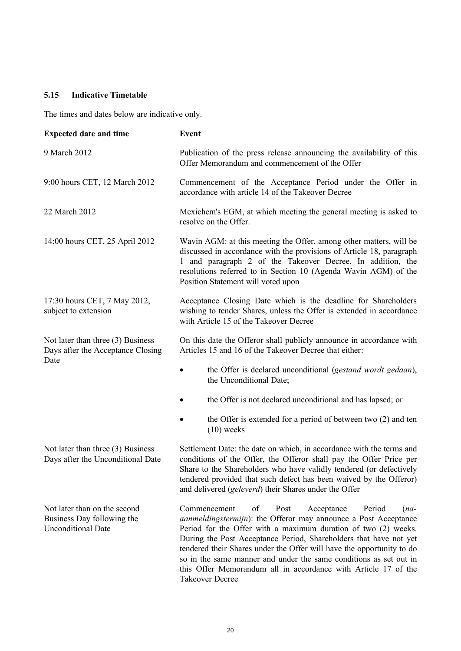#### **5.15 Indicative Timetable**

The times and dates below are indicative only.

| <b>Expected date and time</b>                                                           | <b>Event</b>                                                                                                                                                                                                                                                                                                                                                                                                                                                                                                     |  |  |
|-----------------------------------------------------------------------------------------|------------------------------------------------------------------------------------------------------------------------------------------------------------------------------------------------------------------------------------------------------------------------------------------------------------------------------------------------------------------------------------------------------------------------------------------------------------------------------------------------------------------|--|--|
| 9 March 2012                                                                            | Publication of the press release announcing the availability of this<br>Offer Memorandum and commencement of the Offer                                                                                                                                                                                                                                                                                                                                                                                           |  |  |
| 9:00 hours CET, 12 March 2012                                                           | Commencement of the Acceptance Period under the Offer in<br>accordance with article 14 of the Takeover Decree                                                                                                                                                                                                                                                                                                                                                                                                    |  |  |
| 22 March 2012                                                                           | Mexichem's EGM, at which meeting the general meeting is asked to<br>resolve on the Offer.                                                                                                                                                                                                                                                                                                                                                                                                                        |  |  |
| 14:00 hours CET, 25 April 2012                                                          | Wavin AGM: at this meeting the Offer, among other matters, will be<br>discussed in accordance with the provisions of Article 18, paragraph<br>1 and paragraph 2 of the Takeover Decree. In addition, the<br>resolutions referred to in Section 10 (Agenda Wavin AGM) of the<br>Position Statement will voted upon                                                                                                                                                                                                |  |  |
| 17:30 hours CET, 7 May 2012,<br>subject to extension                                    | Acceptance Closing Date which is the deadline for Shareholders<br>wishing to tender Shares, unless the Offer is extended in accordance<br>with Article 15 of the Takeover Decree                                                                                                                                                                                                                                                                                                                                 |  |  |
| Not later than three (3) Business<br>Days after the Acceptance Closing<br>Date          | On this date the Offeror shall publicly announce in accordance with<br>Articles 15 and 16 of the Takeover Decree that either:                                                                                                                                                                                                                                                                                                                                                                                    |  |  |
|                                                                                         | the Offer is declared unconditional ( <i>gestand wordt gedaan</i> ),<br>the Unconditional Date;                                                                                                                                                                                                                                                                                                                                                                                                                  |  |  |
|                                                                                         | the Offer is not declared unconditional and has lapsed; or                                                                                                                                                                                                                                                                                                                                                                                                                                                       |  |  |
|                                                                                         | the Offer is extended for a period of between two (2) and ten<br>$(10)$ weeks                                                                                                                                                                                                                                                                                                                                                                                                                                    |  |  |
| Not later than three (3) Business<br>Days after the Unconditional Date                  | Settlement Date: the date on which, in accordance with the terms and<br>conditions of the Offer, the Offeror shall pay the Offer Price per<br>Share to the Shareholders who have validly tendered (or defectively<br>tendered provided that such defect has been waived by the Offeror)<br>and delivered (geleverd) their Shares under the Offer                                                                                                                                                                 |  |  |
| Not later than on the second<br>Business Day following the<br><b>Unconditional Date</b> | Commencement<br>of<br>Post<br>Acceptance<br>Period<br>$(na-$<br>aanmeldingstermijn): the Offeror may announce a Post Acceptance<br>Period for the Offer with a maximum duration of two (2) weeks.<br>During the Post Acceptance Period, Shareholders that have not yet<br>tendered their Shares under the Offer will have the opportunity to do<br>so in the same manner and under the same conditions as set out in<br>this Offer Memorandum all in accordance with Article 17 of the<br><b>Takeover Decree</b> |  |  |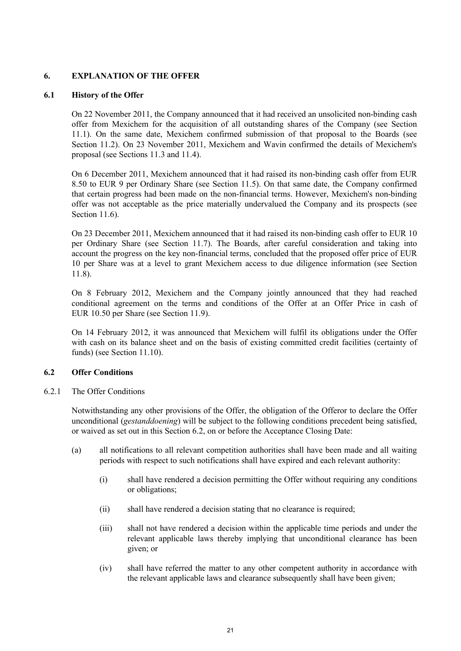#### **6. EXPLANATION OF THE OFFER**

#### **6.1 History of the Offer**

On 22 November 2011, the Company announced that it had received an unsolicited non-binding cash offer from Mexichem for the acquisition of all outstanding shares of the Company (see Section 11.1). On the same date, Mexichem confirmed submission of that proposal to the Boards (see Section 11.2). On 23 November 2011, Mexichem and Wavin confirmed the details of Mexichem's proposal (see Sections 11.3 and 11.4).

On 6 December 2011, Mexichem announced that it had raised its non-binding cash offer from EUR 8.50 to EUR 9 per Ordinary Share (see Section 11.5). On that same date, the Company confirmed that certain progress had been made on the non-financial terms. However, Mexichem's non-binding offer was not acceptable as the price materially undervalued the Company and its prospects (see Section 11.6).

On 23 December 2011, Mexichem announced that it had raised its non-binding cash offer to EUR 10 per Ordinary Share (see Section 11.7). The Boards, after careful consideration and taking into account the progress on the key non-financial terms, concluded that the proposed offer price of EUR 10 per Share was at a level to grant Mexichem access to due diligence information (see Section 11.8).

On 8 February 2012, Mexichem and the Company jointly announced that they had reached conditional agreement on the terms and conditions of the Offer at an Offer Price in cash of EUR 10.50 per Share (see Section 11.9).

On 14 February 2012, it was announced that Mexichem will fulfil its obligations under the Offer with cash on its balance sheet and on the basis of existing committed credit facilities (certainty of funds) (see Section 11.10).

#### **6.2 Offer Conditions**

6.2.1 The Offer Conditions

Notwithstanding any other provisions of the Offer, the obligation of the Offeror to declare the Offer unconditional (*gestanddoening*) will be subject to the following conditions precedent being satisfied, or waived as set out in this Section 6.2, on or before the Acceptance Closing Date:

- (a) all notifications to all relevant competition authorities shall have been made and all waiting periods with respect to such notifications shall have expired and each relevant authority:
	- (i) shall have rendered a decision permitting the Offer without requiring any conditions or obligations;
	- (ii) shall have rendered a decision stating that no clearance is required;
	- (iii) shall not have rendered a decision within the applicable time periods and under the relevant applicable laws thereby implying that unconditional clearance has been given; or
	- (iv) shall have referred the matter to any other competent authority in accordance with the relevant applicable laws and clearance subsequently shall have been given;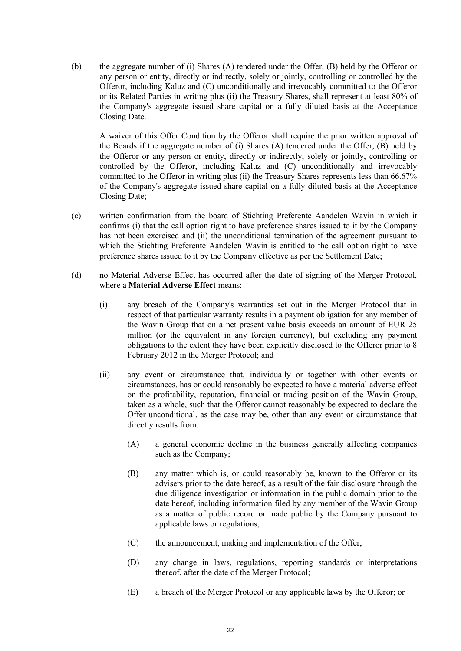(b) the aggregate number of (i) Shares (A) tendered under the Offer, (B) held by the Offeror or any person or entity, directly or indirectly, solely or jointly, controlling or controlled by the Offeror, including Kaluz and (C) unconditionally and irrevocably committed to the Offeror or its Related Parties in writing plus (ii) the Treasury Shares, shall represent at least 80% of the Company's aggregate issued share capital on a fully diluted basis at the Acceptance Closing Date.

A waiver of this Offer Condition by the Offeror shall require the prior written approval of the Boards if the aggregate number of (i) Shares (A) tendered under the Offer, (B) held by the Offeror or any person or entity, directly or indirectly, solely or jointly, controlling or controlled by the Offeror, including Kaluz and (C) unconditionally and irrevocably committed to the Offeror in writing plus (ii) the Treasury Shares represents less than 66.67% of the Company's aggregate issued share capital on a fully diluted basis at the Acceptance Closing Date;

- (c) written confirmation from the board of Stichting Preferente Aandelen Wavin in which it confirms (i) that the call option right to have preference shares issued to it by the Company has not been exercised and (ii) the unconditional termination of the agreement pursuant to which the Stichting Preferente Aandelen Wavin is entitled to the call option right to have preference shares issued to it by the Company effective as per the Settlement Date;
- (d) no Material Adverse Effect has occurred after the date of signing of the Merger Protocol, where a **Material Adverse Effect** means:
	- (i) any breach of the Company's warranties set out in the Merger Protocol that in respect of that particular warranty results in a payment obligation for any member of the Wavin Group that on a net present value basis exceeds an amount of EUR 25 million (or the equivalent in any foreign currency), but excluding any payment obligations to the extent they have been explicitly disclosed to the Offeror prior to 8 February 2012 in the Merger Protocol; and
	- (ii) any event or circumstance that, individually or together with other events or circumstances, has or could reasonably be expected to have a material adverse effect on the profitability, reputation, financial or trading position of the Wavin Group, taken as a whole, such that the Offeror cannot reasonably be expected to declare the Offer unconditional, as the case may be, other than any event or circumstance that directly results from:
		- (A) a general economic decline in the business generally affecting companies such as the Company;
		- (B) any matter which is, or could reasonably be, known to the Offeror or its advisers prior to the date hereof, as a result of the fair disclosure through the due diligence investigation or information in the public domain prior to the date hereof, including information filed by any member of the Wavin Group as a matter of public record or made public by the Company pursuant to applicable laws or regulations;
		- (C) the announcement, making and implementation of the Offer;
		- (D) any change in laws, regulations, reporting standards or interpretations thereof, after the date of the Merger Protocol;
		- (E) a breach of the Merger Protocol or any applicable laws by the Offeror; or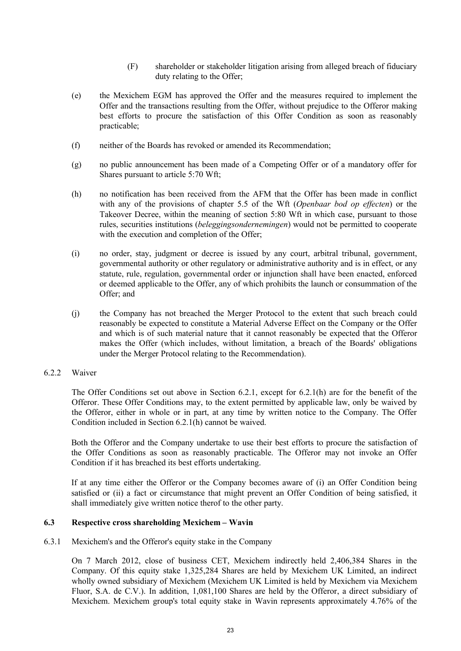- (F) shareholder or stakeholder litigation arising from alleged breach of fiduciary duty relating to the Offer;
- (e) the Mexichem EGM has approved the Offer and the measures required to implement the Offer and the transactions resulting from the Offer, without prejudice to the Offeror making best efforts to procure the satisfaction of this Offer Condition as soon as reasonably practicable;
- (f) neither of the Boards has revoked or amended its Recommendation;
- (g) no public announcement has been made of a Competing Offer or of a mandatory offer for Shares pursuant to article 5:70 Wft;
- (h) no notification has been received from the AFM that the Offer has been made in conflict with any of the provisions of chapter 5.5 of the Wft (*Openbaar bod op effecten*) or the Takeover Decree, within the meaning of section 5:80 Wft in which case, pursuant to those rules, securities institutions (*beleggingsondernemingen*) would not be permitted to cooperate with the execution and completion of the Offer;
- (i) no order, stay, judgment or decree is issued by any court, arbitral tribunal, government, governmental authority or other regulatory or administrative authority and is in effect, or any statute, rule, regulation, governmental order or injunction shall have been enacted, enforced or deemed applicable to the Offer, any of which prohibits the launch or consummation of the Offer; and
- (j) the Company has not breached the Merger Protocol to the extent that such breach could reasonably be expected to constitute a Material Adverse Effect on the Company or the Offer and which is of such material nature that it cannot reasonably be expected that the Offeror makes the Offer (which includes, without limitation, a breach of the Boards' obligations under the Merger Protocol relating to the Recommendation).

#### 6.2.2 Waiver

The Offer Conditions set out above in Section 6.2.1, except for 6.2.1(h) are for the benefit of the Offeror. These Offer Conditions may, to the extent permitted by applicable law, only be waived by the Offeror, either in whole or in part, at any time by written notice to the Company. The Offer Condition included in Section 6.2.1(h) cannot be waived.

Both the Offeror and the Company undertake to use their best efforts to procure the satisfaction of the Offer Conditions as soon as reasonably practicable. The Offeror may not invoke an Offer Condition if it has breached its best efforts undertaking.

If at any time either the Offeror or the Company becomes aware of (i) an Offer Condition being satisfied or (ii) a fact or circumstance that might prevent an Offer Condition of being satisfied, it shall immediately give written notice therof to the other party.

#### **6.3 Respective cross shareholding Mexichem – Wavin**

6.3.1 Mexichem's and the Offeror's equity stake in the Company

On 7 March 2012, close of business CET, Mexichem indirectly held 2,406,384 Shares in the Company. Of this equity stake 1,325,284 Shares are held by Mexichem UK Limited, an indirect wholly owned subsidiary of Mexichem (Mexichem UK Limited is held by Mexichem via Mexichem Fluor, S.A. de C.V.). In addition, 1,081,100 Shares are held by the Offeror, a direct subsidiary of Mexichem. Mexichem group's total equity stake in Wavin represents approximately 4.76% of the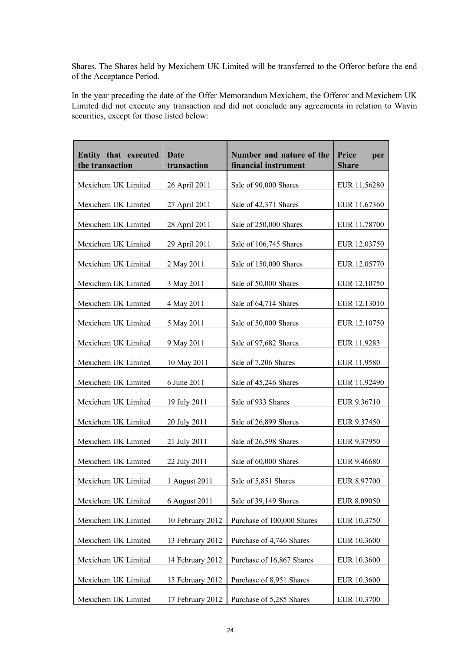Shares. The Shares held by Mexichem UK Limited will be transferred to the Offeror before the end of the Acceptance Period.

In the year preceding the date of the Offer Memorandum Mexichem, the Offeror and Mexichem UK Limited did not execute any transaction and did not conclude any agreements in relation to Wavin securities, except for those listed below:

| Entity that executed<br>the transaction | <b>Date</b><br>transaction | Number and nature of the<br>financial instrument | Price<br>per<br><b>Share</b> |
|-----------------------------------------|----------------------------|--------------------------------------------------|------------------------------|
| Mexichem UK Limited                     | 26 April 2011              | Sale of 90,000 Shares                            | EUR 11.56280                 |
| Mexichem UK Limited                     | 27 April 2011              | Sale of 42,371 Shares                            | EUR 11.67360                 |
| Mexichem UK Limited                     | 28 April 2011              | Sale of 250,000 Shares                           | EUR 11.78700                 |
| Mexichem UK Limited                     | 29 April 2011              | Sale of 106,745 Shares                           | EUR 12.03750                 |
| Mexichem UK Limited                     | 2 May 2011                 | Sale of 150,000 Shares                           | EUR 12.05770                 |
| Mexichem UK Limited                     | 3 May 2011                 | Sale of 50,000 Shares                            | EUR 12.10750                 |
| Mexichem UK Limited                     | 4 May 2011                 | Sale of 64,714 Shares                            | EUR 12.13010                 |
| Mexichem UK Limited                     | 5 May 2011                 | Sale of 50,000 Shares                            | EUR 12.10750                 |
| Mexichem UK Limited                     | 9 May 2011                 | Sale of 97,682 Shares                            | EUR 11.9283                  |
| Mexichem UK Limited                     | 10 May 2011                | Sale of 7,206 Shares                             | EUR 11.9580                  |
| Mexichem UK Limited                     | 6 June 2011                | Sale of 45,246 Shares                            | EUR 11.92490                 |
| Mexichem UK Limited                     | 19 July 2011               | Sale of 933 Shares                               | EUR 9.36710                  |
| Mexichem UK Limited                     | 20 July 2011               | Sale of 26,899 Shares                            | EUR 9.37450                  |
| Mexichem UK Limited                     | 21 July 2011               | Sale of 26,598 Shares                            | EUR 9.37950                  |
| Mexichem UK Limited                     | 22 July 2011               | Sale of 60,000 Shares                            | EUR 9.46680                  |
| Mexichem UK Limited                     | 1 August 2011              | Sale of 5,851 Shares                             | EUR 8.97700                  |
| Mexichem UK Limited                     | 6 August 2011              | Sale of 39,149 Shares                            | EUR 8.09050                  |
| Mexichem UK Limited                     | 10 February 2012           | Purchase of 100,000 Shares                       | EUR 10.3750                  |
| Mexichem UK Limited                     | 13 February 2012           | Purchase of 4,746 Shares                         | EUR 10.3600                  |
| Mexichem UK Limited                     | 14 February 2012           | Purchase of 16,867 Shares                        | EUR 10.3600                  |
| Mexichem UK Limited                     | 15 February 2012           | Purchase of 8,951 Shares                         | EUR 10.3600                  |
| Mexichem UK Limited                     | 17 February 2012           | Purchase of 5,285 Shares                         | EUR 10.3700                  |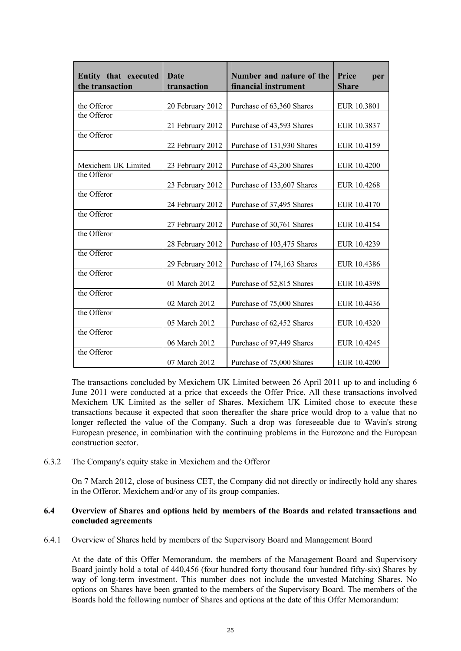| Entity that executed<br>the transaction | <b>Date</b><br>transaction | Number and nature of the<br>financial instrument | Price<br>per<br><b>Share</b> |
|-----------------------------------------|----------------------------|--------------------------------------------------|------------------------------|
|                                         |                            |                                                  |                              |
| the Offeror<br>the Offeror              | 20 February 2012           | Purchase of 63,360 Shares                        | EUR 10.3801                  |
|                                         | 21 February 2012           | Purchase of 43,593 Shares                        | EUR 10.3837                  |
| the Offeror                             | 22 February 2012           | Purchase of 131,930 Shares                       | EUR 10.4159                  |
| Mexichem UK Limited                     | 23 February 2012           | Purchase of 43,200 Shares                        | EUR 10.4200                  |
| the Offeror                             |                            |                                                  |                              |
|                                         | 23 February 2012           | Purchase of 133,607 Shares                       | EUR 10.4268                  |
| the Offeror                             | 24 February 2012           | Purchase of 37,495 Shares                        | EUR 10.4170                  |
| the Offeror                             |                            |                                                  |                              |
|                                         | 27 February 2012           | Purchase of 30,761 Shares                        | EUR 10.4154                  |
| the Offeror                             | 28 February 2012           | Purchase of 103,475 Shares                       | EUR 10.4239                  |
| the Offeror                             |                            |                                                  |                              |
|                                         | 29 February 2012           | Purchase of 174,163 Shares                       | EUR 10.4386                  |
| the Offeror                             |                            |                                                  |                              |
|                                         | 01 March 2012              | Purchase of 52,815 Shares                        | EUR 10.4398                  |
| the Offeror                             | 02 March 2012              | Purchase of 75,000 Shares                        | EUR 10.4436                  |
| the Offeror                             |                            |                                                  |                              |
|                                         | 05 March 2012              | Purchase of 62,452 Shares                        | EUR 10.4320                  |
| the Offeror                             | 06 March 2012              | Purchase of 97,449 Shares                        | EUR 10.4245                  |
| the Offeror                             |                            |                                                  |                              |
|                                         | 07 March 2012              | Purchase of 75,000 Shares                        | EUR 10.4200                  |

The transactions concluded by Mexichem UK Limited between 26 April 2011 up to and including 6 June 2011 were conducted at a price that exceeds the Offer Price. All these transactions involved Mexichem UK Limited as the seller of Shares. Mexichem UK Limited chose to execute these transactions because it expected that soon thereafter the share price would drop to a value that no longer reflected the value of the Company. Such a drop was foreseeable due to Wavin's strong European presence, in combination with the continuing problems in the Eurozone and the European construction sector.

6.3.2 The Company's equity stake in Mexichem and the Offeror

On 7 March 2012, close of business CET, the Company did not directly or indirectly hold any shares in the Offeror, Mexichem and/or any of its group companies.

#### **6.4 Overview of Shares and options held by members of the Boards and related transactions and concluded agreements**

6.4.1 Overview of Shares held by members of the Supervisory Board and Management Board

At the date of this Offer Memorandum, the members of the Management Board and Supervisory Board jointly hold a total of 440,456 (four hundred forty thousand four hundred fifty-six) Shares by way of long-term investment. This number does not include the unvested Matching Shares. No options on Shares have been granted to the members of the Supervisory Board. The members of the Boards hold the following number of Shares and options at the date of this Offer Memorandum: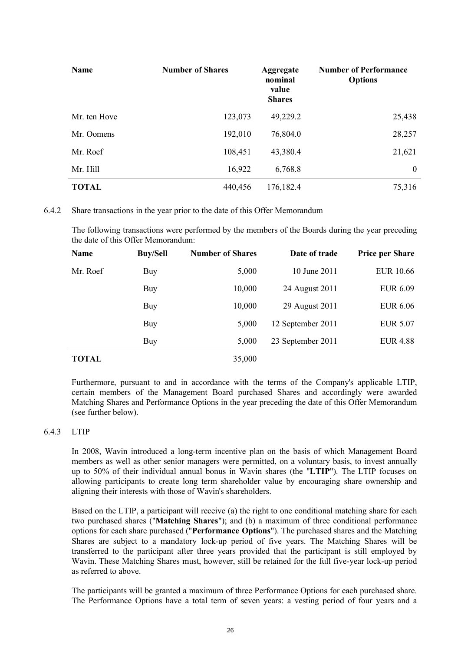| <b>Name</b>  | <b>Number of Shares</b> | <b>Aggregate</b><br>nominal<br>value<br><b>Shares</b> | <b>Number of Performance</b><br><b>Options</b> |
|--------------|-------------------------|-------------------------------------------------------|------------------------------------------------|
| Mr. ten Hove | 123,073                 | 49,229.2                                              | 25,438                                         |
| Mr. Oomens   | 192,010                 | 76,804.0                                              | 28,257                                         |
| Mr. Roef     | 108,451                 | 43,380.4                                              | 21,621                                         |
| Mr. Hill     | 16,922                  | 6,768.8                                               | $\boldsymbol{0}$                               |
| <b>TOTAL</b> | 440,456                 | 176,182.4                                             | 75,316                                         |

#### 6.4.2 Share transactions in the year prior to the date of this Offer Memorandum

The following transactions were performed by the members of the Boards during the year preceding the date of this Offer Memorandum:

| <b>Name</b> | <b>Buy/Sell</b> | <b>Number of Shares</b> | Date of trade     | <b>Price per Share</b> |
|-------------|-----------------|-------------------------|-------------------|------------------------|
| Mr. Roef    | Buy             | 5,000                   | 10 June 2011      | <b>EUR 10.66</b>       |
|             | Buy             | 10,000                  | 24 August 2011    | <b>EUR 6.09</b>        |
|             | Buy             | 10,000                  | 29 August 2011    | <b>EUR 6.06</b>        |
|             | Buy             | 5,000                   | 12 September 2011 | <b>EUR 5.07</b>        |
|             | Buy             | 5,000                   | 23 September 2011 | <b>EUR 4.88</b>        |
| TOTAL       |                 | 35,000                  |                   |                        |

Furthermore, pursuant to and in accordance with the terms of the Company's applicable LTIP, certain members of the Management Board purchased Shares and accordingly were awarded Matching Shares and Performance Options in the year preceding the date of this Offer Memorandum (see further below).

#### 6.4.3 LTIP

In 2008, Wavin introduced a long-term incentive plan on the basis of which Management Board members as well as other senior managers were permitted, on a voluntary basis, to invest annually up to 50% of their individual annual bonus in Wavin shares (the "**LTIP**"). The LTIP focuses on allowing participants to create long term shareholder value by encouraging share ownership and aligning their interests with those of Wavin's shareholders.

Based on the LTIP, a participant will receive (a) the right to one conditional matching share for each two purchased shares ("**Matching Shares**"); and (b) a maximum of three conditional performance options for each share purchased ("**Performance Options**"). The purchased shares and the Matching Shares are subject to a mandatory lock-up period of five years. The Matching Shares will be transferred to the participant after three years provided that the participant is still employed by Wavin. These Matching Shares must, however, still be retained for the full five-year lock-up period as referred to above.

The participants will be granted a maximum of three Performance Options for each purchased share. The Performance Options have a total term of seven years: a vesting period of four years and a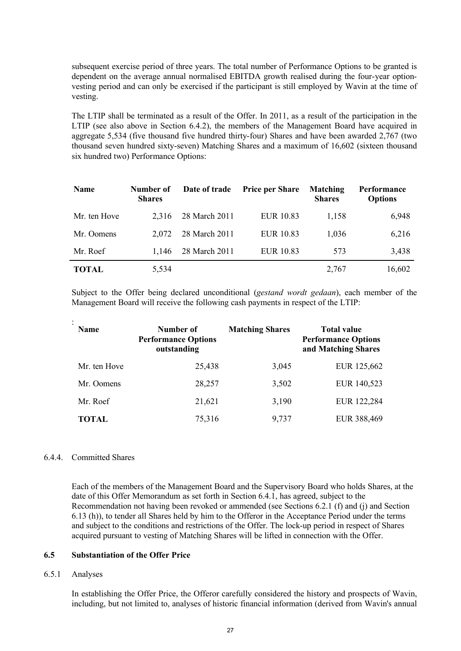subsequent exercise period of three years. The total number of Performance Options to be granted is dependent on the average annual normalised EBITDA growth realised during the four-year optionvesting period and can only be exercised if the participant is still employed by Wavin at the time of vesting.

The LTIP shall be terminated as a result of the Offer. In 2011, as a result of the participation in the LTIP (see also above in Section 6.4.2), the members of the Management Board have acquired in aggregate 5,534 (five thousand five hundred thirty-four) Shares and have been awarded 2,767 (two thousand seven hundred sixty-seven) Matching Shares and a maximum of 16,602 (sixteen thousand six hundred two) Performance Options:

| Name         | Number of<br><b>Shares</b> | Date of trade | <b>Price per Share</b> | <b>Matching</b><br><b>Shares</b> | Performance<br><b>Options</b> |
|--------------|----------------------------|---------------|------------------------|----------------------------------|-------------------------------|
| Mr. ten Hove | 2.316                      | 28 March 2011 | <b>EUR 10.83</b>       | 1,158                            | 6,948                         |
| Mr. Oomens   | 2.072                      | 28 March 2011 | <b>EUR 10.83</b>       | 1,036                            | 6,216                         |
| Mr. Roef     | 1.146                      | 28 March 2011 | <b>EUR 10.83</b>       | 573                              | 3,438                         |
| <b>TOTAL</b> | 5,534                      |               |                        | 2,767                            | 16,602                        |

Subject to the Offer being declared unconditional (*gestand wordt gedaan*), each member of the Management Board will receive the following cash payments in respect of the LTIP:

| <b>Name</b>  | Number of<br><b>Performance Options</b><br>outstanding | <b>Matching Shares</b> | <b>Total value</b><br><b>Performance Options</b><br>and Matching Shares |
|--------------|--------------------------------------------------------|------------------------|-------------------------------------------------------------------------|
| Mr. ten Hove | 25,438                                                 | 3,045                  | EUR 125,662                                                             |
| Mr. Oomens   | 28,257                                                 | 3,502                  | EUR 140,523                                                             |
| Mr. Roef     | 21,621                                                 | 3,190                  | EUR 122,284                                                             |
| <b>TOTAL</b> | 75,316                                                 | 9,737                  | EUR 388,469                                                             |

#### 6.4.4. Committed Shares

Each of the members of the Management Board and the Supervisory Board who holds Shares, at the date of this Offer Memorandum as set forth in Section 6.4.1, has agreed, subject to the Recommendation not having been revoked or ammended (see Sections 6.2.1 (f) and (j) and Section 6.13 (h)), to tender all Shares held by him to the Offeror in the Acceptance Period under the terms and subject to the conditions and restrictions of the Offer. The lock-up period in respect of Shares acquired pursuant to vesting of Matching Shares will be lifted in connection with the Offer.

#### **6.5 Substantiation of the Offer Price**

#### 6.5.1 Analyses

In establishing the Offer Price, the Offeror carefully considered the history and prospects of Wavin, including, but not limited to, analyses of historic financial information (derived from Wavin's annual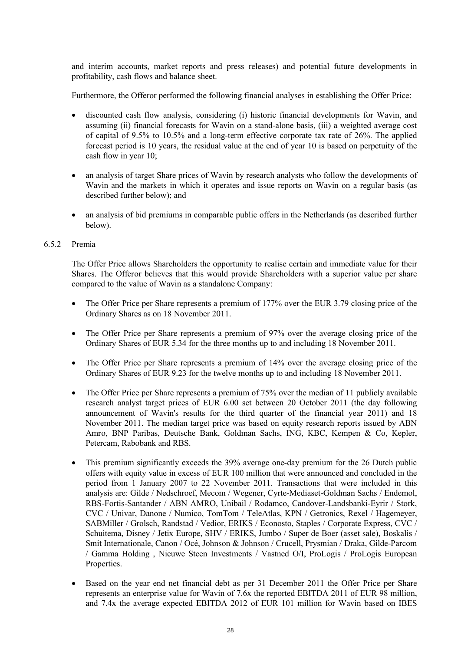and interim accounts, market reports and press releases) and potential future developments in profitability, cash flows and balance sheet.

Furthermore, the Offeror performed the following financial analyses in establishing the Offer Price:

- discounted cash flow analysis, considering (i) historic financial developments for Wavin, and assuming (ii) financial forecasts for Wavin on a stand-alone basis, (iii) a weighted average cost of capital of 9.5% to 10.5% and a long-term effective corporate tax rate of 26%. The applied forecast period is 10 years, the residual value at the end of year 10 is based on perpetuity of the cash flow in year 10;
- · an analysis of target Share prices of Wavin by research analysts who follow the developments of Wavin and the markets in which it operates and issue reports on Wavin on a regular basis (as described further below); and
- · an analysis of bid premiums in comparable public offers in the Netherlands (as described further below).

#### 6.5.2 Premia

The Offer Price allows Shareholders the opportunity to realise certain and immediate value for their Shares. The Offeror believes that this would provide Shareholders with a superior value per share compared to the value of Wavin as a standalone Company:

- The Offer Price per Share represents a premium of 177% over the EUR 3.79 closing price of the Ordinary Shares as on 18 November 2011.
- The Offer Price per Share represents a premium of 97% over the average closing price of the Ordinary Shares of EUR 5.34 for the three months up to and including 18 November 2011.
- The Offer Price per Share represents a premium of 14% over the average closing price of the Ordinary Shares of EUR 9.23 for the twelve months up to and including 18 November 2011.
- The Offer Price per Share represents a premium of 75% over the median of 11 publicly available research analyst target prices of EUR 6.00 set between 20 October 2011 (the day following announcement of Wavin's results for the third quarter of the financial year 2011) and 18 November 2011. The median target price was based on equity research reports issued by ABN Amro, BNP Paribas, Deutsche Bank, Goldman Sachs, ING, KBC, Kempen & Co, Kepler, Petercam, Rabobank and RBS.
- This premium significantly exceeds the 39% average one-day premium for the 26 Dutch public offers with equity value in excess of EUR 100 million that were announced and concluded in the period from 1 January 2007 to 22 November 2011. Transactions that were included in this analysis are: Gilde / Nedschroef, Mecom / Wegener, Cyrte-Mediaset-Goldman Sachs / Endemol, RBS-Fortis-Santander / ABN AMRO, Unibail / Rodamco, Candover-Landsbanki-Eyrir / Stork, CVC / Univar, Danone / Numico, TomTom / TeleAtlas, KPN / Getronics, Rexel / Hagemeyer, SABMiller / Grolsch, Randstad / Vedior, ERIKS / Econosto, Staples / Corporate Express, CVC / Schuitema, Disney / Jetix Europe, SHV / ERIKS, Jumbo / Super de Boer (asset sale), Boskalis / Smit Internationale, Canon / Océ, Johnson & Johnson / Crucell, Prysmian / Draka, Gilde-Parcom / Gamma Holding , Nieuwe Steen Investments / Vastned O/I, ProLogis / ProLogis European Properties.
- · Based on the year end net financial debt as per 31 December 2011 the Offer Price per Share represents an enterprise value for Wavin of 7.6x the reported EBITDA 2011 of EUR 98 million, and 7.4x the average expected EBITDA 2012 of EUR 101 million for Wavin based on IBES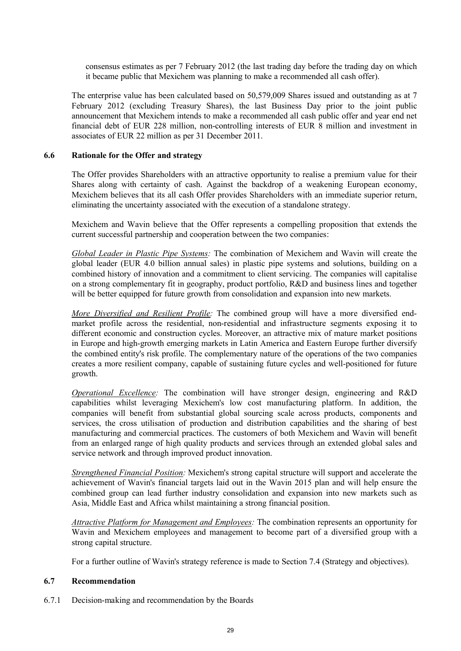consensus estimates as per 7 February 2012 (the last trading day before the trading day on which it became public that Mexichem was planning to make a recommended all cash offer).

The enterprise value has been calculated based on 50,579,009 Shares issued and outstanding as at 7 February 2012 (excluding Treasury Shares), the last Business Day prior to the joint public announcement that Mexichem intends to make a recommended all cash public offer and year end net financial debt of EUR 228 million, non-controlling interests of EUR 8 million and investment in associates of EUR 22 million as per 31 December 2011.

#### **6.6 Rationale for the Offer and strategy**

The Offer provides Shareholders with an attractive opportunity to realise a premium value for their Shares along with certainty of cash. Against the backdrop of a weakening European economy, Mexichem believes that its all cash Offer provides Shareholders with an immediate superior return, eliminating the uncertainty associated with the execution of a standalone strategy.

Mexichem and Wavin believe that the Offer represents a compelling proposition that extends the current successful partnership and cooperation between the two companies:

*Global Leader in Plastic Pipe Systems:* The combination of Mexichem and Wavin will create the global leader (EUR 4.0 billion annual sales) in plastic pipe systems and solutions, building on a combined history of innovation and a commitment to client servicing. The companies will capitalise on a strong complementary fit in geography, product portfolio, R&D and business lines and together will be better equipped for future growth from consolidation and expansion into new markets.

*More Diversified and Resilient Profile:* The combined group will have a more diversified endmarket profile across the residential, non-residential and infrastructure segments exposing it to different economic and construction cycles. Moreover, an attractive mix of mature market positions in Europe and high-growth emerging markets in Latin America and Eastern Europe further diversify the combined entity's risk profile. The complementary nature of the operations of the two companies creates a more resilient company, capable of sustaining future cycles and well-positioned for future growth.

*Operational Excellence:* The combination will have stronger design, engineering and R&D capabilities whilst leveraging Mexichem's low cost manufacturing platform. In addition, the companies will benefit from substantial global sourcing scale across products, components and services, the cross utilisation of production and distribution capabilities and the sharing of best manufacturing and commercial practices. The customers of both Mexichem and Wavin will benefit from an enlarged range of high quality products and services through an extended global sales and service network and through improved product innovation.

*Strengthened Financial Position:* Mexichem's strong capital structure will support and accelerate the achievement of Wavin's financial targets laid out in the Wavin 2015 plan and will help ensure the combined group can lead further industry consolidation and expansion into new markets such as Asia, Middle East and Africa whilst maintaining a strong financial position.

*Attractive Platform for Management and Employees:* The combination represents an opportunity for Wavin and Mexichem employees and management to become part of a diversified group with a strong capital structure.

For a further outline of Wavin's strategy reference is made to Section 7.4 (Strategy and objectives).

#### **6.7 Recommendation**

6.7.1 Decision-making and recommendation by the Boards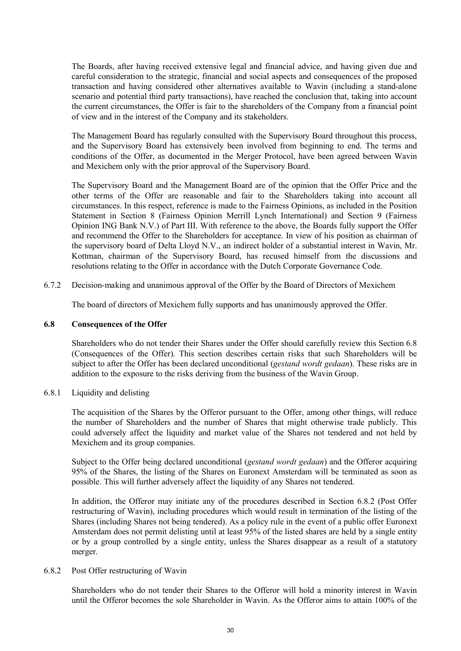The Boards, after having received extensive legal and financial advice, and having given due and careful consideration to the strategic, financial and social aspects and consequences of the proposed transaction and having considered other alternatives available to Wavin (including a stand-alone scenario and potential third party transactions), have reached the conclusion that, taking into account the current circumstances, the Offer is fair to the shareholders of the Company from a financial point of view and in the interest of the Company and its stakeholders.

The Management Board has regularly consulted with the Supervisory Board throughout this process, and the Supervisory Board has extensively been involved from beginning to end. The terms and conditions of the Offer, as documented in the Merger Protocol, have been agreed between Wavin and Mexichem only with the prior approval of the Supervisory Board.

The Supervisory Board and the Management Board are of the opinion that the Offer Price and the other terms of the Offer are reasonable and fair to the Shareholders taking into account all circumstances. In this respect, reference is made to the Fairness Opinions, as included in the Position Statement in Section 8 (Fairness Opinion Merrill Lynch International) and Section 9 (Fairness Opinion ING Bank N.V.) of Part III. With reference to the above, the Boards fully support the Offer and recommend the Offer to the Shareholders for acceptance. In view of his position as chairman of the supervisory board of Delta Lloyd N.V., an indirect holder of a substantial interest in Wavin, Mr. Kottman, chairman of the Supervisory Board, has recused himself from the discussions and resolutions relating to the Offer in accordance with the Dutch Corporate Governance Code.

6.7.2 Decision-making and unanimous approval of the Offer by the Board of Directors of Mexichem

The board of directors of Mexichem fully supports and has unanimously approved the Offer.

#### **6.8 Consequences of the Offer**

Shareholders who do not tender their Shares under the Offer should carefully review this Section 6.8 (Consequences of the Offer). This section describes certain risks that such Shareholders will be subject to after the Offer has been declared unconditional (*gestand wordt gedaan*). These risks are in addition to the exposure to the risks deriving from the business of the Wavin Group.

#### 6.8.1 Liquidity and delisting

The acquisition of the Shares by the Offeror pursuant to the Offer, among other things, will reduce the number of Shareholders and the number of Shares that might otherwise trade publicly. This could adversely affect the liquidity and market value of the Shares not tendered and not held by Mexichem and its group companies.

Subject to the Offer being declared unconditional (*gestand wordt gedaan*) and the Offeror acquiring 95% of the Shares, the listing of the Shares on Euronext Amsterdam will be terminated as soon as possible. This will further adversely affect the liquidity of any Shares not tendered.

In addition, the Offeror may initiate any of the procedures described in Section 6.8.2 (Post Offer restructuring of Wavin), including procedures which would result in termination of the listing of the Shares (including Shares not being tendered). As a policy rule in the event of a public offer Euronext Amsterdam does not permit delisting until at least 95% of the listed shares are held by a single entity or by a group controlled by a single entity, unless the Shares disappear as a result of a statutory merger.

#### 6.8.2 Post Offer restructuring of Wavin

Shareholders who do not tender their Shares to the Offeror will hold a minority interest in Wavin until the Offeror becomes the sole Shareholder in Wavin. As the Offeror aims to attain 100% of the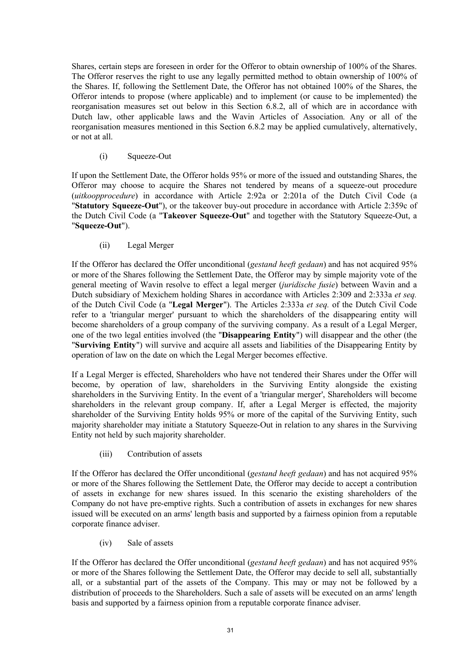Shares, certain steps are foreseen in order for the Offeror to obtain ownership of 100% of the Shares. The Offeror reserves the right to use any legally permitted method to obtain ownership of 100% of the Shares. If, following the Settlement Date, the Offeror has not obtained 100% of the Shares, the Offeror intends to propose (where applicable) and to implement (or cause to be implemented) the reorganisation measures set out below in this Section 6.8.2, all of which are in accordance with Dutch law, other applicable laws and the Wavin Articles of Association. Any or all of the reorganisation measures mentioned in this Section 6.8.2 may be applied cumulatively, alternatively, or not at all.

(i) Squeeze-Out

If upon the Settlement Date, the Offeror holds 95% or more of the issued and outstanding Shares, the Offeror may choose to acquire the Shares not tendered by means of a squeeze-out procedure (*uitkoopprocedure*) in accordance with Article 2:92a or 2:201a of the Dutch Civil Code (a "**Statutory Squeeze-Out**"), or the takeover buy-out procedure in accordance with Article 2:359c of the Dutch Civil Code (a "**Takeover Squeeze-Out**" and together with the Statutory Squeeze-Out, a "**Squeeze-Out**").

(ii) Legal Merger

If the Offeror has declared the Offer unconditional (*gestand heeft gedaan*) and has not acquired 95% or more of the Shares following the Settlement Date, the Offeror may by simple majority vote of the general meeting of Wavin resolve to effect a legal merger (*juridische fusie*) between Wavin and a Dutch subsidiary of Mexichem holding Shares in accordance with Articles 2:309 and 2:333a *et seq.* of the Dutch Civil Code (a "**Legal Merger**"). The Articles 2:333a *et seq.* of the Dutch Civil Code refer to a 'triangular merger' pursuant to which the shareholders of the disappearing entity will become shareholders of a group company of the surviving company. As a result of a Legal Merger, one of the two legal entities involved (the "**Disappearing Entity**") will disappear and the other (the "**Surviving Entity**") will survive and acquire all assets and liabilities of the Disappearing Entity by operation of law on the date on which the Legal Merger becomes effective.

If a Legal Merger is effected, Shareholders who have not tendered their Shares under the Offer will become, by operation of law, shareholders in the Surviving Entity alongside the existing shareholders in the Surviving Entity. In the event of a 'triangular merger', Shareholders will become shareholders in the relevant group company. If, after a Legal Merger is effected, the majority shareholder of the Surviving Entity holds 95% or more of the capital of the Surviving Entity, such majority shareholder may initiate a Statutory Squeeze-Out in relation to any shares in the Surviving Entity not held by such majority shareholder.

(iii) Contribution of assets

If the Offeror has declared the Offer unconditional (*gestand heeft gedaan*) and has not acquired 95% or more of the Shares following the Settlement Date, the Offeror may decide to accept a contribution of assets in exchange for new shares issued. In this scenario the existing shareholders of the Company do not have pre-emptive rights. Such a contribution of assets in exchanges for new shares issued will be executed on an arms' length basis and supported by a fairness opinion from a reputable corporate finance adviser.

(iv) Sale of assets

If the Offeror has declared the Offer unconditional (*gestand heeft gedaan*) and has not acquired 95% or more of the Shares following the Settlement Date, the Offeror may decide to sell all, substantially all, or a substantial part of the assets of the Company. This may or may not be followed by a distribution of proceeds to the Shareholders. Such a sale of assets will be executed on an arms' length basis and supported by a fairness opinion from a reputable corporate finance adviser.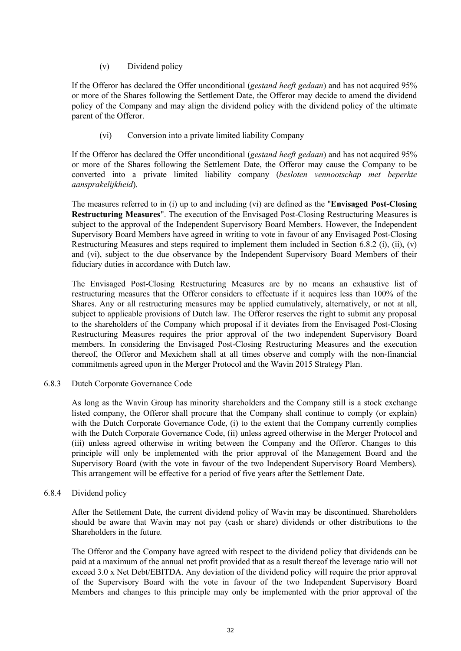#### (v) Dividend policy

If the Offeror has declared the Offer unconditional (*gestand heeft gedaan*) and has not acquired 95% or more of the Shares following the Settlement Date, the Offeror may decide to amend the dividend policy of the Company and may align the dividend policy with the dividend policy of the ultimate parent of the Offeror.

#### (vi) Conversion into a private limited liability Company

If the Offeror has declared the Offer unconditional (*gestand heeft gedaan*) and has not acquired 95% or more of the Shares following the Settlement Date, the Offeror may cause the Company to be converted into a private limited liability company (*besloten vennootschap met beperkte aansprakelijkheid*).

The measures referred to in (i) up to and including (vi) are defined as the "**Envisaged Post-Closing Restructuring Measures**". The execution of the Envisaged Post-Closing Restructuring Measures is subject to the approval of the Independent Supervisory Board Members. However, the Independent Supervisory Board Members have agreed in writing to vote in favour of any Envisaged Post-Closing Restructuring Measures and steps required to implement them included in Section 6.8.2 (i), (ii), (v) and (vi), subject to the due observance by the Independent Supervisory Board Members of their fiduciary duties in accordance with Dutch law.

The Envisaged Post-Closing Restructuring Measures are by no means an exhaustive list of restructuring measures that the Offeror considers to effectuate if it acquires less than 100% of the Shares. Any or all restructuring measures may be applied cumulatively, alternatively, or not at all, subject to applicable provisions of Dutch law. The Offeror reserves the right to submit any proposal to the shareholders of the Company which proposal if it deviates from the Envisaged Post-Closing Restructuring Measures requires the prior approval of the two independent Supervisory Board members. In considering the Envisaged Post-Closing Restructuring Measures and the execution thereof, the Offeror and Mexichem shall at all times observe and comply with the non-financial commitments agreed upon in the Merger Protocol and the Wavin 2015 Strategy Plan.

#### 6.8.3 Dutch Corporate Governance Code

As long as the Wavin Group has minority shareholders and the Company still is a stock exchange listed company, the Offeror shall procure that the Company shall continue to comply (or explain) with the Dutch Corporate Governance Code, (i) to the extent that the Company currently complies with the Dutch Corporate Governance Code, (ii) unless agreed otherwise in the Merger Protocol and (iii) unless agreed otherwise in writing between the Company and the Offeror. Changes to this principle will only be implemented with the prior approval of the Management Board and the Supervisory Board (with the vote in favour of the two Independent Supervisory Board Members). This arrangement will be effective for a period of five years after the Settlement Date.

#### 6.8.4 Dividend policy

After the Settlement Date, the current dividend policy of Wavin may be discontinued. Shareholders should be aware that Wavin may not pay (cash or share) dividends or other distributions to the Shareholders in the future.

The Offeror and the Company have agreed with respect to the dividend policy that dividends can be paid at a maximum of the annual net profit provided that as a result thereof the leverage ratio will not exceed 3.0 x Net Debt/EBITDA. Any deviation of the dividend policy will require the prior approval of the Supervisory Board with the vote in favour of the two Independent Supervisory Board Members and changes to this principle may only be implemented with the prior approval of the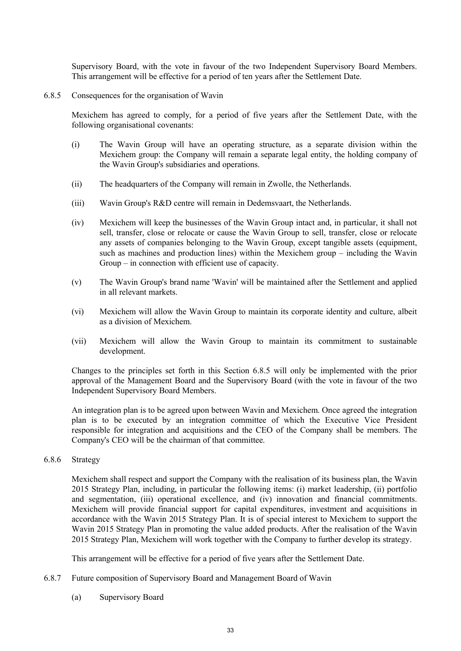Supervisory Board, with the vote in favour of the two Independent Supervisory Board Members. This arrangement will be effective for a period of ten years after the Settlement Date.

6.8.5 Consequences for the organisation of Wavin

Mexichem has agreed to comply, for a period of five years after the Settlement Date, with the following organisational covenants:

- (i) The Wavin Group will have an operating structure, as a separate division within the Mexichem group: the Company will remain a separate legal entity, the holding company of the Wavin Group's subsidiaries and operations.
- (ii) The headquarters of the Company will remain in Zwolle, the Netherlands.
- (iii) Wavin Group's R&D centre will remain in Dedemsvaart, the Netherlands.
- (iv) Mexichem will keep the businesses of the Wavin Group intact and, in particular, it shall not sell, transfer, close or relocate or cause the Wavin Group to sell, transfer, close or relocate any assets of companies belonging to the Wavin Group, except tangible assets (equipment, such as machines and production lines) within the Mexichem group – including the Wavin Group – in connection with efficient use of capacity.
- (v) The Wavin Group's brand name 'Wavin' will be maintained after the Settlement and applied in all relevant markets.
- (vi) Mexichem will allow the Wavin Group to maintain its corporate identity and culture, albeit as a division of Mexichem.
- (vii) Mexichem will allow the Wavin Group to maintain its commitment to sustainable development.

Changes to the principles set forth in this Section 6.8.5 will only be implemented with the prior approval of the Management Board and the Supervisory Board (with the vote in favour of the two Independent Supervisory Board Members.

An integration plan is to be agreed upon between Wavin and Mexichem. Once agreed the integration plan is to be executed by an integration committee of which the Executive Vice President responsible for integration and acquisitions and the CEO of the Company shall be members. The Company's CEO will be the chairman of that committee.

6.8.6 Strategy

Mexichem shall respect and support the Company with the realisation of its business plan, the Wavin 2015 Strategy Plan, including, in particular the following items: (i) market leadership, (ii) portfolio and segmentation, (iii) operational excellence, and (iv) innovation and financial commitments. Mexichem will provide financial support for capital expenditures, investment and acquisitions in accordance with the Wavin 2015 Strategy Plan. It is of special interest to Mexichem to support the Wavin 2015 Strategy Plan in promoting the value added products. After the realisation of the Wavin 2015 Strategy Plan, Mexichem will work together with the Company to further develop its strategy.

This arrangement will be effective for a period of five years after the Settlement Date.

- 6.8.7 Future composition of Supervisory Board and Management Board of Wavin
	- (a) Supervisory Board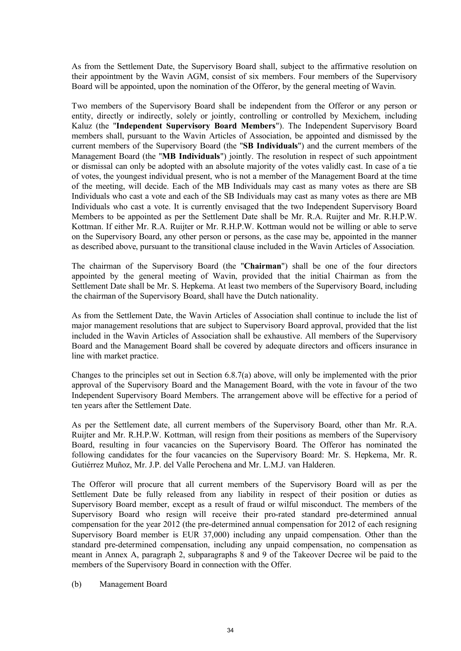As from the Settlement Date, the Supervisory Board shall, subject to the affirmative resolution on their appointment by the Wavin AGM, consist of six members. Four members of the Supervisory Board will be appointed, upon the nomination of the Offeror, by the general meeting of Wavin.

Two members of the Supervisory Board shall be independent from the Offeror or any person or entity, directly or indirectly, solely or jointly, controlling or controlled by Mexichem, including Kaluz (the "**Independent Supervisory Board Members**"). The Independent Supervisory Board members shall, pursuant to the Wavin Articles of Association, be appointed and dismissed by the current members of the Supervisory Board (the "**SB Individuals**") and the current members of the Management Board (the "**MB Individuals**") jointly. The resolution in respect of such appointment or dismissal can only be adopted with an absolute majority of the votes validly cast. In case of a tie of votes, the youngest individual present, who is not a member of the Management Board at the time of the meeting, will decide. Each of the MB Individuals may cast as many votes as there are SB Individuals who cast a vote and each of the SB Individuals may cast as many votes as there are MB Individuals who cast a vote. It is currently envisaged that the two Independent Supervisory Board Members to be appointed as per the Settlement Date shall be Mr. R.A. Ruijter and Mr. R.H.P.W. Kottman. If either Mr. R.A. Ruijter or Mr. R.H.P.W. Kottman would not be willing or able to serve on the Supervisory Board, any other person or persons, as the case may be, appointed in the manner as described above, pursuant to the transitional clause included in the Wavin Articles of Association.

The chairman of the Supervisory Board (the "**Chairman**") shall be one of the four directors appointed by the general meeting of Wavin, provided that the initial Chairman as from the Settlement Date shall be Mr. S. Hepkema. At least two members of the Supervisory Board, including the chairman of the Supervisory Board, shall have the Dutch nationality.

As from the Settlement Date, the Wavin Articles of Association shall continue to include the list of major management resolutions that are subject to Supervisory Board approval, provided that the list included in the Wavin Articles of Association shall be exhaustive. All members of the Supervisory Board and the Management Board shall be covered by adequate directors and officers insurance in line with market practice.

Changes to the principles set out in Section 6.8.7(a) above, will only be implemented with the prior approval of the Supervisory Board and the Management Board, with the vote in favour of the two Independent Supervisory Board Members. The arrangement above will be effective for a period of ten years after the Settlement Date.

As per the Settlement date, all current members of the Supervisory Board, other than Mr. R.A. Ruijter and Mr. R.H.P.W. Kottman, will resign from their positions as members of the Supervisory Board, resulting in four vacancies on the Supervisory Board. The Offeror has nominated the following candidates for the four vacancies on the Supervisory Board: Mr. S. Hepkema, Mr. R. Gutiérrez Muñoz, Mr. J.P. del Valle Perochena and Mr. L.M.J. van Halderen.

The Offeror will procure that all current members of the Supervisory Board will as per the Settlement Date be fully released from any liability in respect of their position or duties as Supervisory Board member, except as a result of fraud or wilful misconduct. The members of the Supervisory Board who resign will receive their pro-rated standard pre-determined annual compensation for the year 2012 (the pre-determined annual compensation for 2012 of each resigning Supervisory Board member is EUR 37,000) including any unpaid compensation. Other than the standard pre-determined compensation, including any unpaid compensation, no compensation as meant in Annex A, paragraph 2, subparagraphs 8 and 9 of the Takeover Decree wil be paid to the members of the Supervisory Board in connection with the Offer.

(b) Management Board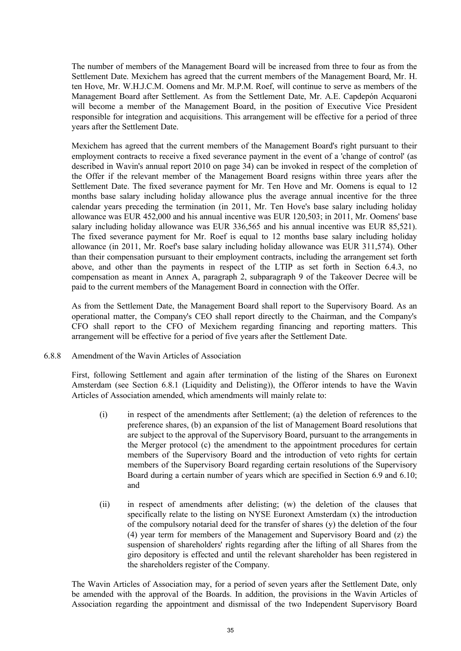The number of members of the Management Board will be increased from three to four as from the Settlement Date. Mexichem has agreed that the current members of the Management Board, Mr. H. ten Hove, Mr. W.H.J.C.M. Oomens and Mr. M.P.M. Roef, will continue to serve as members of the Management Board after Settlement. As from the Settlement Date, Mr. A.E. Capdepón Acquaroni will become a member of the Management Board, in the position of Executive Vice President responsible for integration and acquisitions. This arrangement will be effective for a period of three years after the Settlement Date.

Mexichem has agreed that the current members of the Management Board's right pursuant to their employment contracts to receive a fixed severance payment in the event of a 'change of control' (as described in Wavin's annual report 2010 on page 34) can be invoked in respect of the completion of the Offer if the relevant member of the Management Board resigns within three years after the Settlement Date. The fixed severance payment for Mr. Ten Hove and Mr. Oomens is equal to 12 months base salary including holiday allowance plus the average annual incentive for the three calendar years preceding the termination (in 2011, Mr. Ten Hove's base salary including holiday allowance was EUR 452,000 and his annual incentive was EUR 120,503; in 2011, Mr. Oomens' base salary including holiday allowance was EUR 336,565 and his annual incentive was EUR 85,521). The fixed severance payment for Mr. Roef is equal to 12 months base salary including holiday allowance (in 2011, Mr. Roef's base salary including holiday allowance was EUR 311,574). Other than their compensation pursuant to their employment contracts, including the arrangement set forth above, and other than the payments in respect of the LTIP as set forth in Section 6.4.3, no compensation as meant in Annex A, paragraph 2, subparagraph 9 of the Takeover Decree will be paid to the current members of the Management Board in connection with the Offer.

As from the Settlement Date, the Management Board shall report to the Supervisory Board. As an operational matter, the Company's CEO shall report directly to the Chairman, and the Company's CFO shall report to the CFO of Mexichem regarding financing and reporting matters. This arrangement will be effective for a period of five years after the Settlement Date.

### 6.8.8 Amendment of the Wavin Articles of Association

First, following Settlement and again after termination of the listing of the Shares on Euronext Amsterdam (see Section 6.8.1 (Liquidity and Delisting)), the Offeror intends to have the Wavin Articles of Association amended, which amendments will mainly relate to:

- (i) in respect of the amendments after Settlement; (a) the deletion of references to the preference shares, (b) an expansion of the list of Management Board resolutions that are subject to the approval of the Supervisory Board, pursuant to the arrangements in the Merger protocol (c) the amendment to the appointment procedures for certain members of the Supervisory Board and the introduction of veto rights for certain members of the Supervisory Board regarding certain resolutions of the Supervisory Board during a certain number of years which are specified in Section 6.9 and 6.10; and
- (ii) in respect of amendments after delisting; (w) the deletion of the clauses that specifically relate to the listing on NYSE Euronext Amsterdam (x) the introduction of the compulsory notarial deed for the transfer of shares (y) the deletion of the four (4) year term for members of the Management and Supervisory Board and (z) the suspension of shareholders' rights regarding after the lifting of all Shares from the giro depository is effected and until the relevant shareholder has been registered in the shareholders register of the Company.

The Wavin Articles of Association may, for a period of seven years after the Settlement Date, only be amended with the approval of the Boards. In addition, the provisions in the Wavin Articles of Association regarding the appointment and dismissal of the two Independent Supervisory Board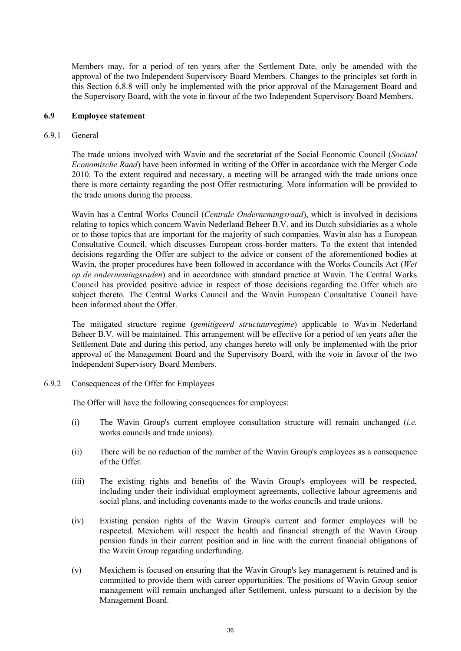Members may, for a period of ten years after the Settlement Date, only be amended with the approval of the two Independent Supervisory Board Members. Changes to the principles set forth in this Section 6.8.8 will only be implemented with the prior approval of the Management Board and the Supervisory Board, with the vote in favour of the two Independent Supervisory Board Members.

#### **6.9 Employee statement**

#### 6.9.1 General

The trade unions involved with Wavin and the secretariat of the Social Economic Council (*Sociaal Economische Raad*) have been informed in writing of the Offer in accordance with the Merger Code 2010. To the extent required and necessary, a meeting will be arranged with the trade unions once there is more certainty regarding the post Offer restructuring. More information will be provided to the trade unions during the process.

Wavin has a Central Works Council (*Centrale Ondernemingsraad*), which is involved in decisions relating to topics which concern Wavin Nederland Beheer B.V. and its Dutch subsidiaries as a whole or to those topics that are important for the majority of such companies. Wavin also has a European Consultative Council, which discusses European cross-border matters. To the extent that intended decisions regarding the Offer are subject to the advice or consent of the aforementioned bodies at Wavin, the proper procedures have been followed in accordance with the Works Councils Act (*Wet op de ondernemingsraden*) and in accordance with standard practice at Wavin. The Central Works Council has provided positive advice in respect of those decisions regarding the Offer which are subject thereto. The Central Works Council and the Wavin European Consultative Council have been informed about the Offer.

The mitigated structure regime (*gemitigeerd structuurregime*) applicable to Wavin Nederland Beheer B.V. will be maintained. This arrangement will be effective for a period of ten years after the Settlement Date and during this period, any changes hereto will only be implemented with the prior approval of the Management Board and the Supervisory Board, with the vote in favour of the two Independent Supervisory Board Members.

6.9.2 Consequences of the Offer for Employees

The Offer will have the following consequences for employees:

- (i) The Wavin Group's current employee consultation structure will remain unchanged (*i.e.* works councils and trade unions).
- (ii) There will be no reduction of the number of the Wavin Group's employees as a consequence of the Offer.
- (iii) The existing rights and benefits of the Wavin Group's employees will be respected, including under their individual employment agreements, collective labour agreements and social plans, and including covenants made to the works councils and trade unions.
- (iv) Existing pension rights of the Wavin Group's current and former employees will be respected. Mexichem will respect the health and financial strength of the Wavin Group pension funds in their current position and in line with the current financial obligations of the Wavin Group regarding underfunding.
- (v) Mexichem is focused on ensuring that the Wavin Group's key management is retained and is committed to provide them with career opportunities. The positions of Wavin Group senior management will remain unchanged after Settlement, unless pursuant to a decision by the Management Board.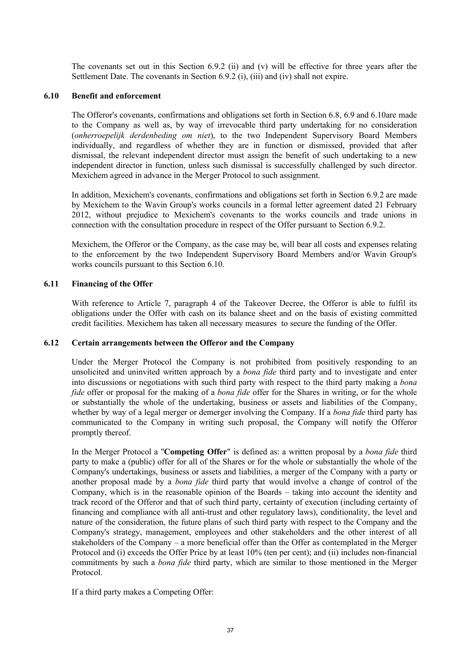The covenants set out in this Section 6.9.2 (ii) and (v) will be effective for three years after the Settlement Date. The covenants in Section 6.9.2 (i), (iii) and (iv) shall not expire.

#### **6.10 Benefit and enforcement**

The Offeror's covenants, confirmations and obligations set forth in Section 6.8, 6.9 and 6.10are made to the Company as well as, by way of irrevocable third party undertaking for no consideration (*onherroepelijk derdenbeding om niet*), to the two Independent Supervisory Board Members individually, and regardless of whether they are in function or dismissed, provided that after dismissal, the relevant independent director must assign the benefit of such undertaking to a new independent director in function, unless such dismissal is successfully challenged by such director. Mexichem agreed in advance in the Merger Protocol to such assignment.

In addition, Mexichem's covenants, confirmations and obligations set forth in Section 6.9.2 are made by Mexichem to the Wavin Group's works councils in a formal letter agreement dated 21 February 2012, without prejudice to Mexichem's covenants to the works councils and trade unions in connection with the consultation procedure in respect of the Offer pursuant to Section 6.9.2.

Mexichem, the Offeror or the Company, as the case may be, will bear all costs and expenses relating to the enforcement by the two Independent Supervisory Board Members and/or Wavin Group's works councils pursuant to this Section 6.10.

### **6.11 Financing of the Offer**

With reference to Article 7, paragraph 4 of the Takeover Decree, the Offeror is able to fulfil its obligations under the Offer with cash on its balance sheet and on the basis of existing committed credit facilities. Mexichem has taken all necessary measures to secure the funding of the Offer.

#### **6.12 Certain arrangements between the Offeror and the Company**

Under the Merger Protocol the Company is not prohibited from positively responding to an unsolicited and uninvited written approach by a *bona fide* third party and to investigate and enter into discussions or negotiations with such third party with respect to the third party making a *bona fide* offer or proposal for the making of a *bona fide* offer for the Shares in writing, or for the whole or substantially the whole of the undertaking, business or assets and liabilities of the Company, whether by way of a legal merger or demerger involving the Company. If a *bona fide* third party has communicated to the Company in writing such proposal, the Company will notify the Offeror promptly thereof.

In the Merger Protocol a "**Competing Offer**" is defined as: a written proposal by a *bona fide* third party to make a (public) offer for all of the Shares or for the whole or substantially the whole of the Company's undertakings, business or assets and liabilities, a merger of the Company with a party or another proposal made by a *bona fide* third party that would involve a change of control of the Company, which is in the reasonable opinion of the Boards – taking into account the identity and track record of the Offeror and that of such third party, certainty of execution (including certainty of financing and compliance with all anti-trust and other regulatory laws), conditionality, the level and nature of the consideration, the future plans of such third party with respect to the Company and the Company's strategy, management, employees and other stakeholders and the other interest of all stakeholders of the Company – a more beneficial offer than the Offer as contemplated in the Merger Protocol and (i) exceeds the Offer Price by at least 10% (ten per cent); and (ii) includes non-financial commitments by such a *bona fide* third party, which are similar to those mentioned in the Merger Protocol.

If a third party makes a Competing Offer: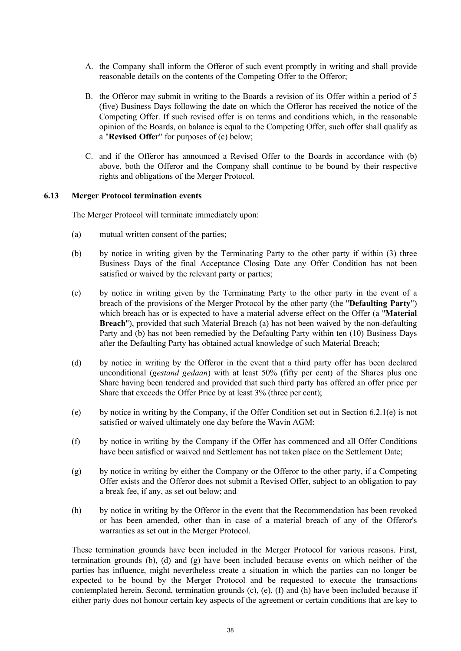- A. the Company shall inform the Offeror of such event promptly in writing and shall provide reasonable details on the contents of the Competing Offer to the Offeror;
- B. the Offeror may submit in writing to the Boards a revision of its Offer within a period of 5 (five) Business Days following the date on which the Offeror has received the notice of the Competing Offer. If such revised offer is on terms and conditions which, in the reasonable opinion of the Boards, on balance is equal to the Competing Offer, such offer shall qualify as a "**Revised Offer**" for purposes of (c) below;
- C. and if the Offeror has announced a Revised Offer to the Boards in accordance with (b) above, both the Offeror and the Company shall continue to be bound by their respective rights and obligations of the Merger Protocol.

#### **6.13 Merger Protocol termination events**

The Merger Protocol will terminate immediately upon:

- (a) mutual written consent of the parties;
- (b) by notice in writing given by the Terminating Party to the other party if within (3) three Business Days of the final Acceptance Closing Date any Offer Condition has not been satisfied or waived by the relevant party or parties;
- (c) by notice in writing given by the Terminating Party to the other party in the event of a breach of the provisions of the Merger Protocol by the other party (the "**Defaulting Party**") which breach has or is expected to have a material adverse effect on the Offer (a "**Material Breach**"), provided that such Material Breach (a) has not been waived by the non-defaulting Party and (b) has not been remedied by the Defaulting Party within ten (10) Business Days after the Defaulting Party has obtained actual knowledge of such Material Breach;
- (d) by notice in writing by the Offeror in the event that a third party offer has been declared unconditional (*gestand gedaan*) with at least 50% (fifty per cent) of the Shares plus one Share having been tendered and provided that such third party has offered an offer price per Share that exceeds the Offer Price by at least 3% (three per cent);
- (e) by notice in writing by the Company, if the Offer Condition set out in Section 6.2.1(e) is not satisfied or waived ultimately one day before the Wavin AGM;
- (f) by notice in writing by the Company if the Offer has commenced and all Offer Conditions have been satisfied or waived and Settlement has not taken place on the Settlement Date;
- (g) by notice in writing by either the Company or the Offeror to the other party, if a Competing Offer exists and the Offeror does not submit a Revised Offer, subject to an obligation to pay a break fee, if any, as set out below; and
- (h) by notice in writing by the Offeror in the event that the Recommendation has been revoked or has been amended, other than in case of a material breach of any of the Offeror's warranties as set out in the Merger Protocol.

These termination grounds have been included in the Merger Protocol for various reasons. First, termination grounds (b), (d) and (g) have been included because events on which neither of the parties has influence, might nevertheless create a situation in which the parties can no longer be expected to be bound by the Merger Protocol and be requested to execute the transactions contemplated herein. Second, termination grounds (c), (e), (f) and (h) have been included because if either party does not honour certain key aspects of the agreement or certain conditions that are key to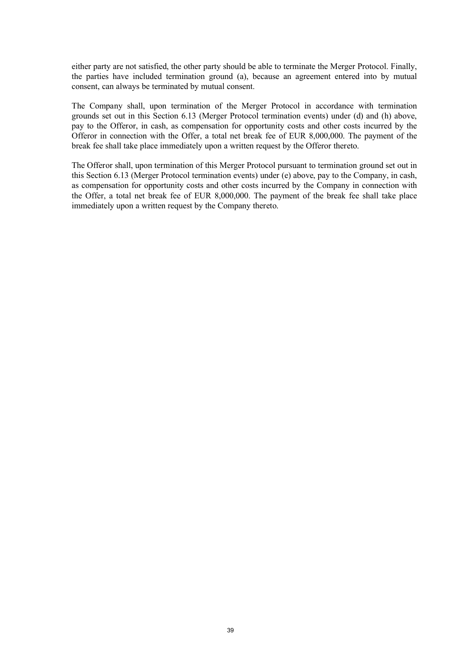either party are not satisfied, the other party should be able to terminate the Merger Protocol. Finally, the parties have included termination ground (a), because an agreement entered into by mutual consent, can always be terminated by mutual consent.

The Company shall, upon termination of the Merger Protocol in accordance with termination grounds set out in this Section 6.13 (Merger Protocol termination events) under (d) and (h) above, pay to the Offeror, in cash, as compensation for opportunity costs and other costs incurred by the Offeror in connection with the Offer, a total net break fee of EUR 8,000,000. The payment of the break fee shall take place immediately upon a written request by the Offeror thereto.

The Offeror shall, upon termination of this Merger Protocol pursuant to termination ground set out in this Section 6.13 (Merger Protocol termination events) under (e) above, pay to the Company, in cash, as compensation for opportunity costs and other costs incurred by the Company in connection with the Offer, a total net break fee of EUR 8,000,000. The payment of the break fee shall take place immediately upon a written request by the Company thereto.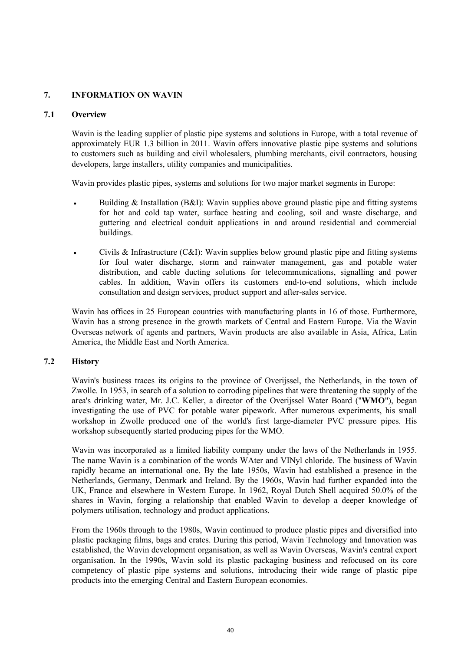## **7. INFORMATION ON WAVIN**

## **7.1 Overview**

Wavin is the leading supplier of plastic pipe systems and solutions in Europe, with a total revenue of approximately EUR 1.3 billion in 2011. Wavin offers innovative plastic pipe systems and solutions to customers such as building and civil wholesalers, plumbing merchants, civil contractors, housing developers, large installers, utility companies and municipalities.

Wavin provides plastic pipes, systems and solutions for two major market segments in Europe:

- Building & Installation (B&I): Wavin supplies above ground plastic pipe and fitting systems for hot and cold tap water, surface heating and cooling, soil and waste discharge, and guttering and electrical conduit applications in and around residential and commercial buildings.
- Civils & Infrastructure (C&I): Wavin supplies below ground plastic pipe and fitting systems for foul water discharge, storm and rainwater management, gas and potable water distribution, and cable ducting solutions for telecommunications, signalling and power cables. In addition, Wavin offers its customers end-to-end solutions, which include consultation and design services, product support and after-sales service.

Wavin has offices in 25 European countries with manufacturing plants in 16 of those. Furthermore, Wavin has a strong presence in the growth markets of Central and Eastern Europe. Via the Wavin Overseas [network of agents and partners, Wavin products are also available in Asia, Africa,](http://www.wavinoverseas.com/) Latin America, the Middle East and North America.

### **7.2 History**

Wavin's business traces its origins to the province of Overijssel, the Netherlands, in the town of Zwolle. In 1953, in search of a solution to corroding pipelines that were threatening the supply of the area's drinking water, Mr. J.C. Keller, a director of the Overijssel Water Board ("**WMO**"), began investigating the use of PVC for potable water pipework. After numerous experiments, his small workshop in Zwolle produced one of the world's first large-diameter PVC pressure pipes. His workshop subsequently started producing pipes for the WMO.

Wavin was incorporated as a limited liability company under the laws of the Netherlands in 1955. The name Wavin is a combination of the words WAter and VINyl chloride. The business of Wavin rapidly became an international one. By the late 1950s, Wavin had established a presence in the Netherlands, Germany, Denmark and Ireland. By the 1960s, Wavin had further expanded into the UK, France and elsewhere in Western Europe. In 1962, Royal Dutch Shell acquired 50.0% of the shares in Wavin, forging a relationship that enabled Wavin to develop a deeper knowledge of polymers utilisation, technology and product applications.

From the 1960s through to the 1980s, Wavin continued to produce plastic pipes and diversified into plastic packaging films, bags and crates. During this period, Wavin Technology and Innovation was established, the Wavin development organisation, as well as Wavin Overseas, Wavin's central export organisation. In the 1990s, Wavin sold its plastic packaging business and refocused on its core competency of plastic pipe systems and solutions, introducing their wide range of plastic pipe products into the emerging Central and Eastern European economies.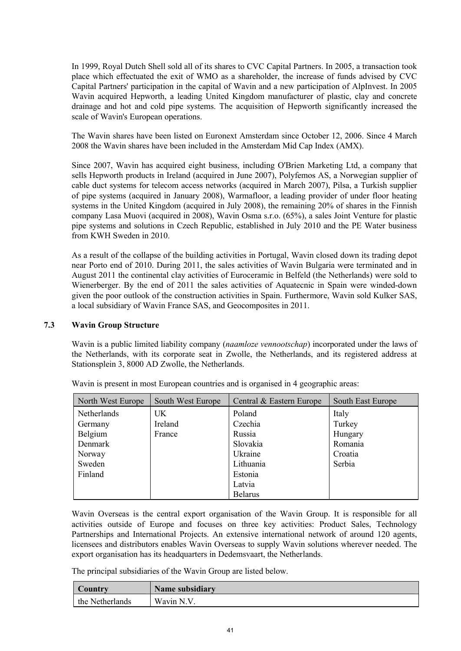In 1999, Royal Dutch Shell sold all of its shares to CVC Capital Partners. In 2005, a transaction took place which effectuated the exit of WMO as a shareholder, the increase of funds advised by CVC Capital Partners' participation in the capital of Wavin and a new participation of AlpInvest. In 2005 Wavin acquired Hepworth, a leading United Kingdom manufacturer of plastic, clay and concrete drainage and hot and cold pipe systems. The acquisition of Hepworth significantly increased the scale of Wavin's European operations.

The Wavin shares have been listed on Euronext Amsterdam since October 12, 2006. Since 4 March 2008 the Wavin shares have been included in the Amsterdam Mid Cap Index (AMX).

Since 2007, Wavin has acquired eight business, including O'Brien Marketing Ltd, a company that sells Hepworth products in Ireland (acquired in June 2007), Polyfemos AS, a Norwegian supplier of cable duct systems for telecom access networks (acquired in March 2007), Pilsa, a Turkish supplier of pipe systems (acquired in January 2008), Warmafloor, a leading provider of under floor heating systems in the United Kingdom (acquired in July 2008), the remaining 20% of shares in the Finnish company Lasa Muovi (acquired in 2008), Wavin Osma s.r.o. (65%), a sales Joint Venture for plastic pipe systems and solutions in Czech Republic, established in July 2010 and the PE Water business from KWH Sweden in 2010.

As a result of the collapse of the building activities in Portugal, Wavin closed down its trading depot near Porto end of 2010. During 2011, the sales activities of Wavin Bulgaria were terminated and in August 2011 the continental clay activities of Euroceramic in Belfeld (the Netherlands) were sold to Wienerberger. By the end of 2011 the sales activities of Aquatecnic in Spain were winded-down given the poor outlook of the construction activities in Spain. Furthermore, Wavin sold Kulker SAS, a local subsidiary of Wavin France SAS, and Geocomposites in 2011.

### **7.3 Wavin Group Structure**

Wavin is a public limited liability company (*naamloze vennootschap*) incorporated under the laws of the Netherlands, with its corporate seat in Zwolle, the Netherlands, and its registered address at Stationsplein 3, 8000 AD Zwolle, the Netherlands.

| North West Europe | South West Europe | Central & Eastern Europe | South East Europe |
|-------------------|-------------------|--------------------------|-------------------|
| Netherlands       | <b>UK</b>         | Poland                   | Italy             |
| Germany           | Ireland           | Czechia                  | Turkey            |
| Belgium           | France            | Russia                   | Hungary           |
| Denmark           |                   | Slovakia                 | Romania           |
| Norway            |                   | Ukraine                  | Croatia           |
| Sweden            |                   | Lithuania                | Serbia            |
| Finland           |                   | Estonia                  |                   |
|                   |                   | Latvia                   |                   |
|                   |                   | <b>Belarus</b>           |                   |

Wavin is present in most European countries and is organised in 4 geographic areas:

Wavin Overseas is the central export organisation of the Wavin Group. It is responsible for all activities outside of Europe and focuses on three key activities: Product Sales, Technology Partnerships and International Projects. An extensive international network of around 120 agents, licensees and distributors enables Wavin Overseas to supply Wavin solutions wherever needed. The export organisation has its headquarters in Dedemsvaart, the Netherlands.

The principal subsidiaries of the Wavin Group are listed below.

| Country         | Name subsidiary |
|-----------------|-----------------|
| the Netherlands | Wavin N.V.      |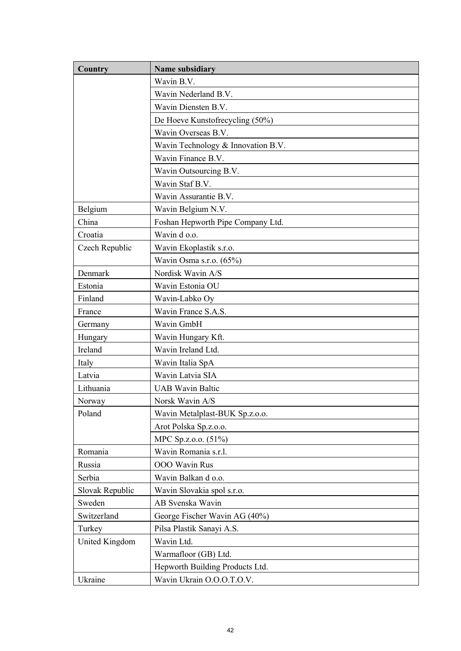| Country               | <b>Name subsidiary</b>             |  |  |
|-----------------------|------------------------------------|--|--|
|                       | Wavin B.V.                         |  |  |
|                       | Wavin Nederland B.V.               |  |  |
|                       | Wavin Diensten B.V.                |  |  |
|                       | De Hoeve Kunstofrecycling (50%)    |  |  |
|                       | Wavin Overseas B.V.                |  |  |
|                       | Wavin Technology & Innovation B.V. |  |  |
|                       | Wavin Finance B.V.                 |  |  |
|                       | Wavin Outsourcing B.V.             |  |  |
|                       | Wavin Staf B.V.                    |  |  |
|                       | Wavin Assurantie B.V.              |  |  |
| Belgium               | Wavin Belgium N.V.                 |  |  |
| China                 | Foshan Hepworth Pipe Company Ltd.  |  |  |
| Croatia               | Wavin d o.o.                       |  |  |
| Czech Republic        | Wavin Ekoplastik s.r.o.            |  |  |
|                       | Wavin Osma s.r.o. (65%)            |  |  |
| Denmark               | Nordisk Wavin A/S                  |  |  |
| Estonia               | Wavin Estonia OU                   |  |  |
| Finland               | Wavin-Labko Oy                     |  |  |
| France                | Wavin France S.A.S.                |  |  |
| Germany               | Wavin GmbH                         |  |  |
| Hungary               | Wavin Hungary Kft.                 |  |  |
| Ireland               | Wavin Ireland Ltd.                 |  |  |
| Italy                 | Wavin Italia SpA                   |  |  |
| Latvia                | Wavin Latvia SIA                   |  |  |
| Lithuania             | <b>UAB Wavin Baltic</b>            |  |  |
| Norway                | Norsk Wavin A/S                    |  |  |
| Poland                | Wavin Metalplast-BUK Sp.z.o.o.     |  |  |
|                       | Arot Polska Sp.z.o.o.              |  |  |
|                       | MPC Sp.z.o.o. (51%)                |  |  |
| Romania               | Wavin Romania s.r.l.               |  |  |
| Russia                | <b>OOO</b> Wavin Rus               |  |  |
| Serbia                | Wavin Balkan d o.o.                |  |  |
| Slovak Republic       | Wavin Slovakia spol s.r.o.         |  |  |
| Sweden                | AB Svenska Wavin                   |  |  |
| Switzerland           | George Fischer Wavin AG (40%)      |  |  |
| Turkey                | Pilsa Plastik Sanayi A.S.          |  |  |
| <b>United Kingdom</b> | Wavin Ltd.                         |  |  |
|                       | Warmafloor (GB) Ltd.               |  |  |
|                       | Hepworth Building Products Ltd.    |  |  |
| Ukraine               | Wavin Ukrain O.O.O.T.O.V.          |  |  |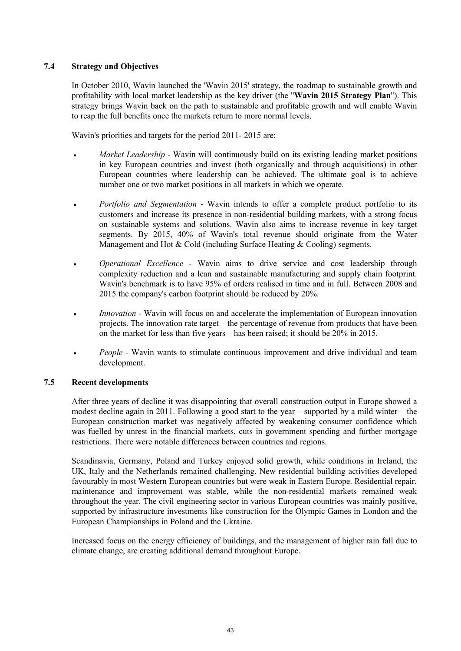## **7.4 Strategy and Objectives**

In October 2010, Wavin launched the 'Wavin 2015' strategy, the roadmap to sustainable growth and profitability with local market leadership as the key driver (the "**Wavin 2015 Strategy Plan**"). This strategy brings Wavin back on the path to sustainable and profitable growth and will enable Wavin to reap the full benefits once the markets return to more normal levels.

Wavin's priorities and targets for the period 2011- 2015 are:

- *Market Leadership* Wavin will continuously build on its existing leading market positions in key European countries and invest (both organically and through acquisitions) in other European countries where leadership can be achieved. The ultimate goal is to achieve number one or two market positions in all markets in which we operate.
- · *Portfolio and Segmentation* Wavin intends to offer a complete product portfolio to its customers and increase its presence in non-residential building markets, with a strong focus on sustainable systems and solutions. Wavin also aims to increase revenue in key target segments. By 2015, 40% of Wavin's total revenue should originate from the Water Management and Hot & Cold (including Surface Heating & Cooling) segments.
- · *Operational Excellence* Wavin aims to drive service and cost leadership through complexity reduction and a lean and sustainable manufacturing and supply chain footprint. Wavin's benchmark is to have 95% of orders realised in time and in full. Between 2008 and 2015 the company's carbon footprint should be reduced by 20%.
- · *Innovation* Wavin will focus on and accelerate the implementation of European innovation projects. The innovation rate target – the percentage of revenue from products that have been on the market for less than five years – has been raised; it should be 20% in 2015.
- · *People* Wavin wants to stimulate continuous improvement and drive individual and team development.

## **7.5 Recent developments**

After three years of decline it was disappointing that overall construction output in Europe showed a modest decline again in 2011. Following a good start to the year – supported by a mild winter – the European construction market was negatively affected by weakening consumer confidence which was fuelled by unrest in the financial markets, cuts in government spending and further mortgage restrictions. There were notable differences between countries and regions.

Scandinavia, Germany, Poland and Turkey enjoyed solid growth, while conditions in Ireland, the UK, Italy and the Netherlands remained challenging. New residential building activities developed favourably in most Western European countries but were weak in Eastern Europe. Residential repair, maintenance and improvement was stable, while the non-residential markets remained weak throughout the year. The civil engineering sector in various European countries was mainly positive, supported by infrastructure investments like construction for the Olympic Games in London and the European Championships in Poland and the Ukraine.

Increased focus on the energy efficiency of buildings, and the management of higher rain fall due to climate change, are creating additional demand throughout Europe.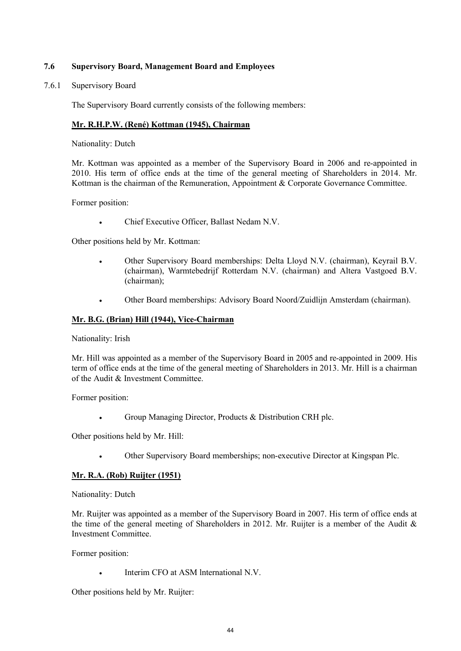## **7.6 Supervisory Board, Management Board and Employees**

7.6.1 Supervisory Board

The Supervisory Board currently consists of the following members:

## **Mr. R.H.P.W. (René) Kottman (1945), Chairman**

Nationality: Dutch

Mr. Kottman was appointed as a member of the Supervisory Board in 2006 and re-appointed in 2010. His term of office ends at the time of the general meeting of Shareholders in 2014. Mr. Kottman is the chairman of the Remuneration, Appointment & Corporate Governance Committee.

Former position:

· Chief Executive Officer, Ballast Nedam N.V.

Other positions held by Mr. Kottman:

- · Other Supervisory Board memberships: Delta Lloyd N.V. (chairman), Keyrail B.V. (chairman), Warmtebedrijf Rotterdam N.V. (chairman) and Altera Vastgoed B.V. (chairman);
- · Other Board memberships: Advisory Board Noord/Zuidlijn Amsterdam (chairman).

### **Mr. B.G. (Brian) Hill (1944), Vice-Chairman**

Nationality: Irish

Mr. Hill was appointed as a member of the Supervisory Board in 2005 and re-appointed in 2009. His term of office ends at the time of the general meeting of Shareholders in 2013. Mr. Hill is a chairman of the Audit & Investment Committee.

Former position:

Group Managing Director, Products & Distribution CRH plc.

Other positions held by Mr. Hill:

· Other Supervisory Board memberships; non-executive Director at Kingspan Plc.

### **Mr. R.A. (Rob) Ruijter (1951)**

Nationality: Dutch

Mr. Ruijter was appointed as a member of the Supervisory Board in 2007. His term of office ends at the time of the general meeting of Shareholders in 2012. Mr. Ruijter is a member of the Audit  $\&$ Investment Committee.

Former position:

Interim CFO at ASM International N.V.

Other positions held by Mr. Ruijter: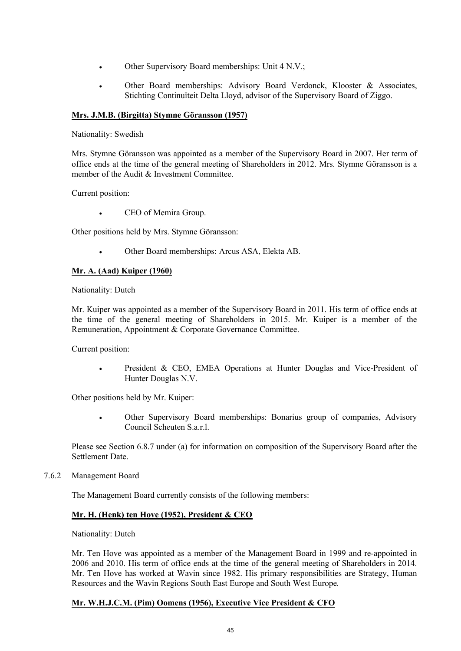- Other Supervisory Board memberships: Unit 4 N.V.;
- · Other Board memberships: Advisory Board Verdonck, Klooster & Associates, Stichting Continuïteit Delta Lloyd, advisor of the Supervisory Board of Ziggo.

## **Mrs. J.M.B. (Birgitta) Stymne Göransson (1957)**

Nationality: Swedish

Mrs. Stymne Göransson was appointed as a member of the Supervisory Board in 2007. Her term of office ends at the time of the general meeting of Shareholders in 2012. Mrs. Stymne Göransson is a member of the Audit & Investment Committee.

Current position:

CEO of Memira Group.

Other positions held by Mrs. Stymne Göransson:

· Other Board memberships: Arcus ASA, Elekta AB.

## **Mr. A. (Aad) Kuiper (1960)**

Nationality: Dutch

Mr. Kuiper was appointed as a member of the Supervisory Board in 2011. His term of office ends at the time of the general meeting of Shareholders in 2015. Mr. Kuiper is a member of the Remuneration, Appointment & Corporate Governance Committee.

Current position:

President & CEO, EMEA Operations at Hunter Douglas and Vice-President of Hunter Douglas N.V.

Other positions held by Mr. Kuiper:

· Other Supervisory Board memberships: Bonarius group of companies, Advisory Council Scheuten S.a.r.l.

Please see Section 6.8.7 under (a) for information on composition of the Supervisory Board after the Settlement Date.

7.6.2 Management Board

The Management Board currently consists of the following members:

### **Mr. H. (Henk) ten Hove (1952), President & CEO**

Nationality: Dutch

Mr. Ten Hove was appointed as a member of the Management Board in 1999 and re-appointed in 2006 and 2010. His term of office ends at the time of the general meeting of Shareholders in 2014. Mr. Ten Hove has worked at Wavin since 1982. His primary responsibilities are Strategy, Human Resources and the Wavin Regions South East Europe and South West Europe.

### **Mr. W.H.J.C.M. (Pim) Oomens (1956), Executive Vice President & CFO**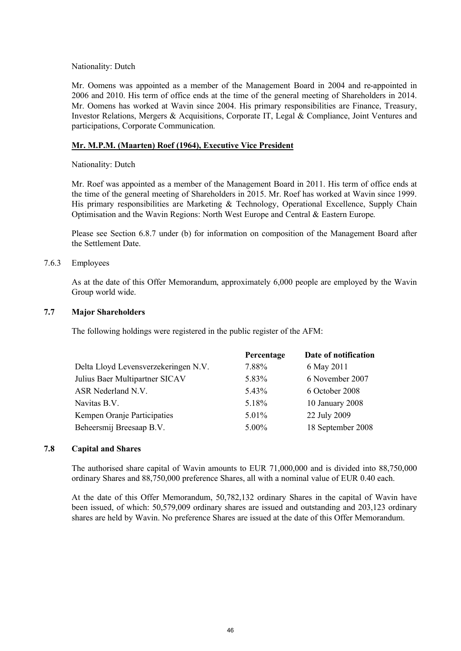Nationality: Dutch

Mr. Oomens was appointed as a member of the Management Board in 2004 and re-appointed in 2006 and 2010. His term of office ends at the time of the general meeting of Shareholders in 2014. Mr. Oomens has worked at Wavin since 2004. His primary responsibilities are Finance, Treasury, Investor Relations, Mergers & Acquisitions, Corporate IT, Legal & Compliance, Joint Ventures and participations, Corporate Communication.

## **Mr. M.P.M. (Maarten) Roef (1964), Executive Vice President**

## Nationality: Dutch

Mr. Roef was appointed as a member of the Management Board in 2011. His term of office ends at the time of the general meeting of Shareholders in 2015. Mr. Roef has worked at Wavin since 1999. His primary responsibilities are Marketing & Technology, Operational Excellence, Supply Chain Optimisation and the Wavin Regions: North West Europe and Central & Eastern Europe.

Please see Section 6.8.7 under (b) for information on composition of the Management Board after the Settlement Date.

## 7.6.3 Employees

As at the date of this Offer Memorandum, approximately 6,000 people are employed by the Wavin Group world wide.

### **7.7 Major Shareholders**

The following holdings were registered in the public register of the AFM:

|                                      | Percentage | Date of notification |
|--------------------------------------|------------|----------------------|
| Delta Lloyd Levensverzekeringen N.V. | 7.88%      | 6 May 2011           |
| Julius Baer Multipartner SICAV       | 5.83%      | 6 November 2007      |
| ASR Nederland N.V.                   | 5.43%      | 6 October 2008       |
| Navitas B.V.                         | 5.18%      | 10 January 2008      |
| Kempen Oranje Participaties          | 5.01%      | 22 July 2009         |
| Beheersmij Breesaap B.V.             | $5.00\%$   | 18 September 2008    |

## **7.8 Capital and Shares**

The authorised share capital of Wavin amounts to EUR 71,000,000 and is divided into 88,750,000 ordinary Shares and 88,750,000 preference Shares, all with a nominal value of EUR 0.40 each.

At the date of this Offer Memorandum, 50,782,132 ordinary Shares in the capital of Wavin have been issued, of which: 50,579,009 ordinary shares are issued and outstanding and 203,123 ordinary shares are held by Wavin. No preference Shares are issued at the date of this Offer Memorandum.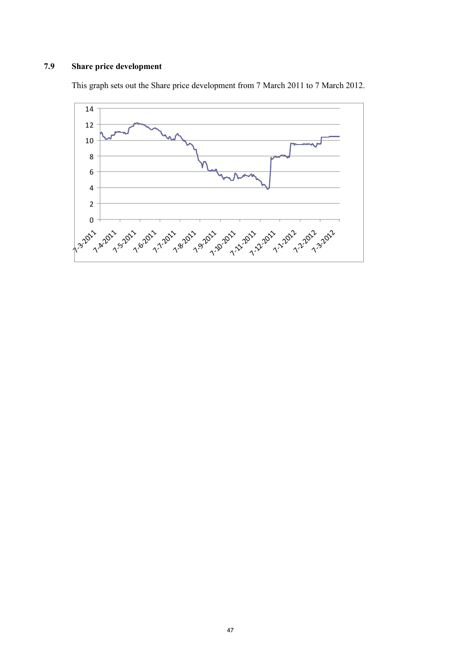# **7.9 Share price development**

This graph sets out the Share price development from 7 March 2011 to 7 March 2012.

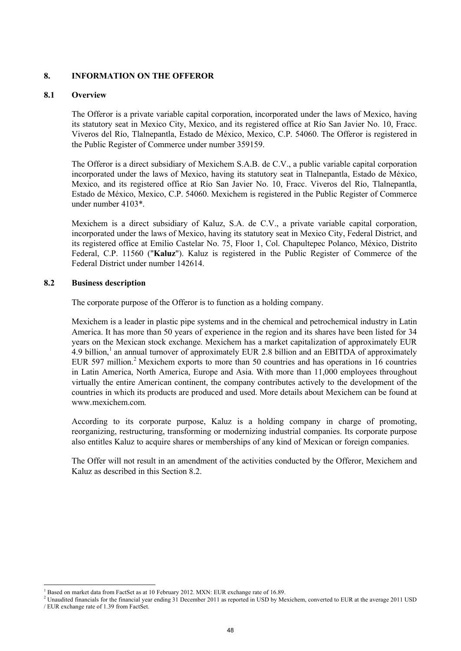## **8. INFORMATION ON THE OFFEROR**

### **8.1 Overview**

The Offeror is a private variable capital corporation, incorporated under the laws of Mexico, having its statutory seat in Mexico City, Mexico, and its registered office at Río San Javier No. 10, Fracc. Viveros del Río, Tlalnepantla, Estado de México, Mexico, C.P. 54060. The Offeror is registered in the Public Register of Commerce under number 359159.

The Offeror is a direct subsidiary of Mexichem S.A.B. de C.V., a public variable capital corporation incorporated under the laws of Mexico, having its statutory seat in Tlalnepantla, Estado de México, Mexico, and its registered office at Río San Javier No. 10, Fracc. Viveros del Río, Tlalnepantla, Estado de México, Mexico, C.P. 54060. Mexichem is registered in the Public Register of Commerce under number 4103\*.

Mexichem is a direct subsidiary of Kaluz, S.A. de C.V., a private variable capital corporation, incorporated under the laws of Mexico, having its statutory seat in Mexico City, Federal District, and its registered office at Emilio Castelar No. 75, Floor 1, Col. Chapultepec Polanco, México, Distrito Federal, C.P. 11560 ("**Kaluz**"). Kaluz is registered in the Public Register of Commerce of the Federal District under number 142614.

## **8.2 Business description**

The corporate purpose of the Offeror is to function as a holding company.

Mexichem is a leader in plastic pipe systems and in the chemical and petrochemical industry in Latin America. It has more than 50 years of experience in the region and its shares have been listed for 34 years on the Mexican stock exchange. Mexichem has a market capitalization of approximately EUR 4.9 billion, 1 an annual turnover of approximately EUR 2.8 billion and an EBITDA of approximately EUR 597 million.<sup>2</sup> Mexichem exports to more than 50 countries and has operations in 16 countries in Latin America, North America, Europe and Asia. With more than 11,000 employees throughout virtually the entire American continent, the company contributes actively to the development of the countries in which its products are produced and used. More details about Mexichem can be found at <www.mexichem.com.>

According to its corporate purpose, Kaluz is a holding company in charge of promoting, reorganizing, restructuring, transforming or modernizing industrial companies. Its corporate purpose also entitles Kaluz to acquire shares or memberships of any kind of Mexican or foreign companies.

The Offer will not result in an amendment of the activities conducted by the Offeror, Mexichem and Kaluz as described in this Section 8.2.

<sup>&</sup>lt;sup>1</sup> Based on market data from FactSet as at 10 February 2012. MXN: EUR exchange rate of 16.89.

 $^{2}$  Unaudited financials for the financial year ending 31 December 2011 as reported in USD by Mexichem, converted to EUR at the average 2011 USD / EUR exchange rate of 1.39 from FactSet.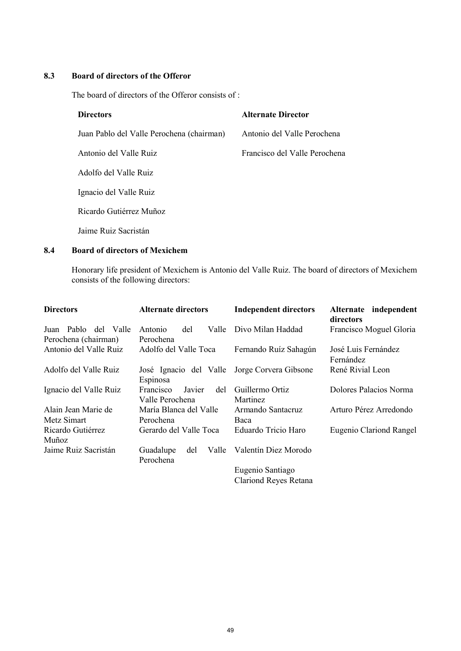## **8.3 Board of directors of the Offeror**

The board of directors of the Offeror consists of :

| <b>Directors</b>                          | <b>Alternate Director</b>     |
|-------------------------------------------|-------------------------------|
| Juan Pablo del Valle Perochena (chairman) | Antonio del Valle Perochena   |
| Antonio del Valle Ruiz                    | Francisco del Valle Perochena |
| Adolfo del Valle Ruiz                     |                               |
| Ignacio del Valle Ruiz                    |                               |
| Ricardo Gutiérrez Muñoz                   |                               |
| Jaime Ruiz Sacristán                      |                               |

### **8.4 Board of directors of Mexichem**

Honorary life president of Mexichem is Antonio del Valle Ruiz. The board of directors of Mexichem consists of the following directors:

| <b>Directors</b>           | <b>Alternate directors</b>                               | <b>Independent directors</b> | Alternate independent<br>directors |
|----------------------------|----------------------------------------------------------|------------------------------|------------------------------------|
| Juan Pablo del Valle       | del<br>Antonio<br>Valle                                  | Divo Milan Haddad            | Francisco Moguel Gloria            |
| Perochena (chairman)       | Perochena                                                |                              |                                    |
| Antonio del Valle Ruiz     | Adolfo del Valle Toca                                    | Fernando Ruíz Sahagún        | José Luis Fernández<br>Fernández   |
| Adolfo del Valle Ruiz      | José Ignacio del Valle Jorge Corvera Gibsone<br>Espinosa |                              | René Rivial Leon                   |
| Ignacio del Valle Ruiz     | <b>Francisco</b><br>Javier<br>del                        | Guillermo Ortiz              | Dolores Palacios Norma             |
|                            | Valle Perochena                                          | <b>Martinez</b>              |                                    |
| Alain Jean Marie de        | María Blanca del Valle                                   | Armando Santacruz            | Arturo Pérez Arredondo             |
| Metz Simart                | Perochena                                                | Baca                         |                                    |
| Ricardo Gutiérrez<br>Muñoz | Gerardo del Valle Toca                                   | Eduardo Tricio Haro          | Eugenio Clariond Rangel            |
| Jaime Ruiz Sacristán       | Guadalupe<br>del<br>Valle<br>Perochena                   | Valentín Diez Morodo         |                                    |
|                            |                                                          | Eugenio Santiago             |                                    |
|                            |                                                          | Clariond Reyes Retana        |                                    |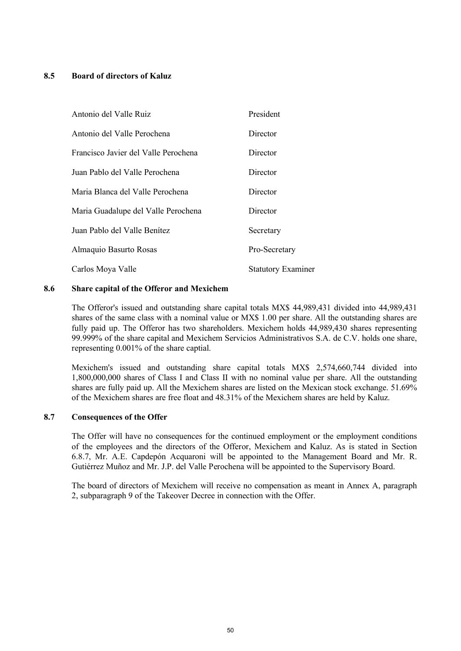## **8.5 Board of directors of Kaluz**

| Antonio del Valle Ruiz               | President                 |
|--------------------------------------|---------------------------|
| Antonio del Valle Perochena          | Director                  |
| Francisco Javier del Valle Perochena | Director                  |
| Juan Pablo del Valle Perochena       | Director                  |
| Maria Blanca del Valle Perochena     | Director                  |
| Maria Guadalupe del Valle Perochena  | Director                  |
| Juan Pablo del Valle Benítez         | Secretary                 |
| Almaquio Basurto Rosas               | Pro-Secretary             |
| Carlos Moya Valle                    | <b>Statutory Examiner</b> |

#### **8.6 Share capital of the Offeror and Mexichem**

The Offeror's issued and outstanding share capital totals MX\$ 44,989,431 divided into 44,989,431 shares of the same class with a nominal value or MX\$ 1.00 per share. All the outstanding shares are fully paid up. The Offeror has two shareholders. Mexichem holds 44,989,430 shares representing 99.999% of the share capital and Mexichem Servicios Administrativos S.A. de C.V. holds one share, representing 0.001% of the share captial.

Mexichem's issued and outstanding share capital totals MX\$ 2,574,660,744 divided into 1,800,000,000 shares of Class I and Class II with no nominal value per share. All the outstanding shares are fully paid up. All the Mexichem shares are listed on the Mexican stock exchange. 51.69% of the Mexichem shares are free float and 48.31% of the Mexichem shares are held by Kaluz.

## **8.7 Consequences of the Offer**

The Offer will have no consequences for the continued employment or the employment conditions of the employees and the directors of the Offeror, Mexichem and Kaluz. As is stated in Section 6.8.7, Mr. A.E. Capdepón Acquaroni will be appointed to the Management Board and Mr. R. Gutiérrez Muñoz and Mr. J.P. del Valle Perochena will be appointed to the Supervisory Board.

The board of directors of Mexichem will receive no compensation as meant in Annex A, paragraph 2, subparagraph 9 of the Takeover Decree in connection with the Offer.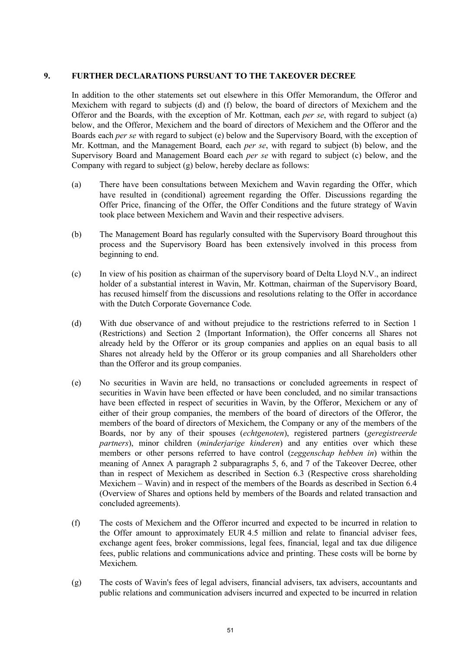## **9. FURTHER DECLARATIONS PURSUANT TO THE TAKEOVER DECREE**

In addition to the other statements set out elsewhere in this Offer Memorandum, the Offeror and Mexichem with regard to subjects (d) and (f) below, the board of directors of Mexichem and the Offeror and the Boards, with the exception of Mr. Kottman, each *per se*, with regard to subject (a) below, and the Offeror, Mexichem and the board of directors of Mexichem and the Offeror and the Boards each *per se* with regard to subject (e) below and the Supervisory Board, with the exception of Mr. Kottman, and the Management Board, each *per se*, with regard to subject (b) below, and the Supervisory Board and Management Board each *per se* with regard to subject (c) below, and the Company with regard to subject (g) below, hereby declare as follows:

- (a) There have been consultations between Mexichem and Wavin regarding the Offer, which have resulted in (conditional) agreement regarding the Offer. Discussions regarding the Offer Price, financing of the Offer, the Offer Conditions and the future strategy of Wavin took place between Mexichem and Wavin and their respective advisers.
- (b) The Management Board has regularly consulted with the Supervisory Board throughout this process and the Supervisory Board has been extensively involved in this process from beginning to end.
- (c) In view of his position as chairman of the supervisory board of Delta Lloyd N.V., an indirect holder of a substantial interest in Wavin, Mr. Kottman, chairman of the Supervisory Board, has recused himself from the discussions and resolutions relating to the Offer in accordance with the Dutch Corporate Governance Code.
- (d) With due observance of and without prejudice to the restrictions referred to in Section 1 (Restrictions) and Section 2 (Important Information), the Offer concerns all Shares not already held by the Offeror or its group companies and applies on an equal basis to all Shares not already held by the Offeror or its group companies and all Shareholders other than the Offeror and its group companies.
- (e) No securities in Wavin are held, no transactions or concluded agreements in respect of securities in Wavin have been effected or have been concluded, and no similar transactions have been effected in respect of securities in Wavin, by the Offeror, Mexichem or any of either of their group companies, the members of the board of directors of the Offeror, the members of the board of directors of Mexichem, the Company or any of the members of the Boards, nor by any of their spouses (*echtgenoten*), registered partners (*geregistreerde partners*), minor children (*minderjarige kinderen*) and any entities over which these members or other persons referred to have control (*zeggenschap hebben in*) within the meaning of Annex A paragraph 2 subparagraphs 5, 6, and 7 of the Takeover Decree, other than in respect of Mexichem as described in Section 6.3 (Respective cross shareholding Mexichem – Wavin) and in respect of the members of the Boards as described in Section 6.4 (Overview of Shares and options held by members of the Boards and related transaction and concluded agreements).
- (f) The costs of Mexichem and the Offeror incurred and expected to be incurred in relation to the Offer amount to approximately EUR 4.5 million and relate to financial adviser fees, exchange agent fees, broker commissions, legal fees, financial, legal and tax due diligence fees, public relations and communications advice and printing. These costs will be borne by Mexichem.
- (g) The costs of Wavin's fees of legal advisers, financial advisers, tax advisers, accountants and public relations and communication advisers incurred and expected to be incurred in relation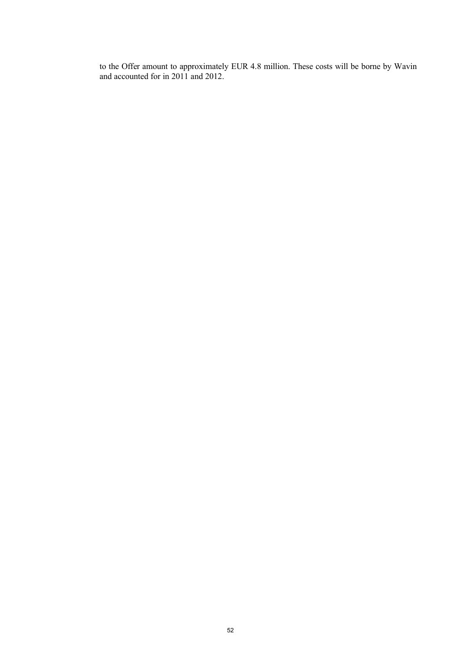to the Offer amount to approximately EUR 4.8 million. These costs will be borne by Wavin and accounted for in 2011 and 2012.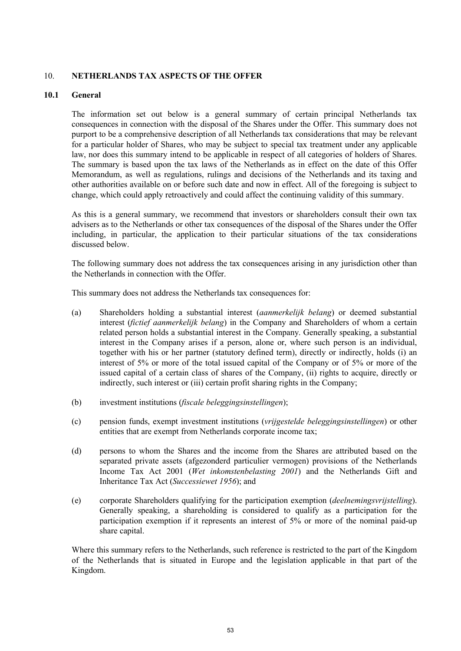## 10. **NETHERLANDS TAX ASPECTS OF THE OFFER**

### **10.1 General**

The information set out below is a general summary of certain principal Netherlands tax consequences in connection with the disposal of the Shares under the Offer. This summary does not purport to be a comprehensive description of all Netherlands tax considerations that may be relevant for a particular holder of Shares, who may be subject to special tax treatment under any applicable law, nor does this summary intend to be applicable in respect of all categories of holders of Shares. The summary is based upon the tax laws of the Netherlands as in effect on the date of this Offer Memorandum, as well as regulations, rulings and decisions of the Netherlands and its taxing and other authorities available on or before such date and now in effect. All of the foregoing is subject to change, which could apply retroactively and could affect the continuing validity of this summary.

As this is a general summary, we recommend that investors or shareholders consult their own tax advisers as to the Netherlands or other tax consequences of the disposal of the Shares under the Offer including, in particular, the application to their particular situations of the tax considerations discussed below.

The following summary does not address the tax consequences arising in any jurisdiction other than the Netherlands in connection with the Offer.

This summary does not address the Netherlands tax consequences for:

- (a) Shareholders holding a substantial interest (*aanmerkelijk belang*) or deemed substantial interest (*fictief aanmerkelijk belang*) in the Company and Shareholders of whom a certain related person holds a substantial interest in the Company. Generally speaking, a substantial interest in the Company arises if a person, alone or, where such person is an individual, together with his or her partner (statutory defined term), directly or indirectly, holds (i) an interest of 5% or more of the total issued capital of the Company or of 5% or more of the issued capital of a certain class of shares of the Company, (ii) rights to acquire, directly or indirectly, such interest or (iii) certain profit sharing rights in the Company;
- (b) investment institutions (*fiscale beleggingsinstellingen*);
- (c) pension funds, exempt investment institutions (*vrijgestelde beleggingsinstellingen*) or other entities that are exempt from Netherlands corporate income tax;
- (d) persons to whom the Shares and the income from the Shares are attributed based on the separated private assets (afgezonderd particulier vermogen) provisions of the Netherlands Income Tax Act 2001 (*Wet inkomstenbelasting 2001*) and the Netherlands Gift and Inheritance Tax Act (*Successiewet 1956*); and
- (e) corporate Shareholders qualifying for the participation exemption (*deelnemingsvrijstelling*). Generally speaking, a shareholding is considered to qualify as a participation for the participation exemption if it represents an interest of 5% or more of the nominal paid-up share capital.

Where this summary refers to the Netherlands, such reference is restricted to the part of the Kingdom of the Netherlands that is situated in Europe and the legislation applicable in that part of the Kingdom.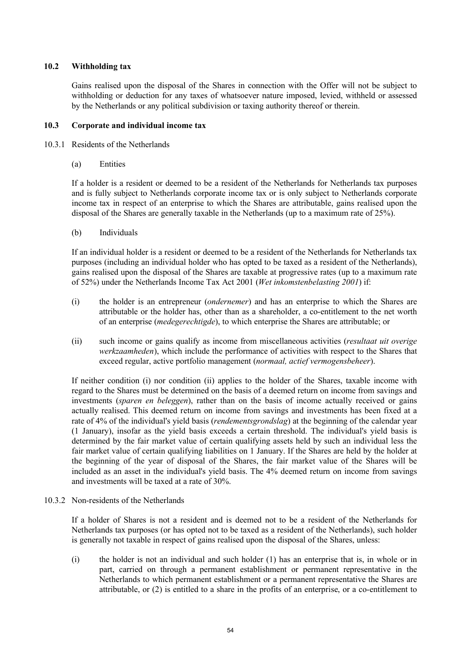## **10.2 Withholding tax**

Gains realised upon the disposal of the Shares in connection with the Offer will not be subject to withholding or deduction for any taxes of whatsoever nature imposed, levied, withheld or assessed by the Netherlands or any political subdivision or taxing authority thereof or therein.

#### **10.3 Corporate and individual income tax**

- 10.3.1 Residents of the Netherlands
	- (a) Entities

If a holder is a resident or deemed to be a resident of the Netherlands for Netherlands tax purposes and is fully subject to Netherlands corporate income tax or is only subject to Netherlands corporate income tax in respect of an enterprise to which the Shares are attributable, gains realised upon the disposal of the Shares are generally taxable in the Netherlands (up to a maximum rate of 25%).

(b) Individuals

If an individual holder is a resident or deemed to be a resident of the Netherlands for Netherlands tax purposes (including an individual holder who has opted to be taxed as a resident of the Netherlands), gains realised upon the disposal of the Shares are taxable at progressive rates (up to a maximum rate of 52%) under the Netherlands Income Tax Act 2001 (*Wet inkomstenbelasting 2001*) if:

- (i) the holder is an entrepreneur (*ondernemer*) and has an enterprise to which the Shares are attributable or the holder has, other than as a shareholder, a co-entitlement to the net worth of an enterprise (*medegerechtigde*), to which enterprise the Shares are attributable; or
- (ii) such income or gains qualify as income from miscellaneous activities (*resultaat uit overige werkzaamheden*), which include the performance of activities with respect to the Shares that exceed regular, active portfolio management (*normaal, actief vermogensbeheer*).

If neither condition (i) nor condition (ii) applies to the holder of the Shares, taxable income with regard to the Shares must be determined on the basis of a deemed return on income from savings and investments (*sparen en beleggen*), rather than on the basis of income actually received or gains actually realised. This deemed return on income from savings and investments has been fixed at a rate of 4% of the individual's yield basis (*rendementsgrondslag*) at the beginning of the calendar year (1 January), insofar as the yield basis exceeds a certain threshold. The individual's yield basis is determined by the fair market value of certain qualifying assets held by such an individual less the fair market value of certain qualifying liabilities on 1 January. If the Shares are held by the holder at the beginning of the year of disposal of the Shares, the fair market value of the Shares will be included as an asset in the individual's yield basis. The 4% deemed return on income from savings and investments will be taxed at a rate of 30%.

10.3.2 Non-residents of the Netherlands

If a holder of Shares is not a resident and is deemed not to be a resident of the Netherlands for Netherlands tax purposes (or has opted not to be taxed as a resident of the Netherlands), such holder is generally not taxable in respect of gains realised upon the disposal of the Shares, unless:

(i) the holder is not an individual and such holder (1) has an enterprise that is, in whole or in part, carried on through a permanent establishment or permanent representative in the Netherlands to which permanent establishment or a permanent representative the Shares are attributable, or (2) is entitled to a share in the profits of an enterprise, or a co-entitlement to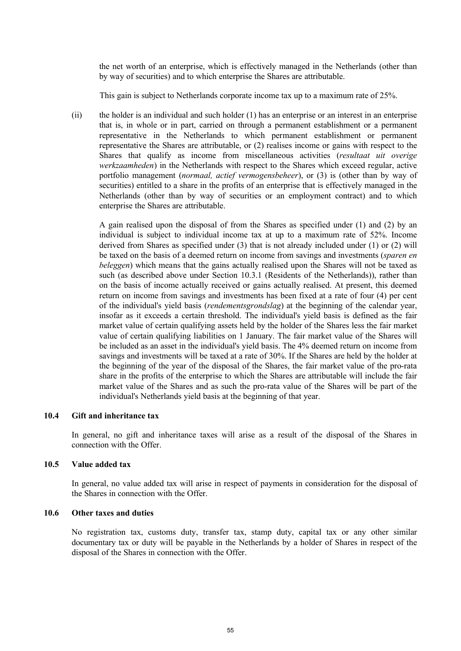the net worth of an enterprise, which is effectively managed in the Netherlands (other than by way of securities) and to which enterprise the Shares are attributable.

This gain is subject to Netherlands corporate income tax up to a maximum rate of 25%.

(ii) the holder is an individual and such holder (1) has an enterprise or an interest in an enterprise that is, in whole or in part, carried on through a permanent establishment or a permanent representative in the Netherlands to which permanent establishment or permanent representative the Shares are attributable, or (2) realises income or gains with respect to the Shares that qualify as income from miscellaneous activities (*resultaat uit overige werkzaamheden*) in the Netherlands with respect to the Shares which exceed regular, active portfolio management (*normaal, actief vermogensbeheer*), or (3) is (other than by way of securities) entitled to a share in the profits of an enterprise that is effectively managed in the Netherlands (other than by way of securities or an employment contract) and to which enterprise the Shares are attributable.

A gain realised upon the disposal of from the Shares as specified under (1) and (2) by an individual is subject to individual income tax at up to a maximum rate of 52%. Income derived from Shares as specified under (3) that is not already included under (1) or (2) will be taxed on the basis of a deemed return on income from savings and investments (*sparen en beleggen*) which means that the gains actually realised upon the Shares will not be taxed as such (as described above under Section 10.3.1 (Residents of the Netherlands)), rather than on the basis of income actually received or gains actually realised. At present, this deemed return on income from savings and investments has been fixed at a rate of four (4) per cent of the individual's yield basis (*rendementsgrondslag*) at the beginning of the calendar year, insofar as it exceeds a certain threshold. The individual's yield basis is defined as the fair market value of certain qualifying assets held by the holder of the Shares less the fair market value of certain qualifying liabilities on 1 January. The fair market value of the Shares will be included as an asset in the individual's yield basis. The 4% deemed return on income from savings and investments will be taxed at a rate of 30%. If the Shares are held by the holder at the beginning of the year of the disposal of the Shares, the fair market value of the pro-rata share in the profits of the enterprise to which the Shares are attributable will include the fair market value of the Shares and as such the pro-rata value of the Shares will be part of the individual's Netherlands yield basis at the beginning of that year.

## **10.4 Gift and inheritance tax**

In general, no gift and inheritance taxes will arise as a result of the disposal of the Shares in connection with the Offer.

### **10.5 Value added tax**

In general, no value added tax will arise in respect of payments in consideration for the disposal of the Shares in connection with the Offer.

### **10.6 Other taxes and duties**

No registration tax, customs duty, transfer tax, stamp duty, capital tax or any other similar documentary tax or duty will be payable in the Netherlands by a holder of Shares in respect of the disposal of the Shares in connection with the Offer.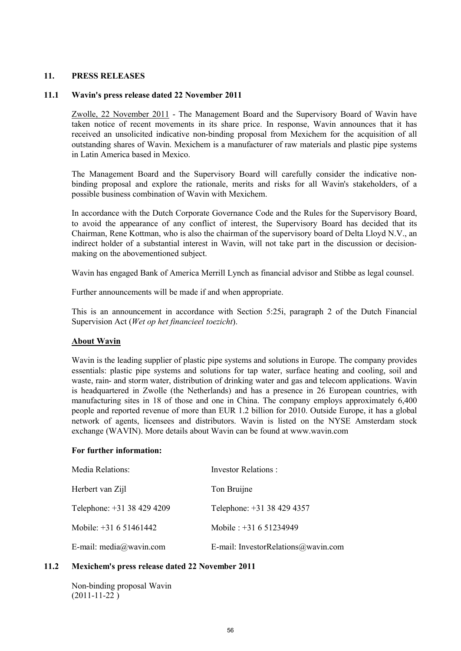### **11. PRESS RELEASES**

### **11.1 Wavin's press release dated 22 November 2011**

Zwolle, 22 November 2011 - The Management Board and the Supervisory Board of Wavin have taken notice of recent movements in its share price. In response, Wavin announces that it has received an unsolicited indicative non-binding proposal from Mexichem for the acquisition of all outstanding shares of Wavin. Mexichem is a manufacturer of raw materials and plastic pipe systems in Latin America based in Mexico.

The Management Board and the Supervisory Board will carefully consider the indicative nonbinding proposal and explore the rationale, merits and risks for all Wavin's stakeholders, of a possible business combination of Wavin with Mexichem.

In accordance with the Dutch Corporate Governance Code and the Rules for the Supervisory Board, to avoid the appearance of any conflict of interest, the Supervisory Board has decided that its Chairman, Rene Kottman, who is also the chairman of the supervisory board of Delta Lloyd N.V., an indirect holder of a substantial interest in Wavin, will not take part in the discussion or decisionmaking on the abovementioned subject.

Wavin has engaged Bank of America Merrill Lynch as financial advisor and Stibbe as legal counsel.

Further announcements will be made if and when appropriate.

This is an announcement in accordance with Section 5:25i, paragraph 2 of the Dutch Financial Supervision Act (*Wet op het financieel toezicht*).

## **About Wavin**

Wavin is the leading supplier of plastic pipe systems and solutions in Europe. The company provides essentials: plastic pipe systems and solutions for tap water, surface heating and cooling, soil and waste, rain- and storm water, distribution of drinking water and gas and telecom applications. Wavin is headquartered in Zwolle (the Netherlands) and has a presence in 26 European countries, with manufacturing sites in 18 of those and one in China. The company employs approximately 6,400 people and reported revenue of more than EUR 1.2 billion for 2010. Outside Europe, it has a global network of agents, licensees and distributors. Wavin is listed on the NYSE Amsterdam stock exchange (WAVIN). More details about Wavin can be found at <www.wavin.com>

### **For further information:**

| Media Relations:           | <b>Investor Relations:</b>          |
|----------------------------|-------------------------------------|
| Herbert van Zijl           | Ton Bruijne                         |
| Telephone: +31 38 429 4209 | Telephone: +31 38 429 4357          |
| Mobile: +31 6 51461442     | Mobile : +31 6 51234949             |
| E-mail: media@wavin.com    | E-mail: InvestorRelations@wavin.com |

### **11.2 Mexichem's press release dated 22 November 2011**

Non-binding proposal Wavin (2011-11-22 )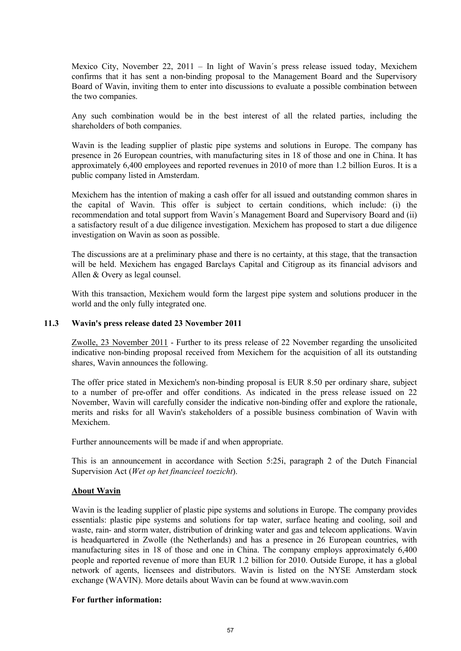Mexico City, November 22, 2011 – In light of Wavin´s press release issued today, Mexichem confirms that it has sent a non-binding proposal to the Management Board and the Supervisory Board of Wavin, inviting them to enter into discussions to evaluate a possible combination between the two companies.

Any such combination would be in the best interest of all the related parties, including the shareholders of both companies.

Wavin is the leading supplier of plastic pipe systems and solutions in Europe. The company has presence in 26 European countries, with manufacturing sites in 18 of those and one in China. It has approximately 6,400 employees and reported revenues in 2010 of more than 1.2 billion Euros. It is a public company listed in Amsterdam.

Mexichem has the intention of making a cash offer for all issued and outstanding common shares in the capital of Wavin. This offer is subject to certain conditions, which include: (i) the recommendation and total support from Wavin´s Management Board and Supervisory Board and (ii) a satisfactory result of a due diligence investigation. Mexichem has proposed to start a due diligence investigation on Wavin as soon as possible.

The discussions are at a preliminary phase and there is no certainty, at this stage, that the transaction will be held. Mexichem has engaged Barclays Capital and Citigroup as its financial advisors and Allen & Overy as legal counsel.

With this transaction, Mexichem would form the largest pipe system and solutions producer in the world and the only fully integrated one.

### **11.3 Wavin's press release dated 23 November 2011**

Zwolle, 23 November 2011 - Further to its press release of 22 November regarding the unsolicited indicative non-binding proposal received from Mexichem for the acquisition of all its outstanding shares, Wavin announces the following.

The offer price stated in Mexichem's non-binding proposal is EUR 8.50 per ordinary share, subject to a number of pre-offer and offer conditions. As indicated in the press release issued on 22 November, Wavin will carefully consider the indicative non-binding offer and explore the rationale, merits and risks for all Wavin's stakeholders of a possible business combination of Wavin with Mexichem.

Further announcements will be made if and when appropriate.

This is an announcement in accordance with Section 5:25i, paragraph 2 of the Dutch Financial Supervision Act (*Wet op het financieel toezicht*).

### **About Wavin**

Wavin is the leading supplier of plastic pipe systems and solutions in Europe. The company provides essentials: plastic pipe systems and solutions for tap water, surface heating and cooling, soil and waste, rain- and storm water, distribution of drinking water and gas and telecom applications. Wavin is headquartered in Zwolle (the Netherlands) and has a presence in 26 European countries, with manufacturing sites in 18 of those and one in China. The company employs approximately 6,400 people and reported revenue of more than EUR 1.2 billion for 2010. Outside Europe, it has a global network of agents, licensees and distributors. Wavin is listed on the NYSE Amsterdam stock exchange (WAVIN). More details about Wavin can be found at <www.wavin.com>

#### **For further information:**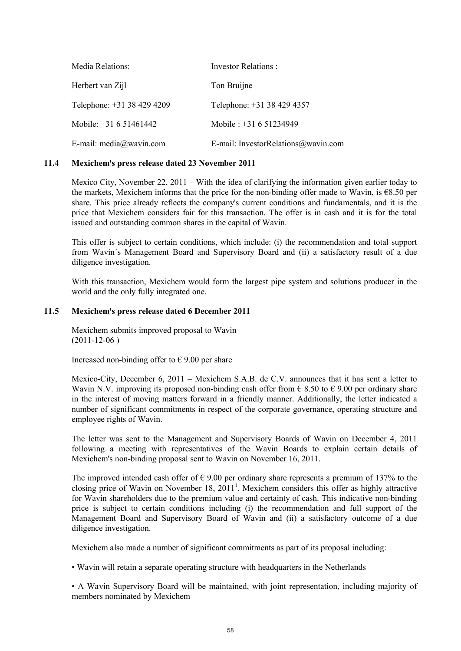| Media Relations:           | <b>Investor Relations:</b>          |
|----------------------------|-------------------------------------|
| Herbert van Zijl           | Ton Bruijne                         |
| Telephone: +31 38 429 4209 | Telephone: +31 38 429 4357          |
| Mobile: +31 6 51461442     | Mobile : +31 6 51234949             |
| E-mail: media@wavin.com    | E-mail: InvestorRelations@wavin.com |

### **11.4 Mexichem's press release dated 23 November 2011**

Mexico City, November 22, 2011 – With the idea of clarifying the information given earlier today to the markets, Mexichem informs that the price for the non-binding offer made to Wavin, is  $\epsilon$ 8.50 per share. This price already reflects the company's current conditions and fundamentals, and it is the price that Mexichem considers fair for this transaction. The offer is in cash and it is for the total issued and outstanding common shares in the capital of Wavin.

This offer is subject to certain conditions, which include: (i) the recommendation and total support from Wavin´s Management Board and Supervisory Board and (ii) a satisfactory result of a due diligence investigation.

With this transaction, Mexichem would form the largest pipe system and solutions producer in the world and the only fully integrated one.

#### **11.5 Mexichem's press release dated 6 December 2011**

Mexichem submits improved proposal to Wavin (2011-12-06 )

Increased non-binding offer to  $\epsilon$  9.00 per share

Mexico-City, December 6, 2011 – Mexichem S.A.B. de C.V. announces that it has sent a letter to Wavin N.V. improving its proposed non-binding cash offer from  $\in$  8.50 to  $\in$  9.00 per ordinary share in the interest of moving matters forward in a friendly manner. Additionally, the letter indicated a number of significant commitments in respect of the corporate governance, operating structure and employee rights of Wavin.

The letter was sent to the Management and Supervisory Boards of Wavin on December 4, 2011 following a meeting with representatives of the Wavin Boards to explain certain details of Mexichem's non-binding proposal sent to Wavin on November 16, 2011.

The improved intended cash offer of  $\epsilon$  9.00 per ordinary share represents a premium of 137% to the closing price of Wavin on November 18,  $2011<sup>1</sup>$ . Mexichem considers this offer as highly attractive for Wavin shareholders due to the premium value and certainty of cash. This indicative non-binding price is subject to certain conditions including (i) the recommendation and full support of the Management Board and Supervisory Board of Wavin and (ii) a satisfactory outcome of a due diligence investigation.

Mexichem also made a number of significant commitments as part of its proposal including:

• Wavin will retain a separate operating structure with headquarters in the Netherlands

• A Wavin Supervisory Board will be maintained, with joint representation, including majority of members nominated by Mexichem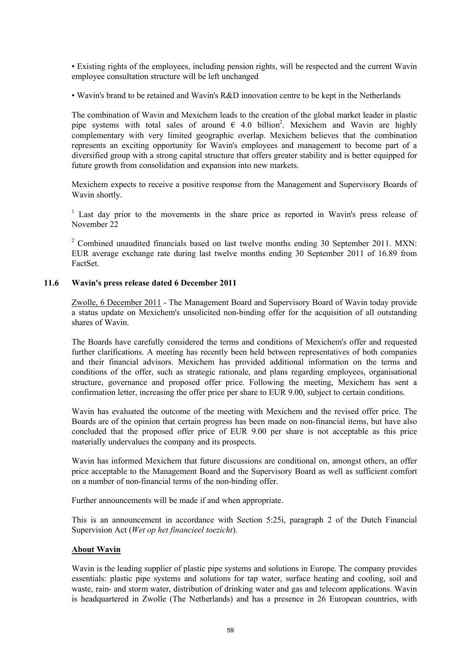• Existing rights of the employees, including pension rights, will be respected and the current Wavin employee consultation structure will be left unchanged

• Wavin's brand to be retained and Wavin's R&D innovation centre to be kept in the Netherlands

The combination of Wavin and Mexichem leads to the creation of the global market leader in plastic pipe systems with total sales of around  $\epsilon$  4.0 billion<sup>2</sup>. Mexichem and Wavin are highly complementary with very limited geographic overlap. Mexichem believes that the combination represents an exciting opportunity for Wavin's employees and management to become part of a diversified group with a strong capital structure that offers greater stability and is better equipped for future growth from consolidation and expansion into new markets.

Mexichem expects to receive a positive response from the Management and Supervisory Boards of Wavin shortly.

 $1$  Last day prior to the movements in the share price as reported in Wavin's press release of November 22

<sup>2</sup> Combined unaudited financials based on last twelve months ending 30 September 2011. MXN: EUR average exchange rate during last twelve months ending 30 September 2011 of 16.89 from FactSet.

### **11.6 Wavin's press release dated 6 December 2011**

Zwolle, 6 December 2011 - The Management Board and Supervisory Board of Wavin today provide a status update on Mexichem's unsolicited non-binding offer for the acquisition of all outstanding shares of Wavin.

The Boards have carefully considered the terms and conditions of Mexichem's offer and requested further clarifications. A meeting has recently been held between representatives of both companies and their financial advisors. Mexichem has provided additional information on the terms and conditions of the offer, such as strategic rationale, and plans regarding employees, organisational structure, governance and proposed offer price. Following the meeting, Mexichem has sent a confirmation letter, increasing the offer price per share to EUR 9.00, subject to certain conditions.

Wavin has evaluated the outcome of the meeting with Mexichem and the revised offer price. The Boards are of the opinion that certain progress has been made on non-financial items, but have also concluded that the proposed offer price of EUR 9.00 per share is not acceptable as this price materially undervalues the company and its prospects.

Wavin has informed Mexichem that future discussions are conditional on, amongst others, an offer price acceptable to the Management Board and the Supervisory Board as well as sufficient comfort on a number of non-financial terms of the non-binding offer.

Further announcements will be made if and when appropriate.

This is an announcement in accordance with Section 5:25i, paragraph 2 of the Dutch Financial Supervision Act (*Wet op het financieel toezicht*).

### **About Wavin**

Wavin is the leading supplier of plastic pipe systems and solutions in Europe. The company provides essentials: plastic pipe systems and solutions for tap water, surface heating and cooling, soil and waste, rain- and storm water, distribution of drinking water and gas and telecom applications. Wavin is headquartered in Zwolle (The Netherlands) and has a presence in 26 European countries, with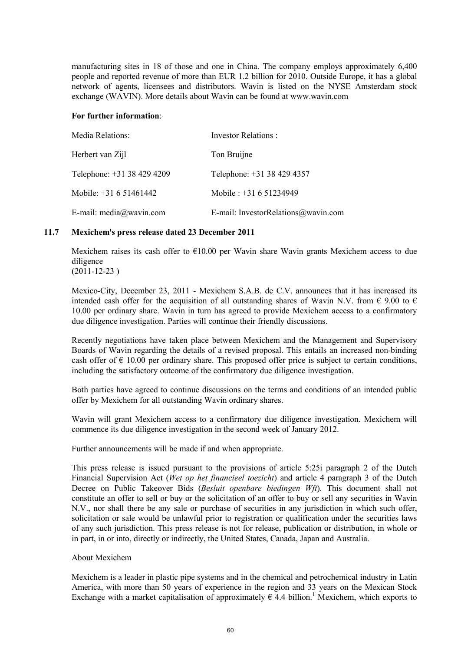manufacturing sites in 18 of those and one in China. The company employs approximately 6,400 people and reported revenue of more than EUR 1.2 billion for 2010. Outside Europe, it has a global network of agents, licensees and distributors. Wavin is listed on the NYSE Amsterdam stock exchange (WAVIN). More details about Wavin can be found at <www.wavin.com>

## **For further information**:

| Media Relations:           | <b>Investor Relations:</b>          |
|----------------------------|-------------------------------------|
| Herbert van Zijl           | Ton Bruijne                         |
| Telephone: +31 38 429 4209 | Telephone: +31 38 429 4357          |
| Mobile: +31 6 51461442     | Mobile: +31 6 51234949              |
| E-mail: media@wavin.com    | E-mail: InvestorRelations@wavin.com |

#### **11.7 Mexichem's press release dated 23 December 2011**

Mexichem raises its cash offer to  $E10.00$  per Wavin share Wavin grants Mexichem access to due diligence

(2011-12-23 )

Mexico-City, December 23, 2011 - Mexichem S.A.B. de C.V. announces that it has increased its intended cash offer for the acquisition of all outstanding shares of Wavin N.V. from  $\epsilon$  9.00 to  $\epsilon$ 10.00 per ordinary share. Wavin in turn has agreed to provide Mexichem access to a confirmatory due diligence investigation. Parties will continue their friendly discussions.

Recently negotiations have taken place between Mexichem and the Management and Supervisory Boards of Wavin regarding the details of a revised proposal. This entails an increased non-binding cash offer of  $\epsilon$  10.00 per ordinary share. This proposed offer price is subject to certain conditions, including the satisfactory outcome of the confirmatory due diligence investigation.

Both parties have agreed to continue discussions on the terms and conditions of an intended public offer by Mexichem for all outstanding Wavin ordinary shares.

Wavin will grant Mexichem access to a confirmatory due diligence investigation. Mexichem will commence its due diligence investigation in the second week of January 2012.

Further announcements will be made if and when appropriate.

This press release is issued pursuant to the provisions of article 5:25i paragraph 2 of the Dutch Financial Supervision Act (*Wet op het financieel toezicht*) and article 4 paragraph 3 of the Dutch Decree on Public Takeover Bids (*Besluit openbare biedingen Wft*). This document shall not constitute an offer to sell or buy or the solicitation of an offer to buy or sell any securities in Wavin N.V., nor shall there be any sale or purchase of securities in any jurisdiction in which such offer, solicitation or sale would be unlawful prior to registration or qualification under the securities laws of any such jurisdiction. This press release is not for release, publication or distribution, in whole or in part, in or into, directly or indirectly, the United States, Canada, Japan and Australia.

### About Mexichem

Mexichem is a leader in plastic pipe systems and in the chemical and petrochemical industry in Latin America, with more than 50 years of experience in the region and 33 years on the Mexican Stock Exchange with a market capitalisation of approximately  $\epsilon$  4.4 billion.<sup>1</sup> Mexichem, which exports to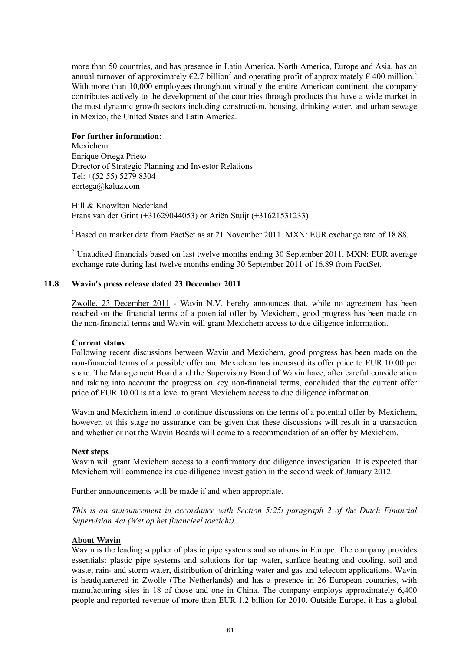more than 50 countries, and has presence in Latin America, North America, Europe and Asia, has an annual turnover of approximately  $\epsilon$ 2.7 billion<sup>2</sup> and operating profit of approximately  $\epsilon$  400 million.<sup>2</sup> With more than 10,000 employees throughout virtually the entire American continent, the company contributes actively to the development of the countries through products that have a wide market in the most dynamic growth sectors including construction, housing, drinking water, and urban sewage in Mexico, the United States and Latin America.

#### **For further information:**

Mexichem Enrique Ortega Prieto Director of Strategic Planning and Investor Relations Tel: +(52 55) 5279 8304 eortega@kaluz.com

Hill & Knowlton Nederland Frans van der Grint (+31629044053) or Ariën Stuijt (+31621531233)

<sup>1</sup> Based on market data from FactSet as at 21 November 2011. MXN: EUR exchange rate of 18.88.

<sup>2</sup> Unaudited financials based on last twelve months ending 30 September 2011. MXN: EUR average exchange rate during last twelve months ending 30 September 2011 of 16.89 from FactSet.

### **11.8 Wavin's press release dated 23 December 2011**

Zwolle, 23 December 2011 - Wavin N.V. hereby announces that, while no agreement has been reached on the financial terms of a potential offer by Mexichem, good progress has been made on the non-financial terms and Wavin will grant Mexichem access to due diligence information.

#### **Current status**

Following recent discussions between Wavin and Mexichem, good progress has been made on the non-financial terms of a possible offer and Mexichem has increased its offer price to EUR 10.00 per share. The Management Board and the Supervisory Board of Wavin have, after careful consideration and taking into account the progress on key non-financial terms, concluded that the current offer price of EUR 10.00 is at a level to grant Mexichem access to due diligence information.

Wavin and Mexichem intend to continue discussions on the terms of a potential offer by Mexichem, however, at this stage no assurance can be given that these discussions will result in a transaction and whether or not the Wavin Boards will come to a recommendation of an offer by Mexichem.

#### **Next steps**

Wavin will grant Mexichem access to a confirmatory due diligence investigation. It is expected that Mexichem will commence its due diligence investigation in the second week of January 2012.

Further announcements will be made if and when appropriate.

*This is an announcement in accordance with Section 5:25i paragraph 2 of the Dutch Financial Supervision Act (Wet op het financieel toezicht).*

### **About Wavin**

Wavin is the leading supplier of plastic pipe systems and solutions in Europe. The company provides essentials: plastic pipe systems and solutions for tap water, surface heating and cooling, soil and waste, rain- and storm water, distribution of drinking water and gas and telecom applications. Wavin is headquartered in Zwolle (The Netherlands) and has a presence in 26 European countries, with manufacturing sites in 18 of those and one in China. The company employs approximately 6,400 people and reported revenue of more than EUR 1.2 billion for 2010. Outside Europe, it has a global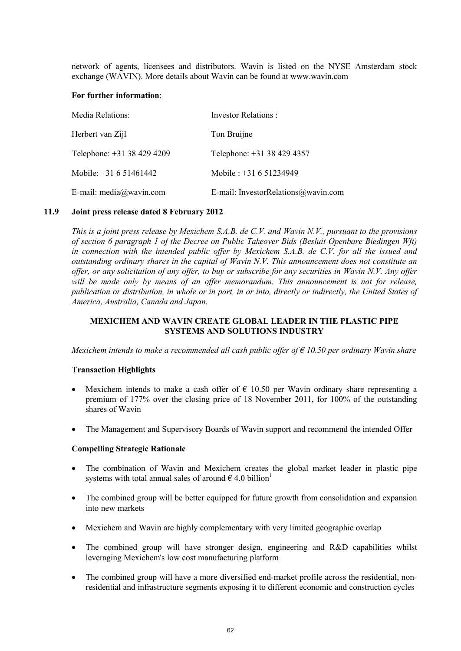network of agents, licensees and distributors. Wavin is listed on the NYSE Amsterdam stock exchange (WAVIN). More details about Wavin can be found at <www.wavin.com>

#### **For further information**:

| Media Relations:           | <b>Investor Relations:</b>          |
|----------------------------|-------------------------------------|
| Herbert van Zijl           | Ton Bruijne                         |
| Telephone: +31 38 429 4209 | Telephone: +31 38 429 4357          |
| Mobile: +31 6 51461442     | Mobile : +31 6 51234949             |
| E-mail: media@wavin.com    | E-mail: InvestorRelations@wavin.com |

#### **11.9 Joint press release dated 8 February 2012**

*This is a joint press release by Mexichem S.A.B. de C.V. and Wavin N.V., pursuant to the provisions of section 6 paragraph 1 of the Decree on Public Takeover Bids (Besluit Openbare Biedingen Wft) in connection with the intended public offer by Mexichem S.A.B. de C.V. for all the issued and outstanding ordinary shares in the capital of Wavin N.V. This announcement does not constitute an offer, or any solicitation of any offer, to buy or subscribe for any securities in Wavin N.V. Any offer*  will be made only by means of an offer memorandum. This announcement is not for release, *publication or distribution, in whole or in part, in or into, directly or indirectly, the United States of America, Australia, Canada and Japan.*

### **MEXICHEM AND WAVIN CREATE GLOBAL LEADER IN THE PLASTIC PIPE SYSTEMS AND SOLUTIONS INDUSTRY**

*Mexichem intends to make a recommended all cash public offer of € 10.50 per ordinary Wavin share*

### **Transaction Highlights**

- Mexichem intends to make a cash offer of  $\epsilon$  10.50 per Wavin ordinary share representing a premium of 177% over the closing price of 18 November 2011, for 100% of the outstanding shares of Wavin
- The Management and Supervisory Boards of Wavin support and recommend the intended Offer

#### **Compelling Strategic Rationale**

- The combination of Wavin and Mexichem creates the global market leader in plastic pipe systems with total annual sales of around  $\epsilon$  4.0 billion<sup>1</sup>
- The combined group will be better equipped for future growth from consolidation and expansion into new markets
- Mexichem and Wavin are highly complementary with very limited geographic overlap
- The combined group will have stronger design, engineering and R&D capabilities whilst leveraging Mexichem's low cost manufacturing platform
- The combined group will have a more diversified end-market profile across the residential, nonresidential and infrastructure segments exposing it to different economic and construction cycles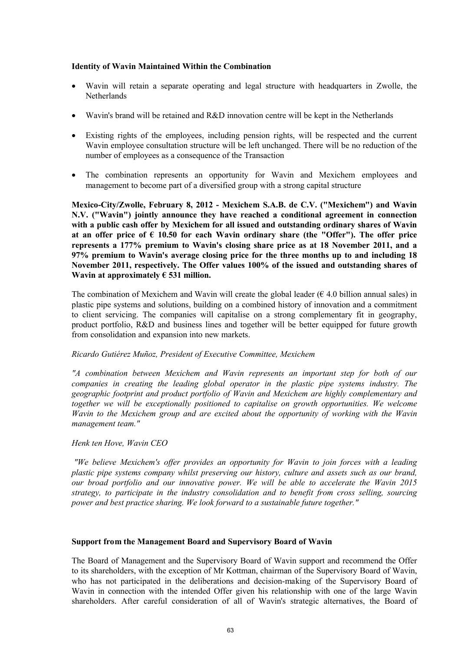### **Identity of Wavin Maintained Within the Combination**

- Wavin will retain a separate operating and legal structure with headquarters in Zwolle, the Netherlands
- Wavin's brand will be retained and R&D innovation centre will be kept in the Netherlands
- Existing rights of the employees, including pension rights, will be respected and the current Wavin employee consultation structure will be left unchanged. There will be no reduction of the number of employees as a consequence of the Transaction
- The combination represents an opportunity for Wavin and Mexichem employees and management to become part of a diversified group with a strong capital structure

**Mexico-City/Zwolle, February 8, 2012 - Mexichem S.A.B. de C.V. ("Mexichem") and Wavin N.V. ("Wavin") jointly announce they have reached a conditional agreement in connection with a public cash offer by Mexichem for all issued and outstanding ordinary shares of Wavin**  at an offer price of  $\epsilon$  10.50 for each Wavin ordinary share (the "Offer"). The offer price **represents a 177% premium to Wavin's closing share price as at 18 November 2011, and a 97% premium to Wavin's average closing price for the three months up to and including 18 November 2011, respectively. The Offer values 100% of the issued and outstanding shares of Wavin at approximately € 531 million.**

The combination of Mexichem and Wavin will create the global leader ( $64.0$  billion annual sales) in plastic pipe systems and solutions, building on a combined history of innovation and a commitment to client servicing. The companies will capitalise on a strong complementary fit in geography, product portfolio, R&D and business lines and together will be better equipped for future growth from consolidation and expansion into new markets.

### *Ricardo Gutiérez Muñoz, President of Executive Committee, Mexichem*

*"A combination between Mexichem and Wavin represents an important step for both of our companies in creating the leading global operator in the plastic pipe systems industry. The geographic footprint and product portfolio of Wavin and Mexichem are highly complementary and together we will be exceptionally positioned to capitalise on growth opportunities. We welcome Wavin to the Mexichem group and are excited about the opportunity of working with the Wavin management team."* 

### *Henk ten Hove, Wavin CEO*

*"We believe Mexichem's offer provides an opportunity for Wavin to join forces with a leading plastic pipe systems company whilst preserving our history, culture and assets such as our brand, our broad portfolio and our innovative power. We will be able to accelerate the Wavin 2015 strategy, to participate in the industry consolidation and to benefit from cross selling, sourcing power and best practice sharing. We look forward to a sustainable future together."* 

### **Support from the Management Board and Supervisory Board of Wavin**

The Board of Management and the Supervisory Board of Wavin support and recommend the Offer to its shareholders, with the exception of Mr Kottman, chairman of the Supervisory Board of Wavin, who has not participated in the deliberations and decision-making of the Supervisory Board of Wavin in connection with the intended Offer given his relationship with one of the large Wavin shareholders. After careful consideration of all of Wavin's strategic alternatives, the Board of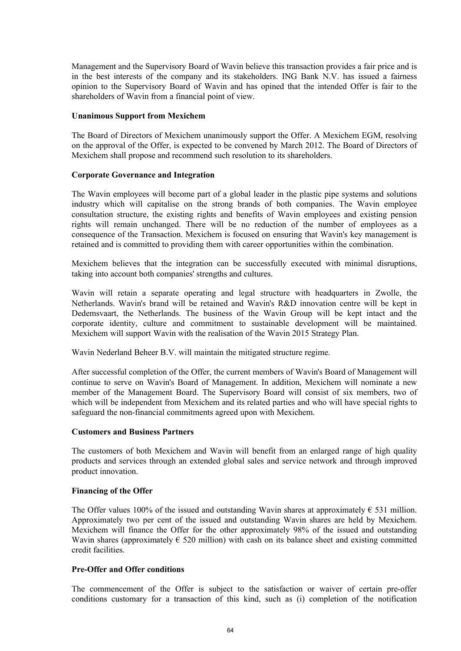Management and the Supervisory Board of Wavin believe this transaction provides a fair price and is in the best interests of the company and its stakeholders. ING Bank N.V. has issued a fairness opinion to the Supervisory Board of Wavin and has opined that the intended Offer is fair to the shareholders of Wavin from a financial point of view.

#### **Unanimous Support from Mexichem**

The Board of Directors of Mexichem unanimously support the Offer. A Mexichem EGM, resolving on the approval of the Offer, is expected to be convened by March 2012. The Board of Directors of Mexichem shall propose and recommend such resolution to its shareholders.

### **Corporate Governance and Integration**

The Wavin employees will become part of a global leader in the plastic pipe systems and solutions industry which will capitalise on the strong brands of both companies. The Wavin employee consultation structure, the existing rights and benefits of Wavin employees and existing pension rights will remain unchanged. There will be no reduction of the number of employees as a consequence of the Transaction. Mexichem is focused on ensuring that Wavin's key management is retained and is committed to providing them with career opportunities within the combination.

Mexichem believes that the integration can be successfully executed with minimal disruptions, taking into account both companies' strengths and cultures.

Wavin will retain a separate operating and legal structure with headquarters in Zwolle, the Netherlands. Wavin's brand will be retained and Wavin's R&D innovation centre will be kept in Dedemsvaart, the Netherlands. The business of the Wavin Group will be kept intact and the corporate identity, culture and commitment to sustainable development will be maintained. Mexichem will support Wavin with the realisation of the Wavin 2015 Strategy Plan.

Wavin Nederland Beheer B.V. will maintain the mitigated structure regime.

After successful completion of the Offer, the current members of Wavin's Board of Management will continue to serve on Wavin's Board of Management. In addition, Mexichem will nominate a new member of the Management Board. The Supervisory Board will consist of six members, two of which will be independent from Mexichem and its related parties and who will have special rights to safeguard the non-financial commitments agreed upon with Mexichem.

#### **Customers and Business Partners**

The customers of both Mexichem and Wavin will benefit from an enlarged range of high quality products and services through an extended global sales and service network and through improved product innovation.

#### **Financing of the Offer**

The Offer values 100% of the issued and outstanding Wavin shares at approximately  $\epsilon$  531 million. Approximately two per cent of the issued and outstanding Wavin shares are held by Mexichem. Mexichem will finance the Offer for the other approximately 98% of the issued and outstanding Wavin shares (approximately  $\epsilon$  520 million) with cash on its balance sheet and existing committed credit facilities.

#### **Pre-Offer and Offer conditions**

The commencement of the Offer is subject to the satisfaction or waiver of certain pre-offer conditions customary for a transaction of this kind, such as (i) completion of the notification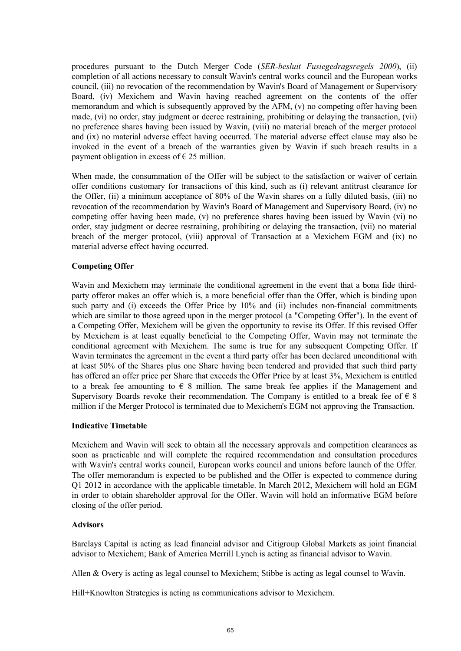procedures pursuant to the Dutch Merger Code (*SER-besluit Fusiegedragsregels 2000*), (ii) completion of all actions necessary to consult Wavin's central works council and the European works council, (iii) no revocation of the recommendation by Wavin's Board of Management or Supervisory Board, (iv) Mexichem and Wavin having reached agreement on the contents of the offer memorandum and which is subsequently approved by the AFM, (v) no competing offer having been made, (vi) no order, stay judgment or decree restraining, prohibiting or delaying the transaction, (vii) no preference shares having been issued by Wavin, (viii) no material breach of the merger protocol and (ix) no material adverse effect having occurred. The material adverse effect clause may also be invoked in the event of a breach of the warranties given by Wavin if such breach results in a payment obligation in excess of  $\epsilon$  25 million.

When made, the consummation of the Offer will be subject to the satisfaction or waiver of certain offer conditions customary for transactions of this kind, such as (i) relevant antitrust clearance for the Offer, (ii) a minimum acceptance of 80% of the Wavin shares on a fully diluted basis, (iii) no revocation of the recommendation by Wavin's Board of Management and Supervisory Board, (iv) no competing offer having been made, (v) no preference shares having been issued by Wavin (vi) no order, stay judgment or decree restraining, prohibiting or delaying the transaction, (vii) no material breach of the merger protocol, (viii) approval of Transaction at a Mexichem EGM and (ix) no material adverse effect having occurred.

## **Competing Offer**

Wavin and Mexichem may terminate the conditional agreement in the event that a bona fide thirdparty offeror makes an offer which is, a more beneficial offer than the Offer, which is binding upon such party and (i) exceeds the Offer Price by 10% and (ii) includes non-financial commitments which are similar to those agreed upon in the merger protocol (a "Competing Offer"). In the event of a Competing Offer, Mexichem will be given the opportunity to revise its Offer. If this revised Offer by Mexichem is at least equally beneficial to the Competing Offer, Wavin may not terminate the conditional agreement with Mexichem. The same is true for any subsequent Competing Offer. If Wavin terminates the agreement in the event a third party offer has been declared unconditional with at least 50% of the Shares plus one Share having been tendered and provided that such third party has offered an offer price per Share that exceeds the Offer Price by at least 3%, Mexichem is entitled to a break fee amounting to  $\epsilon$  8 million. The same break fee applies if the Management and Supervisory Boards revoke their recommendation. The Company is entitled to a break fee of  $\in$  8 million if the Merger Protocol is terminated due to Mexichem's EGM not approving the Transaction.

### **Indicative Timetable**

Mexichem and Wavin will seek to obtain all the necessary approvals and competition clearances as soon as practicable and will complete the required recommendation and consultation procedures with Wavin's central works council, European works council and unions before launch of the Offer. The offer memorandum is expected to be published and the Offer is expected to commence during Q1 2012 in accordance with the applicable timetable. In March 2012, Mexichem will hold an EGM in order to obtain shareholder approval for the Offer. Wavin will hold an informative EGM before closing of the offer period.

### **Advisors**

Barclays Capital is acting as lead financial advisor and Citigroup Global Markets as joint financial advisor to Mexichem; Bank of America Merrill Lynch is acting as financial advisor to Wavin.

Allen & Overy is acting as legal counsel to Mexichem; Stibbe is acting as legal counsel to Wavin.

Hill+Knowlton Strategies is acting as communications advisor to Mexichem.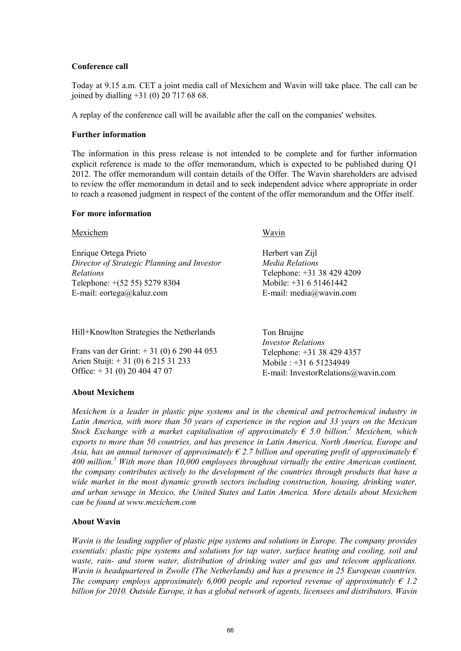### **Conference call**

Today at 9.15 a.m. CET a joint media call of Mexichem and Wavin will take place. The call can be joined by dialling +31 (0) 20 717 68 68.

A replay of the conference call will be available after the call on the companies' websites.

## **Further information**

The information in this press release is not intended to be complete and for further information explicit reference is made to the offer memorandum, which is expected to be published during Q1 2012. The offer memorandum will contain details of the Offer. The Wavin shareholders are advised to review the offer memorandum in detail and to seek independent advice where appropriate in order to reach a reasoned judgment in respect of the content of the offer memorandum and the Offer itself.

### **For more information**

| Mexichem                                                             | Wavin                               |
|----------------------------------------------------------------------|-------------------------------------|
| Enrique Ortega Prieto<br>Director of Strategic Planning and Investor | Herbert van Zijl<br>Media Relations |
| <b>Relations</b>                                                     | Telephone: +31 38 429 4209          |
| Telephone: +(52 55) 5279 8304                                        | Mobile: +31 6 51461442              |
| E-mail: eortega@kaluz.com                                            | E-mail: media@wavin.com             |

Hill+Knowlton Strategies the Netherlands Frans van der Grint: + 31 (0) 6 290 44 053 Arien Stuijt: + 31 (0) 6 215 31 233 Office: + 31 (0) 20 404 47 07 Ton Bruijne *Investor Relations* Telephone: +31 38 429 4357 Mobile : +31 6 51234949 E-mail: InvestorRelations@wavin.com

## **About Mexichem**

*Mexichem is a leader in plastic pipe systems and in the chemical and petrochemical industry in Latin America, with more than 50 years of experience in the region and 33 years on the Mexican Stock Exchange with a market capitalisation of approximately*  $\epsilon$  *5.0 billion.*<sup>2</sup> *Mexichem, which exports to more than 50 countries, and has presence in Latin America, North America, Europe and Asia, has an annual turnover of approximately € 2.7 billion and operating profit of approximately € 400 million.<sup>3</sup> With more than 10,000 employees throughout virtually the entire American continent, the company contributes actively to the development of the countries through products that have a wide market in the most dynamic growth sectors including construction, housing, drinking water, and urban sewage in Mexico, the United States and Latin America. More details about Mexichem can be found at <www.mexichem.com>*

## **About Wavin**

*Wavin is the leading supplier of plastic pipe systems and solutions in Europe. The company provides essentials: plastic pipe systems and solutions for tap water, surface heating and cooling, soil and waste, rain- and storm water, distribution of drinking water and gas and telecom applications. Wavin is headquartered in Zwolle (The Netherlands) and has a presence in 25 European countries. The company employs approximately 6,000 people and reported revenue of approximately*  $\epsilon$  *1.2 billion for 2010. Outside Europe, it has a global network of agents, licensees and distributors. Wavin*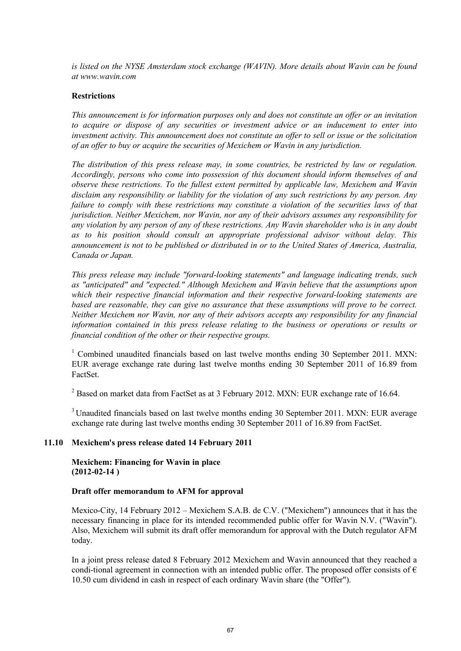*is listed on the NYSE Amsterdam stock exchange (WAVIN). More details about Wavin can be found at <www.wavin.com>*

#### **Restrictions**

*This announcement is for information purposes only and does not constitute an offer or an invitation to acquire or dispose of any securities or investment advice or an inducement to enter into investment activity. This announcement does not constitute an offer to sell or issue or the solicitation of an offer to buy or acquire the securities of Mexichem or Wavin in any jurisdiction.*

*The distribution of this press release may, in some countries, be restricted by law or regulation. Accordingly, persons who come into possession of this document should inform themselves of and observe these restrictions. To the fullest extent permitted by applicable law, Mexichem and Wavin disclaim any responsibility or liability for the violation of any such restrictions by any person. Any failure to comply with these restrictions may constitute a violation of the securities laws of that jurisdiction. Neither Mexichem, nor Wavin, nor any of their advisors assumes any responsibility for any violation by any person of any of these restrictions. Any Wavin shareholder who is in any doubt as to his position should consult an appropriate professional advisor without delay. This announcement is not to be published or distributed in or to the United States of America, Australia, Canada or Japan.*

*This press release may include "forward-looking statements" and language indicating trends, such as "anticipated" and "expected." Although Mexichem and Wavin believe that the assumptions upon which their respective financial information and their respective forward-looking statements are based are reasonable, they can give no assurance that these assumptions will prove to be correct. Neither Mexichem nor Wavin, nor any of their advisors accepts any responsibility for any financial information contained in this press release relating to the business or operations or results or financial condition of the other or their respective groups.*

<sup>1</sup> Combined unaudited financials based on last twelve months ending 30 September 2011. MXN: EUR average exchange rate during last twelve months ending 30 September 2011 of 16.89 from FactSet.

<sup>2</sup> Based on market data from FactSet as at 3 February 2012. MXN: EUR exchange rate of 16.64.

<sup>3</sup> Unaudited financials based on last twelve months ending 30 September 2011. MXN: EUR average exchange rate during last twelve months ending 30 September 2011 of 16.89 from FactSet.

#### **11.10 Mexichem's press release dated 14 February 2011**

**Mexichem: Financing for Wavin in place (2012-02-14 )**

#### **Draft offer memorandum to AFM for approval**

Mexico-City, 14 February 2012 – Mexichem S.A.B. de C.V. ("Mexichem") announces that it has the necessary financing in place for its intended recommended public offer for Wavin N.V. ("Wavin"). Also, Mexichem will submit its draft offer memorandum for approval with the Dutch regulator AFM today.

In a joint press release dated 8 February 2012 Mexichem and Wavin announced that they reached a condi-tional agreement in connection with an intended public offer. The proposed offer consists of  $\epsilon$ 10.50 cum dividend in cash in respect of each ordinary Wavin share (the "Offer").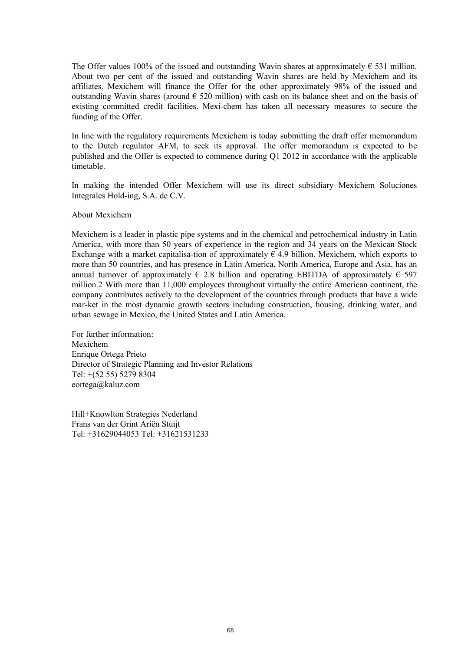The Offer values 100% of the issued and outstanding Wavin shares at approximately  $\epsilon$  531 million. About two per cent of the issued and outstanding Wavin shares are held by Mexichem and its affiliates. Mexichem will finance the Offer for the other approximately 98% of the issued and outstanding Wavin shares (around  $\epsilon$  520 million) with cash on its balance sheet and on the basis of existing committed credit facilities. Mexi-chem has taken all necessary measures to secure the funding of the Offer.

In line with the regulatory requirements Mexichem is today submitting the draft offer memorandum to the Dutch regulator AFM, to seek its approval. The offer memorandum is expected to be published and the Offer is expected to commence during Q1 2012 in accordance with the applicable timetable.

In making the intended Offer Mexichem will use its direct subsidiary Mexichem Soluciones Integrales Hold-ing, S.A. de C.V.

#### About Mexichem

Mexichem is a leader in plastic pipe systems and in the chemical and petrochemical industry in Latin America, with more than 50 years of experience in the region and 34 years on the Mexican Stock Exchange with a market capitalisa-tion of approximately  $\epsilon$  4.9 billion. Mexichem, which exports to more than 50 countries, and has presence in Latin America, North America, Europe and Asia, has an annual turnover of approximately  $\epsilon$  2.8 billion and operating EBITDA of approximately  $\epsilon$  597 million.2 With more than 11,000 employees throughout virtually the entire American continent, the company contributes actively to the development of the countries through products that have a wide mar-ket in the most dynamic growth sectors including construction, housing, drinking water, and urban sewage in Mexico, the United States and Latin America.

For further information: Mexichem Enrique Ortega Prieto Director of Strategic Planning and Investor Relations Tel: +(52 55) 5279 8304 eortega@kaluz.com

Hill+Knowlton Strategies Nederland Frans van der Grint Ariën Stuijt Tel: +31629044053 Tel: +31621531233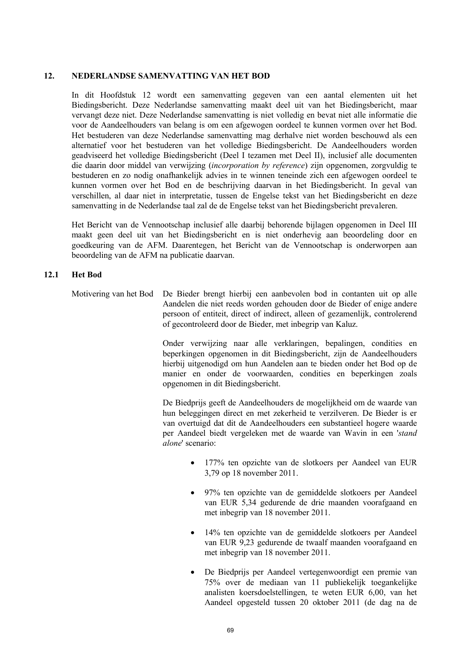### **12. NEDERLANDSE SAMENVATTING VAN HET BOD**

In dit Hoofdstuk 12 wordt een samenvatting gegeven van een aantal elementen uit het Biedingsbericht. Deze Nederlandse samenvatting maakt deel uit van het Biedingsbericht, maar vervangt deze niet. Deze Nederlandse samenvatting is niet volledig en bevat niet alle informatie die voor de Aandeelhouders van belang is om een afgewogen oordeel te kunnen vormen over het Bod. Het bestuderen van deze Nederlandse samenvatting mag derhalve niet worden beschouwd als een alternatief voor het bestuderen van het volledige Biedingsbericht. De Aandeelhouders worden geadviseerd het volledige Biedingsbericht (Deel I tezamen met Deel II), inclusief alle documenten die daarin door middel van verwijzing (*incorporation by reference*) zijn opgenomen, zorgvuldig te bestuderen en zo nodig onafhankelijk advies in te winnen teneinde zich een afgewogen oordeel te kunnen vormen over het Bod en de beschrijving daarvan in het Biedingsbericht. In geval van verschillen, al daar niet in interpretatie, tussen de Engelse tekst van het Biedingsbericht en deze samenvatting in de Nederlandse taal zal de de Engelse tekst van het Biedingsbericht prevaleren.

Het Bericht van de Vennootschap inclusief alle daarbij behorende bijlagen opgenomen in Deel III maakt geen deel uit van het Biedingsbericht en is niet onderhevig aan beoordeling door en goedkeuring van de AFM. Daarentegen, het Bericht van de Vennootschap is onderworpen aan beoordeling van de AFM na publicatie daarvan.

### **12.1 Het Bod**

Motivering van het Bod De Bieder brengt hierbij een aanbevolen bod in contanten uit op alle Aandelen die niet reeds worden gehouden door de Bieder of enige andere persoon of entiteit, direct of indirect, alleen of gezamenlijk, controlerend of gecontroleerd door de Bieder, met inbegrip van Kaluz.

> Onder verwijzing naar alle verklaringen, bepalingen, condities en beperkingen opgenomen in dit Biedingsbericht, zijn de Aandeelhouders hierbij uitgenodigd om hun Aandelen aan te bieden onder het Bod op de manier en onder de voorwaarden, condities en beperkingen zoals opgenomen in dit Biedingsbericht.

> De Biedprijs geeft de Aandeelhouders de mogelijkheid om de waarde van hun beleggingen direct en met zekerheid te verzilveren. De Bieder is er van overtuigd dat dit de Aandeelhouders een substantieel hogere waarde per Aandeel biedt vergeleken met de waarde van Wavin in een '*stand alone*' scenario:

- · 177% ten opzichte van de slotkoers per Aandeel van EUR 3,79 op 18 november 2011.
- · 97% ten opzichte van de gemiddelde slotkoers per Aandeel van EUR 5,34 gedurende de drie maanden voorafgaand en met inbegrip van 18 november 2011.
- · 14% ten opzichte van de gemiddelde slotkoers per Aandeel van EUR 9,23 gedurende de twaalf maanden voorafgaand en met inbegrip van 18 november 2011.
- · De Biedprijs per Aandeel vertegenwoordigt een premie van 75% over de mediaan van 11 publiekelijk toegankelijke analisten koersdoelstellingen, te weten EUR 6,00, van het Aandeel opgesteld tussen 20 oktober 2011 (de dag na de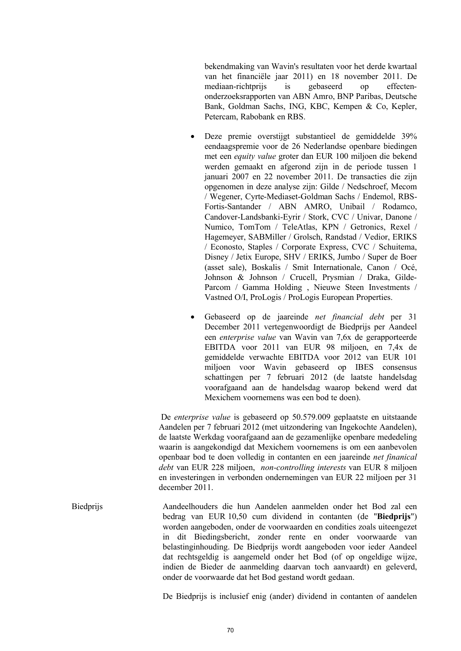bekendmaking van Wavin's resultaten voor het derde kwartaal van het financiële jaar 2011) en 18 november 2011. De mediaan-richtprijs is gebaseerd op effectenonderzoeksrapporten van ABN Amro, BNP Paribas, Deutsche Bank, Goldman Sachs, ING, KBC, Kempen & Co, Kepler, Petercam, Rabobank en RBS.

- Deze premie overstijgt substantieel de gemiddelde 39% eendaagspremie voor de 26 Nederlandse openbare biedingen met een *equity value* groter dan EUR 100 miljoen die bekend werden gemaakt en afgerond zijn in de periode tussen 1 januari 2007 en 22 november 2011. De transacties die zijn opgenomen in deze analyse zijn: Gilde / Nedschroef, Mecom / Wegener, Cyrte-Mediaset-Goldman Sachs / Endemol, RBS-Fortis-Santander / ABN AMRO, Unibail / Rodamco, Candover-Landsbanki-Eyrir / Stork, CVC / Univar, Danone / Numico, TomTom / TeleAtlas, KPN / Getronics, Rexel / Hagemeyer, SABMiller / Grolsch, Randstad / Vedior, ERIKS / Econosto, Staples / Corporate Express, CVC / Schuitema, Disney / Jetix Europe, SHV / ERIKS, Jumbo / Super de Boer (asset sale), Boskalis / Smit Internationale, Canon / Océ, Johnson & Johnson / Crucell, Prysmian / Draka, Gilde-Parcom / Gamma Holding , Nieuwe Steen Investments / Vastned O/I, ProLogis / ProLogis European Properties.
- · Gebaseerd op de jaareinde *net financial debt* per 31 December 2011 vertegenwoordigt de Biedprijs per Aandeel een *enterprise value* van Wavin van 7,6x de gerapporteerde EBITDA voor 2011 van EUR 98 miljoen, en 7,4x de gemiddelde verwachte EBITDA voor 2012 van EUR 101 miljoen voor Wavin gebaseerd op IBES consensus schattingen per 7 februari 2012 (de laatste handelsdag voorafgaand aan de handelsdag waarop bekend werd dat Mexichem voornemens was een bod te doen).

De *enterprise value* is gebaseerd op 50.579.009 geplaatste en uitstaande Aandelen per 7 februari 2012 (met uitzondering van Ingekochte Aandelen), de laatste Werkdag voorafgaand aan de gezamenlijke openbare mededeling waarin is aangekondigd dat Mexichem voornemens is om een aanbevolen openbaar bod te doen volledig in contanten en een jaareinde *net finanical debt* van EUR 228 miljoen, *non-controlling interests* van EUR 8 miljoen en investeringen in verbonden ondernemingen van EUR 22 miljoen per 31 december 2011.

Biedprijs Aandeelhouders die hun Aandelen aanmelden onder het Bod zal een bedrag van EUR 10,50 cum dividend in contanten (de "**Biedprijs**") worden aangeboden, onder de voorwaarden en condities zoals uiteengezet in dit Biedingsbericht, zonder rente en onder voorwaarde van belastinginhouding. De Biedprijs wordt aangeboden voor ieder Aandeel dat rechtsgeldig is aangemeld onder het Bod (of op ongeldige wijze, indien de Bieder de aanmelding daarvan toch aanvaardt) en geleverd, onder de voorwaarde dat het Bod gestand wordt gedaan.

De Biedprijs is inclusief enig (ander) dividend in contanten of aandelen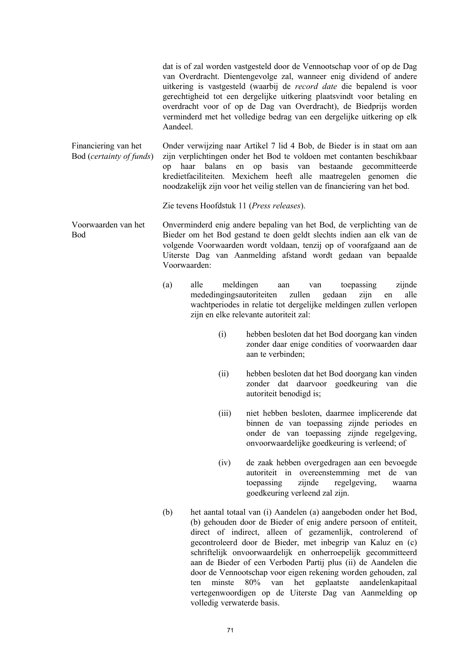dat is of zal worden vastgesteld door de Vennootschap voor of op de Dag van Overdracht. Dientengevolge zal, wanneer enig dividend of andere uitkering is vastgesteld (waarbij de *record date* die bepalend is voor gerechtigheid tot een dergelijke uitkering plaatsvindt voor betaling en overdracht voor of op de Dag van Overdracht), de Biedprijs worden verminderd met het volledige bedrag van een dergelijke uitkering op elk Aandeel.

Financiering van het Bod (*certainty of funds*) Onder verwijzing naar Artikel 7 lid 4 Bob, de Bieder is in staat om aan zijn verplichtingen onder het Bod te voldoen met contanten beschikbaar op haar balans en op basis van bestaande gecommitteerde kredietfaciliteiten. Mexichem heeft alle maatregelen genomen die noodzakelijk zijn voor het veilig stellen van de financiering van het bod.

Zie tevens Hoofdstuk 11 (*Press releases*).

- Voorwaarden van het Bod Onverminderd enig andere bepaling van het Bod, de verplichting van de Bieder om het Bod gestand te doen geldt slechts indien aan elk van de volgende Voorwaarden wordt voldaan, tenzij op of voorafgaand aan de Uiterste Dag van Aanmelding afstand wordt gedaan van bepaalde Voorwaarden:
	- (a) alle meldingen aan van toepassing zijnde mededingingsautoriteiten zullen gedaan zijn en alle wachtperiodes in relatie tot dergelijke meldingen zullen verlopen zijn en elke relevante autoriteit zal:
		- (i) hebben besloten dat het Bod doorgang kan vinden zonder daar enige condities of voorwaarden daar aan te verbinden;
		- (ii) hebben besloten dat het Bod doorgang kan vinden zonder dat daarvoor goedkeuring van die autoriteit benodigd is;
		- (iii) niet hebben besloten, daarmee implicerende dat binnen de van toepassing zijnde periodes en onder de van toepassing zijnde regelgeving, onvoorwaardelijke goedkeuring is verleend; of
		- (iv) de zaak hebben overgedragen aan een bevoegde autoriteit in overeenstemming met de van toepassing zijnde regelgeving, waarna goedkeuring verleend zal zijn.
	- (b) het aantal totaal van (i) Aandelen (a) aangeboden onder het Bod, (b) gehouden door de Bieder of enig andere persoon of entiteit, direct of indirect, alleen of gezamenlijk, controlerend of gecontroleerd door de Bieder, met inbegrip van Kaluz en (c) schriftelijk onvoorwaardelijk en onherroepelijk gecommitteerd aan de Bieder of een Verboden Partij plus (ii) de Aandelen die door de Vennootschap voor eigen rekening worden gehouden, zal ten minste 80% van het geplaatste aandelenkapitaal vertegenwoordigen op de Uiterste Dag van Aanmelding op volledig verwaterde basis.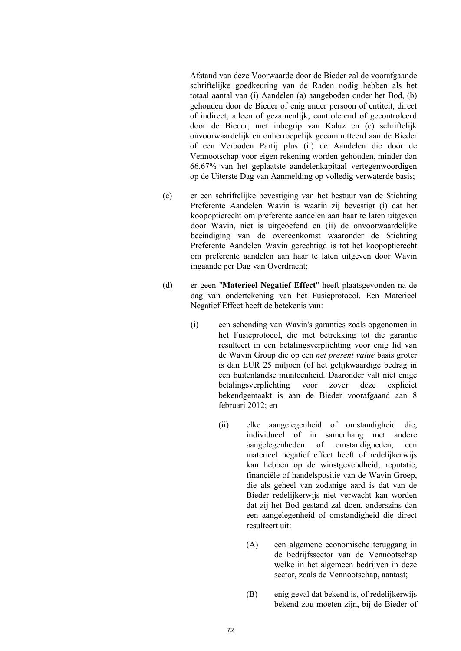Afstand van deze Voorwaarde door de Bieder zal de voorafgaande schriftelijke goedkeuring van de Raden nodig hebben als het totaal aantal van (i) Aandelen (a) aangeboden onder het Bod, (b) gehouden door de Bieder of enig ander persoon of entiteit, direct of indirect, alleen of gezamenlijk, controlerend of gecontroleerd door de Bieder, met inbegrip van Kaluz en (c) schriftelijk onvoorwaardelijk en onherroepelijk gecommitteerd aan de Bieder of een Verboden Partij plus (ii) de Aandelen die door de Vennootschap voor eigen rekening worden gehouden, minder dan 66.67% van het geplaatste aandelenkapitaal vertegenwoordigen op de Uiterste Dag van Aanmelding op volledig verwaterde basis;

- (c) er een schriftelijke bevestiging van het bestuur van de Stichting Preferente Aandelen Wavin is waarin zij bevestigt (i) dat het koopoptierecht om preferente aandelen aan haar te laten uitgeven door Wavin, niet is uitgeoefend en (ii) de onvoorwaardelijke beëindiging van de overeenkomst waaronder de Stichting Preferente Aandelen Wavin gerechtigd is tot het koopoptierecht om preferente aandelen aan haar te laten uitgeven door Wavin ingaande per Dag van Overdracht;
- (d) er geen "**Materieel Negatief Effect**" heeft plaatsgevonden na de dag van ondertekening van het Fusieprotocol. Een Materieel Negatief Effect heeft de betekenis van:
	- (i) een schending van Wavin's garanties zoals opgenomen in het Fusieprotocol, die met betrekking tot die garantie resulteert in een betalingsverplichting voor enig lid van de Wavin Group die op een *net present value* basis groter is dan EUR 25 miljoen (of het gelijkwaardige bedrag in een buitenlandse munteenheid. Daaronder valt niet enige betalingsverplichting voor zover deze expliciet bekendgemaakt is aan de Bieder voorafgaand aan 8 februari 2012; en
		- (ii) elke aangelegenheid of omstandigheid die, individueel of in samenhang met andere aangelegenheden of omstandigheden, een materieel negatief effect heeft of redelijkerwijs kan hebben op de winstgevendheid, reputatie, financiële of handelspositie van de Wavin Groep, die als geheel van zodanige aard is dat van de Bieder redelijkerwijs niet verwacht kan worden dat zij het Bod gestand zal doen, anderszins dan een aangelegenheid of omstandigheid die direct resulteert uit:
			- (A) een algemene economische teruggang in de bedrijfssector van de Vennootschap welke in het algemeen bedrijven in deze sector, zoals de Vennootschap, aantast;
			- (B) enig geval dat bekend is, of redelijkerwijs bekend zou moeten zijn, bij de Bieder of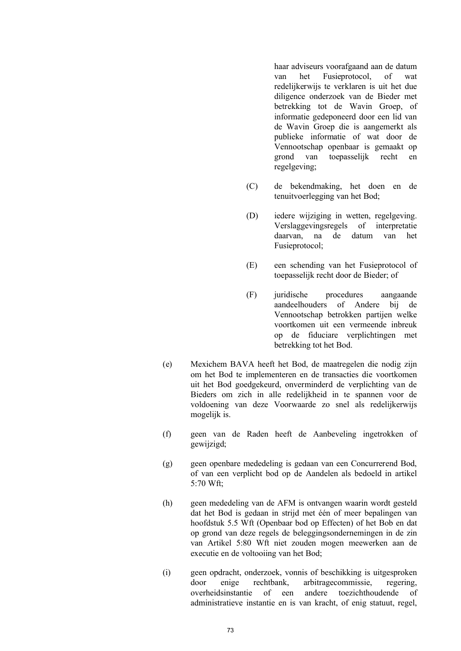haar adviseurs voorafgaand aan de datum van het Fusieprotocol, of wat redelijkerwijs te verklaren is uit het due diligence onderzoek van de Bieder met betrekking tot de Wavin Groep, of informatie gedeponeerd door een lid van de Wavin Groep die is aangemerkt als publieke informatie of wat door de Vennootschap openbaar is gemaakt op grond van toepasselijk recht en regelgeving;

- (C) de bekendmaking, het doen en de tenuitvoerlegging van het Bod;
- (D) iedere wijziging in wetten, regelgeving. Verslaggevingsregels of interpretatie daarvan, na de datum van het Fusieprotocol;
- (E) een schending van het Fusieprotocol of toepasselijk recht door de Bieder; of
- (F) juridische procedures aangaande aandeelhouders of Andere bij de Vennootschap betrokken partijen welke voortkomen uit een vermeende inbreuk op de fiduciare verplichtingen met betrekking tot het Bod.
- (e) Mexichem BAVA heeft het Bod, de maatregelen die nodig zijn om het Bod te implementeren en de transacties die voortkomen uit het Bod goedgekeurd, onverminderd de verplichting van de Bieders om zich in alle redelijkheid in te spannen voor de voldoening van deze Voorwaarde zo snel als redelijkerwijs mogelijk is.
- (f) geen van de Raden heeft de Aanbeveling ingetrokken of gewijzigd;
- (g) geen openbare mededeling is gedaan van een Concurrerend Bod, of van een verplicht bod op de Aandelen als bedoeld in artikel 5:70 Wft;
- (h) geen mededeling van de AFM is ontvangen waarin wordt gesteld dat het Bod is gedaan in strijd met één of meer bepalingen van hoofdstuk 5.5 Wft (Openbaar bod op Effecten) of het Bob en dat op grond van deze regels de beleggingsondernemingen in de zin van Artikel 5:80 Wft niet zouden mogen meewerken aan de executie en de voltooiing van het Bod;
- (i) geen opdracht, onderzoek, vonnis of beschikking is uitgesproken door enige rechtbank, arbitragecommissie, regering, overheidsinstantie of een andere toezichthoudende of administratieve instantie en is van kracht, of enig statuut, regel,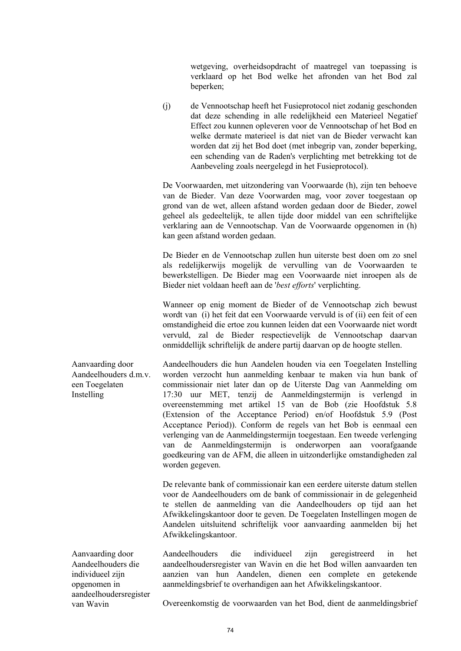wetgeving, overheidsopdracht of maatregel van toepassing is verklaard op het Bod welke het afronden van het Bod zal beperken;

(j) de Vennootschap heeft het Fusieprotocol niet zodanig geschonden dat deze schending in alle redelijkheid een Materieel Negatief Effect zou kunnen opleveren voor de Vennootschap of het Bod en welke dermate materieel is dat niet van de Bieder verwacht kan worden dat zij het Bod doet (met inbegrip van, zonder beperking, een schending van de Raden's verplichting met betrekking tot de Aanbeveling zoals neergelegd in het Fusieprotocol).

De Voorwaarden, met uitzondering van Voorwaarde (h), zijn ten behoeve van de Bieder. Van deze Voorwarden mag, voor zover toegestaan op grond van de wet, alleen afstand worden gedaan door de Bieder, zowel geheel als gedeeltelijk, te allen tijde door middel van een schriftelijke verklaring aan de Vennootschap. Van de Voorwaarde opgenomen in (h) kan geen afstand worden gedaan.

De Bieder en de Vennootschap zullen hun uiterste best doen om zo snel als redelijkerwijs mogelijk de vervulling van de Voorwaarden te bewerkstelligen. De Bieder mag een Voorwaarde niet inroepen als de Bieder niet voldaan heeft aan de '*best efforts*' verplichting.

Wanneer op enig moment de Bieder of de Vennootschap zich bewust wordt van (i) het feit dat een Voorwaarde vervuld is of (ii) een feit of een omstandigheid die ertoe zou kunnen leiden dat een Voorwaarde niet wordt vervuld, zal de Bieder respectievelijk de Vennootschap daarvan onmiddellijk schriftelijk de andere partij daarvan op de hoogte stellen.

Aandeelhouders die hun Aandelen houden via een Toegelaten Instelling worden verzocht hun aanmelding kenbaar te maken via hun bank of commissionair niet later dan op de Uiterste Dag van Aanmelding om 17:30 uur MET, tenzij de Aanmeldingstermijn is verlengd in overeenstemming met artikel 15 van de Bob (zie Hoofdstuk 5.8 (Extension of the Acceptance Period) en/of Hoofdstuk 5.9 (Post Acceptance Period)). Conform de regels van het Bob is eenmaal een verlenging van de Aanmeldingstermijn toegestaan. Een tweede verlenging van de Aanmeldingstermijn is onderworpen aan voorafgaande goedkeuring van de AFM, die alleen in uitzonderlijke omstandigheden zal worden gegeven.

> De relevante bank of commissionair kan een eerdere uiterste datum stellen voor de Aandeelhouders om de bank of commissionair in de gelegenheid te stellen de aanmelding van die Aandeelhouders op tijd aan het Afwikkelingskantoor door te geven. De Toegelaten Instellingen mogen de Aandelen uitsluitend schriftelijk voor aanvaarding aanmelden bij het Afwikkelingskantoor.

Aanvaarding door Aandeelhouders die individueel zijn opgenomen in aandeelhoudersregister van Wavin

Aandeelhouders die individueel zijn geregistreerd in het aandeelhoudersregister van Wavin en die het Bod willen aanvaarden ten aanzien van hun Aandelen, dienen een complete en getekende aanmeldingsbrief te overhandigen aan het Afwikkelingskantoor.

Overeenkomstig de voorwaarden van het Bod, dient de aanmeldingsbrief

Aanvaarding door Aandeelhouders d.m.v. een Toegelaten Instelling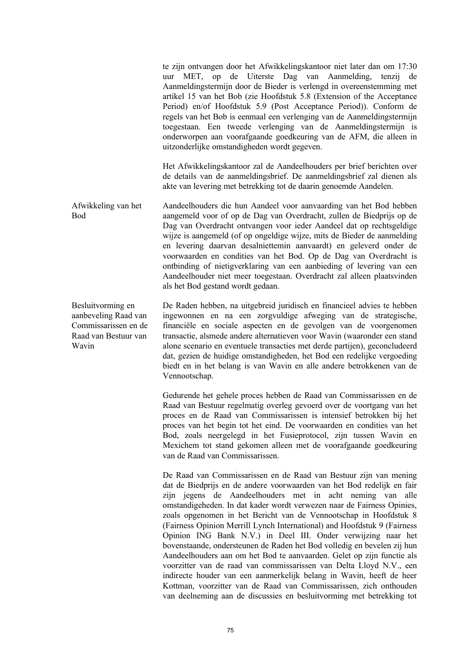te zijn ontvangen door het Afwikkelingskantoor niet later dan om 17:30 uur MET, op de Uiterste Dag van Aanmelding, tenzij de Aanmeldingstermijn door de Bieder is verlengd in overeenstemming met artikel 15 van het Bob (zie Hoofdstuk 5.8 (Extension of the Acceptance Period) en/of Hoofdstuk 5.9 (Post Acceptance Period)). Conform de regels van het Bob is eenmaal een verlenging van de Aanmeldingstermijn toegestaan. Een tweede verlenging van de Aanmeldingstermijn is onderworpen aan voorafgaande goedkeuring van de AFM, die alleen in uitzonderlijke omstandigheden wordt gegeven.

Het Afwikkelingskantoor zal de Aandeelhouders per brief berichten over de details van de aanmeldingsbrief. De aanmeldingsbrief zal dienen als akte van levering met betrekking tot de daarin genoemde Aandelen.

Afwikkeling van het Bod Aandeelhouders die hun Aandeel voor aanvaarding van het Bod hebben aangemeld voor of op de Dag van Overdracht, zullen de Biedprijs op de Dag van Overdracht ontvangen voor ieder Aandeel dat op rechtsgeldige wijze is aangemeld (of op ongeldige wijze, mits de Bieder de aanmelding en levering daarvan desalniettemin aanvaardt) en geleverd onder de voorwaarden en condities van het Bod. Op de Dag van Overdracht is ontbinding of nietigverklaring van een aanbieding of levering van een Aandeelhouder niet meer toegestaan. Overdracht zal alleen plaatsvinden als het Bod gestand wordt gedaan.

Besluitvorming en aanbeveling Raad van Commissarissen en de Raad van Bestuur van De Raden hebben, na uitgebreid juridisch en financieel advies te hebben ingewonnen en na een zorgvuldige afweging van de strategische, financiële en sociale aspecten en de gevolgen van de voorgenomen transactie, alsmede andere alternatieven voor Wavin (waaronder een stand alone scenario en eventuele transacties met derde partijen), geconcludeerd dat, gezien de huidige omstandigheden, het Bod een redelijke vergoeding biedt en in het belang is van Wavin en alle andere betrokkenen van de Vennootschap.

Wavin

Gedurende het gehele proces hebben de Raad van Commissarissen en de Raad van Bestuur regelmatig overleg gevoerd over de voortgang van het proces en de Raad van Commissarissen is intensief betrokken bij het proces van het begin tot het eind. De voorwaarden en condities van het Bod, zoals neergelegd in het Fusieprotocol, zijn tussen Wavin en Mexichem tot stand gekomen alleen met de voorafgaande goedkeuring van de Raad van Commissarissen.

De Raad van Commissarissen en de Raad van Bestuur zijn van mening dat de Biedprijs en de andere voorwaarden van het Bod redelijk en fair zijn jegens de Aandeelhouders met in acht neming van alle omstandigeheden. In dat kader wordt verwezen naar de Fairness Opinies, zoals opgenomen in het Bericht van de Vennootschap in Hoofdstuk 8 (Fairness Opinion Merrill Lynch International) and Hoofdstuk 9 (Fairness Opinion ING Bank N.V.) in Deel III. Onder verwijzing naar het bovenstaande, ondersteunen de Raden het Bod volledig en bevelen zij hun Aandeelhouders aan om het Bod te aanvaarden. Gelet op zijn functie als voorzitter van de raad van commissarissen van Delta Lloyd N.V., een indirecte houder van een aanmerkelijk belang in Wavin, heeft de heer Kottman, voorzitter van de Raad van Commissarissen, zich onthouden van deelneming aan de discussies en besluitvorming met betrekking tot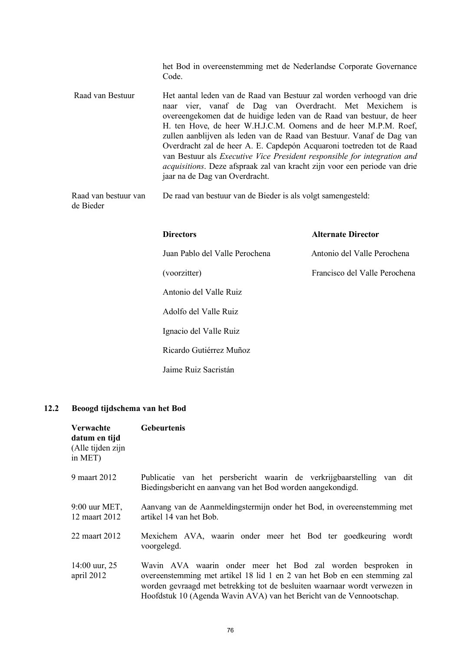het Bod in overeenstemming met de Nederlandse Corporate Governance Code.

Raad van Bestuur Het aantal leden van de Raad van Bestuur zal worden verhoogd van drie naar vier, vanaf de Dag van Overdracht. Met Mexichem is overeengekomen dat de huidige leden van de Raad van bestuur, de heer H. ten Hove, de heer W.H.J.C.M. Oomens and de heer M.P.M. Roef, zullen aanblijven als leden van de Raad van Bestuur. Vanaf de Dag van Overdracht zal de heer A. E. Capdepón Acquaroni toetreden tot de Raad van Bestuur als *Executive Vice President responsible for integration and acquisitions*. Deze afspraak zal van kracht zijn voor een periode van drie jaar na de Dag van Overdracht.

Raad van bestuur van de Bieder De raad van bestuur van de Bieder is als volgt samengesteld:

| <b>Directors</b>               | <b>Alternate Director</b>     |
|--------------------------------|-------------------------------|
| Juan Pablo del Valle Perochena | Antonio del Valle Perochena   |
| (voorzitter)                   | Francisco del Valle Perochena |
| Antonio del Valle Ruiz         |                               |
| Adolfo del Valle Ruiz          |                               |
| Ignacio del Valle Ruiz         |                               |
| Ricardo Gutiérrez Muñoz        |                               |
| Jaime Ruiz Sacristán           |                               |

## **12.2 Beoogd tijdschema van het Bod**

| <b>Verwachte</b><br>datum en tijd<br>(Alle tijden zijn<br>in MET) | <b>Gebeurtenis</b>                                                                                                                                                                                                                                                                             |
|-------------------------------------------------------------------|------------------------------------------------------------------------------------------------------------------------------------------------------------------------------------------------------------------------------------------------------------------------------------------------|
| 9 maart 2012                                                      | Publicatie van het persbericht waarin de verkrijgbaarstelling van dit<br>Biedingsbericht en aanvang van het Bod worden aangekondigd.                                                                                                                                                           |
| $9:00$ uur MET,<br>12 maart 2012                                  | Aanvang van de Aanmeldingstermijn onder het Bod, in overeenstemming met<br>artikel 14 van het Bob.                                                                                                                                                                                             |
| 22 maart 2012                                                     | Mexichem AVA, waarin onder meer het Bod ter goedkeuring wordt<br>voorgelegd.                                                                                                                                                                                                                   |
| 14:00 uur, $25$<br>april 2012                                     | Wavin AVA waarin onder meer het Bod zal worden besproken in<br>overeenstemming met artikel 18 lid 1 en 2 van het Bob en een stemming zal<br>worden gevraagd met betrekking tot de besluiten waarnaar wordt verwezen in<br>Hoofdstuk 10 (Agenda Wavin AVA) van het Bericht van de Vennootschap. |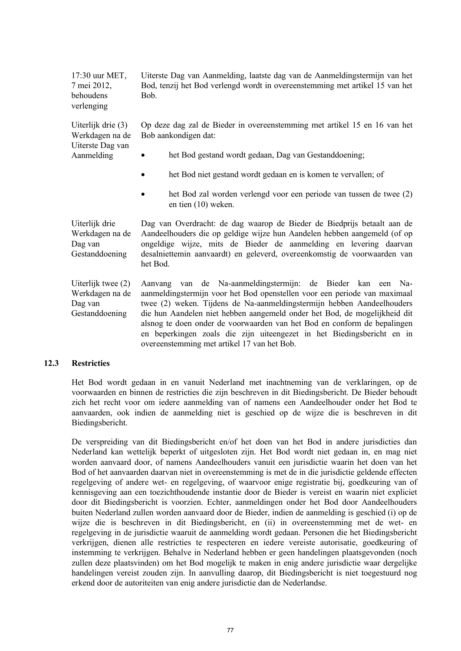| 17:30 uur MET,<br>7 mei 2012,<br>behoudens<br>verlenging           | Uiterste Dag van Aanmelding, laatste dag van de Aanmeldingstermijn van het<br>Bod, tenzij het Bod verlengd wordt in overeenstemming met artikel 15 van het<br>Bob.                                                                                                                                                                                                                                                                                                                                   |
|--------------------------------------------------------------------|------------------------------------------------------------------------------------------------------------------------------------------------------------------------------------------------------------------------------------------------------------------------------------------------------------------------------------------------------------------------------------------------------------------------------------------------------------------------------------------------------|
| Uiterlijk drie $(3)$<br>Werkdagen na de                            | Op deze dag zal de Bieder in overeenstemming met artikel 15 en 16 van het<br>Bob aankondigen dat:                                                                                                                                                                                                                                                                                                                                                                                                    |
| Uiterste Dag van<br>Aanmelding                                     | het Bod gestand wordt gedaan, Dag van Gestanddoening;                                                                                                                                                                                                                                                                                                                                                                                                                                                |
|                                                                    | het Bod niet gestand wordt gedaan en is komen te vervallen; of                                                                                                                                                                                                                                                                                                                                                                                                                                       |
|                                                                    | het Bod zal worden verlengd voor een periode van tussen de twee (2)<br>en tien (10) weken.                                                                                                                                                                                                                                                                                                                                                                                                           |
| Uiterlijk drie<br>Werkdagen na de<br>Dag van<br>Gestanddoening     | Dag van Overdracht: de dag waarop de Bieder de Biedprijs betaalt aan de<br>Aandeelhouders die op geldige wijze hun Aandelen hebben aangemeld (of op<br>ongeldige wijze, mits de Bieder de aanmelding en levering daarvan<br>desalniettemin aanvaardt) en geleverd, overeenkomstig de voorwaarden van<br>het Bod.                                                                                                                                                                                     |
| Uiterlijk twee (2)<br>Werkdagen na de<br>Dag van<br>Gestanddoening | Aanvang van de Na-aanmeldingstermijn: de Bieder kan een Na-<br>aanmeldingstermijn voor het Bod openstellen voor een periode van maximaal<br>twee (2) weken. Tijdens de Na-aanmeldingstermijn hebben Aandeelhouders<br>die hun Aandelen niet hebben aangemeld onder het Bod, de mogelijkheid dit<br>alsnog te doen onder de voorwaarden van het Bod en conform de bepalingen<br>en beperkingen zoals die zijn uiteengezet in het Biedingsbericht en in<br>overeenstemming met artikel 17 van het Bob. |

# **12.3 Restricties**

Het Bod wordt gedaan in en vanuit Nederland met inachtneming van de verklaringen, op de voorwaarden en binnen de restricties die zijn beschreven in dit Biedingsbericht. De Bieder behoudt zich het recht voor om iedere aanmelding van of namens een Aandeelhouder onder het Bod te aanvaarden, ook indien de aanmelding niet is geschied op de wijze die is beschreven in dit Biedingsbericht.

De verspreiding van dit Biedingsbericht en/of het doen van het Bod in andere jurisdicties dan Nederland kan wettelijk beperkt of uitgesloten zijn. Het Bod wordt niet gedaan in, en mag niet worden aanvaard door, of namens Aandeelhouders vanuit een jurisdictie waarin het doen van het Bod of het aanvaarden daarvan niet in overeenstemming is met de in die jurisdictie geldende effecten regelgeving of andere wet- en regelgeving, of waarvoor enige registratie bij, goedkeuring van of kennisgeving aan een toezichthoudende instantie door de Bieder is vereist en waarin niet expliciet door dit Biedingsbericht is voorzien. Echter, aanmeldingen onder het Bod door Aandeelhouders buiten Nederland zullen worden aanvaard door de Bieder, indien de aanmelding is geschied (i) op de wijze die is beschreven in dit Biedingsbericht, en (ii) in overeenstemming met de wet- en regelgeving in de jurisdictie waaruit de aanmelding wordt gedaan. Personen die het Biedingsbericht verkrijgen, dienen alle restricties te respecteren en iedere vereiste autorisatie, goedkeuring of instemming te verkrijgen. Behalve in Nederland hebben er geen handelingen plaatsgevonden (noch zullen deze plaatsvinden) om het Bod mogelijk te maken in enig andere jurisdictie waar dergelijke handelingen vereist zouden zijn. In aanvulling daarop, dit Biedingsbericht is niet toegestuurd nog erkend door de autoriteiten van enig andere jurisdictie dan de Nederlandse.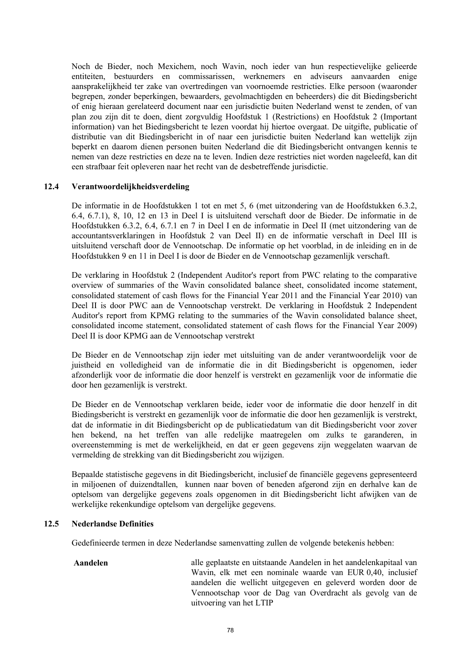Noch de Bieder, noch Mexichem, noch Wavin, noch ieder van hun respectievelijke gelieerde entiteiten, bestuurders en commissarissen, werknemers en adviseurs aanvaarden enige aansprakelijkheid ter zake van overtredingen van voornoemde restricties. Elke persoon (waaronder begrepen, zonder beperkingen, bewaarders, gevolmachtigden en beheerders) die dit Biedingsbericht of enig hieraan gerelateerd document naar een jurisdictie buiten Nederland wenst te zenden, of van plan zou zijn dit te doen, dient zorgvuldig Hoofdstuk 1 (Restrictions) en Hoofdstuk 2 (Important information) van het Biedingsbericht te lezen voordat hij hiertoe overgaat. De uitgifte, publicatie of distributie van dit Biedingsbericht in of naar een jurisdictie buiten Nederland kan wettelijk zijn beperkt en daarom dienen personen buiten Nederland die dit Biedingsbericht ontvangen kennis te nemen van deze restricties en deze na te leven. Indien deze restricties niet worden nageleefd, kan dit een strafbaar feit opleveren naar het recht van de desbetreffende jurisdictie.

# **12.4 Verantwoordelijkheidsverdeling**

De informatie in de Hoofdstukken 1 tot en met 5, 6 (met uitzondering van de Hoofdstukken 6.3.2, 6.4, 6.7.1), 8, 10, 12 en 13 in Deel I is uitsluitend verschaft door de Bieder. De informatie in de Hoofdstukken 6.3.2, 6.4, 6.7.1 en 7 in Deel I en de informatie in Deel II (met uitzondering van de accountantsverklaringen in Hoofdstuk 2 van Deel II) en de informatie verschaft in Deel III is uitsluitend verschaft door de Vennootschap. De informatie op het voorblad, in de inleiding en in de Hoofdstukken 9 en 11 in Deel I is door de Bieder en de Vennootschap gezamenlijk verschaft.

De verklaring in Hoofdstuk 2 (Independent Auditor's report from PWC relating to the comparative overview of summaries of the Wavin consolidated balance sheet, consolidated income statement, consolidated statement of cash flows for the Financial Year 2011 and the Financial Year 2010) van Deel II is door PWC aan de Vennootschap verstrekt. De verklaring in Hoofdstuk 2 Independent Auditor's report from KPMG relating to the summaries of the Wavin consolidated balance sheet, consolidated income statement, consolidated statement of cash flows for the Financial Year 2009) Deel II is door KPMG aan de Vennootschap verstrekt

De Bieder en de Vennootschap zijn ieder met uitsluiting van de ander verantwoordelijk voor de juistheid en volledigheid van de informatie die in dit Biedingsbericht is opgenomen, ieder afzonderlijk voor de informatie die door henzelf is verstrekt en gezamenlijk voor de informatie die door hen gezamenlijk is verstrekt.

De Bieder en de Vennootschap verklaren beide, ieder voor de informatie die door henzelf in dit Biedingsbericht is verstrekt en gezamenlijk voor de informatie die door hen gezamenlijk is verstrekt, dat de informatie in dit Biedingsbericht op de publicatiedatum van dit Biedingsbericht voor zover hen bekend, na het treffen van alle redelijke maatregelen om zulks te garanderen, in overeenstemming is met de werkelijkheid, en dat er geen gegevens zijn weggelaten waarvan de vermelding de strekking van dit Biedingsbericht zou wijzigen.

Bepaalde statistische gegevens in dit Biedingsbericht, inclusief de financiële gegevens gepresenteerd in miljoenen of duizendtallen, kunnen naar boven of beneden afgerond zijn en derhalve kan de optelsom van dergelijke gegevens zoals opgenomen in dit Biedingsbericht licht afwijken van de werkelijke rekenkundige optelsom van dergelijke gegevens.

# **12.5 Nederlandse Definities**

Gedefinieerde termen in deze Nederlandse samenvatting zullen de volgende betekenis hebben:

**Aandelen** alle geplaatste en uitstaande Aandelen in het aandelenkapitaal van Wavin, elk met een nominale waarde van EUR 0,40, inclusief aandelen die wellicht uitgegeven en geleverd worden door de Vennootschap voor de Dag van Overdracht als gevolg van de uitvoering van het LTIP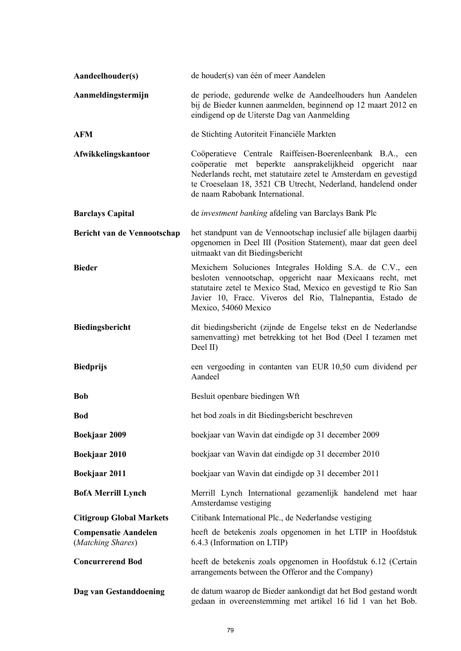| Aandeelhouder(s)                                 | de houder(s) van één of meer Aandelen                                                                                                                                                                                                                                                         |
|--------------------------------------------------|-----------------------------------------------------------------------------------------------------------------------------------------------------------------------------------------------------------------------------------------------------------------------------------------------|
| Aanmeldingstermijn                               | de periode, gedurende welke de Aandeelhouders hun Aandelen<br>bij de Bieder kunnen aanmelden, beginnend op 12 maart 2012 en<br>eindigend op de Uiterste Dag van Aanmelding                                                                                                                    |
| <b>AFM</b>                                       | de Stichting Autoriteit Financiële Markten                                                                                                                                                                                                                                                    |
| Afwikkelingskantoor                              | Coöperatieve Centrale Raiffeisen-Boerenleenbank B.A., een<br>coöperatie met beperkte aansprakelijkheid opgericht naar<br>Nederlands recht, met statutaire zetel te Amsterdam en gevestigd<br>te Croeselaan 18, 3521 CB Utrecht, Nederland, handelend onder<br>de naam Rabobank International. |
| <b>Barclays Capital</b>                          | de <i>investment banking</i> afdeling van Barclays Bank Plc                                                                                                                                                                                                                                   |
| Bericht van de Vennootschap                      | het standpunt van de Vennootschap inclusief alle bijlagen daarbij<br>opgenomen in Deel III (Position Statement), maar dat geen deel<br>uitmaakt van dit Biedingsbericht                                                                                                                       |
| <b>Bieder</b>                                    | Mexichem Soluciones Integrales Holding S.A. de C.V., een<br>besloten vennootschap, opgericht naar Mexicaans recht, met<br>statutaire zetel te Mexico Stad, Mexico en gevestigd te Rio San<br>Javier 10, Fracc. Viveros del Rio, Tlalnepantia, Estado de<br>Mexico, 54060 Mexico               |
| Biedingsbericht                                  | dit biedingsbericht (zijnde de Engelse tekst en de Nederlandse<br>samenvatting) met betrekking tot het Bod (Deel I tezamen met<br>Deel II)                                                                                                                                                    |
| <b>Biedprijs</b>                                 | een vergoeding in contanten van EUR 10,50 cum dividend per<br>Aandeel                                                                                                                                                                                                                         |
| <b>Bob</b>                                       | Besluit openbare biedingen Wft                                                                                                                                                                                                                                                                |
| <b>Bod</b>                                       | het bod zoals in dit Biedingsbericht beschreven                                                                                                                                                                                                                                               |
| Boekjaar 2009                                    | boekjaar van Wavin dat eindigde op 31 december 2009                                                                                                                                                                                                                                           |
| Boekjaar 2010                                    | boekjaar van Wavin dat eindigde op 31 december 2010                                                                                                                                                                                                                                           |
| Boekjaar 2011                                    | boekjaar van Wavin dat eindigde op 31 december 2011                                                                                                                                                                                                                                           |
| <b>BofA Merrill Lynch</b>                        | Merrill Lynch International gezamenlijk handelend met haar<br>Amsterdamse vestiging                                                                                                                                                                                                           |
| <b>Citigroup Global Markets</b>                  | Citibank International Plc., de Nederlandse vestiging                                                                                                                                                                                                                                         |
| <b>Compensatie Aandelen</b><br>(Matching Shares) | heeft de betekenis zoals opgenomen in het LTIP in Hoofdstuk<br>6.4.3 (Information on LTIP)                                                                                                                                                                                                    |
| <b>Concurrerend Bod</b>                          | heeft de betekenis zoals opgenomen in Hoofdstuk 6.12 (Certain<br>arrangements between the Offeror and the Company)                                                                                                                                                                            |
| Dag van Gestanddoening                           | de datum waarop de Bieder aankondigt dat het Bod gestand wordt<br>gedaan in overeenstemming met artikel 16 lid 1 van het Bob.                                                                                                                                                                 |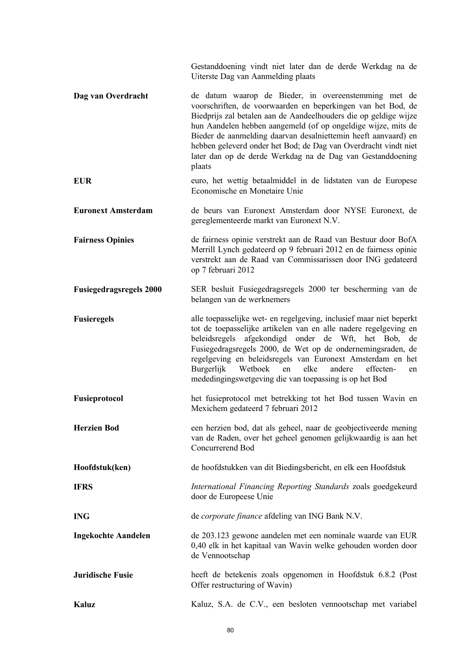|                                | Gestanddoening vindt niet later dan de derde Werkdag na de<br>Uiterste Dag van Aanmelding plaats                                                                                                                                                                                                                                                                                                                                                                       |
|--------------------------------|------------------------------------------------------------------------------------------------------------------------------------------------------------------------------------------------------------------------------------------------------------------------------------------------------------------------------------------------------------------------------------------------------------------------------------------------------------------------|
| Dag van Overdracht             | de datum waarop de Bieder, in overeenstemming met de<br>voorschriften, de voorwaarden en beperkingen van het Bod, de<br>Biedprijs zal betalen aan de Aandeelhouders die op geldige wijze<br>hun Aandelen hebben aangemeld (of op ongeldige wijze, mits de<br>Bieder de aanmelding daarvan desalniettemin heeft aanvaard) en<br>hebben geleverd onder het Bod; de Dag van Overdracht vindt niet<br>later dan op de derde Werkdag na de Dag van Gestanddoening<br>plaats |
| <b>EUR</b>                     | euro, het wettig betaalmiddel in de lidstaten van de Europese<br>Economische en Monetaire Unie                                                                                                                                                                                                                                                                                                                                                                         |
| <b>Euronext Amsterdam</b>      | de beurs van Euronext Amsterdam door NYSE Euronext, de<br>gereglementeerde markt van Euronext N.V.                                                                                                                                                                                                                                                                                                                                                                     |
| <b>Fairness Opinies</b>        | de fairness opinie verstrekt aan de Raad van Bestuur door BofA<br>Merrill Lynch gedateerd op 9 februari 2012 en de fairness opinie<br>verstrekt aan de Raad van Commissarissen door ING gedateerd<br>op 7 februari 2012                                                                                                                                                                                                                                                |
| <b>Fusiegedragsregels 2000</b> | SER besluit Fusiegedragsregels 2000 ter bescherming van de<br>belangen van de werknemers                                                                                                                                                                                                                                                                                                                                                                               |
| <b>Fusieregels</b>             | alle toepasselijke wet- en regelgeving, inclusief maar niet beperkt<br>tot de toepasselijke artikelen van en alle nadere regelgeving en<br>beleidsregels afgekondigd onder de Wft, het Bob,<br>de<br>Fusiegedragsregels 2000, de Wet op de ondernemingsraden, de<br>regelgeving en beleidsregels van Euronext Amsterdam en het<br>Burgerlijk<br>Wetboek<br>elke<br>andere<br>en<br>effecten-<br>en<br>mededingingswetgeving die van toepassing is op het Bod           |
| Fusieprotocol                  | het fusieprotocol met betrekking tot het Bod tussen Wavin en<br>Mexichem gedateerd 7 februari 2012                                                                                                                                                                                                                                                                                                                                                                     |
| <b>Herzien Bod</b>             | een herzien bod, dat als geheel, naar de geobjectiveerde mening<br>van de Raden, over het geheel genomen gelijkwaardig is aan het<br>Concurrerend Bod                                                                                                                                                                                                                                                                                                                  |
| Hoofdstuk(ken)                 | de hoofdstukken van dit Biedingsbericht, en elk een Hoofdstuk                                                                                                                                                                                                                                                                                                                                                                                                          |
| <b>IFRS</b>                    | International Financing Reporting Standards zoals goedgekeurd<br>door de Europeese Unie                                                                                                                                                                                                                                                                                                                                                                                |
| <b>ING</b>                     | de corporate finance afdeling van ING Bank N.V.                                                                                                                                                                                                                                                                                                                                                                                                                        |
| <b>Ingekochte Aandelen</b>     | de 203.123 gewone aandelen met een nominale waarde van EUR<br>0,40 elk in het kapitaal van Wavin welke gehouden worden door<br>de Vennootschap                                                                                                                                                                                                                                                                                                                         |
| <b>Juridische Fusie</b>        | heeft de betekenis zoals opgenomen in Hoofdstuk 6.8.2 (Post<br>Offer restructuring of Wavin)                                                                                                                                                                                                                                                                                                                                                                           |
| Kaluz                          | Kaluz, S.A. de C.V., een besloten vennootschap met variabel                                                                                                                                                                                                                                                                                                                                                                                                            |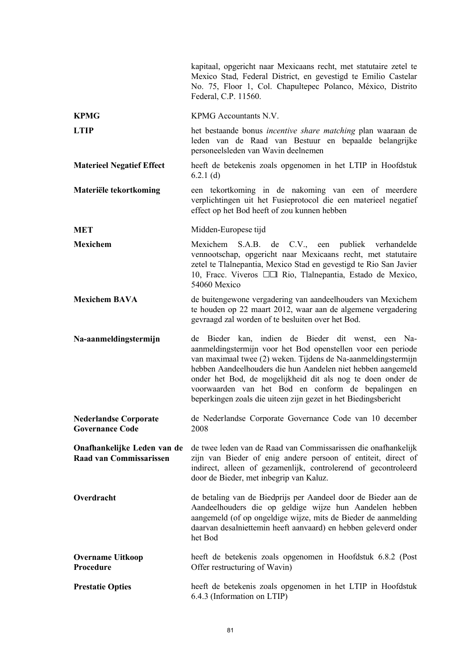|                                                               | kapitaal, opgericht naar Mexicaans recht, met statutaire zetel te<br>Mexico Stad, Federal District, en gevestigd te Emilio Castelar<br>No. 75, Floor 1, Col. Chapultepec Polanco, México, Distrito<br>Federal, C.P. 11560.                                                                                                                                                                                                                  |
|---------------------------------------------------------------|---------------------------------------------------------------------------------------------------------------------------------------------------------------------------------------------------------------------------------------------------------------------------------------------------------------------------------------------------------------------------------------------------------------------------------------------|
| <b>KPMG</b>                                                   | KPMG Accountants N.V.                                                                                                                                                                                                                                                                                                                                                                                                                       |
| <b>LTIP</b>                                                   | het bestaande bonus <i>incentive share matching</i> plan waaraan de<br>leden van de Raad van Bestuur en bepaalde belangrijke<br>personeelsleden van Wavin deelnemen                                                                                                                                                                                                                                                                         |
| <b>Materieel Negatief Effect</b>                              | heeft de betekenis zoals opgenomen in het LTIP in Hoofdstuk<br>$6.2.1$ (d)                                                                                                                                                                                                                                                                                                                                                                  |
| Materiële tekortkoming                                        | een tekortkoming in de nakoming van een of meerdere<br>verplichtingen uit het Fusieprotocol die een materieel negatief<br>effect op het Bod heeft of zou kunnen hebben                                                                                                                                                                                                                                                                      |
| <b>MET</b>                                                    | Midden-Europese tijd                                                                                                                                                                                                                                                                                                                                                                                                                        |
| <b>Mexichem</b>                                               | Mexichem S.A.B. de C.V., een publiek verhandelde<br>vennootschap, opgericht naar Mexicaans recht, met statutaire<br>zetel te Tlalnepantia, Mexico Stad en gevestigd te Rio San Javier<br>10, Fracc. Viveros $\Box \Box$ Rio, Tlalnepantia, Estado de Mexico,<br>54060 Mexico                                                                                                                                                                |
| <b>Mexichem BAVA</b>                                          | de buitengewone vergadering van aandeelhouders van Mexichem<br>te houden op 22 maart 2012, waar aan de algemene vergadering<br>gevraagd zal worden of te besluiten over het Bod.                                                                                                                                                                                                                                                            |
| Na-aanmeldingstermijn                                         | de Bieder kan, indien de Bieder dit wenst, een Na-<br>aanmeldingstermijn voor het Bod openstellen voor een periode<br>van maximaal twee (2) weken. Tijdens de Na-aanmeldingstermijn<br>hebben Aandeelhouders die hun Aandelen niet hebben aangemeld<br>onder het Bod, de mogelijkheid dit als nog te doen onder de<br>voorwaarden van het Bod en conform de bepalingen en<br>beperkingen zoals die uiteen zijn gezet in het Biedingsbericht |
| <b>Nederlandse Corporate</b><br><b>Governance Code</b>        | de Nederlandse Corporate Governance Code van 10 december<br>2008                                                                                                                                                                                                                                                                                                                                                                            |
| Onafhankelijke Leden van de<br><b>Raad van Commissarissen</b> | de twee leden van de Raad van Commissarissen die onafhankelijk<br>zijn van Bieder of enig andere persoon of entiteit, direct of<br>indirect, alleen of gezamenlijk, controlerend of gecontroleerd<br>door de Bieder, met inbegrip van Kaluz.                                                                                                                                                                                                |
| Overdracht                                                    | de betaling van de Biedprijs per Aandeel door de Bieder aan de<br>Aandeelhouders die op geldige wijze hun Aandelen hebben<br>aangemeld (of op ongeldige wijze, mits de Bieder de aanmelding<br>daarvan desalniettemin heeft aanvaard) en hebben geleverd onder<br>het Bod                                                                                                                                                                   |
| <b>Overname Uitkoop</b><br>Procedure                          | heeft de betekenis zoals opgenomen in Hoofdstuk 6.8.2 (Post<br>Offer restructuring of Wavin)                                                                                                                                                                                                                                                                                                                                                |
| <b>Prestatie Opties</b>                                       | heeft de betekenis zoals opgenomen in het LTIP in Hoofdstuk<br>6.4.3 (Information on LTIP)                                                                                                                                                                                                                                                                                                                                                  |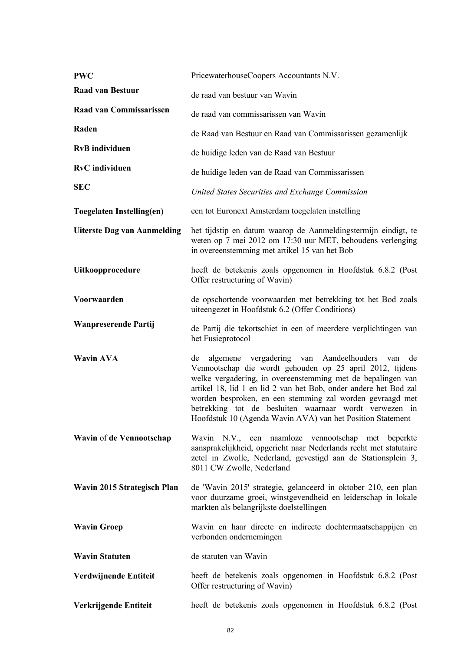| <b>PWC</b>                         | PricewaterhouseCoopers Accountants N.V.                                                                                                                                                                                                                                                                                                                                                                                                      |
|------------------------------------|----------------------------------------------------------------------------------------------------------------------------------------------------------------------------------------------------------------------------------------------------------------------------------------------------------------------------------------------------------------------------------------------------------------------------------------------|
| <b>Raad van Bestuur</b>            | de raad van bestuur van Wavin                                                                                                                                                                                                                                                                                                                                                                                                                |
| Raad van Commissarissen            | de raad van commissarissen van Wavin                                                                                                                                                                                                                                                                                                                                                                                                         |
| Raden                              | de Raad van Bestuur en Raad van Commissarissen gezamenlijk                                                                                                                                                                                                                                                                                                                                                                                   |
| <b>RvB</b> individuen              | de huidige leden van de Raad van Bestuur                                                                                                                                                                                                                                                                                                                                                                                                     |
| <b>RvC</b> individuen              | de huidige leden van de Raad van Commissarissen                                                                                                                                                                                                                                                                                                                                                                                              |
| <b>SEC</b>                         | United States Securities and Exchange Commission                                                                                                                                                                                                                                                                                                                                                                                             |
| Toegelaten Instelling(en)          | een tot Euronext Amsterdam toegelaten instelling                                                                                                                                                                                                                                                                                                                                                                                             |
| <b>Uiterste Dag van Aanmelding</b> | het tijdstip en datum waarop de Aanmeldingstermijn eindigt, te<br>weten op 7 mei 2012 om 17:30 uur MET, behoudens verlenging<br>in overeenstemming met artikel 15 van het Bob                                                                                                                                                                                                                                                                |
| <b>Uitkoopprocedure</b>            | heeft de betekenis zoals opgenomen in Hoofdstuk 6.8.2 (Post<br>Offer restructuring of Wavin)                                                                                                                                                                                                                                                                                                                                                 |
| Voorwaarden                        | de opschortende voorwaarden met betrekking tot het Bod zoals<br>uiteengezet in Hoofdstuk 6.2 (Offer Conditions)                                                                                                                                                                                                                                                                                                                              |
| <b>Wanpreserende Partij</b>        | de Partij die tekortschiet in een of meerdere verplichtingen van<br>het Fusieprotocol                                                                                                                                                                                                                                                                                                                                                        |
| <b>Wavin AVA</b>                   | algemene vergadering van Aandeelhouders van<br>de<br>de<br>Vennootschap die wordt gehouden op 25 april 2012, tijdens<br>welke vergadering, in overeenstemming met de bepalingen van<br>artikel 18, lid 1 en lid 2 van het Bob, onder andere het Bod zal<br>worden besproken, en een stemming zal worden gevraagd met<br>betrekking tot de besluiten waarnaar wordt verwezen in<br>Hoofdstuk 10 (Agenda Wavin AVA) van het Position Statement |
| Wavin of de Vennootschap           | Wavin N.V., een naamloze vennootschap met beperkte<br>aansprakelijkheid, opgericht naar Nederlands recht met statutaire<br>zetel in Zwolle, Nederland, gevestigd aan de Stationsplein 3,<br>8011 CW Zwolle, Nederland                                                                                                                                                                                                                        |
| Wavin 2015 Strategisch Plan        | de 'Wavin 2015' strategie, gelanceerd in oktober 210, een plan<br>voor duurzame groei, winstgevendheid en leiderschap in lokale<br>markten als belangrijkste doelstellingen                                                                                                                                                                                                                                                                  |
| <b>Wavin Groep</b>                 | Wavin en haar directe en indirecte dochtermaatschappijen en<br>verbonden ondernemingen                                                                                                                                                                                                                                                                                                                                                       |
| <b>Wavin Statuten</b>              | de statuten van Wavin                                                                                                                                                                                                                                                                                                                                                                                                                        |
| Verdwijnende Entiteit              | heeft de betekenis zoals opgenomen in Hoofdstuk 6.8.2 (Post<br>Offer restructuring of Wavin)                                                                                                                                                                                                                                                                                                                                                 |
| Verkrijgende Entiteit              | heeft de betekenis zoals opgenomen in Hoofdstuk 6.8.2 (Post                                                                                                                                                                                                                                                                                                                                                                                  |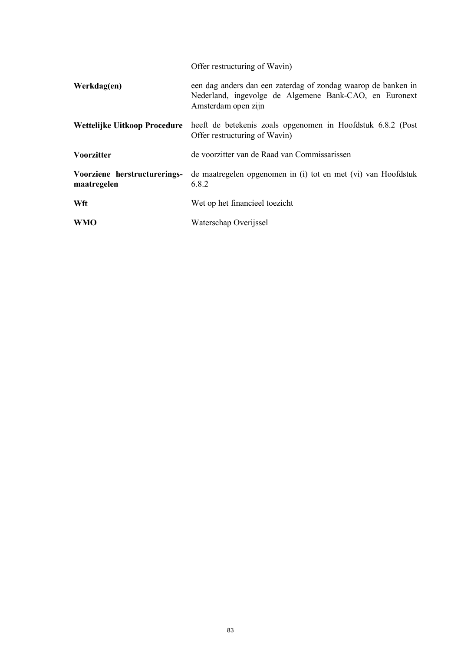|                                             | Offer restructuring of Wavin)                                                                                                                  |
|---------------------------------------------|------------------------------------------------------------------------------------------------------------------------------------------------|
| Werkdag(en)                                 | een dag anders dan een zaterdag of zondag waarop de banken in<br>Nederland, ingevolge de Algemene Bank-CAO, en Euronext<br>Amsterdam open zijn |
| Wettelijke Uitkoop Procedure                | heeft de betekenis zoals opgenomen in Hoofdstuk 6.8.2 (Post<br>Offer restructuring of Wavin)                                                   |
| <b>Voorzitter</b>                           | de voorzitter van de Raad van Commissarissen                                                                                                   |
| Voorziene herstructurerings-<br>maatregelen | de maatregelen opgenomen in (i) tot en met (vi) van Hoofdstuk<br>6.8.2                                                                         |
| Wft                                         | Wet op het financieel toezicht                                                                                                                 |
| <b>WMO</b>                                  | Waterschap Overijssel                                                                                                                          |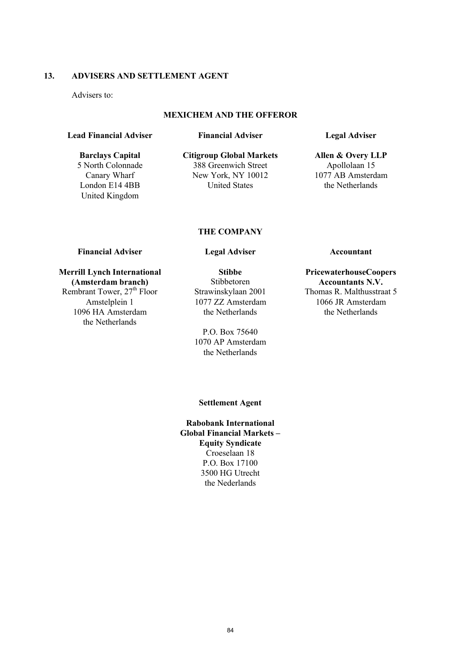## **13. ADVISERS AND SETTLEMENT AGENT**

Advisers to:

# **MEXICHEM AND THE OFFEROR**

# **Lead Financial Adviser Financial Adviser Legal Adviser**

**Barclays Capital** 5 North Colonnade Canary Wharf London E14 4BB

United Kingdom

**Citigroup Global Markets** 388 Greenwich Street New York, NY 10012 United States

**Allen & Overy LLP** Apollolaan 15 1077 AB Amsterdam the Netherlands

# **THE COMPANY**

# **Financial Adviser Legal Adviser Accountant**

**Merrill Lynch International (Amsterdam branch)** Rembrant Tower, 27<sup>th</sup> Floor

Amstelplein 1 1096 HA Amsterdam the Netherlands

**Stibbe** Stibbetoren Strawinskylaan 2001 1077 ZZ Amsterdam the Netherlands

P.O. Box 75640 1070 AP Amsterdam the Netherlands

**PricewaterhouseCoopers Accountants N.V.** Thomas R. Malthusstraat 5 1066 JR Amsterdam the Netherlands

## **Settlement Agent**

**Rabobank International Global Financial Markets – Equity Syndicate** Croeselaan 18 P.O. Box 17100 3500 HG Utrecht the Nederlands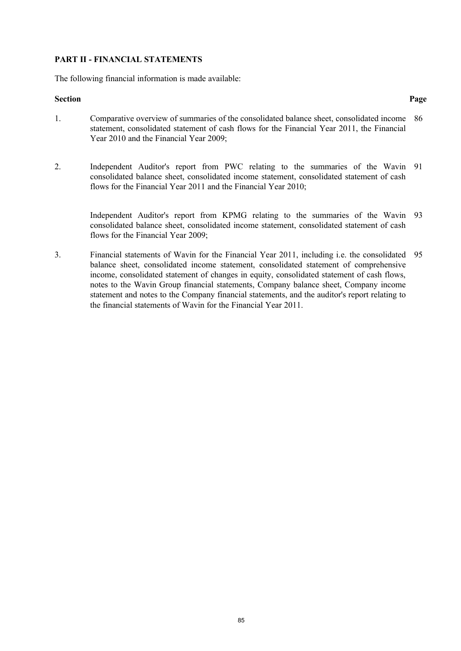# **PART II - FINANCIAL STATEMENTS**

The following financial information is made available:

## **Section Page**

- 1. Comparative overview of summaries of the consolidated balance sheet, consolidated income 86 statement, consolidated statement of cash flows for the Financial Year 2011, the Financial Year 2010 and the Financial Year 2009;
- 2. Independent Auditor's report from PWC relating to the summaries of the Wavin 91 consolidated balance sheet, consolidated income statement, consolidated statement of cash flows for the Financial Year 2011 and the Financial Year 2010;

Independent Auditor's report from KPMG relating to the summaries of the Wavin 93 consolidated balance sheet, consolidated income statement, consolidated statement of cash flows for the Financial Year 2009;

3. Financial statements of Wavin for the Financial Year 2011, including i.e. the consolidated 95balance sheet, consolidated income statement, consolidated statement of comprehensive income, consolidated statement of changes in equity, consolidated statement of cash flows, notes to the Wavin Group financial statements, Company balance sheet, Company income statement and notes to the Company financial statements, and the auditor's report relating to the financial statements of Wavin for the Financial Year 2011.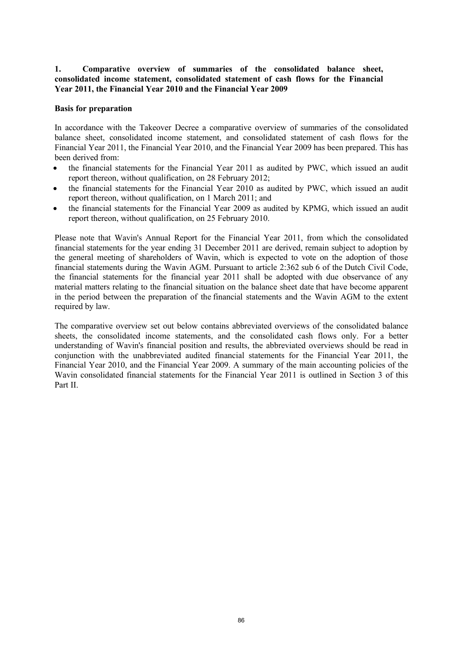# **1. Comparative overview of summaries of the consolidated balance sheet, consolidated income statement, consolidated statement of cash flows for the Financial Year 2011, the Financial Year 2010 and the Financial Year 2009**

## **Basis for preparation**

In accordance with the Takeover Decree a comparative overview of summaries of the consolidated balance sheet, consolidated income statement, and consolidated statement of cash flows for the Financial Year 2011, the Financial Year 2010, and the Financial Year 2009 has been prepared. This has been derived from:

- the financial statements for the Financial Year 2011 as audited by PWC, which issued an audit report thereon, without qualification, on 28 February 2012;
- the financial statements for the Financial Year 2010 as audited by PWC, which issued an audit report thereon, without qualification, on 1 March 2011; and
- · the financial statements for the Financial Year 2009 as audited by KPMG, which issued an audit report thereon, without qualification, on 25 February 2010.

Please note that Wavin's Annual Report for the Financial Year 2011, from which the consolidated financial statements for the year ending 31 December 2011 are derived, remain subject to adoption by the general meeting of shareholders of Wavin, which is expected to vote on the adoption of those financial statements during the Wavin AGM. Pursuant to article 2:362 sub 6 of the Dutch Civil Code, the financial statements for the financial year 2011 shall be adopted with due observance of any material matters relating to the financial situation on the balance sheet date that have become apparent in the period between the preparation of the financial statements and the Wavin AGM to the extent required by law.

The comparative overview set out below contains abbreviated overviews of the consolidated balance sheets, the consolidated income statements, and the consolidated cash flows only. For a better understanding of Wavin's financial position and results, the abbreviated overviews should be read in conjunction with the unabbreviated audited financial statements for the Financial Year 2011, the Financial Year 2010, and the Financial Year 2009. A summary of the main accounting policies of the Wavin consolidated financial statements for the Financial Year 2011 is outlined in Section 3 of this Part II.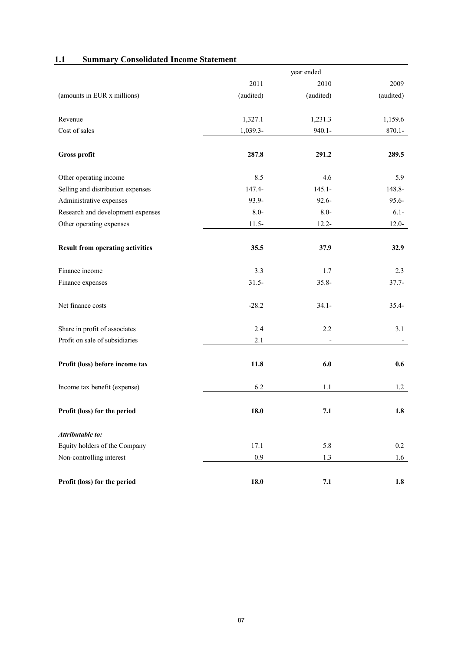|                                         |           | year ended               |                          |
|-----------------------------------------|-----------|--------------------------|--------------------------|
|                                         | 2011      | 2010                     | 2009                     |
| (amounts in EUR x millions)             | (audited) | (audited)                | (audited)                |
| Revenue                                 | 1,327.1   | 1,231.3                  | 1,159.6                  |
| Cost of sales                           | 1,039.3-  | $940.1 -$                | 870.1-                   |
| Gross profit                            | 287.8     | 291.2                    | 289.5                    |
| Other operating income                  | 8.5       | 4.6                      | 5.9                      |
| Selling and distribution expenses       | 147.4-    | $145.1 -$                | 148.8-                   |
| Administrative expenses                 | 93.9-     | $92.6 -$                 | $95.6 -$                 |
| Research and development expenses       | $8.0 -$   | $8.0 -$                  | $6.1 -$                  |
| Other operating expenses                | $11.5 -$  | $12.2 -$                 | $12.0 -$                 |
| <b>Result from operating activities</b> | 35.5      | 37.9                     | 32.9                     |
| Finance income                          | 3.3       | 1.7                      | 2.3                      |
| Finance expenses                        | $31.5 -$  | $35.8 -$                 | $37.7 -$                 |
| Net finance costs                       | $-28.2$   | $34.1 -$                 | $35.4 -$                 |
| Share in profit of associates           | 2.4       | 2.2                      | 3.1                      |
| Profit on sale of subsidiaries          | 2.1       | $\overline{\phantom{a}}$ | $\overline{\phantom{a}}$ |
| Profit (loss) before income tax         | 11.8      | 6.0                      | 0.6                      |
| Income tax benefit (expense)            | 6.2       | 1.1                      | 1.2                      |
| Profit (loss) for the period            | 18.0      | 7.1                      | 1.8                      |
| Attributable to:                        |           |                          |                          |
| Equity holders of the Company           | 17.1      | 5.8                      | $0.2\,$                  |
| Non-controlling interest                | 0.9       | 1.3                      | 1.6                      |
| Profit (loss) for the period            | 18.0      | 7.1                      | 1.8                      |

# **1.1 Summary Consolidated Income Statement**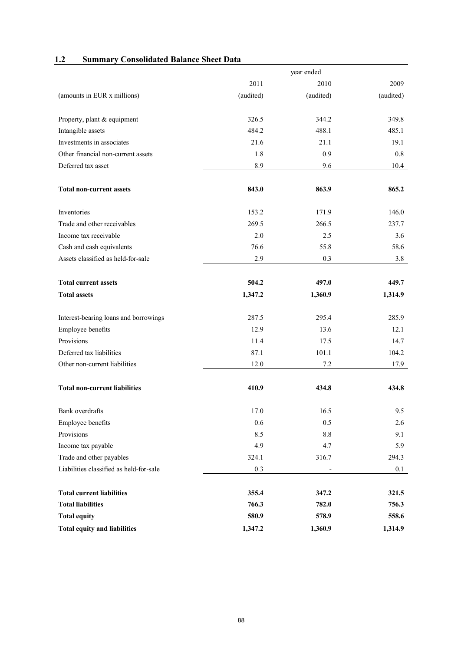| $1.2\phantom{0}$ |  | <b>Summary Consolidated Balance Sheet Data</b> |  |  |  |
|------------------|--|------------------------------------------------|--|--|--|
|------------------|--|------------------------------------------------|--|--|--|

|                                                              |                | year ended     |                |
|--------------------------------------------------------------|----------------|----------------|----------------|
|                                                              | 2011           | 2010           | 2009           |
| (amounts in EUR x millions)                                  | (audited)      | (audited)      | (audited)      |
|                                                              |                |                |                |
| Property, plant & equipment                                  | 326.5          | 344.2          | 349.8          |
| Intangible assets                                            | 484.2          | 488.1          | 485.1          |
| Investments in associates                                    | 21.6           | 21.1           | 19.1           |
| Other financial non-current assets                           | 1.8            | 0.9            | 0.8            |
| Deferred tax asset                                           | 8.9            | 9.6            | 10.4           |
|                                                              |                |                |                |
| <b>Total non-current assets</b>                              | 843.0          | 863.9          | 865.2          |
| Inventories                                                  | 153.2          | 171.9          | 146.0          |
| Trade and other receivables                                  | 269.5          | 266.5          | 237.7          |
| Income tax receivable                                        | 2.0            | 2.5            | 3.6            |
| Cash and cash equivalents                                    | 76.6           | 55.8           | 58.6           |
| Assets classified as held-for-sale                           | 2.9            | 0.3            | 3.8            |
|                                                              |                |                |                |
| <b>Total current assets</b>                                  | 504.2          | 497.0          | 449.7          |
| <b>Total assets</b>                                          | 1,347.2        | 1,360.9        | 1,314.9        |
| Interest-bearing loans and borrowings                        | 287.5          | 295.4          | 285.9          |
| Employee benefits                                            | 12.9           | 13.6           | 12.1           |
| Provisions                                                   | 11.4           | 17.5           | 14.7           |
| Deferred tax liabilities                                     | 87.1           | 101.1          | 104.2          |
| Other non-current liabilities                                | 12.0           | $7.2\,$        | 17.9           |
|                                                              |                |                |                |
| <b>Total non-current liabilities</b>                         | 410.9          | 434.8          | 434.8          |
| Bank overdrafts                                              | 17.0           | 16.5           | 9.5            |
| Employee benefits                                            | 0.6            | 0.5            | 2.6            |
| Provisions                                                   | 8.5            | 8.8            | 9.1            |
| Income tax payable                                           | 4.9            | 4.7            | 5.9            |
| Trade and other payables                                     | 324.1          | 316.7          | 294.3          |
| Liabilities classified as held-for-sale                      | 0.3            |                | 0.1            |
|                                                              |                |                |                |
| <b>Total current liabilities</b><br><b>Total liabilities</b> | 355.4<br>766.3 | 347.2<br>782.0 | 321.5<br>756.3 |
|                                                              | 580.9          | 578.9          | 558.6          |
| <b>Total equity</b>                                          |                |                |                |
| <b>Total equity and liabilities</b>                          | 1,347.2        | 1,360.9        | 1,314.9        |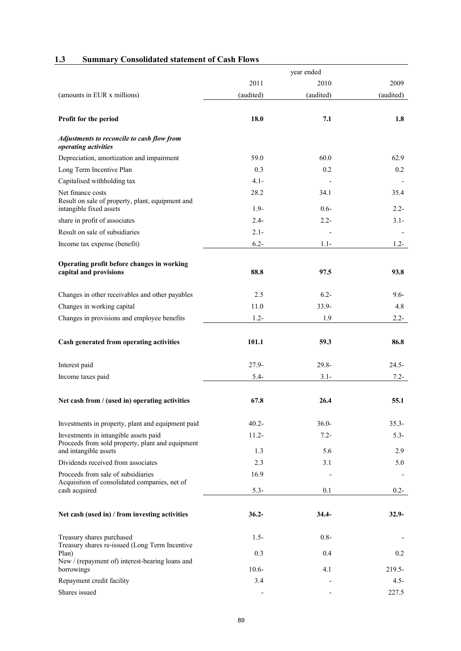# **1.3 Summary Consolidated statement of Cash Flows**

|                                                                                     | year ended |           |           |
|-------------------------------------------------------------------------------------|------------|-----------|-----------|
|                                                                                     | 2011       | 2010      | 2009      |
| (amounts in EUR x millions)                                                         | (audited)  | (audited) | (audited) |
|                                                                                     |            |           |           |
| Profit for the period                                                               | 18.0       | 7.1       | 1.8       |
| Adjustments to reconcile to cash flow from<br>operating activities                  |            |           |           |
| Depreciation, amortization and impairment                                           | 59.0       | 60.0      | 62.9      |
| Long Term Incentive Plan                                                            | 0.3        | 0.2       | 0.2       |
| Capitalised withholding tax                                                         | $4.1 -$    |           |           |
| Net finance costs<br>Result on sale of property, plant, equipment and               | 28.2       | 34.1      | 35.4      |
| intangible fixed assets                                                             | $1.9-$     | $0.6 -$   | $2.2 -$   |
| share in profit of associates                                                       | $2.4 -$    | $2.2 -$   | $3.1 -$   |
| Result on sale of subsidiaries                                                      | $2.1 -$    |           |           |
| Income tax expense (benefit)                                                        | $6.2 -$    | $1.1 -$   | $1.2 -$   |
|                                                                                     |            |           |           |
| Operating profit before changes in working<br>capital and provisions                | 88.8       | 97.5      | 93.8      |
| Changes in other receivables and other payables                                     | 2.5        | $6.2 -$   | $9.6 -$   |
| Changes in working capital                                                          | 11.0       | $33.9 -$  | 4.8       |
| Changes in provisions and employee benefits                                         | $1.2 -$    | 1.9       | $2.2 -$   |
|                                                                                     |            |           |           |
| Cash generated from operating activities                                            | 101.1      | 59.3      | 86.8      |
| Interest paid                                                                       | $27.9 -$   | $29.8 -$  | $24.5 -$  |
| Income taxes paid                                                                   | $5.4-$     | $3.1 -$   | $7.2 -$   |
|                                                                                     |            |           |           |
| Net cash from / (used in) operating activities                                      | 67.8       | 26.4      | 55.1      |
| Investments in property, plant and equipment paid                                   | $40.2 -$   | $36.0 -$  | $35.3 -$  |
| Investments in intangible assets paid                                               | $11.2 -$   | $7.2 -$   | $5.3-$    |
| Proceeds from sold property, plant and equipment                                    |            |           |           |
| and intangible assets<br>Dividends received from associates                         | 1.3        | 5.6       | 2.9       |
|                                                                                     | 2.3        | 3.1       | 5.0       |
| Proceeds from sale of subsidiaries<br>Acquisition of consolidated companies, net of | 16.9       |           |           |
| cash acquired                                                                       | $5.3 -$    | 0.1       | $0.2 -$   |
|                                                                                     |            |           |           |
| Net cash (used in) / from investing activities                                      | $36.2 -$   | $34.4 -$  | $32.9 -$  |
| Treasury shares purchased                                                           | $1.5 -$    | $0.8 -$   |           |
| Treasury shares re-issued (Long Term Incentive<br>Plan)                             | 0.3        | 0.4       | 0.2       |
| New / (repayment of) interest-bearing loans and                                     |            |           |           |
| borrowings                                                                          | $10.6 -$   | 4.1       | 219.5-    |
| Repayment credit facility                                                           | 3.4        |           | $4.5 -$   |
| Shares issued                                                                       |            |           | 227.5     |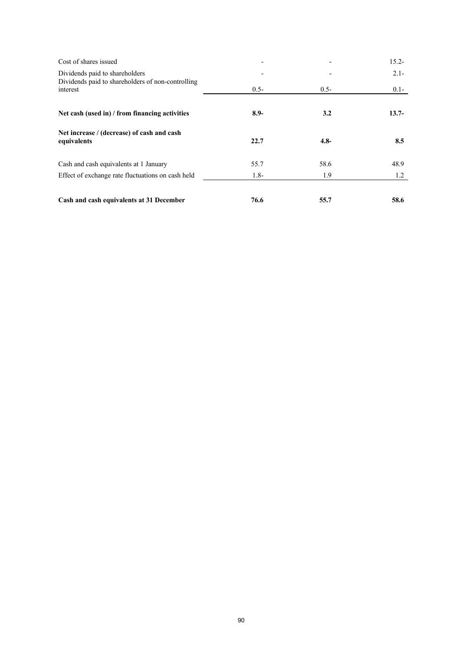| Cost of shares issued                                                               |         | $\overline{\phantom{a}}$ | $15.2 -$ |
|-------------------------------------------------------------------------------------|---------|--------------------------|----------|
| Dividends paid to shareholders<br>Dividends paid to shareholders of non-controlling |         | $\overline{\phantom{a}}$ | $2.1 -$  |
| interest                                                                            | $0.5 -$ | $0.5 -$                  | $0.1 -$  |
| Net cash (used in) / from financing activities                                      | $8.9 -$ | 3.2                      | $13.7 -$ |
| Net increase / (decrease) of cash and cash<br>equivalents                           | 22.7    | $4.8 -$                  | 8.5      |
| Cash and cash equivalents at 1 January                                              | 55.7    | 58.6                     | 48.9     |
| Effect of exchange rate fluctuations on cash held                                   | $1.8-$  | 1.9                      | 1.2      |
| Cash and cash equivalents at 31 December                                            | 76.6    | 55.7                     | 58.6     |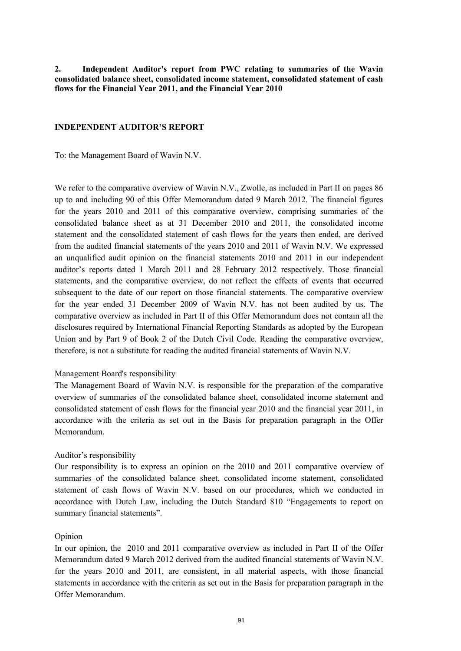**2. Independent Auditor's report from PWC relating to summaries of the Wavin consolidated balance sheet, consolidated income statement, consolidated statement of cash flows for the Financial Year 2011, and the Financial Year 2010**

## **INDEPENDENT AUDITOR'S REPORT**

To: the Management Board of Wavin N.V.

We refer to the comparative overview of Wavin N.V., Zwolle, as included in Part II on pages 86 up to and including 90 of this Offer Memorandum dated 9 March 2012. The financial figures for the years 2010 and 2011 of this comparative overview, comprising summaries of the consolidated balance sheet as at 31 December 2010 and 2011, the consolidated income statement and the consolidated statement of cash flows for the years then ended, are derived from the audited financial statements of the years 2010 and 2011 of Wavin N.V. We expressed an unqualified audit opinion on the financial statements 2010 and 2011 in our independent auditor's reports dated 1 March 2011 and 28 February 2012 respectively. Those financial statements, and the comparative overview, do not reflect the effects of events that occurred subsequent to the date of our report on those financial statements. The comparative overview for the year ended 31 December 2009 of Wavin N.V. has not been audited by us. The comparative overview as included in Part II of this Offer Memorandum does not contain all the disclosures required by International Financial Reporting Standards as adopted by the European Union and by Part 9 of Book 2 of the Dutch Civil Code. Reading the comparative overview, therefore, is not a substitute for reading the audited financial statements of Wavin N.V.

## Management Board's responsibility

The Management Board of Wavin N.V. is responsible for the preparation of the comparative overview of summaries of the consolidated balance sheet, consolidated income statement and consolidated statement of cash flows for the financial year 2010 and the financial year 2011, in accordance with the criteria as set out in the Basis for preparation paragraph in the Offer Memorandum.

## Auditor's responsibility

Our responsibility is to express an opinion on the 2010 and 2011 comparative overview of summaries of the consolidated balance sheet, consolidated income statement, consolidated statement of cash flows of Wavin N.V. based on our procedures, which we conducted in accordance with Dutch Law, including the Dutch Standard 810 "Engagements to report on summary financial statements".

## Opinion

In our opinion, the 2010 and 2011 comparative overview as included in Part II of the Offer Memorandum dated 9 March 2012 derived from the audited financial statements of Wavin N.V. for the years 2010 and 2011, are consistent, in all material aspects, with those financial statements in accordance with the criteria as set out in the Basis for preparation paragraph in the Offer Memorandum.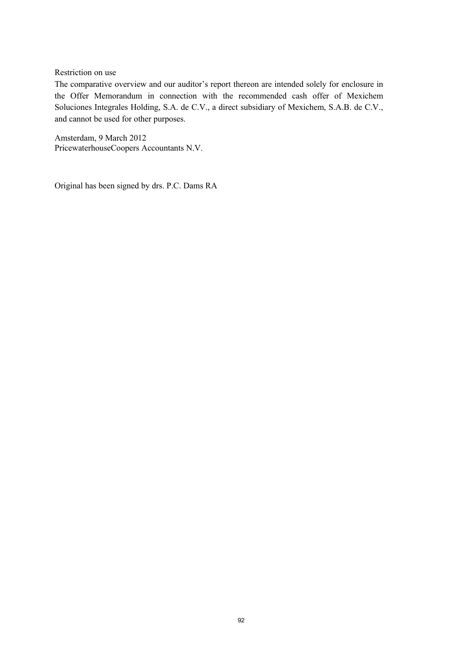Restriction on use

The comparative overview and our auditor's report thereon are intended solely for enclosure in the Offer Memorandum in connection with the recommended cash offer of Mexichem Soluciones Integrales Holding, S.A. de C.V., a direct subsidiary of Mexichem, S.A.B. de C.V., and cannot be used for other purposes.

Amsterdam, 9 March 2012 PricewaterhouseCoopers Accountants N.V.

Original has been signed by drs. P.C. Dams RA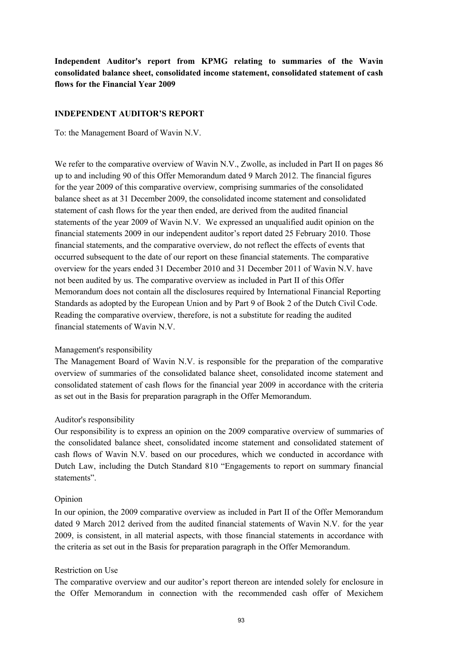**Independent Auditor's report from KPMG relating to summaries of the Wavin consolidated balance sheet, consolidated income statement, consolidated statement of cash flows for the Financial Year 2009**

# **INDEPENDENT AUDITOR'S REPORT**

To: the Management Board of Wavin N.V.

We refer to the comparative overview of Wavin N.V., Zwolle, as included in Part II on pages 86 up to and including 90 of this Offer Memorandum dated 9 March 2012. The financial figures for the year 2009 of this comparative overview, comprising summaries of the consolidated balance sheet as at 31 December 2009, the consolidated income statement and consolidated statement of cash flows for the year then ended, are derived from the audited financial statements of the year 2009 of Wavin N.V. We expressed an unqualified audit opinion on the financial statements 2009 in our independent auditor's report dated 25 February 2010. Those financial statements, and the comparative overview, do not reflect the effects of events that occurred subsequent to the date of our report on these financial statements. The comparative overview for the years ended 31 December 2010 and 31 December 2011 of Wavin N.V. have not been audited by us. The comparative overview as included in Part II of this Offer Memorandum does not contain all the disclosures required by International Financial Reporting Standards as adopted by the European Union and by Part 9 of Book 2 of the Dutch Civil Code. Reading the comparative overview, therefore, is not a substitute for reading the audited financial statements of Wavin N.V.

# Management's responsibility

The Management Board of Wavin N.V. is responsible for the preparation of the comparative overview of summaries of the consolidated balance sheet, consolidated income statement and consolidated statement of cash flows for the financial year 2009 in accordance with the criteria as set out in the Basis for preparation paragraph in the Offer Memorandum.

# Auditor's responsibility

Our responsibility is to express an opinion on the 2009 comparative overview of summaries of the consolidated balance sheet, consolidated income statement and consolidated statement of cash flows of Wavin N.V. based on our procedures, which we conducted in accordance with Dutch Law, including the Dutch Standard 810 "Engagements to report on summary financial statements".

## Opinion

In our opinion, the 2009 comparative overview as included in Part II of the Offer Memorandum dated 9 March 2012 derived from the audited financial statements of Wavin N.V. for the year 2009, is consistent, in all material aspects, with those financial statements in accordance with the criteria as set out in the Basis for preparation paragraph in the Offer Memorandum.

## Restriction on Use

The comparative overview and our auditor's report thereon are intended solely for enclosure in the Offer Memorandum in connection with the recommended cash offer of Mexichem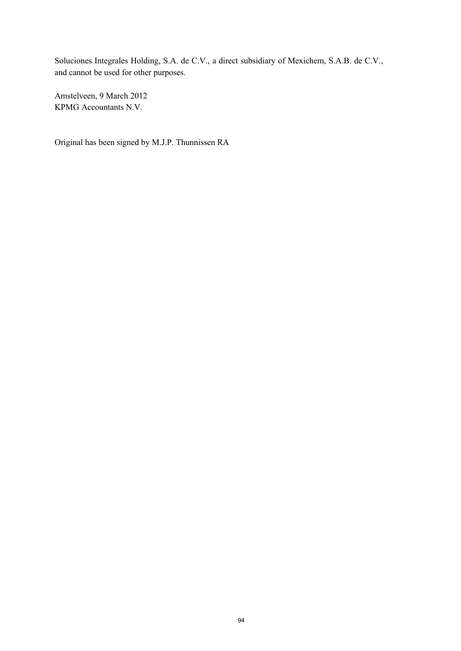Soluciones Integrales Holding, S.A. de C.V., a direct subsidiary of Mexichem, S.A.B. de C.V., and cannot be used for other purposes.

Amstelveen, 9 March 2012 KPMG Accountants N.V.

Original has been signed by M.J.P. Thunnissen RA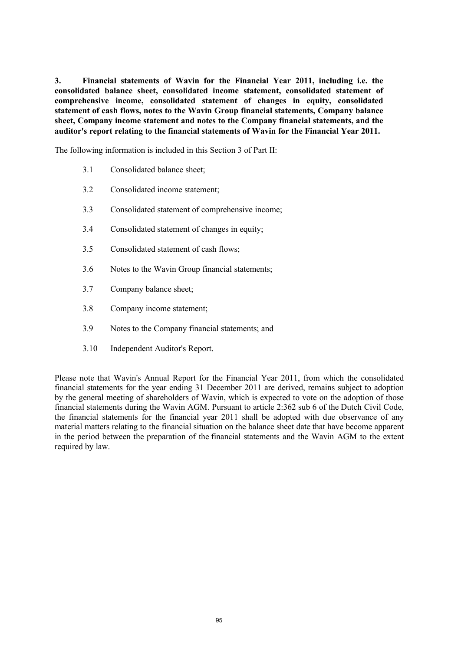**3. Financial statements of Wavin for the Financial Year 2011, including i.e. the consolidated balance sheet, consolidated income statement, consolidated statement of comprehensive income, consolidated statement of changes in equity, consolidated statement of cash flows, notes to the Wavin Group financial statements, Company balance sheet, Company income statement and notes to the Company financial statements, and the auditor's report relating to the financial statements of Wavin for the Financial Year 2011.**

The following information is included in this Section 3 of Part II:

- 3.1 Consolidated balance sheet;
- 3.2 Consolidated income statement;
- 3.3 Consolidated statement of comprehensive income;
- 3.4 Consolidated statement of changes in equity;
- 3.5 Consolidated statement of cash flows;
- 3.6 Notes to the Wavin Group financial statements;
- 3.7 Company balance sheet;
- 3.8 Company income statement;
- 3.9 Notes to the Company financial statements; and
- 3.10 Independent Auditor's Report.

Please note that Wavin's Annual Report for the Financial Year 2011, from which the consolidated financial statements for the year ending 31 December 2011 are derived, remains subject to adoption by the general meeting of shareholders of Wavin, which is expected to vote on the adoption of those financial statements during the Wavin AGM. Pursuant to article 2:362 sub 6 of the Dutch Civil Code, the financial statements for the financial year 2011 shall be adopted with due observance of any material matters relating to the financial situation on the balance sheet date that have become apparent in the period between the preparation of the financial statements and the Wavin AGM to the extent required by law.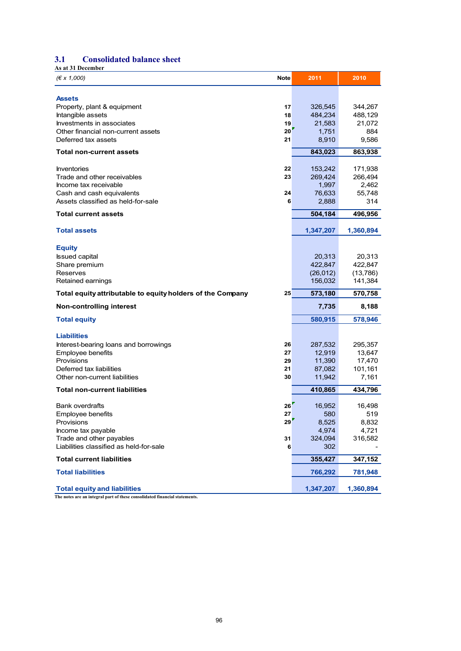# **3.1 Consolidated balance sheet**

| As at 31 December                                          |                |            |           |
|------------------------------------------------------------|----------------|------------|-----------|
| (€ x 1,000)                                                | <b>Note</b>    | 2011       | 2010      |
|                                                            |                |            |           |
| <b>Assets</b>                                              |                |            |           |
| Property, plant & equipment                                | 17             | 326,545    | 344,267   |
| Intangible assets                                          | 18             | 484,234    | 488,129   |
| Investments in associates                                  | 19             | 21,583     | 21,072    |
| Other financial non-current assets                         | $20^{\degree}$ | 1,751      | 884       |
| Deferred tax assets                                        | 21             | 8,910      | 9,586     |
| <b>Total non-current assets</b>                            |                | 843,023    | 863,938   |
|                                                            |                |            |           |
| <b>Inventories</b>                                         | 22             | 153,242    | 171,938   |
| Trade and other receivables                                | 23             | 269,424    | 266,494   |
| Income tax receivable                                      |                | 1,997      | 2,462     |
| Cash and cash equivalents                                  | 24             | 76,633     | 55,748    |
| Assets classified as held-for-sale                         | 6              | 2,888      | 314       |
| <b>Total current assets</b>                                |                | 504,184    | 496,956   |
| <b>Total assets</b>                                        |                | 1,347,207  | 1,360,894 |
|                                                            |                |            |           |
| <b>Equity</b>                                              |                |            |           |
| <b>Issued capital</b>                                      |                | 20,313     | 20,313    |
| Share premium                                              |                | 422,847    | 422,847   |
| Reserves                                                   |                | (26, 012)  | (13,786)  |
| Retained earnings                                          |                | 156,032    | 141,384   |
| Total equity attributable to equity holders of the Company | 25             | 573,180    | 570,758   |
| Non-controlling interest                                   |                | 7,735      | 8,188     |
| <b>Total equity</b>                                        |                | 580,915    | 578,946   |
| <b>Liabilities</b>                                         |                |            |           |
|                                                            | 26             | 287,532    | 295,357   |
| Interest-bearing loans and borrowings<br>Employee benefits | 27             | 12,919     | 13,647    |
| Provisions                                                 | 29             | 11,390     | 17,470    |
| Deferred tax liabilities                                   | 21             | 87,082     | 101,161   |
| Other non-current liabilities                              | 30             | 11,942     | 7,161     |
| <b>Total non-current liabilities</b>                       |                | 410,865    | 434,796   |
|                                                            |                |            |           |
| <b>Bank overdrafts</b>                                     | 26             | 16,952     | 16,498    |
| Employee benefits                                          | 27             | <b>580</b> | 519       |
| Provisions                                                 | 29             | 8,525      | 8,832     |
| Income tax payable                                         |                | 4,974      | 4,721     |
| Trade and other payables                                   | 31             | 324,094    | 316,582   |
| Liabilities classified as held-for-sale                    | 6              | 302        |           |
| <b>Total current liabilities</b>                           |                | 355,427    | 347,152   |
| <b>Total liabilities</b>                                   |                | 766,292    | 781,948   |
|                                                            |                |            |           |
| <b>Total equity and liabilities</b>                        |                | 1,347,207  | 1,360,894 |

**The notes are an integral part of these consolidated financial statements.**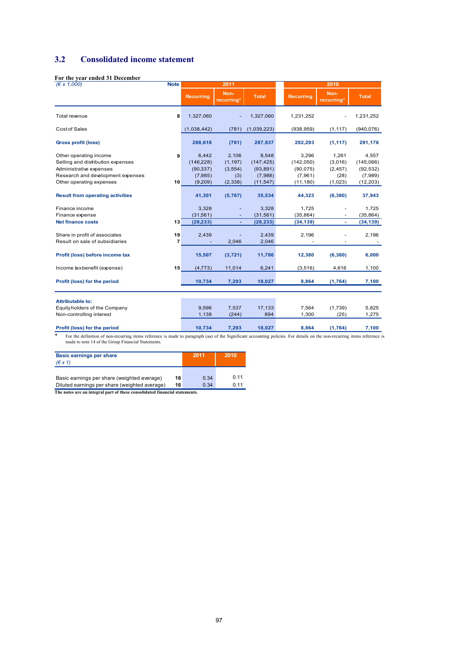# **3.2 Consolidated income statement**

## **For the year ended 31 December**

| $(E \times 1,000)$                                                                                                                                                                                                                        | <b>Note</b>          | 2011             |                    |                | 2010                              |                          |              |
|-------------------------------------------------------------------------------------------------------------------------------------------------------------------------------------------------------------------------------------------|----------------------|------------------|--------------------|----------------|-----------------------------------|--------------------------|--------------|
|                                                                                                                                                                                                                                           |                      | <b>Recurring</b> | Non-<br>recurring* | <b>Total</b>   | <b>Recurring</b>                  | Non-<br>recurring*       | <b>Total</b> |
| Total revenue                                                                                                                                                                                                                             | 8                    | 1,327,060        |                    | 1,327,060      | 1,231,252                         |                          | 1,231,252    |
| <b>Costof Sales</b>                                                                                                                                                                                                                       |                      | (1,038,442)      | (781)              | (1,039,223)    | (938, 959)                        | (1, 117)                 | (940, 076)   |
| Gross profit (loss)                                                                                                                                                                                                                       |                      | 288,618          | (781)              | 287,837        | 292,293                           | (1, 117)                 | 291,176      |
| Other operating income                                                                                                                                                                                                                    | 9                    | 6,442            | 2,106              | 8,548          | 3,296                             | 1,261                    | 4,557        |
| Selling and distribution expenses                                                                                                                                                                                                         |                      | (146, 228)       | (1, 197)           | (147, 425)     | (142, 050)                        | (3,016)                  | (145,066)    |
| Administrative expenses                                                                                                                                                                                                                   |                      | (90, 337)        | (3, 554)           | (93, 891)      | (90, 075)                         | (2, 457)                 | (92, 532)    |
| Research and development expenses                                                                                                                                                                                                         |                      | (7,985)          | (3)                | (7,988)        | (7,961)                           | (28)                     | (7,989)      |
| Other operating expenses                                                                                                                                                                                                                  | 10                   | (9,209)          | (2, 338)           | (11, 547)      | (11, 180)                         | (1,023)                  | (12, 203)    |
| <b>Result from operating activities</b>                                                                                                                                                                                                   |                      | 41,301           | (5, 767)           | 35,534         | 44,323                            | (6, 380)                 | 37,943       |
| Finance income                                                                                                                                                                                                                            |                      | 3,328            |                    | 3,328          | 1,725                             |                          | 1,725        |
| Finance expense                                                                                                                                                                                                                           |                      | (31,561)         |                    | (31, 561)      | (35, 864)                         | $\overline{\phantom{a}}$ | (35, 864)    |
| <b>Net finance costs</b>                                                                                                                                                                                                                  | 13                   | (28, 233)        |                    | (28, 233)      | (34, 139)                         |                          | (34, 139)    |
| Share in profit of associates<br>Result on sale of subsidiaries                                                                                                                                                                           | 19<br>$\overline{7}$ | 2,439            | 2,046              | 2,439<br>2,046 | 2.196<br>$\overline{\phantom{a}}$ | $\overline{\phantom{a}}$ | 2.196        |
| Profit (loss) before income tax                                                                                                                                                                                                           |                      | 15,507           | (3, 721)           | 11,786         | 12,380                            | (6, 380)                 | 6,000        |
| Income taxbenefit (expense)                                                                                                                                                                                                               | 15                   | (4,773)          | 11,014             | 6,241          | (3, 516)                          | 4,616                    | 1,100        |
| Profit (loss) for the period                                                                                                                                                                                                              |                      | 10,734           | 7,293              | 18,027         | 8,864                             | (1,764)                  | 7,100        |
| <b>Attributable to:</b>                                                                                                                                                                                                                   |                      |                  |                    |                |                                   |                          |              |
| Equity holders of the Company                                                                                                                                                                                                             |                      | 9,596            | 7,537              | 17,133         | 7,564                             | (1,739)                  | 5,825        |
| Non-controlling interest                                                                                                                                                                                                                  |                      | 1,138            | (244)              | 894            | 1,300                             | (25)                     | 1,275        |
|                                                                                                                                                                                                                                           |                      |                  |                    |                |                                   |                          |              |
| Profit (loss) for the period                                                                                                                                                                                                              |                      | 10,734           | 7,293              | 18,027         | 8,864                             | (1,764)                  | 7,100        |
| $\ast$<br>For the definition of non-recurring items reference is made to paragraph (aa) of the Significant accounting policies. For details on the non-recurring items reference is<br>made to note 14 of the Group Financial Statements. |                      |                  |                    |                |                                   |                          |              |
| <b>Basic earnings per share</b>                                                                                                                                                                                                           |                      | 2011             | 2010               |                |                                   |                          |              |
| $(F \vee 1)$                                                                                                                                                                                                                              |                      |                  |                    |                |                                   |                          |              |

| $(\epsilon x 1)$                                                                         |    |      |      |
|------------------------------------------------------------------------------------------|----|------|------|
|                                                                                          |    |      |      |
| Basic earnings per share (weighted average)                                              | 16 | 0.34 | 0.11 |
| Diluted earnings per share (weighted average)                                            | 16 | 0.34 | 0.11 |
| The control comparative and comparative concentration of Concentrative and concentrative |    |      |      |

**The notes are an integral part of these consolidated financial statements.**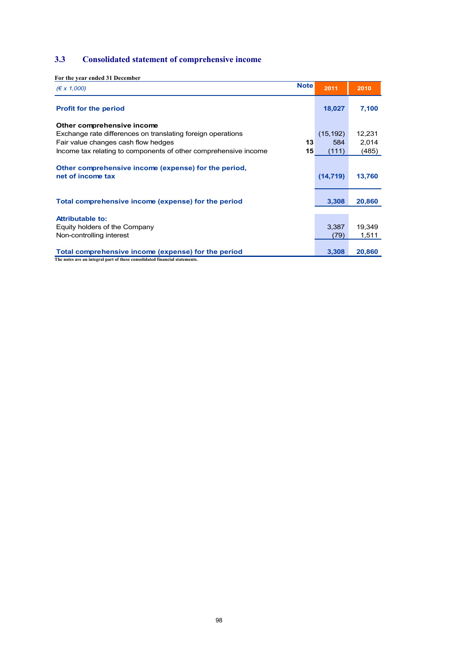# **3.3 Consolidated statement of comprehensive income**

**For the year ended 31 December** 

| <b>Note</b><br>$(E \times 1,000)$                                          |    | 2011      | 2010   |
|----------------------------------------------------------------------------|----|-----------|--------|
| <b>Profit for the period</b>                                               |    | 18,027    | 7,100  |
| Other comprehensive income                                                 |    |           |        |
| Exchange rate differences on translating foreign operations                |    | (15, 192) | 12,231 |
| Fair value changes cash flow hedges                                        | 13 | 584       | 2,014  |
| Income tax relating to components of other comprehensive income            | 15 | (111)     | (485)  |
| Other comprehensive income (expense) for the period,<br>net of income tax  |    | (14, 719) | 13,760 |
| Total comprehensive income (expense) for the period                        |    | 3,308     | 20,860 |
| <b>Attributable to:</b>                                                    |    |           |        |
| Equity holders of the Company                                              |    | 3.387     | 19,349 |
| Non-controlling interest                                                   |    | (79)      | 1,511  |
|                                                                            |    |           |        |
| Total comprehensive income (expense) for the period                        |    | 3,308     | 20,860 |
| The notes are an integral part of these consolidated financial statements. |    |           |        |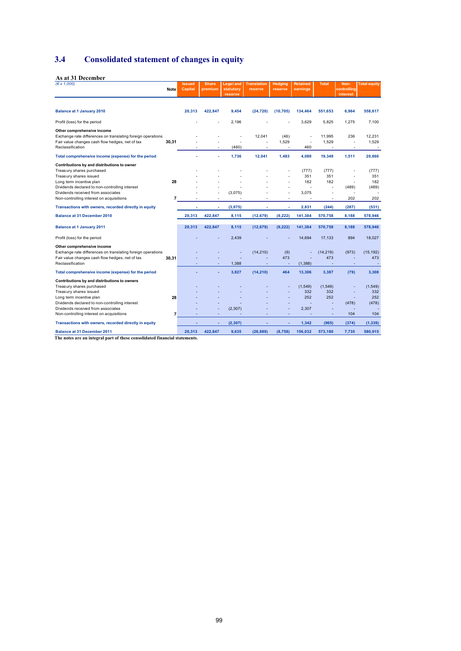# **3.4 Consolidated statement of changes in equity**

|--|

| $(E \times 1,000)$                                                                                                                                                                                                                                                 | <b>Note</b> | <b>Issued</b><br><b>Capital</b> | <b>Share</b><br>premium | Legal and<br>statutory<br>reserve | <b>Translation</b><br>reserve | <b>Hedging</b><br>reserve              | <b>Retained</b><br>earnings       | <b>Total</b>                      | Non-<br>controlling<br>interest | <b>Total equity</b>                 |
|--------------------------------------------------------------------------------------------------------------------------------------------------------------------------------------------------------------------------------------------------------------------|-------------|---------------------------------|-------------------------|-----------------------------------|-------------------------------|----------------------------------------|-----------------------------------|-----------------------------------|---------------------------------|-------------------------------------|
| <b>Balance at 1 January 2010</b>                                                                                                                                                                                                                                   |             | 20,313                          | 422,847                 | 9,454                             | (24, 720)                     | (10, 705)                              | 134,464                           | 551,653                           | 6,964                           | 558,617                             |
| Profit (loss) for the period                                                                                                                                                                                                                                       |             |                                 |                         | 2,196                             |                               |                                        | 3,629                             | 5,825                             | 1,275                           | 7,100                               |
| Other comprehensive income<br>Exchange rate differences on translating foreign operations<br>Fair value changes cash flow hedges, net of tax<br>Reclassification                                                                                                   | 30,31       |                                 |                         | (460)                             | 12,041<br>÷                   | (46)<br>1,529<br>÷.                    | $\ddot{\phantom{1}}$<br>ż.<br>460 | 11,995<br>1,529<br>$\overline{a}$ | 236<br>ä,<br>÷.                 | 12,231<br>1,529                     |
| Total comprehensive income (expense) for the period                                                                                                                                                                                                                |             |                                 |                         | 1,736                             | 12,041                        | 1,483                                  | 4,089                             | 19,349                            | 1,511                           | 20,860                              |
| Contributions by and distributions to owner<br>Treasury shares purchased<br>Treasury shares issued<br>Long term incentive plan<br>Dividends declared to non-controlling interest<br>Dividends received from associates<br>Non-controlling interest on acquisitions | 28<br>7     |                                 |                         | (3,075)                           |                               |                                        | (777)<br>351<br>182<br>3,075      | (777)<br>351<br>182               | ä,<br>ä,<br>÷.<br>(489)<br>202  | (777)<br>351<br>182<br>(489)<br>202 |
| Transactions with owners, recorded directly in equity                                                                                                                                                                                                              |             |                                 | ä,                      | (3,075)                           |                               |                                        | 2,831                             | (244)                             | (287)                           | (531)                               |
| <b>Balance at 31 December 2010</b>                                                                                                                                                                                                                                 |             | 20,313                          | 422,847                 | 8,115                             | (12, 679)                     | (9, 222)                               | 141,384                           | 570,758                           | 8,188                           | 578,946                             |
| <b>Balance at 1 January 2011</b>                                                                                                                                                                                                                                   |             | 20,313                          | 422,847                 | 8.115                             | (12, 679)                     | (9, 222)                               | 141,384                           | 570,758                           | 8.188                           | 578,946                             |
| Profit (loss) for the period                                                                                                                                                                                                                                       |             |                                 |                         | 2.439                             |                               |                                        | 14.694                            | 17.133                            | 894                             | 18,027                              |
| Other comprehensive income<br>Exchange rate differences on translating foreign operations<br>Fair value changes cash flow hedges, net of tax<br>Reclassification                                                                                                   | 30,31       |                                 |                         | 1,388                             | (14, 210)                     | (9)<br>473<br>$\overline{\phantom{a}}$ | (1, 388)                          | (14, 219)<br>473<br>×,            | (973)<br>Ξ                      | (15, 192)<br>473                    |
| Total comprehensive income (expense) for the period                                                                                                                                                                                                                |             |                                 |                         | 3,827                             | (14, 210)                     | 464                                    | 13,306                            | 3,387                             | (79)                            | 3,308                               |
| Contributions by and distributions to owners<br>Treasury shares purchased<br>Treasury shares issued<br>Long term incentive plan<br>Dividends declared to non-controlling interest<br>Dividends received from associates                                            | 28          |                                 |                         | (2, 307)                          |                               |                                        | (1,549)<br>332<br>252<br>2,307    | (1,549)<br>332<br>252             | Ξ<br>(478)                      | (1,549)<br>332<br>252<br>(478)      |
| Non-controlling interest on acquisitions                                                                                                                                                                                                                           | 7           |                                 | ä,                      |                                   |                               |                                        |                                   | ٠                                 | 104                             | 104                                 |
| Transactions with owners, recorded directly in equity                                                                                                                                                                                                              |             |                                 |                         | (2, 307)                          |                               |                                        | 1,342                             | (965)                             | (374)                           | (1, 339)                            |
| <b>Balance at 31 December 2011</b>                                                                                                                                                                                                                                 |             | 20.313                          | 422.847                 | 9.635                             | (26, 889)                     | (8, 758)                               | 156,032                           | 573.180                           | 7.735                           | 580.915                             |

**The notes are an integral part of these consolidated financial statements.**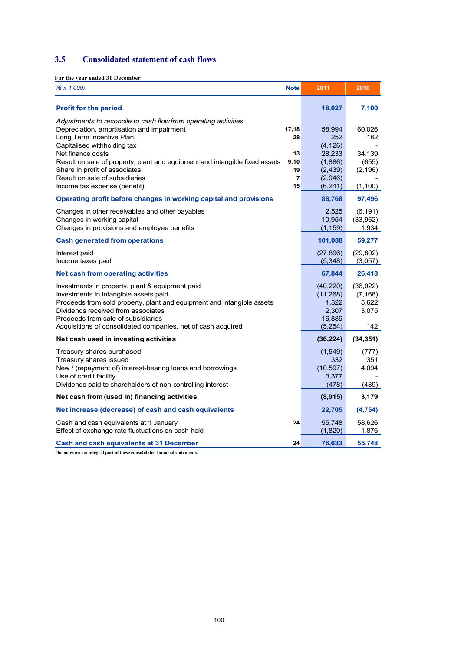# **3.5 Consolidated statement of cash flows**

**For the year ended 31 December** 

| $(\epsilon x 1,000)$                                                                                                                                                                                                                                                                                                                                                           | <b>Note</b>                                             | 2011                                                                              | 2010                                                    |
|--------------------------------------------------------------------------------------------------------------------------------------------------------------------------------------------------------------------------------------------------------------------------------------------------------------------------------------------------------------------------------|---------------------------------------------------------|-----------------------------------------------------------------------------------|---------------------------------------------------------|
| <b>Profit for the period</b>                                                                                                                                                                                                                                                                                                                                                   |                                                         | 18,027                                                                            | 7,100                                                   |
| Adjustments to reconcile to cash flow from operating activities<br>Depreciation, amortisation and impairment<br>Long Term Incentive Plan<br>Capitalised withholding tax<br>Net finance costs<br>Result on sale of property, plant and equipment and intangible fixed assets<br>Share in profit of associates<br>Result on sale of subsidiaries<br>Income tax expense (benefit) | 17,18<br>28<br>13<br>9,10<br>19<br>$\overline{7}$<br>15 | 58,994<br>252<br>(4, 126)<br>28,233<br>(1,886)<br>(2, 439)<br>(2,046)<br>(6, 241) | 60,026<br>182<br>34,139<br>(655)<br>(2, 196)<br>(1,100) |
| Operating profit before changes in working capital and provisions                                                                                                                                                                                                                                                                                                              |                                                         | 88,768                                                                            | 97,496                                                  |
| Changes in other receivables and other payables<br>Changes in working capital<br>Changes in provisions and employee benefits                                                                                                                                                                                                                                                   |                                                         | 2,525<br>10,954<br>(1, 159)                                                       | (6, 191)<br>(33,962)<br>1,934                           |
| <b>Cash generated from operations</b>                                                                                                                                                                                                                                                                                                                                          |                                                         | 101,088                                                                           | 59,277                                                  |
| Interest paid<br>Income taxes paid                                                                                                                                                                                                                                                                                                                                             |                                                         | (27, 896)<br>(5, 348)                                                             | (29, 802)<br>(3,057)                                    |
| Net cash from operating activities                                                                                                                                                                                                                                                                                                                                             |                                                         | 67,844                                                                            | 26,418                                                  |
| Investments in property, plant & equipment paid<br>Investments in intangible assets paid<br>Proceeds from sold property, plant and equipment and intangible assets<br>Dividends received from associates<br>Proceeds from sale of subsidiaries<br>Acquisitions of consolidated companies, net of cash acquired                                                                 |                                                         | (40, 220)<br>(11, 268)<br>1,322<br>2,307<br>16,889<br>(5,254)                     | (36, 022)<br>(7, 168)<br>5,622<br>3,075<br>142          |
| Net cash used in investing activities                                                                                                                                                                                                                                                                                                                                          |                                                         | (36, 224)                                                                         | (34, 351)                                               |
| Treasury shares purchased<br>Treasury shares issued<br>New / (repayment of) interest-bearing loans and borrowings<br>Use of credit facility<br>Dividends paid to shareholders of non-controlling interest                                                                                                                                                                      |                                                         | (1, 549)<br>332<br>(10, 597)<br>3,377<br>(478)                                    | (777)<br>351<br>4,094<br>(489)                          |
| Net cash from (used in) financing activities                                                                                                                                                                                                                                                                                                                                   |                                                         | (8,915)                                                                           | 3,179                                                   |
| Net increase (decrease) of cash and cash equivalents                                                                                                                                                                                                                                                                                                                           |                                                         | 22,705                                                                            | (4, 754)                                                |
| Cash and cash equivalents at 1 January<br>Effect of exchange rate fluctuations on cash held                                                                                                                                                                                                                                                                                    | 24                                                      | 55,748<br>(1,820)                                                                 | 58,626<br>1,876                                         |
| Cash and cash equivalents at 31 December<br>The notes are an integral next of these consolidated financial stateme                                                                                                                                                                                                                                                             | 24                                                      | 76,633                                                                            | 55,748                                                  |

**The notes are an integral part of these consolidated financial statements.**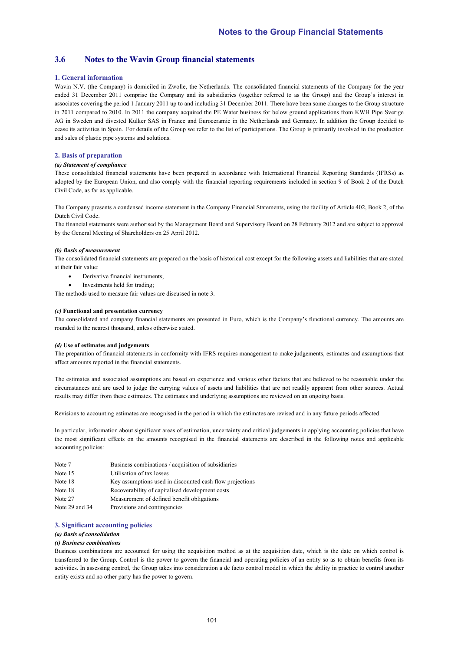## **3.6 Notes to the Wavin Group financial statements**

#### **1. General information**

Wavin N.V. (the Company) is domiciled in Zwolle, the Netherlands. The consolidated financial statements of the Company for the year ended 31 December 2011 comprise the Company and its subsidiaries (together referred to as the Group) and the Group's interest in associates covering the period 1 January 2011 up to and including 31 December 2011. There have been some changes to the Group structure in 2011 compared to 2010. In 2011 the company acquired the PE Water business for below ground applications from KWH Pipe Sverige AG in Sweden and divested Kulker SAS in France and Euroceramic in the Netherlands and Germany. In addition the Group decided to cease its activities in Spain. For details of the Group we refer to the list of participations. The Group is primarily involved in the production and sales of plastic pipe systems and solutions.

### **2. Basis of preparation**

### *(a) Statement of compliance*

These consolidated financial statements have been prepared in accordance with International Financial Reporting Standards (IFRSs) as adopted by the European Union, and also comply with the financial reporting requirements included in section 9 of Book 2 of the Dutch Civil Code, as far as applicable.

The Company presents a condensed income statement in the Company Financial Statements, using the facility of Article 402, Book 2, of the Dutch Civil Code.

The financial statements were authorised by the Management Board and Supervisory Board on 28 February 2012 and are subject to approval by the General Meeting of Shareholders on 25 April 2012.

#### *(b) Basis of measurement*

The consolidated financial statements are prepared on the basis of historical cost except for the following assets and liabilities that are stated at their fair value:

- Derivative financial instruments:
- Investments held for trading:
- The methods used to measure fair values are discussed in note 3.

#### *(c)* **Functional and presentation currency**

The consolidated and company financial statements are presented in Euro, which is the Company's functional currency. The amounts are rounded to the nearest thousand, unless otherwise stated.

#### *(d)* **Use of estimates and judgements**

The preparation of financial statements in conformity with IFRS requires management to make judgements, estimates and assumptions that affect amounts reported in the financial statements.

The estimates and associated assumptions are based on experience and various other factors that are believed to be reasonable under the circumstances and are used to judge the carrying values of assets and liabilities that are not readily apparent from other sources. Actual results may differ from these estimates. The estimates and underlying assumptions are reviewed on an ongoing basis.

Revisions to accounting estimates are recognised in the period in which the estimates are revised and in any future periods affected.

In particular, information about significant areas of estimation, uncertainty and critical judgements in applying accounting policies that have the most significant effects on the amounts recognised in the financial statements are described in the following notes and applicable accounting policies:

| Note 7         | Business combinations / acquisition of subsidiaries      |
|----------------|----------------------------------------------------------|
| Note 15        | Utilisation of tax losses                                |
| Note 18        | Key assumptions used in discounted cash flow projections |
| Note 18        | Recoverability of capitalised development costs          |
| Note 27        | Measurement of defined benefit obligations               |
| Note 29 and 34 | Provisions and contingencies                             |

#### **3. Significant accounting policies**

### *(a) Basis of consolidation*

#### *(i) Business combinations*

Business combinations are accounted for using the acquisition method as at the acquisition date, which is the date on which control is transferred to the Group. Control is the power to govern the financial and operating policies of an entity so as to obtain benefits from its activities. In assessing control, the Group takes into consideration a de facto control model in which the ability in practice to control another entity exists and no other party has the power to govern.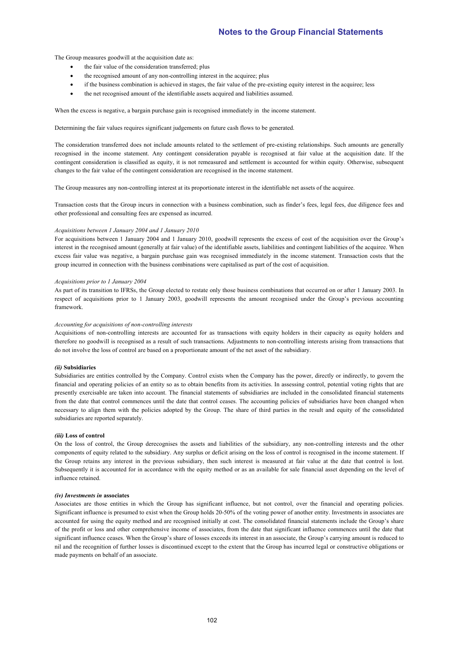The Group measures goodwill at the acquisition date as:

- the fair value of the consideration transferred; plus
- the recognised amount of any non-controlling interest in the acquiree; plus
- if the business combination is achieved in stages, the fair value of the pre-existing equity interest in the acquiree; less
- the net recognised amount of the identifiable assets acquired and liabilities assumed.

When the excess is negative, a bargain purchase gain is recognised immediately in the income statement.

#### Determining the fair values requires significant judgements on future cash flows to be generated.

The consideration transferred does not include amounts related to the settlement of pre-existing relationships. Such amounts are generally recognised in the income statement. Any contingent consideration payable is recognised at fair value at the acquisition date. If the contingent consideration is classified as equity, it is not remeasured and settlement is accounted for within equity. Otherwise, subsequent changes to the fair value of the contingent consideration are recognised in the income statement.

The Group measures any non-controlling interest at its proportionate interest in the identifiable net assets of the acquiree.

Transaction costs that the Group incurs in connection with a business combination, such as finder's fees, legal fees, due diligence fees and other professional and consulting fees are expensed as incurred.

#### *Acquisitions between 1 January 2004 and 1 January 2010*

For acquisitions between 1 January 2004 and 1 January 2010, goodwill represents the excess of cost of the acquisition over the Group's interest in the recognised amount (generally at fair value) of the identifiable assets, liabilities and contingent liabilities of the acquiree. When excess fair value was negative, a bargain purchase gain was recognised immediately in the income statement. Transaction costs that the group incurred in connection with the business combinations were capitalised as part of the cost of acquisition.

#### *Acquisitions prior to 1 January 2004*

As part of its transition to IFRSs, the Group elected to restate only those business combinations that occurred on or after 1 January 2003. In respect of acquisitions prior to 1 January 2003, goodwill represents the amount recognised under the Group's previous accounting framework.

#### *Accounting for acquisitions of non-controlling interests*

Acquisitions of non-controlling interests are accounted for as transactions with equity holders in their capacity as equity holders and therefore no goodwill is recognised as a result of such transactions. Adjustments to non-controlling interests arising from transactions that do not involve the loss of control are based on a proportionate amount of the net asset of the subsidiary.

#### *(ii)* **Subsidiaries**

Subsidiaries are entities controlled by the Company. Control exists when the Company has the power, directly or indirectly, to govern the financial and operating policies of an entity so as to obtain benefits from its activities. In assessing control, potential voting rights that are presently exercisable are taken into account. The financial statements of subsidiaries are included in the consolidated financial statements from the date that control commences until the date that control ceases. The accounting policies of subsidiaries have been changed when necessary to align them with the policies adopted by the Group. The share of third parties in the result and equity of the consolidated subsidiaries are reported separately.

#### *(iii)* **Loss of control**

On the loss of control, the Group derecognises the assets and liabilities of the subsidiary, any non-controlling interests and the other components of equity related to the subsidiary. Any surplus or deficit arising on the loss of control is recognised in the income statement. If the Group retains any interest in the previous subsidiary, then such interest is measured at fair value at the date that control is lost. Subsequently it is accounted for in accordance with the equity method or as an available for sale financial asset depending on the level of influence retained.

#### *(iv) Investments in* **associates**

Associates are those entities in which the Group has significant influence, but not control, over the financial and operating policies. Significant influence is presumed to exist when the Group holds 20-50% of the voting power of another entity. Investments in associates are accounted for using the equity method and are recognised initially at cost. The consolidated financial statements include the Group's share of the profit or loss and other comprehensive income of associates, from the date that significant influence commences until the date that significant influence ceases. When the Group's share of losses exceeds its interest in an associate, the Group's carrying amount is reduced to nil and the recognition of further losses is discontinued except to the extent that the Group has incurred legal or constructive obligations or made payments on behalf of an associate.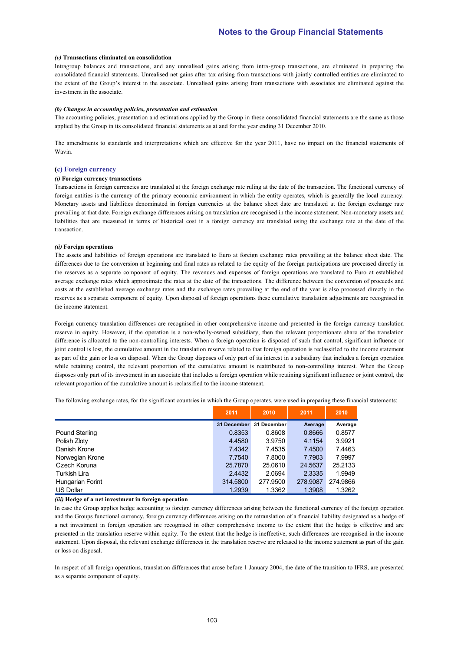#### *(v)* **Transactions eliminated on consolidation**

Intragroup balances and transactions, and any unrealised gains arising from intra-group transactions, are eliminated in preparing the consolidated financial statements. Unrealised net gains after tax arising from transactions with jointly controlled entities are eliminated to the extent of the Group's interest in the associate. Unrealised gains arising from transactions with associates are eliminated against the investment in the associate.

#### *(b) Changes in accounting policies, presentation and estimation*

The accounting policies, presentation and estimations applied by the Group in these consolidated financial statements are the same as those applied by the Group in its consolidated financial statements as at and for the year ending 31 December 2010.

The amendments to standards and interpretations which are effective for the year 2011, have no impact on the financial statements of Wavin.

#### **(c) Foreign currency**

#### *(i)* **Foreign currency transactions**

Transactions in foreign currencies are translated at the foreign exchange rate ruling at the date of the transaction. The functional currency of foreign entities is the currency of the primary economic environment in which the entity operates, which is generally the local currency. Monetary assets and liabilities denominated in foreign currencies at the balance sheet date are translated at the foreign exchange rate prevailing at that date. Foreign exchange differences arising on translation are recognised in the income statement. Non-monetary assets and liabilities that are measured in terms of historical cost in a foreign currency are translated using the exchange rate at the date of the transaction.

#### *(ii)* **Foreign operations**

The assets and liabilities of foreign operations are translated to Euro at foreign exchange rates prevailing at the balance sheet date. The differences due to the conversion at beginning and final rates as related to the equity of the foreign participations are processed directly in the reserves as a separate component of equity. The revenues and expenses of foreign operations are translated to Euro at established average exchange rates which approximate the rates at the date of the transactions. The difference between the conversion of proceeds and costs at the established average exchange rates and the exchange rates prevailing at the end of the year is also processed directly in the reserves as a separate component of equity. Upon disposal of foreign operations these cumulative translation adjustments are recognised in the income statement.

Foreign currency translation differences are recognised in other comprehensive income and presented in the foreign currency translation reserve in equity. However, if the operation is a non-wholly-owned subsidiary, then the relevant proportionate share of the translation difference is allocated to the non-controlling interests. When a foreign operation is disposed of such that control, significant influence or joint control is lost, the cumulative amount in the translation reserve related to that foreign operation is reclassified to the income statement as part of the gain or loss on disposal. When the Group disposes of only part of its interest in a subsidiary that includes a foreign operation while retaining control, the relevant proportion of the cumulative amount is reattributed to non-controlling interest. When the Group disposes only part of its investment in an associate that includes a foreign operation while retaining significant influence or joint control, the relevant proportion of the cumulative amount is reclassified to the income statement.

The following exchange rates, for the significant countries in which the Group operates, were used in preparing these financial statements:

|                       | 2011        | 2010        | 2011     | 2010     |
|-----------------------|-------------|-------------|----------|----------|
|                       | 31 December | 31 December | Average  | Average  |
| <b>Pound Sterling</b> | 0.8353      | 0.8608      | 0.8666   | 0.8577   |
| Polish Zloty          | 4.4580      | 3.9750      | 4.1154   | 3.9921   |
| Danish Krone          | 7.4342      | 7.4535      | 7.4500   | 7.4463   |
| Norwegian Krone       | 7.7540      | 7.8000      | 7.7903   | 7.9997   |
| Czech Koruna          | 25,7870     | 25.0610     | 24.5637  | 25.2133  |
| <b>Turkish Lira</b>   | 2.4432      | 2.0694      | 2.3335   | 1.9949   |
| Hungarian Forint      | 314,5800    | 277.9500    | 278.9087 | 274.9866 |
| <b>US Dollar</b>      | 1.2939      | 1.3362      | 1.3908   | 1.3262   |

#### *(iii)* **Hedge of a net investment in foreign operation**

In case the Group applies hedge accounting to foreign currency differences arising between the functional currency of the foreign operation and the Groups functional currency, foreign currency differences arising on the retranslation of a financial liability designated as a hedge of a net investment in foreign operation are recognised in other comprehensive income to the extent that the hedge is effective and are presented in the translation reserve within equity. To the extent that the hedge is ineffective, such differences are recognised in the income statement. Upon disposal, the relevant exchange differences in the translation reserve are released to the income statement as part of the gain or loss on disposal.

In respect of all foreign operations, translation differences that arose before 1 January 2004, the date of the transition to IFRS, are presented as a separate component of equity.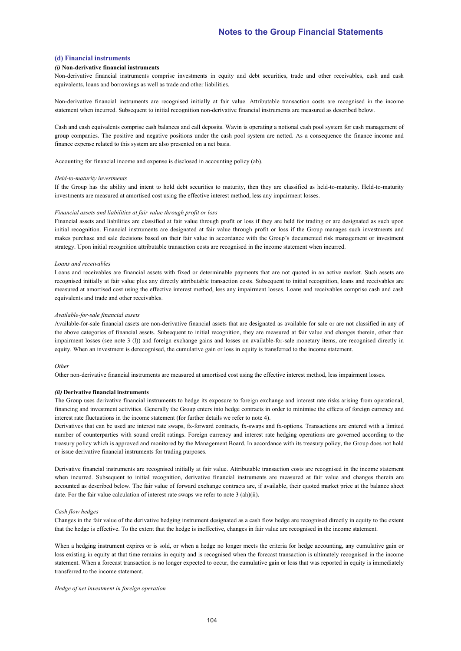#### **(d) Financial instruments**

#### *(i)* **Non-derivative financial instruments**

Non-derivative financial instruments comprise investments in equity and debt securities, trade and other receivables, cash and cash equivalents, loans and borrowings as well as trade and other liabilities.

Non-derivative financial instruments are recognised initially at fair value. Attributable transaction costs are recognised in the income statement when incurred. Subsequent to initial recognition non-derivative financial instruments are measured as described below.

Cash and cash equivalents comprise cash balances and call deposits. Wavin is operating a notional cash pool system for cash management of group companies. The positive and negative positions under the cash pool system are netted. As a consequence the finance income and finance expense related to this system are also presented on a net basis.

Accounting for financial income and expense is disclosed in accounting policy (ab).

#### *Held-to-maturity investments*

If the Group has the ability and intent to hold debt securities to maturity, then they are classified as held-to-maturity. Held-to-maturity investments are measured at amortised cost using the effective interest method, less any impairment losses.

#### *Financial assets and liabilities at fair value through profit or loss*

Financial assets and liabilities are classified at fair value through profit or loss if they are held for trading or are designated as such upon initial recognition. Financial instruments are designated at fair value through profit or loss if the Group manages such investments and makes purchase and sale decisions based on their fair value in accordance with the Group's documented risk management or investment strategy. Upon initial recognition attributable transaction costs are recognised in the income statement when incurred.

#### *Loans and receivables*

Loans and receivables are financial assets with fixed or determinable payments that are not quoted in an active market. Such assets are recognised initially at fair value plus any directly attributable transaction costs. Subsequent to initial recognition, loans and receivables are measured at amortised cost using the effective interest method, less any impairment losses. Loans and receivables comprise cash and cash equivalents and trade and other receivables.

#### *Available-for-sale financial assets*

Available-for-sale financial assets are non-derivative financial assets that are designated as available for sale or are not classified in any of the above categories of financial assets. Subsequent to initial recognition, they are measured at fair value and changes therein, other than impairment losses (see note 3 (l)) and foreign exchange gains and losses on available-for-sale monetary items, are recognised directly in equity. When an investment is derecognised, the cumulative gain or loss in equity is transferred to the income statement.

#### *Other*

Other non-derivative financial instruments are measured at amortised cost using the effective interest method, less impairment losses.

#### *(ii)* **Derivative financial instruments**

The Group uses derivative financial instruments to hedge its exposure to foreign exchange and interest rate risks arising from operational, financing and investment activities. Generally the Group enters into hedge contracts in order to minimise the effects of foreign currency and interest rate fluctuations in the income statement (for further details we refer to note 4).

Derivatives that can be used are interest rate swaps, fx-forward contracts, fx-swaps and fx-options. Transactions are entered with a limited number of counterparties with sound credit ratings. Foreign currency and interest rate hedging operations are governed according to the treasury policy which is approved and monitored by the Management Board. In accordance with its treasury policy, the Group does not hold or issue derivative financial instruments for trading purposes.

Derivative financial instruments are recognised initially at fair value. Attributable transaction costs are recognised in the income statement when incurred. Subsequent to initial recognition, derivative financial instruments are measured at fair value and changes therein are accounted as described below. The fair value of forward exchange contracts are, if available, their quoted market price at the balance sheet date. For the fair value calculation of interest rate swaps we refer to note 3 (ah)(ii).

#### *Cash flow hedges*

Changes in the fair value of the derivative hedging instrument designated as a cash flow hedge are recognised directly in equity to the extent that the hedge is effective. To the extent that the hedge is ineffective, changes in fair value are recognised in the income statement.

When a hedging instrument expires or is sold, or when a hedge no longer meets the criteria for hedge accounting, any cumulative gain or loss existing in equity at that time remains in equity and is recognised when the forecast transaction is ultimately recognised in the income statement. When a forecast transaction is no longer expected to occur, the cumulative gain or loss that was reported in equity is immediately transferred to the income statement.

*Hedge of net investment in foreign operation*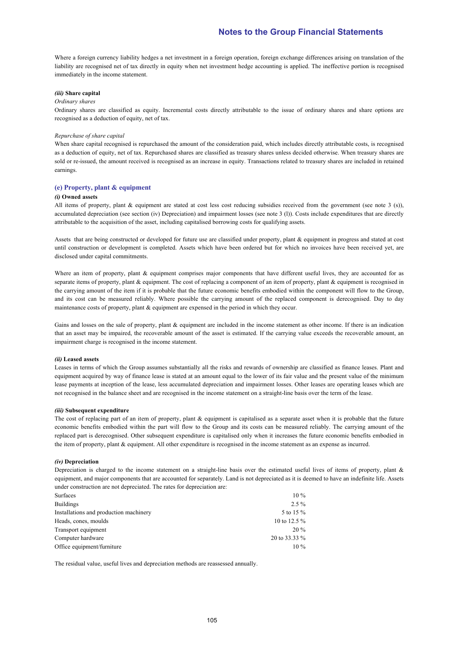Where a foreign currency liability hedges a net investment in a foreign operation, foreign exchange differences arising on translation of the liability are recognised net of tax directly in equity when net investment hedge accounting is applied. The ineffective portion is recognised immediately in the income statement.

### *(iii)* **Share capital**

#### *Ordinary shares*

Ordinary shares are classified as equity. Incremental costs directly attributable to the issue of ordinary shares and share options are recognised as a deduction of equity, net of tax.

#### *Repurchase of share capital*

When share capital recognised is repurchased the amount of the consideration paid, which includes directly attributable costs, is recognised as a deduction of equity, net of tax. Repurchased shares are classified as treasury shares unless decided otherwise. When treasury shares are sold or re-issued, the amount received is recognised as an increase in equity. Transactions related to treasury shares are included in retained earnings.

#### **(e) Property, plant & equipment**

#### *(i)* **Owned assets**

All items of property, plant  $\&$  equipment are stated at cost less cost reducing subsidies received from the government (see note 3 (s)), accumulated depreciation (see section (iv) Depreciation) and impairment losses (see note 3 (l)). Costs include expenditures that are directly attributable to the acquisition of the asset, including capitalised borrowing costs for qualifying assets.

Assets that are being constructed or developed for future use are classified under property, plant & equipment in progress and stated at cost until construction or development is completed. Assets which have been ordered but for which no invoices have been received yet, are disclosed under capital commitments.

Where an item of property, plant  $&$  equipment comprises major components that have different useful lives, they are accounted for as separate items of property, plant  $\&$  equipment. The cost of replacing a component of an item of property, plant  $\&$  equipment is recognised in the carrying amount of the item if it is probable that the future economic benefits embodied within the component will flow to the Group, and its cost can be measured reliably. Where possible the carrying amount of the replaced component is derecognised. Day to day maintenance costs of property, plant & equipment are expensed in the period in which they occur.

Gains and losses on the sale of property, plant & equipment are included in the income statement as other income. If there is an indication that an asset may be impaired, the recoverable amount of the asset is estimated. If the carrying value exceeds the recoverable amount, an impairment charge is recognised in the income statement.

#### *(ii)* **Leased assets**

Leases in terms of which the Group assumes substantially all the risks and rewards of ownership are classified as finance leases. Plant and equipment acquired by way of finance lease is stated at an amount equal to the lower of its fair value and the present value of the minimum lease payments at inception of the lease, less accumulated depreciation and impairment losses. Other leases are operating leases which are not recognised in the balance sheet and are recognised in the income statement on a straight-line basis over the term of the lease.

#### *(iii)* **Subsequent expenditure**

The cost of replacing part of an item of property, plant & equipment is capitalised as a separate asset when it is probable that the future economic benefits embodied within the part will flow to the Group and its costs can be measured reliably. The carrying amount of the replaced part is derecognised. Other subsequent expenditure is capitalised only when it increases the future economic benefits embodied in the item of property, plant & equipment. All other expenditure is recognised in the income statement as an expense as incurred.

#### *(iv)* **Depreciation**

Depreciation is charged to the income statement on a straight-line basis over the estimated useful lives of items of property, plant & equipment, and major components that are accounted for separately. Land is not depreciated as it is deemed to have an indefinite life. Assets under construction are not depreciated. The rates for depreciation are:

| Surfaces                               | $10\%$        |
|----------------------------------------|---------------|
| <b>Buildings</b>                       | $2.5\%$       |
| Installations and production machinery | 5 to 15 %     |
| Heads, cones, moulds                   | 10 to 12.5 %  |
| Transport equipment                    | 20%           |
| Computer hardware                      | 20 to 33.33 % |
| Office equipment/furniture             | $10\%$        |
|                                        |               |

The residual value, useful lives and depreciation methods are reassessed annually.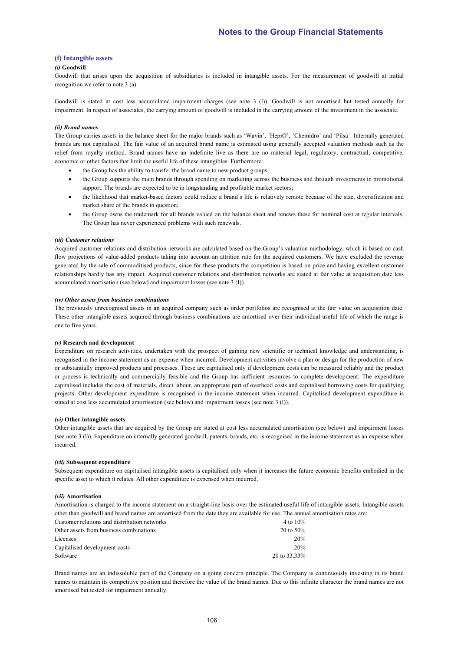### **(f) Intangible assets**

#### *(i)* **Goodwill**

Goodwill that arises upon the acquisition of subsidiaries is included in intangible assets. For the measurement of goodwill at initial recognition we refer to note 3 (a).

Goodwill is stated at cost less accumulated impairment charges (see note 3 (1)). Goodwill is not amortised but tested annually for impairment. In respect of associates, the carrying amount of goodwill is included in the carrying amount of the investment in the associate.

#### *(ii) Brand names*

The Group carries assets in the balance sheet for the major brands such as 'Wavin', 'Hep<sub>2</sub>O', 'Chemidro' and 'Pilsa'. Internally generated brands are not capitalised. The fair value of an acquired brand name is estimated using generally accepted valuation methods such as the relief from royalty method. Brand names have an indefinite live as there are no material legal, regulatory, contractual, competitive, economic or other factors that limit the useful life of these intangibles. Furthermore:

- the Group has the ability to transfer the brand name to new product groups;
- the Group supports the main brands through spending on marketing across the business and through investments in promotional support. The brands are expected to be in longstanding and profitable market sectors;
- the likelihood that market-based factors could reduce a brand's life is relatively remote because of the size, diversification and market share of the brands in question;
- the Group owns the trademark for all brands valued on the balance sheet and renews these for nominal cost at regular intervals. The Group has never experienced problems with such renewals.

#### *(iii) Customer relations*

Acquired customer relations and distribution networks are calculated based on the Group's valuation methodology, which is based on cash flow projections of value-added products taking into account an attrition rate for the acquired customers. We have excluded the revenue generated by the sale of commoditised products, since for these products the competition is based on price and having excellent customer relationships hardly has any impact. Acquired customer relations and distribution networks are stated at fair value at acquisition date less accumulated amortisation (see below) and impairment losses (see note 3 (I)).

#### *(iv) Other assets from business combinations*

The previously unrecognised assets in an acquired company such as order portfolios are recognised at the fair value on acquisition date. These other intangible assets acquired through business combinations are amortised over their individual useful life of which the range is one to five years.

#### *(v)* **Research and development**

Expenditure on research activities, undertaken with the prospect of gaining new scientific or technical knowledge and understanding, is recognised in the income statement as an expense when incurred. Development activities involve a plan or design for the production of new or substantially improved products and processes. These are capitalised only if development costs can be measured reliably and the product or process is technically and commercially feasible and the Group has sufficient resources to complete development. The expenditure capitalised includes the cost of materials, direct labour, an appropriate part of overhead costs and capitalised borrowing costs for qualifying projects. Other development expenditure is recognised in the income statement when incurred. Capitalised development expenditure is stated at cost less accumulated amortisation (see below) and impairment losses (see note 3 (l)).

#### *(vi)* **Other intangible assets**

Other intangible assets that are acquired by the Group are stated at cost less accumulated amortisation (see below) and impairment losses (see note 3 (l)). Expenditure on internally generated goodwill, patents, brands, etc. is recognised in the income statement as an expense when incurred.

### *(vii)* **Subsequent expenditure**

Subsequent expenditure on capitalised intangible assets is capitalised only when it increases the future economic benefits embodied in the specific asset to which it relates. All other expenditure is expensed when incurred.

#### *(vii)* **Amortisation**

Amortisation is charged to the income statement on a straight-line basis over the estimated useful life of intangible assets. Intangible assets other than goodwill and brand names are amortised from the date they are available for use. The annual amortisation rates are:

| 4 to $10%$   |
|--------------|
| 20 to $50\%$ |
| 20%          |
| 20%          |
| 20 to 33.33% |
|              |

Brand names are an indissoluble part of the Company on a going concern principle. The Company is continuously investing in its brand names to maintain its competitive position and therefore the value of the brand names. Due to this infinite character the brand names are not amortised but tested for impairment annually.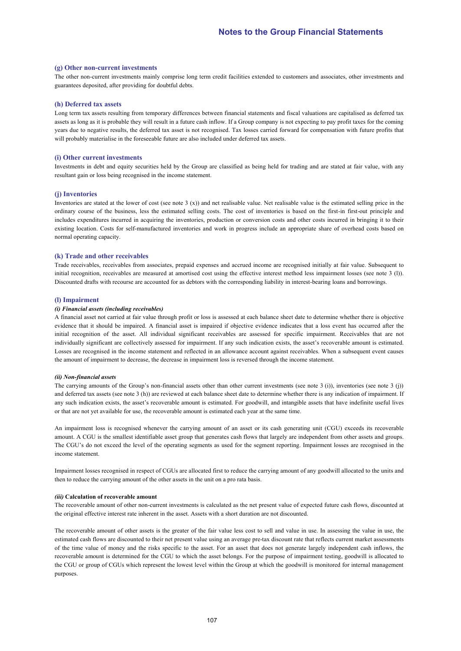### **(g) Other non-current investments**

The other non-current investments mainly comprise long term credit facilities extended to customers and associates, other investments and guarantees deposited, after providing for doubtful debts.

# **(h) Deferred tax assets**

Long term tax assets resulting from temporary differences between financial statements and fiscal valuations are capitalised as deferred tax assets as long as it is probable they will result in a future cash inflow. If a Group company is not expecting to pay profit taxes for the coming years due to negative results, the deferred tax asset is not recognised. Tax losses carried forward for compensation with future profits that will probably materialise in the foreseeable future are also included under deferred tax assets.

### **(i) Other current investments**

Investments in debt and equity securities held by the Group are classified as being held for trading and are stated at fair value, with any resultant gain or loss being recognised in the income statement.

#### **(j) Inventories**

Inventories are stated at the lower of cost (see note 3 (x)) and net realisable value. Net realisable value is the estimated selling price in the ordinary course of the business, less the estimated selling costs. The cost of inventories is based on the first-in first-out principle and includes expenditures incurred in acquiring the inventories, production or conversion costs and other costs incurred in bringing it to their existing location. Costs for self-manufactured inventories and work in progress include an appropriate share of overhead costs based on normal operating capacity.

#### **(k) Trade and other receivables**

Trade receivables, receivables from associates, prepaid expenses and accrued income are recognised initially at fair value. Subsequent to initial recognition, receivables are measured at amortised cost using the effective interest method less impairment losses (see note 3 (l)). Discounted drafts with recourse are accounted for as debtors with the corresponding liability in interest-bearing loans and borrowings.

### **(l) Impairment**

#### *(i) Financial assets (including receivables)*

A financial asset not carried at fair value through profit or loss is assessed at each balance sheet date to determine whether there is objective evidence that it should be impaired. A financial asset is impaired if objective evidence indicates that a loss event has occurred after the initial recognition of the asset. All individual significant receivables are assessed for specific impairment. Receivables that are not individually significant are collectively assessed for impairment. If any such indication exists, the asset's recoverable amount is estimated. Losses are recognised in the income statement and reflected in an allowance account against receivables. When a subsequent event causes the amount of impairment to decrease, the decrease in impairment loss is reversed through the income statement.

#### *(ii) Non-financial assets*

The carrying amounts of the Group's non-financial assets other than other current investments (see note 3 (i)), inventories (see note 3 (j)) and deferred tax assets (see note 3 (h)) are reviewed at each balance sheet date to determine whether there is any indication of impairment. If any such indication exists, the asset's recoverable amount is estimated. For goodwill, and intangible assets that have indefinite useful lives or that are not yet available for use, the recoverable amount is estimated each year at the same time.

An impairment loss is recognised whenever the carrying amount of an asset or its cash generating unit (CGU) exceeds its recoverable amount. A CGU is the smallest identifiable asset group that generates cash flows that largely are independent from other assets and groups. The CGU's do not exceed the level of the operating segments as used for the segment reporting. Impairment losses are recognised in the income statement.

Impairment losses recognised in respect of CGUs are allocated first to reduce the carrying amount of any goodwill allocated to the units and then to reduce the carrying amount of the other assets in the unit on a pro rata basis.

### *(iii)* **Calculation of recoverable amount**

The recoverable amount of other non-current investments is calculated as the net present value of expected future cash flows, discounted at the original effective interest rate inherent in the asset. Assets with a short duration are not discounted.

The recoverable amount of other assets is the greater of the fair value less cost to sell and value in use. In assessing the value in use, the estimated cash flows are discounted to their net present value using an average pre-tax discount rate that reflects current market assessments of the time value of money and the risks specific to the asset. For an asset that does not generate largely independent cash inflows, the recoverable amount is determined for the CGU to which the asset belongs. For the purpose of impairment testing, goodwill is allocated to the CGU or group of CGUs which represent the lowest level within the Group at which the goodwill is monitored for internal management purposes.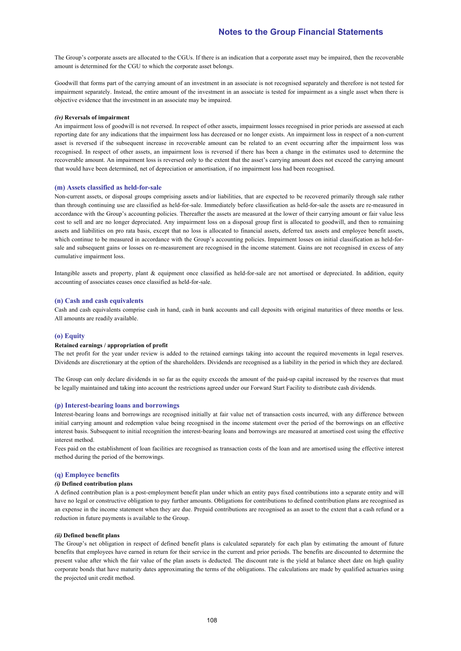The Group's corporate assets are allocated to the CGUs. If there is an indication that a corporate asset may be impaired, then the recoverable amount is determined for the CGU to which the corporate asset belongs.

Goodwill that forms part of the carrying amount of an investment in an associate is not recognised separately and therefore is not tested for impairment separately. Instead, the entire amount of the investment in an associate is tested for impairment as a single asset when there is objective evidence that the investment in an associate may be impaired.

#### *(iv)* **Reversals of impairment**

An impairment loss of goodwill is not reversed. In respect of other assets, impairment losses recognised in prior periods are assessed at each reporting date for any indications that the impairment loss has decreased or no longer exists. An impairment loss in respect of a non-current asset is reversed if the subsequent increase in recoverable amount can be related to an event occurring after the impairment loss was recognised. In respect of other assets, an impairment loss is reversed if there has been a change in the estimates used to determine the recoverable amount. An impairment loss is reversed only to the extent that the asset's carrying amount does not exceed the carrying amount that would have been determined, net of depreciation or amortisation, if no impairment loss had been recognised.

### **(m) Assets classified as held-for-sale**

Non-current assets, or disposal groups comprising assets and/or liabilities, that are expected to be recovered primarily through sale rather than through continuing use are classified as held-for-sale. Immediately before classification as held-for-sale the assets are re-measured in accordance with the Group's accounting policies. Thereafter the assets are measured at the lower of their carrying amount or fair value less cost to sell and are no longer depreciated. Any impairment loss on a disposal group first is allocated to goodwill, and then to remaining assets and liabilities on pro rata basis, except that no loss is allocated to financial assets, deferred tax assets and employee benefit assets, which continue to be measured in accordance with the Group's accounting policies. Impairment losses on initial classification as held-forsale and subsequent gains or losses on re-measurement are recognised in the income statement. Gains are not recognised in excess of any cumulative impairment loss.

Intangible assets and property, plant & equipment once classified as held-for-sale are not amortised or depreciated. In addition, equity accounting of associates ceases once classified as held-for-sale.

#### **(n) Cash and cash equivalents**

Cash and cash equivalents comprise cash in hand, cash in bank accounts and call deposits with original maturities of three months or less. All amounts are readily available.

# **(o) Equity**

### **Retained earnings / appropriation of profit**

The net profit for the year under review is added to the retained earnings taking into account the required movements in legal reserves. Dividends are discretionary at the option of the shareholders. Dividends are recognised as a liability in the period in which they are declared.

The Group can only declare dividends in so far as the equity exceeds the amount of the paid-up capital increased by the reserves that must be legally maintained and taking into account the restrictions agreed under our Forward Start Facility to distribute cash dividends.

### **(p) Interest-bearing loans and borrowings**

Interest-bearing loans and borrowings are recognised initially at fair value net of transaction costs incurred, with any difference between initial carrying amount and redemption value being recognised in the income statement over the period of the borrowings on an effective interest basis. Subsequent to initial recognition the interest-bearing loans and borrowings are measured at amortised cost using the effective interest method.

Fees paid on the establishment of loan facilities are recognised as transaction costs of the loan and are amortised using the effective interest method during the period of the borrowings.

### **(q) Employee benefits**

### *(i)* **Defined contribution plans**

A defined contribution plan is a post-employment benefit plan under which an entity pays fixed contributions into a separate entity and will have no legal or constructive obligation to pay further amounts. Obligations for contributions to defined contribution plans are recognised as an expense in the income statement when they are due. Prepaid contributions are recognised as an asset to the extent that a cash refund or a reduction in future payments is available to the Group.

### *(ii)* **Defined benefit plans**

The Group's net obligation in respect of defined benefit plans is calculated separately for each plan by estimating the amount of future benefits that employees have earned in return for their service in the current and prior periods. The benefits are discounted to determine the present value after which the fair value of the plan assets is deducted. The discount rate is the yield at balance sheet date on high quality corporate bonds that have maturity dates approximating the terms of the obligations. The calculations are made by qualified actuaries using the projected unit credit method.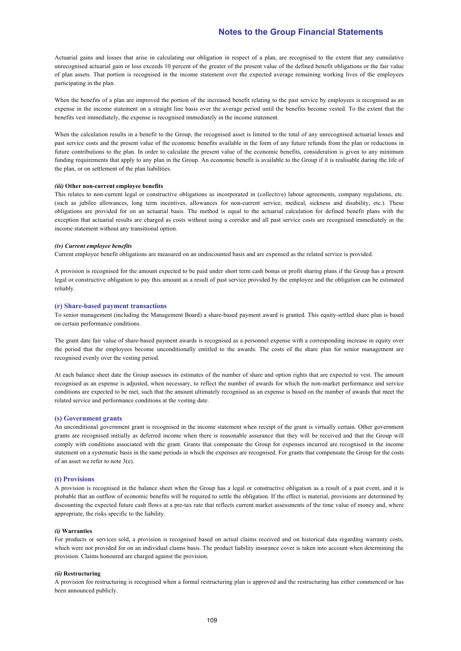Actuarial gains and losses that arise in calculating our obligation in respect of a plan, are recognised to the extent that any cumulative unrecognised actuarial gain or loss exceeds 10 percent of the greater of the present value of the defined benefit obligations or the fair value of plan assets. That portion is recognised in the income statement over the expected average remaining working lives of the employees participating in the plan.

When the benefits of a plan are improved the portion of the increased benefit relating to the past service by employees is recognised as an expense in the income statement on a straight line basis over the average period until the benefits become vested. To the extent that the benefits vest immediately, the expense is recognised immediately in the income statement.

When the calculation results in a benefit to the Group, the recognised asset is limited to the total of any unrecognised actuarial losses and past service costs and the present value of the economic benefits available in the form of any future refunds from the plan or reductions in future contributions to the plan. In order to calculate the present value of the economic benefits, consideration is given to any minimum funding requirements that apply to any plan in the Group. An economic benefit is available to the Group if it is realisable during the life of the plan, or on settlement of the plan liabilities.

#### *(iii)* **Other non-current employee benefits**

This relates to non-current legal or constructive obligations as incorporated in (collective) labour agreements, company regulations, etc. (such as jubilee allowances, long term incentives, allowances for non-current service, medical, sickness and disability, etc.). These obligations are provided for on an actuarial basis. The method is equal to the actuarial calculation for defined benefit plans with the exception that actuarial results are charged as costs without using a corridor and all past service costs are recognised immediately in the income statement without any transitional option.

#### *(iv) Current employee benefits*

Current employee benefit obligations are measured on an undiscounted basis and are expensed as the related service is provided.

A provision is recognised for the amount expected to be paid under short term cash bonus or profit sharing plans if the Group has a present legal or constructive obligation to pay this amount as a result of past service provided by the employee and the obligation can be estimated reliably.

### **(r) Share-based payment transactions**

To senior management (including the Management Board) a share-based payment award is granted. This equity-settled share plan is based on certain performance conditions.

The grant date fair value of share-based payment awards is recognised as a personnel expense with a corresponding increase in equity over the period that the employees become unconditionally entitled to the awards. The costs of the share plan for senior management are recognised evenly over the vesting period.

At each balance sheet date the Group assesses its estimates of the number of share and option rights that are expected to vest. The amount recognised as an expense is adjusted, when necessary, to reflect the number of awards for which the non-market performance and service conditions are expected to be met, such that the amount ultimately recognised as an expense is based on the number of awards that meet the related service and performance conditions at the vesting date.

### **(s) Government grants**

An unconditional government grant is recognised in the income statement when receipt of the grant is virtually certain. Other government grants are recognised initially as deferred income when there is reasonable assurance that they will be received and that the Group will comply with conditions associated with the grant. Grants that compensate the Group for expenses incurred are recognised in the income statement on a systematic basis in the same periods in which the expenses are recognised. For grants that compensate the Group for the costs of an asset we refer to note 3(e).

## **(t) Provisions**

A provision is recognised in the balance sheet when the Group has a legal or constructive obligation as a result of a past event, and it is probable that an outflow of economic benefits will be required to settle the obligation. If the effect is material, provisions are determined by discounting the expected future cash flows at a pre-tax rate that reflects current market assessments of the time value of money and, where appropriate, the risks specific to the liability.

### *(i)* **Warranties**

For products or services sold, a provision is recognised based on actual claims received and on historical data regarding warranty costs, which were not provided for on an individual claims basis. The product liability insurance cover is taken into account when determining the provision. Claims honoured are charged against the provision.

#### *(ii)* **Restructuring**

A provision for restructuring is recognised when a formal restructuring plan is approved and the restructuring has either commenced or has been announced publicly.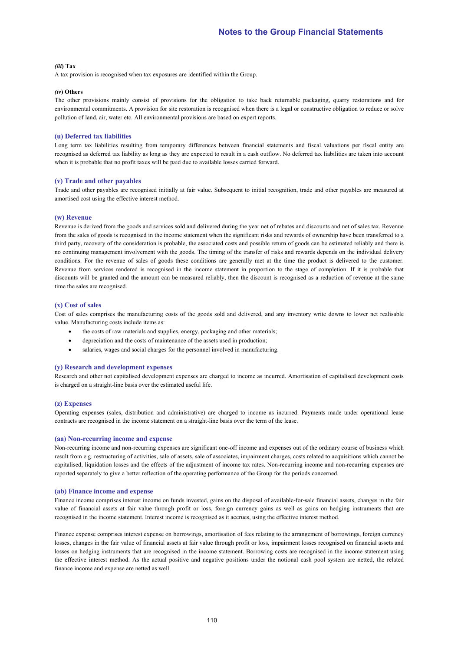#### *(iii***) Tax**

A tax provision is recognised when tax exposures are identified within the Group.

### *(iv***) Others**

The other provisions mainly consist of provisions for the obligation to take back returnable packaging, quarry restorations and for environmental commitments. A provision for site restoration is recognised when there is a legal or constructive obligation to reduce or solve pollution of land, air, water etc. All environmental provisions are based on expert reports.

### **(u) Deferred tax liabilities**

Long term tax liabilities resulting from temporary differences between financial statements and fiscal valuations per fiscal entity are recognised as deferred tax liability as long as they are expected to result in a cash outflow. No deferred tax liabilities are taken into account when it is probable that no profit taxes will be paid due to available losses carried forward.

### **(v) Trade and other payables**

Trade and other payables are recognised initially at fair value. Subsequent to initial recognition, trade and other payables are measured at amortised cost using the effective interest method.

# **(w) Revenue**

Revenue is derived from the goods and services sold and delivered during the year net of rebates and discounts and net of sales tax. Revenue from the sales of goods is recognised in the income statement when the significant risks and rewards of ownership have been transferred to a third party, recovery of the consideration is probable, the associated costs and possible return of goods can be estimated reliably and there is no continuing management involvement with the goods. The timing of the transfer of risks and rewards depends on the individual delivery conditions. For the revenue of sales of goods these conditions are generally met at the time the product is delivered to the customer. Revenue from services rendered is recognised in the income statement in proportion to the stage of completion. If it is probable that discounts will be granted and the amount can be measured reliably, then the discount is recognised as a reduction of revenue at the same time the sales are recognised.

### **(x) Cost of sales**

Cost of sales comprises the manufacturing costs of the goods sold and delivered, and any inventory write downs to lower net realisable value. Manufacturing costs include items as:

- the costs of raw materials and supplies, energy, packaging and other materials;
- depreciation and the costs of maintenance of the assets used in production;
- salaries, wages and social charges for the personnel involved in manufacturing.

### **(y) Research and development expenses**

Research and other not capitalised development expenses are charged to income as incurred. Amortisation of capitalised development costs is charged on a straight-line basis over the estimated useful life.

### **(z) Expenses**

Operating expenses (sales, distribution and administrative) are charged to income as incurred. Payments made under operational lease contracts are recognised in the income statement on a straight-line basis over the term of the lease.

### **(aa) Non-recurring income and expense**

Non-recurring income and non-recurring expenses are significant one-off income and expenses out of the ordinary course of business which result from e.g. restructuring of activities, sale of assets, sale of associates, impairment charges, costs related to acquisitions which cannot be capitalised, liquidation losses and the effects of the adjustment of income tax rates. Non-recurring income and non-recurring expenses are reported separately to give a better reflection of the operating performance of the Group for the periods concerned.

### **(ab) Finance income and expense**

Finance income comprises interest income on funds invested, gains on the disposal of available-for-sale financial assets, changes in the fair value of financial assets at fair value through profit or loss, foreign currency gains as well as gains on hedging instruments that are recognised in the income statement. Interest income is recognised as it accrues, using the effective interest method.

Finance expense comprises interest expense on borrowings, amortisation of fees relating to the arrangement of borrowings, foreign currency losses, changes in the fair value of financial assets at fair value through profit or loss, impairment losses recognised on financial assets and losses on hedging instruments that are recognised in the income statement. Borrowing costs are recognised in the income statement using the effective interest method. As the actual positive and negative positions under the notional cash pool system are netted, the related finance income and expense are netted as well.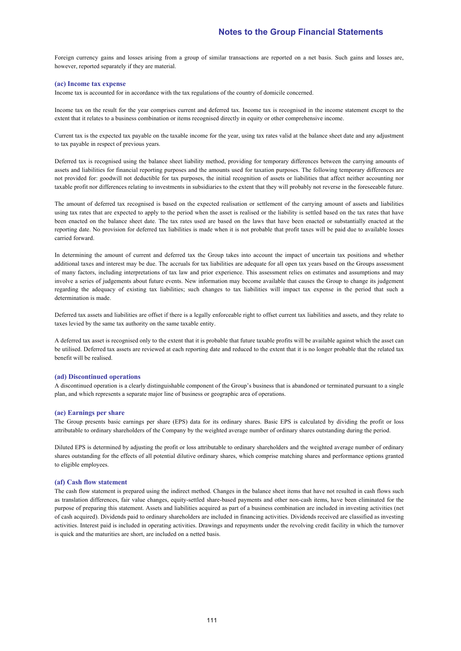Foreign currency gains and losses arising from a group of similar transactions are reported on a net basis. Such gains and losses are, however, reported separately if they are material.

### **(ac) Income tax expense**

Income tax is accounted for in accordance with the tax regulations of the country of domicile concerned.

Income tax on the result for the year comprises current and deferred tax. Income tax is recognised in the income statement except to the extent that it relates to a business combination or items recognised directly in equity or other comprehensive income.

Current tax is the expected tax payable on the taxable income for the year, using tax rates valid at the balance sheet date and any adjustment to tax payable in respect of previous years.

Deferred tax is recognised using the balance sheet liability method, providing for temporary differences between the carrying amounts of assets and liabilities for financial reporting purposes and the amounts used for taxation purposes. The following temporary differences are not provided for: goodwill not deductible for tax purposes, the initial recognition of assets or liabilities that affect neither accounting nor taxable profit nor differences relating to investments in subsidiaries to the extent that they will probably not reverse in the foreseeable future.

The amount of deferred tax recognised is based on the expected realisation or settlement of the carrying amount of assets and liabilities using tax rates that are expected to apply to the period when the asset is realised or the liability is settled based on the tax rates that have been enacted on the balance sheet date. The tax rates used are based on the laws that have been enacted or substantially enacted at the reporting date. No provision for deferred tax liabilities is made when it is not probable that profit taxes will be paid due to available losses carried forward.

In determining the amount of current and deferred tax the Group takes into account the impact of uncertain tax positions and whether additional taxes and interest may be due. The accruals for tax liabilities are adequate for all open tax years based on the Groups assessment of many factors, including interpretations of tax law and prior experience. This assessment relies on estimates and assumptions and may involve a series of judgements about future events. New information may become available that causes the Group to change its judgement regarding the adequacy of existing tax liabilities; such changes to tax liabilities will impact tax expense in the period that such a determination is made.

Deferred tax assets and liabilities are offset if there is a legally enforceable right to offset current tax liabilities and assets, and they relate to taxes levied by the same tax authority on the same taxable entity.

A deferred tax asset is recognised only to the extent that it is probable that future taxable profits will be available against which the asset can be utilised. Deferred tax assets are reviewed at each reporting date and reduced to the extent that it is no longer probable that the related tax benefit will be realised.

## **(ad) Discontinued operations**

A discontinued operation is a clearly distinguishable component of the Group's business that is abandoned or terminated pursuant to a single plan, and which represents a separate major line of business or geographic area of operations.

### **(ae) Earnings per share**

The Group presents basic earnings per share (EPS) data for its ordinary shares. Basic EPS is calculated by dividing the profit or loss attributable to ordinary shareholders of the Company by the weighted average number of ordinary shares outstanding during the period.

Diluted EPS is determined by adjusting the profit or loss attributable to ordinary shareholders and the weighted average number of ordinary shares outstanding for the effects of all potential dilutive ordinary shares, which comprise matching shares and performance options granted to eligible employees.

## **(af) Cash flow statement**

The cash flow statement is prepared using the indirect method. Changes in the balance sheet items that have not resulted in cash flows such as translation differences, fair value changes, equity-settled share-based payments and other non-cash items, have been eliminated for the purpose of preparing this statement. Assets and liabilities acquired as part of a business combination are included in investing activities (net of cash acquired). Dividends paid to ordinary shareholders are included in financing activities. Dividends received are classified as investing activities. Interest paid is included in operating activities. Drawings and repayments under the revolving credit facility in which the turnover is quick and the maturities are short, are included on a netted basis.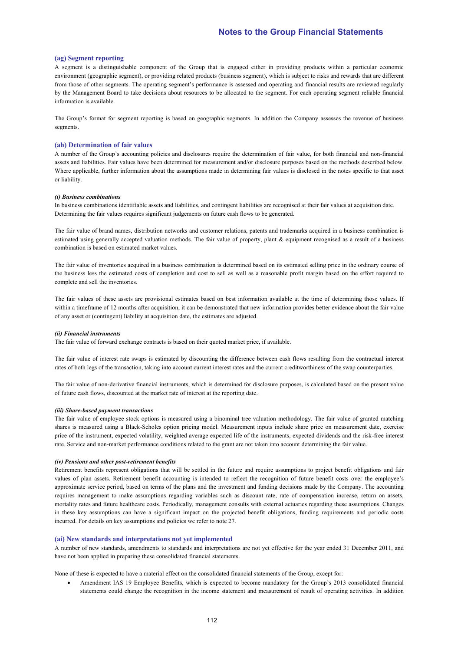### **(ag) Segment reporting**

A segment is a distinguishable component of the Group that is engaged either in providing products within a particular economic environment (geographic segment), or providing related products (business segment), which is subject to risks and rewards that are different from those of other segments. The operating segment's performance is assessed and operating and financial results are reviewed regularly by the Management Board to take decisions about resources to be allocated to the segment. For each operating segment reliable financial information is available.

The Group's format for segment reporting is based on geographic segments. In addition the Company assesses the revenue of business segments.

## **(ah) Determination of fair values**

A number of the Group's accounting policies and disclosures require the determination of fair value, for both financial and non-financial assets and liabilities. Fair values have been determined for measurement and/or disclosure purposes based on the methods described below. Where applicable, further information about the assumptions made in determining fair values is disclosed in the notes specific to that asset or liability.

#### *(i) Business combinations*

In business combinations identifiable assets and liabilities, and contingent liabilities are recognised at their fair values at acquisition date. Determining the fair values requires significant judgements on future cash flows to be generated.

The fair value of brand names, distribution networks and customer relations, patents and trademarks acquired in a business combination is estimated using generally accepted valuation methods. The fair value of property, plant & equipment recognised as a result of a business combination is based on estimated market values.

The fair value of inventories acquired in a business combination is determined based on its estimated selling price in the ordinary course of the business less the estimated costs of completion and cost to sell as well as a reasonable profit margin based on the effort required to complete and sell the inventories.

The fair values of these assets are provisional estimates based on best information available at the time of determining those values. If within a timeframe of 12 months after acquisition, it can be demonstrated that new information provides better evidence about the fair value of any asset or (contingent) liability at acquisition date, the estimates are adjusted.

#### *(ii) Financial instruments*

The fair value of forward exchange contracts is based on their quoted market price, if available.

The fair value of interest rate swaps is estimated by discounting the difference between cash flows resulting from the contractual interest rates of both legs of the transaction, taking into account current interest rates and the current creditworthiness of the swap counterparties.

The fair value of non-derivative financial instruments, which is determined for disclosure purposes, is calculated based on the present value of future cash flows, discounted at the market rate of interest at the reporting date.

#### *(iii) Share-based payment transactions*

The fair value of employee stock options is measured using a binominal tree valuation methodology. The fair value of granted matching shares is measured using a Black-Scholes option pricing model. Measurement inputs include share price on measurement date, exercise price of the instrument, expected volatility, weighted average expected life of the instruments, expected dividends and the risk-free interest rate. Service and non-market performance conditions related to the grant are not taken into account determining the fair value.

#### *(iv) Pensions and other post-retirement benefits*

Retirement benefits represent obligations that will be settled in the future and require assumptions to project benefit obligations and fair values of plan assets. Retirement benefit accounting is intended to reflect the recognition of future benefit costs over the employee's approximate service period, based on terms of the plans and the investment and funding decisions made by the Company. The accounting requires management to make assumptions regarding variables such as discount rate, rate of compensation increase, return on assets, mortality rates and future healthcare costs. Periodically, management consults with external actuaries regarding these assumptions. Changes in these key assumptions can have a significant impact on the projected benefit obligations, funding requirements and periodic costs incurred. For details on key assumptions and policies we refer to note 27.

### **(ai) New standards and interpretations not yet implemented**

A number of new standards, amendments to standards and interpretations are not yet effective for the year ended 31 December 2011, and have not been applied in preparing these consolidated financial statements.

None of these is expected to have a material effect on the consolidated financial statements of the Group, except for:

Amendment IAS 19 Employee Benefits, which is expected to become mandatory for the Group's 2013 consolidated financial statements could change the recognition in the income statement and measurement of result of operating activities. In addition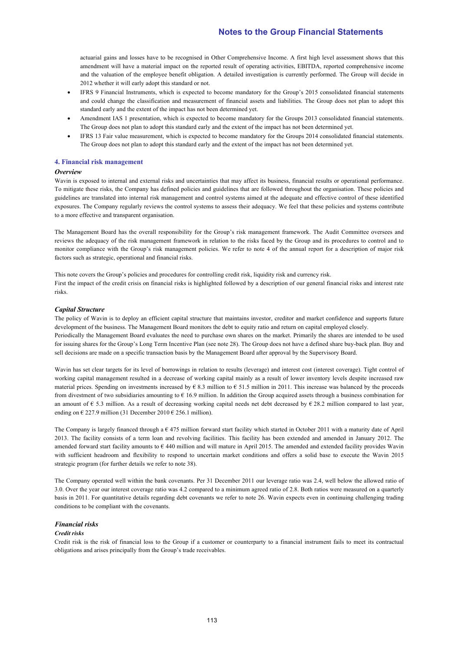actuarial gains and losses have to be recognised in Other Comprehensive Income. A first high level assessment shows that this amendment will have a material impact on the reported result of operating activities, EBITDA, reported comprehensive income and the valuation of the employee benefit obligation. A detailed investigation is currently performed. The Group will decide in 2012 whether it will early adopt this standard or not.

- IFRS 9 Financial Instruments, which is expected to become mandatory for the Group's 2015 consolidated financial statements and could change the classification and measurement of financial assets and liabilities. The Group does not plan to adopt this standard early and the extent of the impact has not been determined yet.
- Amendment IAS 1 presentation, which is expected to become mandatory for the Groups 2013 consolidated financial statements. The Group does not plan to adopt this standard early and the extent of the impact has not been determined yet.
- IFRS 13 Fair value measurement, which is expected to become mandatory for the Groups 2014 consolidated financial statements. The Group does not plan to adopt this standard early and the extent of the impact has not been determined yet.

### **4. Financial risk management**

### *Overview*

Wavin is exposed to internal and external risks and uncertainties that may affect its business, financial results or operational performance. To mitigate these risks, the Company has defined policies and guidelines that are followed throughout the organisation. These policies and guidelines are translated into internal risk management and control systems aimed at the adequate and effective control of these identified exposures. The Company regularly reviews the control systems to assess their adequacy. We feel that these policies and systems contribute to a more effective and transparent organisation.

The Management Board has the overall responsibility for the Group's risk management framework. The Audit Committee oversees and reviews the adequacy of the risk management framework in relation to the risks faced by the Group and its procedures to control and to monitor compliance with the Group's risk management policies. We refer to note 4 of the annual report for a description of major risk factors such as strategic, operational and financial risks.

This note covers the Group's policies and procedures for controlling credit risk, liquidity risk and currency risk. First the impact of the credit crisis on financial risks is highlighted followed by a description of our general financial risks and interest rate risks.

### *Capital Structure*

The policy of Wavin is to deploy an efficient capital structure that maintains investor, creditor and market confidence and supports future development of the business. The Management Board monitors the debt to equity ratio and return on capital employed closely. Periodically the Management Board evaluates the need to purchase own shares on the market. Primarily the shares are intended to be used for issuing shares for the Group's Long Term Incentive Plan (see note 28). The Group does not have a defined share buy-back plan. Buy and sell decisions are made on a specific transaction basis by the Management Board after approval by the Supervisory Board.

Wavin has set clear targets for its level of borrowings in relation to results (leverage) and interest cost (interest coverage). Tight control of working capital management resulted in a decrease of working capital mainly as a result of lower inventory levels despite increased raw material prices. Spending on investments increased by  $\epsilon$  8.3 million to  $\epsilon$  51.5 million in 2011. This increase was balanced by the proceeds from divestment of two subsidiaries amounting to € 16.9 million. In addition the Group acquired assets through a business combination for an amount of  $\epsilon$  5.3 million. As a result of decreasing working capital needs net debt decreased by  $\epsilon$  28.2 million compared to last year, ending on  $\in$  227.9 million (31 December 2010  $\in$  256.1 million).

The Company is largely financed through a € 475 million forward start facility which started in October 2011 with a maturity date of April 2013. The facility consists of a term loan and revolving facilities. This facility has been extended and amended in January 2012. The amended forward start facility amounts to € 440 million and will mature in April 2015. The amended and extended facility provides Wavin with sufficient headroom and flexibility to respond to uncertain market conditions and offers a solid base to execute the Wavin 2015 strategic program (for further details we refer to note 38).

The Company operated well within the bank covenants. Per 31 December 2011 our leverage ratio was 2.4, well below the allowed ratio of 3.0. Over the year our interest coverage ratio was 4.2 compared to a minimum agreed ratio of 2.8. Both ratios were measured on a quarterly basis in 2011. For quantitative details regarding debt covenants we refer to note 26. Wavin expects even in continuing challenging trading conditions to be compliant with the covenants.

## *Financial risks*

#### *Credit risks*

Credit risk is the risk of financial loss to the Group if a customer or counterparty to a financial instrument fails to meet its contractual obligations and arises principally from the Group's trade receivables.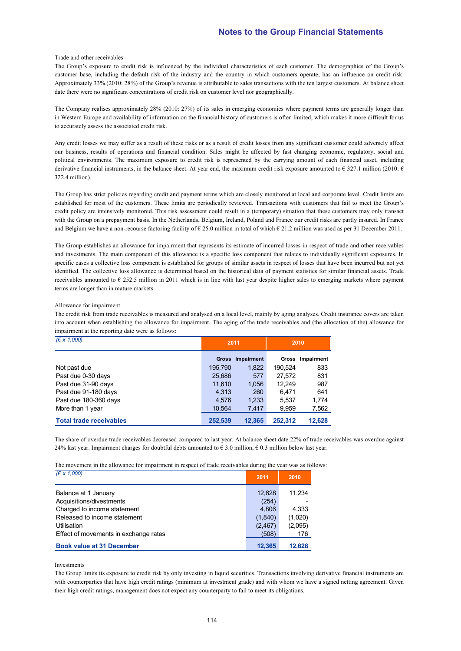### Trade and other receivables

The Group's exposure to credit risk is influenced by the individual characteristics of each customer. The demographics of the Group's customer base, including the default risk of the industry and the country in which customers operate, has an influence on credit risk. Approximately 33% (2010: 28%) of the Group's revenue is attributable to sales transactions with the ten largest customers. At balance sheet date there were no significant concentrations of credit risk on customer level nor geographically.

The Company realises approximately 28% (2010: 27%) of its sales in emerging economies where payment terms are generally longer than in Western Europe and availability of information on the financial history of customers is often limited, which makes it more difficult for us to accurately assess the associated credit risk.

Any credit losses we may suffer as a result of these risks or as a result of credit losses from any significant customer could adversely affect our business, results of operations and financial condition. Sales might be affected by fast changing economic, regulatory, social and political environments. The maximum exposure to credit risk is represented by the carrying amount of each financial asset, including derivative financial instruments, in the balance sheet. At year end, the maximum credit risk exposure amounted to  $\epsilon$  327.1 million (2010:  $\epsilon$ 322.4 million).

The Group has strict policies regarding credit and payment terms which are closely monitored at local and corporate level. Credit limits are established for most of the customers. These limits are periodically reviewed. Transactions with customers that fail to meet the Group's credit policy are intensively monitored. This risk assessment could result in a (temporary) situation that these customers may only transact with the Group on a prepayment basis. In the Netherlands, Belgium, Ireland, Poland and France our credit risks are partly insured. In France and Belgium we have a non-recourse factoring facility of € 25.0 million in total of which € 21.2 million was used as per 31 December 2011.

The Group establishes an allowance for impairment that represents its estimate of incurred losses in respect of trade and other receivables and investments. The main component of this allowance is a specific loss component that relates to individually significant exposures. In specific cases a collective loss component is established for groups of similar assets in respect of losses that have been incurred but not yet identified. The collective loss allowance is determined based on the historical data of payment statistics for similar financial assets. Trade receivables amounted to  $\epsilon$  252.5 million in 2011 which is in line with last year despite higher sales to emerging markets where payment terms are longer than in mature markets.

### Allowance for impairment

The credit risk from trade receivables is measured and analysed on a local level, mainly by aging analyses. Credit insurance covers are taken into account when establishing the allowance for impairment. The aging of the trade receivables and (the allocation of the) allowance for impairment at the reporting date were as follows:

| $(E \times 1,000)$             | 2011         |            | 2010    |            |
|--------------------------------|--------------|------------|---------|------------|
|                                | <b>Gross</b> | Impairment | Gross   | Impairment |
| Not past due                   | 195,790      | 1.822      | 190,524 | 833        |
| Past due 0-30 days             | 25,686       | 577        | 27.572  | 831        |
| Past due 31-90 days            | 11.610       | 1,056      | 12,249  | 987        |
| Past due 91-180 days           | 4.313        | 260        | 6.471   | 641        |
| Past due 180-360 days          | 4.576        | 1,233      | 5,537   | 1,774      |
| More than 1 year               | 10,564       | 7,417      | 9,959   | 7,562      |
| <b>Total trade receivables</b> | 252.539      | 12.365     | 252.312 | 12.628     |

The share of overdue trade receivables decreased compared to last year. At balance sheet date 22% of trade receivables was overdue against 24% last year. Impairment charges for doubtful debts amounted to  $\epsilon$  3.0 million,  $\epsilon$  0.3 million below last year.

The movement in the allowance for impairment in respect of trade receivables during the year was as follows:

| $(E \times 1,000)$                    | 2011     | 2010    |
|---------------------------------------|----------|---------|
| Balance at 1 January                  | 12,628   | 11,234  |
| Acquisitions/divestments              | (254)    |         |
| Charged to income statement           | 4,806    | 4.333   |
| Released to income statement          | (1,840)  | (1,020) |
| Utilisation                           | (2, 467) | (2,095) |
| Effect of movements in exchange rates | (508)    | 176     |
| <b>Book value at 31 December</b>      | 12.365   | 12.628  |

#### Investments

The Group limits its exposure to credit risk by only investing in liquid securities. Transactions involving derivative financial instruments are with counterparties that have high credit ratings (minimum at investment grade) and with whom we have a signed netting agreement. Given their high credit ratings, management does not expect any counterparty to fail to meet its obligations.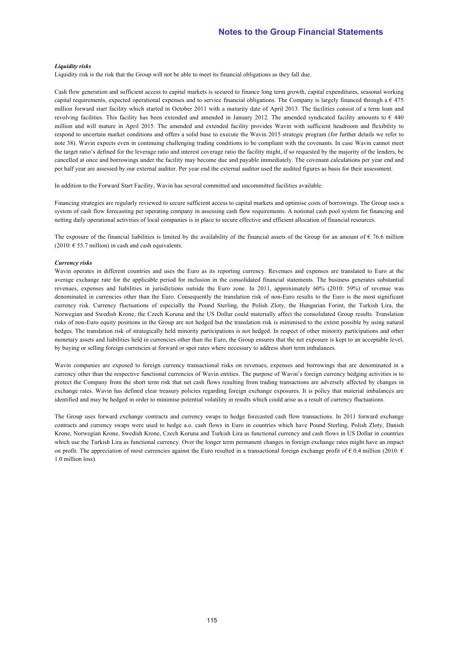#### *Liquidity risks*

Liquidity risk is the risk that the Group will not be able to meet its financial obligations as they fall due.

Cash flow generation and sufficient access to capital markets is secured to finance long term growth, capital expenditures, seasonal working capital requirements, expected operational expenses and to service financial obligations. The Company is largely financed through a  $\epsilon$  475 million forward start facility which started in October 2011 with a maturity date of April 2013. The facilities consist of a term loan and revolving facilities. This facility has been extended and amended in January 2012. The amended syndicated facility amounts to  $\epsilon$  440 million and will mature in April 2015. The amended and extended facility provides Wavin with sufficient headroom and flexibility to respond to uncertain market conditions and offers a solid base to execute the Wavin 2015 strategic program (for further details we refer to note 38). Wavin expects even in continuing challenging trading conditions to be compliant with the covenants. In case Wavin cannot meet the target ratio's defined for the leverage ratio and interest coverage ratio the facility might, if so requested by the majority of the lenders, be cancelled at once and borrowings under the facility may become due and payable immediately. The covenant calculations per year end and per half year are assessed by our external auditor. Per year end the external auditor used the audited figures as basis for their assessment.

In addition to the Forward Start Facility, Wavin has several committed and uncommitted facilities available.

Financing strategies are regularly reviewed to secure sufficient access to capital markets and optimise costs of borrowings. The Group uses a system of cash flow forecasting per operating company in assessing cash flow requirements. A notional cash pool system for financing and netting daily operational activities of local companies is in place to secure effective and efficient allocation of financial resources.

The exposure of the financial liabilities is limited by the availability of the financial assets of the Group for an amount of  $\epsilon$  76.6 million (2010:  $\epsilon$  55.7 million) in cash and cash equivalents.

### *Currency risks*

Wavin operates in different countries and uses the Euro as its reporting currency. Revenues and expenses are translated to Euro at the average exchange rate for the applicable period for inclusion in the consolidated financial statements. The business generates substantial revenues, expenses and liabilities in jurisdictions outside the Euro zone. In 2011, approximately 60% (2010: 59%) of revenue was denominated in currencies other than the Euro. Consequently the translation risk of non-Euro results to the Euro is the most significant currency risk. Currency fluctuations of especially the Pound Sterling, the Polish Zloty, the Hungarian Forint, the Turkish Lira, the Norwegian and Swedish Krone, the Czech Koruna and the US Dollar could materially affect the consolidated Group results. Translation risks of non-Euro equity positions in the Group are not hedged but the translation risk is minimised to the extent possible by using natural hedges. The translation risk of strategically held minority participations is not hedged. In respect of other minority participations and other monetary assets and liabilities held in currencies other than the Euro, the Group ensures that the net exposure is kept to an acceptable level, by buying or selling foreign currencies at forward or spot rates where necessary to address short term imbalances.

Wavin companies are exposed to foreign currency transactional risks on revenues, expenses and borrowings that are denominated in a currency other than the respective functional currencies of Wavin entities. The purpose of Wavin's foreign currency hedging activities is to protect the Company from the short term risk that net cash flows resulting from trading transactions are adversely affected by changes in exchange rates. Wavin has defined clear treasury policies regarding foreign exchange exposures. It is policy that material imbalances are identified and may be hedged in order to minimise potential volatility in results which could arise as a result of currency fluctuations.

The Group uses forward exchange contracts and currency swaps to hedge forecasted cash flow transactions. In 2011 forward exchange contracts and currency swaps were used to hedge a.o. cash flows in Euro in countries which have Pound Sterling, Polish Zloty, Danish Krone, Norwegian Krone, Swedish Krone, Czech Koruna and Turkish Lira as functional currency and cash flows in US Dollar in countries which use the Turkish Lira as functional currency. Over the longer term permanent changes in foreign exchange rates might have an impact on profit. The appreciation of most currencies against the Euro resulted in a transactional foreign exchange profit of  $\epsilon$  0.4 million (2010:  $\epsilon$ 1.0 million loss).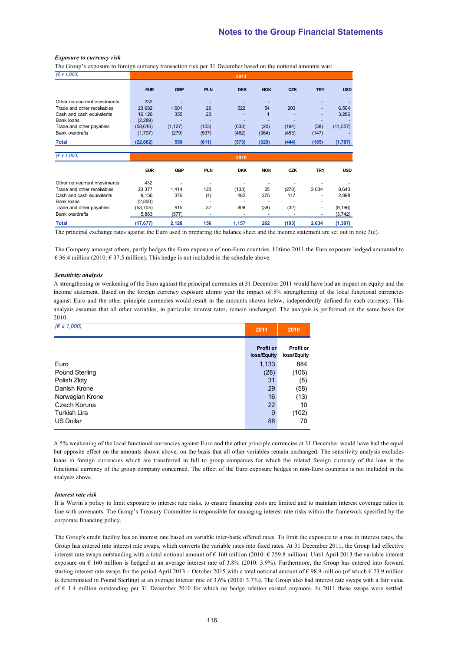### *Exposure to currency risk*

The Group's exposure to foreign currency transaction risk per 31 December based on the notional amounts was: *(€ x 1,000)*

| $E \times 1,000$              |            |            |            | 2011       |            |            |            |            |
|-------------------------------|------------|------------|------------|------------|------------|------------|------------|------------|
|                               | <b>EUR</b> | <b>GBP</b> | <b>PLN</b> | <b>DKK</b> | <b>NOK</b> | <b>CZK</b> | <b>TRY</b> | <b>USD</b> |
| Other non-current investments | 232        |            |            |            |            |            |            |            |
| Trade and other receivables   | 23,682     | 1,601      | 26         | 522        | 54         | 203        |            | 6,504      |
| Cash and cash equivalents     | 16,126     | 355        | 23         |            |            |            |            | 3,286      |
| <b>Bank loans</b>             | (2,289)    |            |            |            |            |            |            |            |
| Trade and other payables      | (58, 616)  | (1, 127)   | (123)      | (633)      | (20)       | (194)      | (38)       | (11, 557)  |
| <b>Bank overdrafts</b>        | (1,797)    | (279)      | (537)      | (462)      | (364)      | (453)      | (147)      |            |
| <b>Total</b>                  | (22, 662)  | 550        | (611)      | (573)      | (329)      | (444)      | (185)      | (1,767)    |
| $(E \times 1,000)$            |            |            |            | 2010       |            |            |            |            |
|                               | <b>EUR</b> | <b>GBP</b> | <b>PLN</b> | <b>DKK</b> | <b>NOK</b> | <b>CZK</b> | <b>TRY</b> | <b>USD</b> |
| Other non-current investments | 432        |            |            |            |            |            |            |            |
| Trade and other receivables   | 23,377     | 1,414      | 123        | (133)      | 25         | (278)      | 2,034      | 8,643      |
| Cash and cash equivalents     | 9,156      | 376        | (4)        | 482        | 275        | 117        |            | 2,898      |
| <b>Bank loans</b>             | (2,800)    |            |            |            |            |            |            |            |
| Trade and other payables      | (53, 705)  | 915        | 37         | 808        | (38)       | (32)       | ٠          | (9, 196)   |
| <b>Bank overdrafts</b>        |            |            |            |            |            |            |            |            |
|                               | 5,863      | (577)      |            |            |            |            |            | (3,742)    |

The principal exchange rates against the Euro used in preparing the balance sheet and the income statement are set out in note 3(c).

The Company amongst others, partly hedges the Euro exposure of non-Euro countries. Ultimo 2011 the Euro exposure hedged amounted to € 36.4 million (2010: € 37.5 million). This hedge is not included in the schedule above.

#### *Sensitivity analysis*

A strengthening or weakening of the Euro against the principal currencies at 31 December 2011 would have had an impact on equity and the income statement. Based on the foreign currency exposure ultimo year the impact of 5% strengthening of the local functional currencies against Euro and the other principle currencies would result in the amounts shown below, independently defined for each currency. This analysis assumes that all other variables, in particular interest rates, remain unchanged. The analysis is performed on the same basis for 2010.

| $(E \times 1,000)$    | 2011                            | 2010                     |
|-----------------------|---------------------------------|--------------------------|
|                       | <b>Profit or</b><br>loss/Equity | Profit or<br>loss/Equity |
| Euro                  | 1,133                           | 884                      |
| <b>Pound Sterling</b> | (28)                            | (106)                    |
| Polish Zloty          | 31                              | (8)                      |
| Danish Krone          | 29                              | (58)                     |
| Norwegian Krone       | 16                              | (13)                     |
| Czech Koruna          | 22                              | 10                       |
| Turkish Lira          | 9                               | (102)                    |
| <b>US Dollar</b>      | 88                              | 70                       |

A 5% weakening of the local functional currencies against Euro and the other principle currencies at 31 December would have had the equal but opposite effect on the amounts shown above, on the basis that all other variables remain unchanged. The sensitivity analysis excludes loans in foreign currencies which are transferred in full to group companies for which the related foreign currency of the loan is the functional currency of the group company concerned. The effect of the Euro exposure hedges in non-Euro countries is not included in the analyses above.

#### *Interest rate risk*

It is Wavin's policy to limit exposure to interest rate risks, to ensure financing costs are limited and to maintain interest coverage ratios in line with covenants. The Group's Treasury Committee is responsible for managing interest rate risks within the framework specified by the corporate financing policy.

The Group's credit facility has an interest rate based on variable inter-bank offered rates. To limit the exposure to a rise in interest rates, the Group has entered into interest rate swaps, which converts the variable rates into fixed rates. At 31 December 2011, the Group had effective interest rate swaps outstanding with a total notional amount of € 160 million (2010: € 259.8 million). Until April 2013 the variable interest exposure on € 160 million is hedged at an average interest rate of 3.8% (2010: 3.9%). Furthermore, the Group has entered into forward starting interest rate swaps for the period April 2013 – October 2015 with a total notional amount of  $\epsilon$  98.9 million (of which  $\epsilon$  23.9 million is denominated in Pound Sterling) at an average interest rate of 3.6% (2010: 3.7%). The Group also had interest rate swaps with a fair value of € 1.4 million outstanding per 31 December 2010 for which no hedge relation existed anymore. In 2011 these swaps were settled.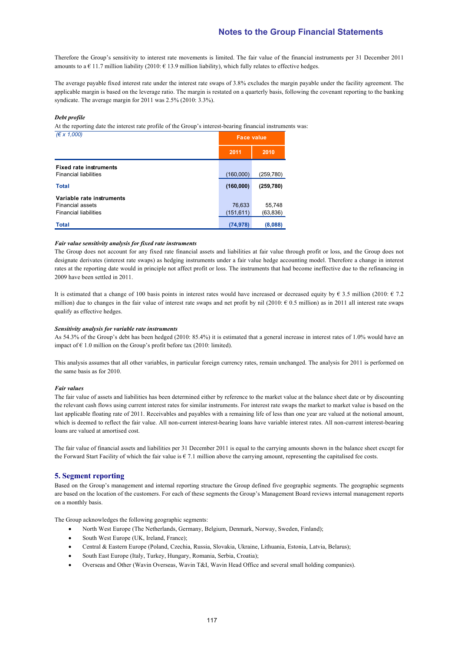Therefore the Group's sensitivity to interest rate movements is limited. The fair value of the financial instruments per 31 December 2011 amounts to a  $\epsilon$  11.7 million liability (2010:  $\epsilon$  13.9 million liability), which fully relates to effective hedges.

The average payable fixed interest rate under the interest rate swaps of 3.8% excludes the margin payable under the facility agreement. The applicable margin is based on the leverage ratio. The margin is restated on a quarterly basis, following the covenant reporting to the banking syndicate. The average margin for 2011 was 2.5% (2010: 3.3%).

## *Debt profile*

At the reporting date the interest rate profile of the Group's interest-bearing financial instruments was:

| $(E \times 1,000)$                                                                   | <b>Face value</b>    |                     |  |
|--------------------------------------------------------------------------------------|----------------------|---------------------|--|
|                                                                                      | 2011                 | 2010                |  |
| <b>Fixed rate instruments</b><br><b>Financial liabilities</b>                        | (160,000)            | (259, 780)          |  |
| <b>Total</b>                                                                         | (160,000)            | (259, 780)          |  |
| Variable rate instruments<br><b>Financial assets</b><br><b>Financial liabilities</b> | 76,633<br>(151, 611) | 55,748<br>(63, 836) |  |
| <b>Total</b>                                                                         | (74, 978)            | (8,088)             |  |

### *Fair value sensitivity analysis for fixed rate instruments*

The Group does not account for any fixed rate financial assets and liabilities at fair value through profit or loss, and the Group does not designate derivates (interest rate swaps) as hedging instruments under a fair value hedge accounting model. Therefore a change in interest rates at the reporting date would in principle not affect profit or loss. The instruments that had become ineffective due to the refinancing in 2009 have been settled in 2011.

It is estimated that a change of 100 basis points in interest rates would have increased or decreased equity by  $\epsilon$  3.5 million (2010:  $\epsilon$  7.2 million) due to changes in the fair value of interest rate swaps and net profit by nil (2010:  $\epsilon$  0.5 million) as in 2011 all interest rate swaps qualify as effective hedges.

### *Sensitivity analysis for variable rate instruments*

As 54.3% of the Group's debt has been hedged (2010: 85.4%) it is estimated that a general increase in interest rates of 1.0% would have an impact of  $\epsilon$  1.0 million on the Group's profit before tax (2010: limited).

This analysis assumes that all other variables, in particular foreign currency rates, remain unchanged. The analysis for 2011 is performed on the same basis as for 2010.

### *Fair values*

The fair value of assets and liabilities has been determined either by reference to the market value at the balance sheet date or by discounting the relevant cash flows using current interest rates for similar instruments. For interest rate swaps the market to market value is based on the last applicable floating rate of 2011. Receivables and payables with a remaining life of less than one year are valued at the notional amount, which is deemed to reflect the fair value. All non-current interest-bearing loans have variable interest rates. All non-current interest-bearing loans are valued at amortised cost.

The fair value of financial assets and liabilities per 31 December 2011 is equal to the carrying amounts shown in the balance sheet except for the Forward Start Facility of which the fair value is € 7.1 million above the carrying amount, representing the capitalised fee costs.

## **5. Segment reporting**

Based on the Group's management and internal reporting structure the Group defined five geographic segments. The geographic segments are based on the location of the customers. For each of these segments the Group's Management Board reviews internal management reports on a monthly basis.

The Group acknowledges the following geographic segments:

- · North West Europe (The Netherlands, Germany, Belgium, Denmark, Norway, Sweden, Finland);
- South West Europe (UK, Ireland, France);
- · Central & Eastern Europe (Poland, Czechia, Russia, Slovakia, Ukraine, Lithuania, Estonia, Latvia, Belarus);
- · South East Europe (Italy, Turkey, Hungary, Romania, Serbia, Croatia);
- · Overseas and Other (Wavin Overseas, Wavin T&I, Wavin Head Office and several small holding companies).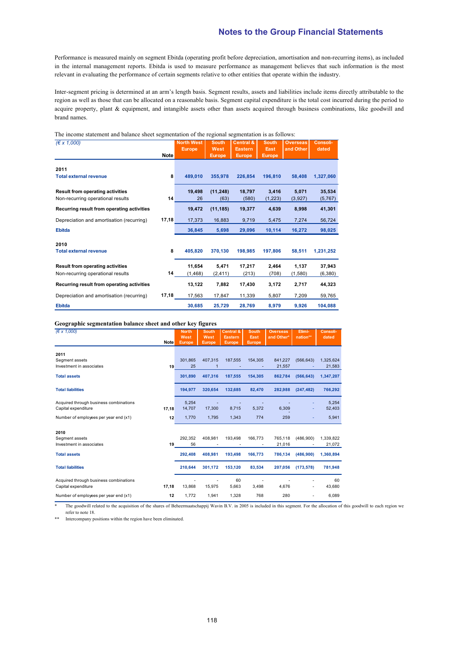Performance is measured mainly on segment Ebitda (operating profit before depreciation, amortisation and non-recurring items), as included in the internal management reports. Ebitda is used to measure performance as management believes that such information is the most relevant in evaluating the performance of certain segments relative to other entities that operate within the industry.

Inter-segment pricing is determined at an arm's length basis. Segment results, assets and liabilities include items directly attributable to the region as well as those that can be allocated on a reasonable basis. Segment capital expenditure is the total cost incurred during the period to acquire property, plant & equipment, and intangible assets other than assets acquired through business combinations, like goodwill and brand names.

The income statement and balance sheet segmentation of the regional segmentation is as follows:

| $(E \times 1,000)$                         |       | <b>North West</b> | <b>South</b>          | <b>Central &amp;</b>            | <b>South</b>          | <b>Overseas</b> | Consoli-  |
|--------------------------------------------|-------|-------------------|-----------------------|---------------------------------|-----------------------|-----------------|-----------|
|                                            | Note  | Europe            | West<br><b>Europe</b> | <b>Eastern</b><br><b>Europe</b> | East<br><b>Europe</b> | and Other       | dated     |
|                                            |       |                   |                       |                                 |                       |                 |           |
| 2011                                       |       |                   |                       |                                 |                       |                 |           |
| <b>Total external revenue</b>              | 8     | 489.010           | 355,978               | 226.854                         | 196,810               | 58.408          | 1,327,060 |
| <b>Result from operating activities</b>    |       | 19,498            | (11, 248)             | 18,797                          | 3,416                 | 5,071           | 35,534    |
| Non-recurring operational results          | 14    | 26                | (63)                  | (580)                           | (1, 223)              | (3,927)         | (5, 767)  |
| Recurring result from operating activities |       | 19,472            | (11, 185)             | 19,377                          | 4,639                 | 8,998           | 41,301    |
| Depreciation and amortisation (recurring)  | 17,18 | 17,373            | 16,883                | 9,719                           | 5,475                 | 7,274           | 56,724    |
| <b>Ebitda</b>                              |       | 36,845            | 5,698                 | 29,096                          | 10,114                | 16,272          | 98,025    |
| 2010                                       |       |                   |                       |                                 |                       |                 |           |
| <b>Total external revenue</b>              | 8     | 405,820           | 370,130               | 198,985                         | 197,806               | 58,511          | 1,231,252 |
| <b>Result from operating activities</b>    |       | 11,654            | 5,471                 | 17,217                          | 2,464                 | 1,137           | 37,943    |
| Non-recurring operational results          | 14    | (1, 468)          | (2, 411)              | (213)                           | (708)                 | (1,580)         | (6,380)   |
| Recurring result from operating activities |       | 13,122            | 7,882                 | 17,430                          | 3,172                 | 2,717           | 44,323    |
| Depreciation and amortisation (recurring)  | 17,18 | 17,563            | 17,847                | 11,339                          | 5,807                 | 7,209           | 59,765    |
| <b>Ebitda</b>                              |       | 30,685            | 25,729                | 28,769                          | 8,979                 | 9,926           | 104,088   |

### **Geographic segmentation balance sheet and other key figures**

| o<br>o<br>$(E \times 1,000)$           |             | <b>North</b> | <b>South</b>  | <b>Central &amp;</b> | <b>South</b>  | <b>Overseas</b> | Elimi-     | Consoli-  |
|----------------------------------------|-------------|--------------|---------------|----------------------|---------------|-----------------|------------|-----------|
|                                        | <b>Note</b> | West         | West          | <b>Eastern</b>       | East          | and Other*      | nation**   | dated     |
|                                        |             | Europe,      | <b>Europe</b> | <b>Europe</b>        | <b>Europe</b> |                 |            |           |
| 2011                                   |             |              |               |                      |               |                 |            |           |
| Segment assets                         |             | 301.865      | 407.315       | 187.555              | 154.305       | 841,227         | (566, 643) | 1,325,624 |
| Investment in associates               | 19          | 25           |               |                      |               | 21,557          |            | 21,583    |
| <b>Total assets</b>                    |             | 301,890      | 407,316       | 187,555              | 154,305       | 862,784         | (566, 643) | 1,347,207 |
| <b>Total liabilities</b>               |             | 194.977      | 320.654       | 132.685              | 82.470        | 282.988         | (247, 482) | 766,292   |
| Acquired through business combinations |             | 5,254        |               |                      |               |                 |            | 5,254     |
| Capital expenditure                    | 17,18       | 14,707       | 17,300        | 8,715                | 5,372         | 6,309           |            | 52,403    |
| Number of employees per year end (x1)  | 12          | 1,770        | 1,795         | 1,343                | 774           | 259             |            | 5,941     |
| 2010                                   |             |              |               |                      |               |                 |            |           |
| Segment assets                         |             | 292,352      | 408,981       | 193,498              | 166,773       | 765,118         | (486,900)  | 1,339,822 |
| Investment in associates               | 19          | 56           |               |                      |               | 21,016          |            | 21,072    |
| <b>Total assets</b>                    |             | 292.408      | 408.981       | 193.498              | 166.773       | 786.134         | (486, 900) | 1,360,894 |
| <b>Total liabilities</b>               |             | 210.644      | 301,172       | 153,120              | 83,534        | 207,056         | (173, 578) | 781,948   |
| Acquired through business combinations |             |              |               | 60                   |               |                 |            | 60        |
| Capital expenditure                    | 17,18       | 13,868       | 15,975        | 5,663                | 3,498         | 4,676           |            | 43,680    |
| Number of employees per year end (x1)  | 12          | 1,772        | 1,941         | 1,328                | 768           | 280             |            | 6,089     |

The goodwill related to the acquisition of the shares of Beheermaatschappij Wavin B.V. in 2005 is included in this segment. For the allocation of this goodwill to each region we refer to note 18.

\*\* Intercompany positions within the region have been eliminated.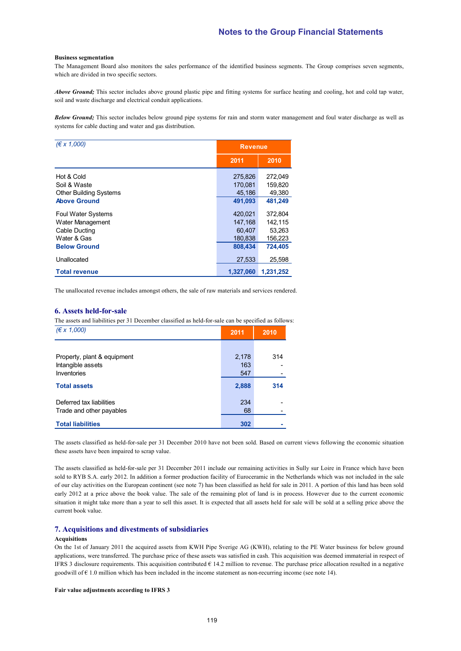### **Business segmentation**

The Management Board also monitors the sales performance of the identified business segments. The Group comprises seven segments, which are divided in two specific sectors.

*Above Ground;* This sector includes above ground plastic pipe and fitting systems for surface heating and cooling, hot and cold tap water, soil and waste discharge and electrical conduit applications.

*Below Ground;* This sector includes below ground pipe systems for rain and storm water management and foul water discharge as well as systems for cable ducting and water and gas distribution.

| $(E \times 1,000)$            | <b>Revenue</b> |           |
|-------------------------------|----------------|-----------|
|                               | 2011           | 2010      |
| Hot & Cold                    | 275,826        | 272,049   |
| Soil & Waste                  | 170,081        | 159,820   |
| <b>Other Building Systems</b> | 45.186         | 49.380    |
| <b>Above Ground</b>           | 491,093        | 481,249   |
| <b>Foul Water Systems</b>     | 420.021        | 372,804   |
| <b>Water Management</b>       | 147.168        | 142.115   |
| Cable Ducting                 | 60,407         | 53,263    |
| Water & Gas                   | 180.838        | 156,223   |
| <b>Below Ground</b>           | 808,434        | 724,405   |
| Unallocated                   | 27,533         | 25,598    |
| <b>Total revenue</b>          | 1,327,060      | 1,231,252 |

The unallocated revenue includes amongst others, the sale of raw materials and services rendered.

# **6. Assets held-for-sale**

The assets and liabilities per 31 December classified as held-for-sale can be specified as follows:

| $(E \times 1,000)$          | 2011  | 2010 |
|-----------------------------|-------|------|
|                             |       |      |
| Property, plant & equipment | 2,178 | 314  |
| Intangible assets           | 163   |      |
| Inventories                 | 547   |      |
| <b>Total assets</b>         | 2,888 | 314  |
| Deferred tax liabilities    | 234   |      |
| Trade and other payables    | 68    |      |
| <b>Total liabilities</b>    | 302   |      |

The assets classified as held-for-sale per 31 December 2010 have not been sold. Based on current views following the economic situation these assets have been impaired to scrap value.

The assets classified as held-for-sale per 31 December 2011 include our remaining activities in Sully sur Loire in France which have been sold to RYB S.A. early 2012. In addition a former production facility of Euroceramic in the Netherlands which was not included in the sale of our clay activities on the European continent (see note 7) has been classified as held for sale in 2011. A portion of this land has been sold early 2012 at a price above the book value. The sale of the remaining plot of land is in process. However due to the current economic situation it might take more than a year to sell this asset. It is expected that all assets held for sale will be sold at a selling price above the current book value.

## **7. Acquisitions and divestments of subsidiaries**

### **Acquisitions**

On the 1st of January 2011 the acquired assets from KWH Pipe Sverige AG (KWH), relating to the PE Water business for below ground applications, were transferred. The purchase price of these assets was satisfied in cash. This acquisition was deemed immaterial in respect of IFRS 3 disclosure requirements. This acquisition contributed  $\epsilon$  14.2 million to revenue. The purchase price allocation resulted in a negative goodwill of  $\epsilon$  1.0 million which has been included in the income statement as non-recurring income (see note 14).

**Fair value adjustments according to IFRS 3**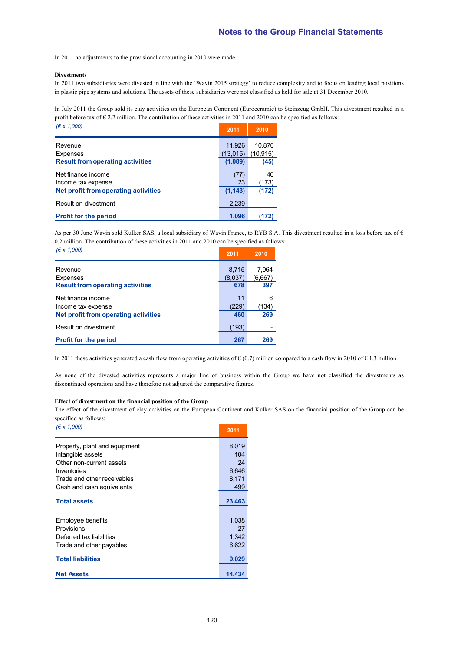In 2011 no adjustments to the provisional accounting in 2010 were made.

### **Divestments**

In 2011 two subsidiaries were divested in line with the 'Wavin 2015 strategy' to reduce complexity and to focus on leading local positions in plastic pipe systems and solutions. The assets of these subsidiaries were not classified as held for sale at 31 December 2010.

In July 2011 the Group sold its clay activities on the European Continent (Euroceramic) to Steinzeug GmbH. This divestment resulted in a profit before tax of  $\epsilon$  2.2 million. The contribution of these activities in 2011 and 2010 can be specified as follows:

| $(E \times 1,000)$                       | 2011               | 2010                |
|------------------------------------------|--------------------|---------------------|
| Revenue<br><b>Expenses</b>               | 11,926<br>(13,015) | 10,870<br>(10, 915) |
| <b>Result from operating activities</b>  | (1,089)            | (45)                |
| Net finance income<br>Income tax expense | (77)<br>23         | 46<br>(173)         |
| Net profit from operating activities     | (1, 143)           | (172)               |
| Result on divestment                     | 2,239              |                     |
| <b>Profit for the period</b>             | 1,096              | (172)               |

As per 30 June Wavin sold Kulker SAS, a local subsidiary of Wavin France, to RYB S.A. This divestment resulted in a loss before tax of  $\epsilon$ 0.2 million. The contribution of these activities in 2011 and 2010 can be specified as follows:

| $(E \times 1,000)$                                         | 2011             | 2010             |
|------------------------------------------------------------|------------------|------------------|
| Revenue<br>Expenses                                        | 8,715<br>(8.037) | 7,064<br>(6,667) |
| <b>Result from operating activities</b>                    | 678              | 397              |
| Net finance income                                         | 11<br>(229)      | 6                |
| Income tax expense<br>Net profit from operating activities | 460              | (134)<br>269     |
| Result on divestment                                       | (193)            |                  |
| <b>Profit for the period</b>                               | 267              | 269              |

In 2011 these activities generated a cash flow from operating activities of  $\epsilon$  (0.7) million compared to a cash flow in 2010 of  $\epsilon$  1.3 million.

As none of the divested activities represents a major line of business within the Group we have not classified the divestments as discontinued operations and have therefore not adjusted the comparative figures.

### **Effect of divestment on the financial position of the Group**

The effect of the divestment of clay activities on the European Continent and Kulker SAS on the financial position of the Group can be specified as follows:

| $(E \times 1,000)$                                                                      | 2011                          |
|-----------------------------------------------------------------------------------------|-------------------------------|
| Property, plant and equipment<br>Intangible assets<br>Other non-current assets          | 8,019<br>104<br>24            |
| Inventories<br>Trade and other receivables<br>Cash and cash equivalents                 | 6,646<br>8,171<br>499         |
| <b>Total assets</b>                                                                     | 23,463                        |
| Employee benefits<br>Provisions<br>Deferred tax liabilities<br>Trade and other payables | 1,038<br>27<br>1,342<br>6,622 |
| <b>Total liabilities</b>                                                                | 9,029                         |
| <b>Net Assets</b>                                                                       | 14.434                        |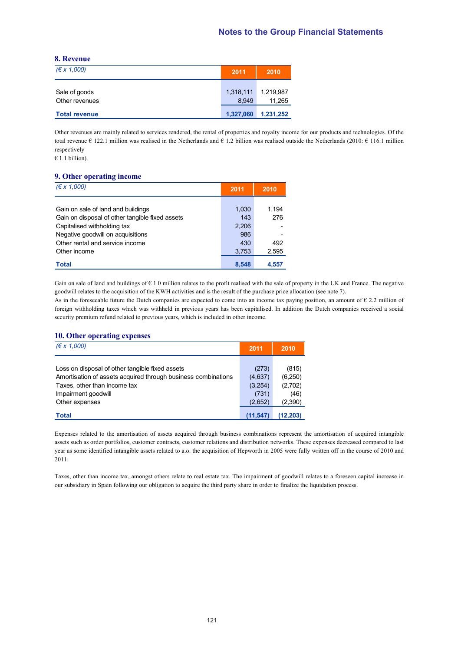# **8. Revenue**

| $(\epsilon x 1,000)$            | 2011               | 2010                |
|---------------------------------|--------------------|---------------------|
| Sale of goods<br>Other revenues | 1,318,111<br>8.949 | 1,219,987<br>11,265 |
| <b>Total revenue</b>            | 1,327,060          | 1,231,252           |

Other revenues are mainly related to services rendered, the rental of properties and royalty income for our products and technologies. Of the total revenue  $\epsilon$  122.1 million was realised in the Netherlands and  $\epsilon$  1.2 billion was realised outside the Netherlands (2010:  $\epsilon$  116.1 million respectively

 $€ 1.1 billion)$ .

# **9. Other operating income**

| $(E \times 1,000)$                              | 2011  | 2010  |
|-------------------------------------------------|-------|-------|
|                                                 |       |       |
| Gain on sale of land and buildings              | 1,030 | 1,194 |
| Gain on disposal of other tangible fixed assets | 143   | 276   |
| Capitalised withholding tax                     | 2,206 |       |
| Negative goodwill on acquisitions               | 986   |       |
| Other rental and service income                 | 430   | 492   |
| Other income                                    | 3,753 | 2,595 |
| <b>Total</b>                                    | 8.548 | 4,557 |

Gain on sale of land and buildings of  $\epsilon$  1.0 million relates to the profit realised with the sale of property in the UK and France. The negative goodwill relates to the acquisition of the KWH activities and is the result of the purchase price allocation (see note 7).

As in the foreseeable future the Dutch companies are expected to come into an income tax paying position, an amount of  $\epsilon$  2.2 million of foreign withholding taxes which was withheld in previous years has been capitalised. In addition the Dutch companies received a social security premium refund related to previous years, which is included in other income.

# **10. Other operating expenses**

| $(E \times 1,000)$                                            | 2011    | 2010      |
|---------------------------------------------------------------|---------|-----------|
|                                                               |         |           |
| Loss on disposal of other tangible fixed assets               | (273)   | (815)     |
| Amortisation of assets acquired through business combinations | (4.637) | (6, 250)  |
| Taxes, other than income tax                                  | (3.254) | (2,702)   |
| Impairment goodwill                                           | (731)   | (46)      |
| Other expenses                                                | (2,652) | (2,390)   |
| Total                                                         | (11,547 | (12, 203) |

Expenses related to the amortisation of assets acquired through business combinations represent the amortisation of acquired intangible assets such as order portfolios, customer contracts, customer relations and distribution networks. These expenses decreased compared to last year as some identified intangible assets related to a.o. the acquisition of Hepworth in 2005 were fully written off in the course of 2010 and 2011.

Taxes, other than income tax, amongst others relate to real estate tax. The impairment of goodwill relates to a foreseen capital increase in our subsidiary in Spain following our obligation to acquire the third party share in order to finalize the liquidation process.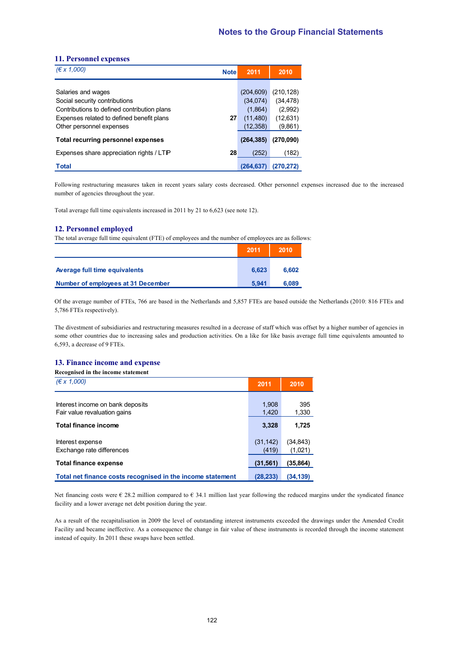# **11. Personnel expenses**

| $(E \times 1,000)$                          | <b>Note</b> | 2011       | 2010       |
|---------------------------------------------|-------------|------------|------------|
|                                             |             |            |            |
| Salaries and wages                          |             | (204, 609) | (210, 128) |
| Social security contributions               |             | (34, 074)  | (34, 478)  |
| Contributions to defined contribution plans |             | (1,864)    | (2,992)    |
| Expenses related to defined benefit plans   | 27          | (11, 480)  | (12, 631)  |
| Other personnel expenses                    |             | (12,358)   | (9,861)    |
| <b>Total recurring personnel expenses</b>   |             | (264, 385) | (270,090)  |
| Expenses share appreciation rights / LTIP   | 28          | (252)      | (182)      |
| <b>T</b> otal                               |             | (264.637)  | (270.272)  |

Following restructuring measures taken in recent years salary costs decreased. Other personnel expenses increased due to the increased number of agencies throughout the year.

Total average full time equivalents increased in 2011 by 21 to 6,623 (see note 12).

# **12. Personnel employed**

The total average full time equivalent (FTE) of employees and the number of employees are as follows:

|                                    | 2011  | 2010  |
|------------------------------------|-------|-------|
| Average full time equivalents      | 6.623 | 6.602 |
| Number of employees at 31 December | 5.941 | 6.089 |

Of the average number of FTEs, 766 are based in the Netherlands and 5,857 FTEs are based outside the Netherlands (2010: 816 FTEs and 5,786 FTEs respectively).

The divestment of subsidiaries and restructuring measures resulted in a decrease of staff which was offset by a higher number of agencies in some other countries due to increasing sales and production activities. On a like for like basis average full time equivalents amounted to 6,593, a decrease of 9 FTEs.

# **13. Finance income and expense**

# **Recognised in the income statement**

| $(E \times 1,000)$                                               | 2011               | 2010                 |
|------------------------------------------------------------------|--------------------|----------------------|
| Interest income on bank deposits<br>Fair value revaluation gains | 1,908<br>1,420     | 395<br>1,330         |
| Total finance income                                             | 3,328              | 1,725                |
| Interest expense<br>Exchange rate differences                    | (31, 142)<br>(419) | (34, 843)<br>(1,021) |
| <b>Total finance expense</b>                                     | (31, 561)          | (35,864)             |
| Total net finance costs recognised in the income statement       | (28,233)           | (34,139)             |

Net financing costs were  $\epsilon$  28.2 million compared to  $\epsilon$  34.1 million last year following the reduced margins under the syndicated finance facility and a lower average net debt position during the year.

As a result of the recapitalisation in 2009 the level of outstanding interest instruments exceeded the drawings under the Amended Credit Facility and became ineffective. As a consequence the change in fair value of these instruments is recorded through the income statement instead of equity. In 2011 these swaps have been settled.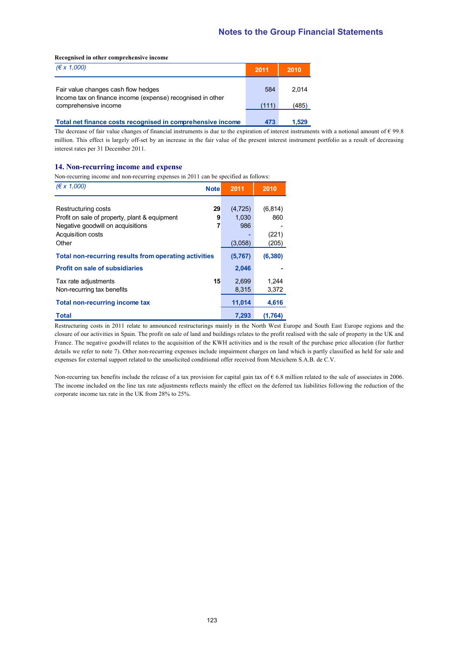### **Recognised in other comprehensive income**

| $(\epsilon x 1,000)$                                                                              | 2011  | 2010  |
|---------------------------------------------------------------------------------------------------|-------|-------|
| Fair value changes cash flow hedges<br>Income tax on finance income (expense) recognised in other | 584   | 2.014 |
| comprehensive income                                                                              | (111) | (485) |
| Total net finance costs recognised in comprehensive income                                        | 473   | 1.529 |

The decrease of fair value changes of financial instruments is due to the expiration of interest instruments with a notional amount of € 99.8 million. This effect is largely off-set by an increase in the fair value of the present interest instrument portfolio as a result of decreasing interest rates per 31 December 2011.

# **14. Non-recurring income and expense**

Non-recurring income and non-recurring expenses in 2011 can be specified as follows:

| $(E \times 1,000)$<br><b>Note</b>                                                                                                              | 2011                     | 2010                     |
|------------------------------------------------------------------------------------------------------------------------------------------------|--------------------------|--------------------------|
| 29<br>Restructuring costs<br>Profit on sale of property, plant & equipment<br>9<br>7<br>Negative goodwill on acquisitions<br>Acquisition costs | (4, 725)<br>1,030<br>986 | (6, 814)<br>860<br>(221) |
| Other<br>Total non-recurring results from operating activities                                                                                 | (3.058)                  | (205)<br>(6, 380)        |
| <b>Profit on sale of subsidiaries</b>                                                                                                          | (5,767)<br>2,046         |                          |
| 15<br>Tax rate adjustments<br>Non-recurring tax benefits                                                                                       | 2,699<br>8,315           | 1,244<br>3,372           |
| <b>Total non-recurring income tax</b>                                                                                                          | 11,014                   | 4,616                    |
| <b>Total</b>                                                                                                                                   | 7,293                    | (1,764)                  |

Restructuring costs in 2011 relate to announced restructurings mainly in the North West Europe and South East Europe regions and the closure of our activities in Spain. The profit on sale of land and buildings relates to the profit realised with the sale of property in the UK and France. The negative goodwill relates to the acquisition of the KWH activities and is the result of the purchase price allocation (for further details we refer to note 7). Other non-recurring expenses include impairment charges on land which is partly classified as held for sale and expenses for external support related to the unsolicited conditional offer received from Mexichem S.A.B. de C.V.

Non-recurring tax benefits include the release of a tax provision for capital gain tax of  $\epsilon$  6.8 million related to the sale of associates in 2006. The income included on the line tax rate adjustments reflects mainly the effect on the deferred tax liabilities following the reduction of the corporate income tax rate in the UK from 28% to 25%.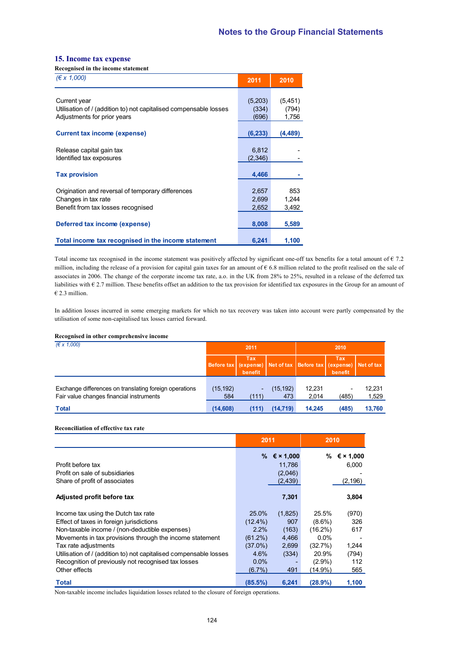# **15. Income tax expense**

### **Recognised in the income statement**

| $(E \times 1,000)$                                                                                               | 2011                      | 2010                       |
|------------------------------------------------------------------------------------------------------------------|---------------------------|----------------------------|
| Current year<br>Utilisation of / (addition to) not capitalised compensable losses<br>Adjustments for prior years | (5,203)<br>(334)<br>(696) | (5, 451)<br>(794)<br>1,756 |
| <b>Current tax income (expense)</b>                                                                              | (6, 233)                  | (4,489)                    |
| Release capital gain tax<br>Identified tax exposures                                                             | 6,812<br>(2,346)          |                            |
| <b>Tax provision</b>                                                                                             | 4,466                     |                            |
| Origination and reversal of temporary differences<br>Changes in tax rate<br>Benefit from tax losses recognised   | 2,657<br>2,699<br>2,652   | 853<br>1,244<br>3,492      |
| Deferred tax income (expense)                                                                                    | 8,008                     | 5,589                      |
| Total income tax recognised in the income statement                                                              | 6,241                     | 1,100                      |

Total income tax recognised in the income statement was positively affected by significant one-off tax benefits for a total amount of  $\epsilon$  7.2 million, including the release of a provision for capital gain taxes for an amount of € 6.8 million related to the profit realised on the sale of associates in 2006. The change of the corporate income tax rate, a.o. in the UK from 28% to 25%, resulted in a release of the deferred tax liabilities with € 2.7 million. These benefits offset an addition to the tax provision for identified tax exposures in the Group for an amount of  $€$  2.3 million.

In addition losses incurred in some emerging markets for which no tax recovery was taken into account were partly compensated by the utilisation of some non-capitalised tax losses carried forward.

### **Recognised in other comprehensive income**

| $(E \times 1,000)$                                     |           | 2011           |           |                                                                                                     | 2010           |        |
|--------------------------------------------------------|-----------|----------------|-----------|-----------------------------------------------------------------------------------------------------|----------------|--------|
|                                                        |           | Tax<br>benefit |           | Before $\text{tax}$ (expense) Net of $\text{tax}$ Before $\text{tax}$ (expense) Net of $\text{tax}$ | Tax<br>benefit |        |
| Exchange differences on translating foreign operations | (15, 192) |                | (15, 192) | 12,231                                                                                              |                | 12,231 |
| Fair value changes financial instruments               | 584       | (111)          | 473       | 2,014                                                                                               | (485)          | 1,529  |
| Total                                                  | (14, 608) | (111)          | (14,719)  | 14.245                                                                                              | (485)          | 13,760 |

## **Reconciliation of effective tax rate**

|                                                                   | 2011       |                    | 2010       |                    |
|-------------------------------------------------------------------|------------|--------------------|------------|--------------------|
|                                                                   |            | % $€ \times 1,000$ |            | % $€ \times 1,000$ |
| Profit before tax                                                 |            | 11,786             |            | 6,000              |
| Profit on sale of subsidiaries                                    |            | (2,046)            |            |                    |
| Share of profit of associates                                     |            | (2, 439)           |            | (2, 196)           |
|                                                                   |            |                    |            |                    |
| Adjusted profit before tax                                        |            | 7,301              |            | 3,804              |
| Income tax using the Dutch tax rate                               | 25.0%      | (1,825)            | 25.5%      | (970)              |
| Effect of taxes in foreign jurisdictions                          | $(12.4\%)$ | 907                | $(8.6\%)$  | 326                |
| Non-taxable income / (non-deductible expenses)                    | $2.2\%$    | (163)              | $(16.2\%)$ | 617                |
| Movements in tax provisions through the income statement          | $(61.2\%)$ | 4,466              | $0.0\%$    |                    |
| Tax rate adjustments                                              | $(37.0\%)$ | 2,699              | (32.7%)    | 1,244              |
| Utilisation of / (addition to) not capitalised compensable losses | 4.6%       | (334)              | 20.9%      | (794)              |
| Recognition of previously not recognised tax losses               | $0.0\%$    |                    | $(2.9\%)$  | 112                |
| Other effects                                                     | $(6.7\%)$  | 491                | (14.9%)    | 565                |
| <b>Total</b>                                                      | $(85.5\%)$ | 6,241              | (28.9%)    | 1,100              |

Non-taxable income includes liquidation losses related to the closure of foreign operations.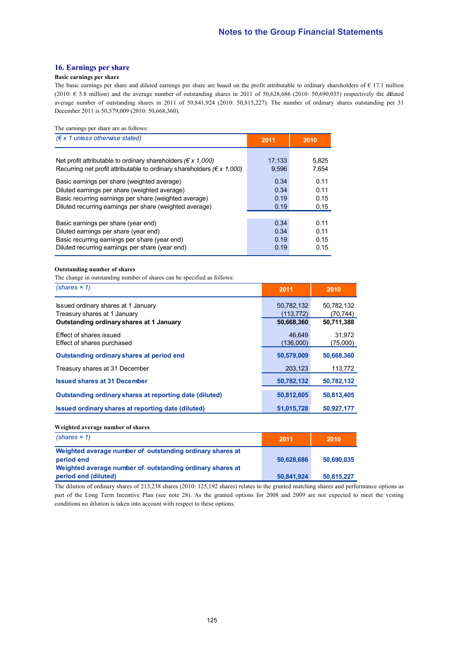## **16. Earnings per share**

# **Basic earnings per share**

The basic earnings per share and diluted earnings per share are based on the profit attributable to ordinary shareholders of  $\epsilon$  17.1 million (2010: € 5.8 million) and the average number of outstanding shares in 2011 of 50,628,686 (2010: 50,690,035) respectively the d**i**luted average number of outstanding shares in 2011 of 50,841,924 (2010: 50,815,227). The number of ordinary shares outstanding per 31 December 2011 is 50,579,009 (2010: 50,668,360).

The earnings per share are as follows:

| $(\epsilon x 1$ unless otherwise stated)                                     | 2011   | 2010  |
|------------------------------------------------------------------------------|--------|-------|
| Net profit attributable to ordinary shareholders ( $\epsilon \times 1,000$ ) | 17,133 | 5,825 |
| Recurring net profit attributable to ordinary shareholders ( $\xi x$ 1,000)  | 9,596  | 7,654 |
| Basic earnings per share (weighted average)                                  | 0.34   | 0.11  |
| Diluted earnings per share (weighted average)                                | 0.34   | 0.11  |
| Basic recurring earnings per share (weighted average)                        | 0.19   | 0.15  |
| Diluted recurring earnings per share (weighted average)                      | 0.19   | 0.15  |
| Basic earnings per share (year end)                                          | 0.34   | 0.11  |
| Diluted earnings per share (year end)                                        | 0.34   | 0.11  |
| Basic recurring earnings per share (year end)                                | 0.19   | 0.15  |
| Diluted recurring earnings per share (year end)                              | 0.19   | 0.15  |

### **Outstanding number of shares**

The change in outstanding number of shares can be specified as follows:

| $(shares \times 1)$                                                 | 2011                    | 2010                    |
|---------------------------------------------------------------------|-------------------------|-------------------------|
| Issued ordinary shares at 1 January<br>Treasury shares at 1 January | 50,782,132<br>(113.772) | 50,782,132<br>(70, 744) |
| Outstanding ordinary shares at 1 January                            | 50,668,360              | 50,711,388              |
| Effect of shares issued                                             | 46.649                  | 31.972                  |
| Effect of shares purchased                                          | (136,000)               | (75,000)                |
| Outstanding ordinary shares at period end                           | 50,579,009              | 50,668,360              |
| Treasury shares at 31 December                                      | 203,123                 | 113,772                 |
| <b>Issued shares at 31 December</b>                                 | 50,782,132              | 50,782,132              |
| Outstanding ordinary shares at reporting date (diluted)             | 50,812,605              | 50.813.405              |
| Issued ordinary shares at reporting date (diluted)                  | 51.015.728              | 50.927.177              |

**Weighted average number of shares**

| $(shares \times 1)$                                                                                                                  | 2011       | 2010       |
|--------------------------------------------------------------------------------------------------------------------------------------|------------|------------|
| Weighted average number of outstanding ordinary shares at<br>period end<br>Weighted average number of outstanding ordinary shares at | 50,628,686 | 50.690.035 |
| period end (diluted)                                                                                                                 | 50,841,924 | 50,815,227 |

The dilution of ordinary shares of 213,238 shares (2010: 125,192 shares) relates to the granted matching shares and performance options as part of the Long Term Incentive Plan (see note 28). As the granted options for 2008 and 2009 are not expected to meet the vesting conditions no dilution is taken into account with respect to these options.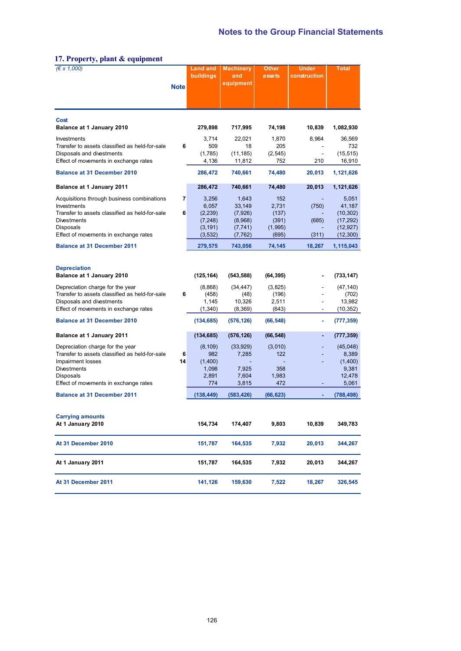# **17. Property, plant & equipment**

| (€ x 1,000)                                                                                                                                                                             |             | <b>Land and</b><br>buildings                                   | <b>Machinery</b><br>and<br>equipment                          | <b>Other</b><br>assets                             | Under<br>construction   | Total                                                               |
|-----------------------------------------------------------------------------------------------------------------------------------------------------------------------------------------|-------------|----------------------------------------------------------------|---------------------------------------------------------------|----------------------------------------------------|-------------------------|---------------------------------------------------------------------|
|                                                                                                                                                                                         | <b>Note</b> |                                                                |                                                               |                                                    |                         |                                                                     |
| Cost<br>Balance at 1 January 2010                                                                                                                                                       |             | 279,898                                                        | 717,995                                                       | 74,198                                             | 10,839                  | 1,082,930                                                           |
| Investments<br>Transfer to assets classified as held-for-sale<br>Disposals and divestments<br>Effect of movements in exchange rates                                                     | 6           | 3,714<br>509<br>(1,785)<br>4,136                               | 22,021<br>18<br>(11, 185)<br>11,812                           | 1,870<br>205<br>(2, 545)<br>752                    | 8,964<br>210            | 36,569<br>732<br>(15, 515)<br>16,910                                |
| <b>Balance at 31 December 2010</b>                                                                                                                                                      |             | 286,472                                                        | 740,661                                                       | 74,480                                             | 20,013                  | 1,121,626                                                           |
| <b>Balance at 1 January 2011</b>                                                                                                                                                        |             | 286,472                                                        | 740,661                                                       | 74,480                                             | 20,013                  | 1,121,626                                                           |
| Acquisitions through business combinations<br>Investments<br>Transfer to assets classified as held-for-sale<br><b>Divestments</b><br>Disposals<br>Effect of movements in exchange rates | 7<br>6      | 3,256<br>6,057<br>(2, 239)<br>(7, 248)<br>(3, 191)<br>(3, 532) | 1,643<br>33,149<br>(7,926)<br>(8,968)<br>(7, 741)<br>(7, 762) | 152<br>2,731<br>(137)<br>(391)<br>(1,995)<br>(695) | (750)<br>(685)<br>(311) | 5,051<br>41,187<br>(10, 302)<br>(17, 292)<br>(12, 927)<br>(12, 300) |
| <b>Balance at 31 December 2011</b>                                                                                                                                                      |             | 279,575                                                        | 743,056                                                       | 74,145                                             | 18,267                  | 1,115,043                                                           |
| <b>Depreciation</b><br>Balance at 1 January 2010<br>Depreciation charge for the year                                                                                                    |             | (125, 164)<br>(8,868)                                          | (543, 588)<br>(34, 447)                                       | (64, 395)<br>(3,825)                               |                         | (733, 147)<br>(47, 140)                                             |
| Transfer to assets classified as held-for-sale<br>Disposals and divestments<br>Effect of movements in exchange rates                                                                    | 6           | (458)<br>1,145<br>(1,340)                                      | (48)<br>10,326<br>(8,369)                                     | (196)<br>2,511<br>(643)                            | ä,                      | (702)<br>13,982<br>(10, 352)                                        |
| <b>Balance at 31 December 2010</b>                                                                                                                                                      |             | (134, 685)                                                     | (576, 126)                                                    | (66, 548)                                          |                         | (777, 359)                                                          |
| <b>Balance at 1 January 2011</b>                                                                                                                                                        |             | (134, 685)                                                     | (576, 126)                                                    | (66, 548)                                          | ä,                      | (777, 359)                                                          |
| Depreciation charge for the year<br>Transfer to assets classified as held-for-sale<br>Impairment losses<br><b>Divestments</b><br>Disposals<br>Effect of movements in exchange rates     | 6<br>14     | (8, 109)<br>982<br>(1,400)<br>1,098<br>2,891<br>774            | (33, 929)<br>7,285<br>7,925<br>7,604<br>3,815                 | (3,010)<br>122<br>358<br>1,983<br>472              |                         | (45,048)<br>8,389<br>(1,400)<br>9,381<br>12,478<br>5,061            |
| <b>Balance at 31 December 2011</b>                                                                                                                                                      |             | (138, 449)                                                     | (583, 426)                                                    | (66, 623)                                          |                         | (788, 498)                                                          |
| <b>Carrying amounts</b><br>At 1 January 2010                                                                                                                                            |             | 154,734                                                        | 174,407                                                       | 9,803                                              | 10,839                  | 349,783                                                             |
| At 31 December 2010                                                                                                                                                                     |             | 151,787                                                        | 164,535                                                       | 7,932                                              | 20,013                  | 344,267                                                             |
| At 1 January 2011                                                                                                                                                                       |             | 151,787                                                        | 164,535                                                       | 7,932                                              | 20,013                  | 344,267                                                             |
| At 31 December 2011                                                                                                                                                                     |             | 141,126                                                        | 159,630                                                       | 7,522                                              | 18,267                  | 326,545                                                             |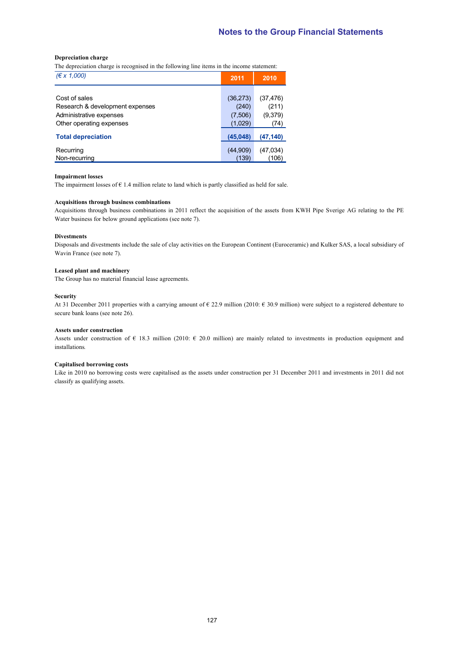### **Depreciation charge**

The depreciation charge is recognised in the following line items in the income statement:

| $(E \times 1,000)$              | 2011      | 2010      |
|---------------------------------|-----------|-----------|
| Cost of sales                   | (36, 273) | (37, 476) |
| Research & development expenses | (240)     | (211)     |
| Administrative expenses         | (7,506)   | (9,379)   |
| Other operating expenses        | (1,029)   | (74)      |
| <b>Total depreciation</b>       | (45, 048) | (47,140)  |
| Recurring                       | (44,909)  | (47,034)  |
| Non-recurring                   | (139)     | (106)     |

#### **Impairment losses**

The impairment losses of  $\epsilon$  1.4 million relate to land which is partly classified as held for sale.

### **Acquisitions through business combinations**

Acquisitions through business combinations in 2011 reflect the acquisition of the assets from KWH Pipe Sverige AG relating to the PE Water business for below ground applications (see note 7).

### **Divestments**

Disposals and divestments include the sale of clay activities on the European Continent (Euroceramic) and Kulker SAS, a local subsidiary of Wavin France (see note 7).

### **Leased plant and machinery**

The Group has no material financial lease agreements.

### **Security**

At 31 December 2011 properties with a carrying amount of € 22.9 million (2010: € 30.9 million) were subject to a registered debenture to secure bank loans (see note 26).

## **Assets under construction**

Assets under construction of  $\epsilon$  18.3 million (2010:  $\epsilon$  20.0 million) are mainly related to investments in production equipment and installations*.* 

## **Capitalised borrowing costs**

Like in 2010 no borrowing costs were capitalised as the assets under construction per 31 December 2011 and investments in 2011 did not classify as qualifying assets.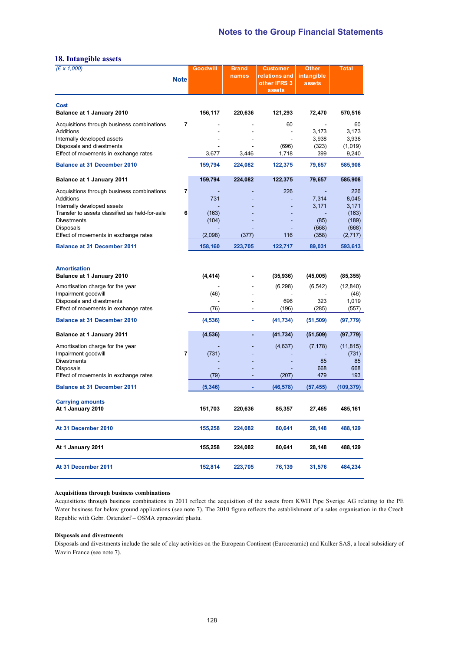# **18. Intangible assets**

| 10. miangibie assets                                               |             |          |                       |                                  |                            |                  |
|--------------------------------------------------------------------|-------------|----------|-----------------------|----------------------------------|----------------------------|------------------|
| (€ x 1,000)                                                        |             | Goodwill | <b>Brand</b><br>names | <b>Customer</b><br>relations and | <b>Other</b><br>intangible | Total            |
|                                                                    | <b>Note</b> |          |                       | other IFRS 3                     | assets                     |                  |
|                                                                    |             |          |                       | assets                           |                            |                  |
| Cost                                                               |             |          |                       |                                  |                            |                  |
| Balance at 1 January 2010                                          |             | 156,117  | 220,636               | 121,293                          | 72,470                     | 570,516          |
| Acquisitions through business combinations                         | 7           |          |                       | 60                               |                            | 60               |
| Additions                                                          |             |          |                       | ÷,                               | 3,173                      | 3,173            |
| Internally developed assets                                        |             |          |                       | ÷                                | 3,938                      | 3,938            |
| Disposals and divestments<br>Effect of movements in exchange rates |             | 3,677    | 3,446                 | (696)<br>1,718                   | (323)<br>399               | (1,019)<br>9,240 |
| <b>Balance at 31 December 2010</b>                                 |             | 159.794  | 224,082               | 122,375                          | 79,657                     | 585,908          |
|                                                                    |             |          |                       |                                  |                            |                  |
| <b>Balance at 1 January 2011</b>                                   |             | 159,794  | 224,082               | 122,375                          | 79,657                     | 585,908          |
| Acquisitions through business combinations                         | 7           |          |                       | 226                              |                            | 226              |
| Additions<br>Internally developed assets                           |             | 731      |                       | ٠<br>Ξ                           | 7,314<br>3,171             | 8,045<br>3,171   |
| Transfer to assets classified as held-for-sale                     | 6           | (163)    |                       |                                  |                            | (163)            |
| <b>Divestments</b>                                                 |             | (104)    |                       | ٠                                | (85)                       | (189)            |
| Disposals                                                          |             |          |                       |                                  | (668)                      | (668)            |
| Effect of movements in exchange rates                              |             | (2,098)  | (377)                 | 116                              | (358)                      | (2,717)          |
| <b>Balance at 31 December 2011</b>                                 |             | 158,160  | 223,705               | 122,717                          | 89,031                     | 593,613          |
|                                                                    |             |          |                       |                                  |                            |                  |
| <b>Amortisation</b>                                                |             |          |                       |                                  |                            |                  |
| <b>Balance at 1 January 2010</b>                                   |             | (4, 414) |                       | (35,936)                         | (45,005)                   | (85, 355)        |
| Amortisation charge for the year                                   |             |          |                       | (6,298)                          | (6, 542)                   | (12, 840)        |
| Impairment goodwill                                                |             | (46)     |                       |                                  |                            | (46)             |
| Disposals and divestments<br>Effect of movements in exchange rates |             | (76)     | ٠                     | 696<br>(196)                     | 323<br>(285)               | 1,019<br>(557)   |
|                                                                    |             |          |                       |                                  |                            |                  |
| <b>Balance at 31 December 2010</b>                                 |             | (4, 536) |                       | (41, 734)                        | (51, 509)                  | (97, 779)        |
| <b>Balance at 1 January 2011</b>                                   |             | (4, 536) |                       | (41, 734)                        | (51, 509)                  | (97, 779)        |
| Amortisation charge for the year                                   |             |          |                       | (4,637)                          | (7, 178)                   | (11, 815)        |
| Impairment goodwill                                                | 7           | (731)    |                       |                                  |                            | (731)            |
| <b>Divestments</b>                                                 |             |          |                       | ٠                                | 85<br>668                  | 85<br>668        |
| Disposals<br>Effect of movements in exchange rates                 |             | (79)     |                       | (207)                            | 479                        | 193              |
| <b>Balance at 31 December 2011</b>                                 |             | (5, 346) | ٠                     | (46, 578)                        | (57, 455)                  | (109, 379)       |
|                                                                    |             |          |                       |                                  |                            |                  |
| <b>Carrying amounts</b><br>At 1 January 2010                       |             |          | 220,636               | 85,357                           | 27,465                     | 485,161          |
|                                                                    |             | 151,703  |                       |                                  |                            |                  |
| At 31 December 2010                                                |             | 155,258  | 224,082               | 80,641                           | 28,148                     | 488,129          |
| At 1 January 2011                                                  |             | 155,258  | 224,082               | 80,641                           | 28,148                     | 488,129          |
| At 31 December 2011                                                |             | 152,814  | 223,705               | 76,139                           | 31,576                     | 484,234          |

### **Acquisitions through business combinations**

Acquisitions through business combinations in 2011 reflect the acquisition of the assets from KWH Pipe Sverige AG relating to the PE Water business for below ground applications (see note 7). The 2010 figure reflects the establishment of a sales organisation in the Czech Republic with Gebr. Ostendorf – OSMA zpracování plastu.

### **Disposals and divestments**

Disposals and divestments include the sale of clay activities on the European Continent (Euroceramic) and Kulker SAS, a local subsidiary of Wavin France (see note 7).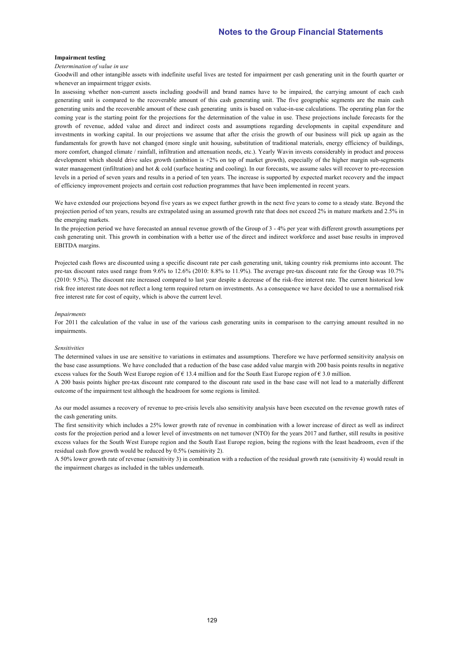### **Impairment testing**

#### *Determination of value in use*

Goodwill and other intangible assets with indefinite useful lives are tested for impairment per cash generating unit in the fourth quarter or whenever an impairment trigger exists.

In assessing whether non-current assets including goodwill and brand names have to be impaired, the carrying amount of each cash generating unit is compared to the recoverable amount of this cash generating unit. The five geographic segments are the main cash generating units and the recoverable amount of these cash generating units is based on value-in-use calculations. The operating plan for the coming year is the starting point for the projections for the determination of the value in use. These projections include forecasts for the growth of revenue, added value and direct and indirect costs and assumptions regarding developments in capital expenditure and investments in working capital. In our projections we assume that after the crisis the growth of our business will pick up again as the fundamentals for growth have not changed (more single unit housing, substitution of traditional materials, energy efficiency of buildings, more comfort, changed climate / rainfall, infiltration and attenuation needs, etc.). Yearly Wavin invests considerably in product and process development which should drive sales growth (ambition is +2% on top of market growth), especially of the higher margin sub-segments water management (infiltration) and hot & cold (surface heating and cooling). In our forecasts, we assume sales will recover to pre-recession levels in a period of seven years and results in a period of ten years. The increase is supported by expected market recovery and the impact of efficiency improvement projects and certain cost reduction programmes that have been implemented in recent years.

We have extended our projections beyond five years as we expect further growth in the next five years to come to a steady state. Beyond the projection period of ten years, results are extrapolated using an assumed growth rate that does not exceed 2% in mature markets and 2.5% in the emerging markets.

In the projection period we have forecasted an annual revenue growth of the Group of 3 - 4% per year with different growth assumptions per cash generating unit. This growth in combination with a better use of the direct and indirect workforce and asset base results in improved EBITDA margins.

Projected cash flows are discounted using a specific discount rate per cash generating unit, taking country risk premiums into account. The pre-tax discount rates used range from 9.6% to 12.6% (2010: 8.8% to 11.9%). The average pre-tax discount rate for the Group was 10.7% (2010: 9.5%). The discount rate increased compared to last year despite a decrease of the risk-free interest rate. The current historical low risk free interest rate does not reflect a long term required return on investments. As a consequence we have decided to use a normalised risk free interest rate for cost of equity, which is above the current level.

#### *Impairments*

For 2011 the calculation of the value in use of the various cash generating units in comparison to the carrying amount resulted in no impairments.

#### *Sensitivities*

The determined values in use are sensitive to variations in estimates and assumptions. Therefore we have performed sensitivity analysis on the base case assumptions. We have concluded that a reduction of the base case added value margin with 200 basis points results in negative excess values for the South West Europe region of  $\epsilon$  13.4 million and for the South East Europe region of  $\epsilon$  3.0 million.

A 200 basis points higher pre-tax discount rate compared to the discount rate used in the base case will not lead to a materially different outcome of the impairment test although the headroom for some regions is limited.

As our model assumes a recovery of revenue to pre-crisis levels also sensitivity analysis have been executed on the revenue growth rates of the cash generating units.

The first sensitivity which includes a 25% lower growth rate of revenue in combination with a lower increase of direct as well as indirect costs for the projection period and a lower level of investments on net turnover (NTO) for the years 2017 and further, still results in positive excess values for the South West Europe region and the South East Europe region, being the regions with the least headroom, even if the residual cash flow growth would be reduced by 0.5% (sensitivity 2).

A 50% lower growth rate of revenue (sensitivity 3) in combination with a reduction of the residual growth rate (sensitivity 4) would result in the impairment charges as included in the tables underneath.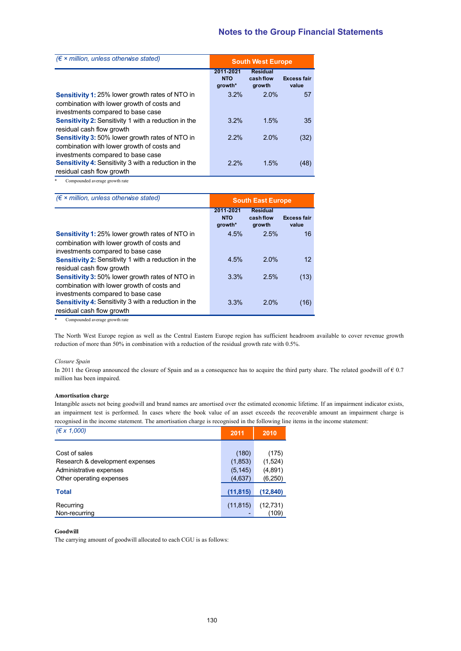| $(\epsilon \times$ million, unless otherwise stated)                                                                                      | <b>South West Europe</b>           |                                        |                             |
|-------------------------------------------------------------------------------------------------------------------------------------------|------------------------------------|----------------------------------------|-----------------------------|
|                                                                                                                                           | 2011-2021<br><b>NTO</b><br>growth* | <b>Residual</b><br>cash flow<br>growth | <b>Excess fair</b><br>value |
| <b>Sensitivity 1:25% lower growth rates of NTO in</b><br>combination with lower growth of costs and<br>investments compared to base case  | $3.2\%$                            | 2.0%                                   | 57                          |
| <b>Sensitivity 2:</b> Sensitivity 1 with a reduction in the<br>residual cash flow growth                                                  | 3.2%                               | 1.5%                                   | 35                          |
| <b>Sensitivity 3: 50% lower growth rates of NTO in</b><br>combination with lower growth of costs and<br>investments compared to base case | $2.2\%$                            | 2.0%                                   | (32)                        |
| <b>Sensitivity 4: Sensitivity 3 with a reduction in the</b><br>residual cash flow growth                                                  | 2.2%                               | 1.5%                                   | (48)                        |
| Compounded average growth rate                                                                                                            |                                    |                                        |                             |

| $(\epsilon \times$ million, unless otherwise stated)                                                                                                                                                                                                                                                                           | <b>South East Europe</b>           |                                        |                             |
|--------------------------------------------------------------------------------------------------------------------------------------------------------------------------------------------------------------------------------------------------------------------------------------------------------------------------------|------------------------------------|----------------------------------------|-----------------------------|
|                                                                                                                                                                                                                                                                                                                                | 2011-2021<br><b>NTO</b><br>growth* | <b>Residual</b><br>cash flow<br>growth | <b>Excess fair</b><br>value |
| <b>Sensitivity 1: 25% lower growth rates of NTO in</b><br>combination with lower growth of costs and<br>investments compared to base case                                                                                                                                                                                      | 4.5%                               | 2.5%                                   | 16                          |
| <b>Sensitivity 2:</b> Sensitivity 1 with a reduction in the<br>residual cash flow growth                                                                                                                                                                                                                                       | 4.5%                               | 2.0%                                   | 12                          |
| <b>Sensitivity 3: 50% lower growth rates of NTO in</b><br>combination with lower growth of costs and<br>investments compared to base case                                                                                                                                                                                      | 3.3%                               | 2.5%                                   | (13)                        |
| <b>Sensitivity 4:</b> Sensitivity 3 with a reduction in the<br>residual cash flow growth<br>$\bullet$ . Consequently the contract of the contract of the contract of the contract of the contract of the contract of the contract of the contract of the contract of the contract of the contract of the contract of the contr | 3.3%                               | 2.0%                                   | (16)                        |

\* Compounded average growth rate

The North West Europe region as well as the Central Eastern Europe region has sufficient headroom available to cover revenue growth reduction of more than 50% in combination with a reduction of the residual growth rate with 0.5%.

#### *Closure Spain*

In 2011 the Group announced the closure of Spain and as a consequence has to acquire the third party share. The related goodwill of € 0.7 million has been impaired.

### **Amortisation charge**

Intangible assets not being goodwill and brand names are amortised over the estimated economic lifetime. If an impairment indicator exists, an impairment test is performed. In cases where the book value of an asset exceeds the recoverable amount an impairment charge is recognised in the income statement. The amortisation charge is recognised in the following line items in the income statement:

| $(E \times 1,000)$                                                                                      | 2011                                     | 2010                                   |
|---------------------------------------------------------------------------------------------------------|------------------------------------------|----------------------------------------|
| Cost of sales<br>Research & development expenses<br>Administrative expenses<br>Other operating expenses | (180)<br>(1, 853)<br>(5, 145)<br>(4,637) | (175)<br>(1,524)<br>(4,891)<br>(6,250) |
| <b>Total</b>                                                                                            | (11, 815)                                | (12, 840)                              |
| Recurring<br>Non-recurring                                                                              | (11, 815)                                | (12, 731)<br>(109)                     |

# **Goodwill**

The carrying amount of goodwill allocated to each CGU is as follows: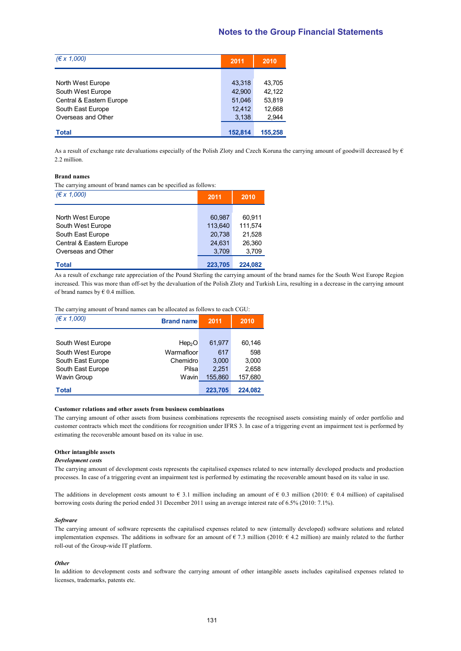| $(\epsilon x 1,000)$     | 2011    | 2010    |
|--------------------------|---------|---------|
|                          |         |         |
| North West Europe        | 43,318  | 43,705  |
| South West Europe        | 42,900  | 42,122  |
| Central & Eastern Europe | 51,046  | 53,819  |
| South East Europe        | 12,412  | 12,668  |
| Overseas and Other       | 3,138   | 2,944   |
|                          |         |         |
| <b>Total</b>             | 152,814 | 155,258 |

As a result of exchange rate devaluations especially of the Polish Zloty and Czech Koruna the carrying amount of goodwill decreased by  $\epsilon$ 2.2 million.

### **Brand names**

The carrying amount of brand names can be specified as follows:

| $(E \times 1,000)$       | 2011    | 2010    |
|--------------------------|---------|---------|
|                          |         |         |
| North West Europe        | 60,987  | 60.911  |
| South West Europe        | 113,640 | 111,574 |
| South East Europe        | 20,738  | 21,528  |
| Central & Eastern Europe | 24,631  | 26,360  |
| Overseas and Other       | 3,709   | 3,709   |
| <b>Total</b>             | 223.705 | 224,082 |

As a result of exchange rate appreciation of the Pound Sterling the carrying amount of the brand names for the South West Europe Region increased. This was more than off-set by the devaluation of the Polish Zloty and Turkish Lira, resulting in a decrease in the carrying amount of brand names by  $\epsilon$  0.4 million.

The carrying amount of brand names can be allocated as follows to each CGU:

| $(E \times 1,000)$ | <b>Brand name</b>  | 2011    | 2010    |
|--------------------|--------------------|---------|---------|
|                    |                    |         |         |
| South West Europe  | Hep <sub>2</sub> O | 61,977  | 60,146  |
| South West Europe  | Warmafloor         | 617     | 598     |
| South East Europe  | Chemidro           | 3,000   | 3,000   |
| South East Europe  | Pilsa              | 2.251   | 2,658   |
| <b>Wavin Group</b> | Wavin              | 155,860 | 157,680 |
| <b>Total</b>       |                    | 223.705 | 224.082 |

#### **Customer relations and other assets from business combinations**

The carrying amount of other assets from business combinations represents the recognised assets consisting mainly of order portfolio and customer contracts which meet the conditions for recognition under IFRS 3. In case of a triggering event an impairment test is performed by estimating the recoverable amount based on its value in use.

### **Other intangible assets**

#### *Development costs*

The carrying amount of development costs represents the capitalised expenses related to new internally developed products and production processes. In case of a triggering event an impairment test is performed by estimating the recoverable amount based on its value in use.

The additions in development costs amount to  $\epsilon$  3.1 million including an amount of  $\epsilon$  0.3 million (2010:  $\epsilon$  0.4 million) of capitalised borrowing costs during the period ended 31 December 2011 using an average interest rate of 6.5% (2010: 7.1%).

### *Software*

The carrying amount of software represents the capitalised expenses related to new (internally developed) software solutions and related implementation expenses. The additions in software for an amount of  $\epsilon$  7.3 million (2010:  $\epsilon$  4.2 million) are mainly related to the further roll-out of the Group-wide IT platform.

# *Other*

In addition to development costs and software the carrying amount of other intangible assets includes capitalised expenses related to licenses, trademarks, patents etc.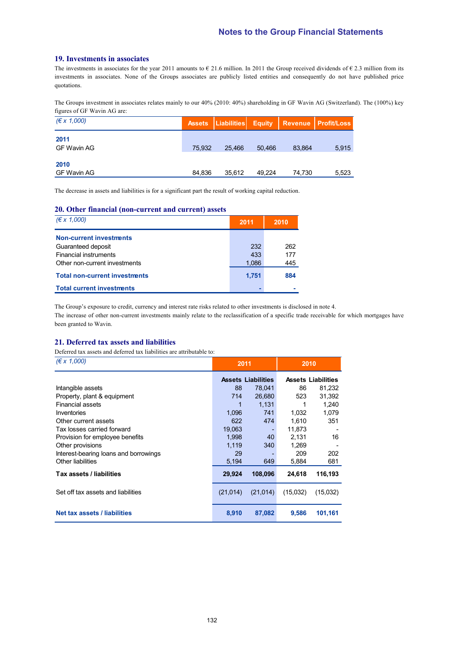# **19. Investments in associates**

The investments in associates for the year 2011 amounts to  $\epsilon$  21.6 million. In 2011 the Group received dividends of  $\epsilon$  2.3 million from its investments in associates. None of the Groups associates are publicly listed entities and consequently do not have published price quotations.

The Groups investment in associates relates mainly to our 40% (2010: 40%) shareholding in GF Wavin AG (Switzerland). The (100%) key figures of GF Wavin AG are:

| $(\epsilon x 1,000)$ | <b>Assets</b> | <i><u><b>ILiabilities</b></u></i> | <b>Equity</b> |        | <b>Revenue   Profit/Loss  </b> |
|----------------------|---------------|-----------------------------------|---------------|--------|--------------------------------|
| 2011                 |               |                                   |               |        |                                |
| <b>GF Wavin AG</b>   | 75.932        | 25.466                            | 50.466        | 83.864 | 5,915                          |
|                      |               |                                   |               |        |                                |
| 2010                 |               |                                   |               |        |                                |
| GF Wavin AG          | 84,836        | 35,612                            | 49.224        | 74.730 | 5,523                          |

The decrease in assets and liabilities is for a significant part the result of working capital reduction.

# **20. Other financial (non-current and current) assets**

| $(\epsilon x 1.000)$                 | 2011  | 2010 |
|--------------------------------------|-------|------|
| <b>Non-current investments</b>       |       |      |
| Guaranteed deposit                   | 232   | 262  |
| <b>Financial instruments</b>         | 433   | 177  |
| Other non-current investments        | 1,086 | 445  |
| <b>Total non-current investments</b> | 1,751 | 884  |
| <b>Total current investments</b>     |       |      |

The Group's exposure to credit, currency and interest rate risks related to other investments is disclosed in note 4.

The increase of other non-current investments mainly relate to the reclassification of a specific trade receivable for which mortgages have been granted to Wavin.

# **21. Deferred tax assets and liabilities**

Deferred tax assets and deferred tax liabilities are attributable to:

| $(E \times 1,000)$                    | 2011      |                           | 2010     |                           |  |
|---------------------------------------|-----------|---------------------------|----------|---------------------------|--|
|                                       |           | <b>Assets Liabilities</b> |          | <b>Assets Liabilities</b> |  |
| Intangible assets                     | 88        | 78,041                    | 86       | 81,232                    |  |
| Property, plant & equipment           | 714       | 26,680                    | 523      | 31,392                    |  |
| Financial assets                      | 1         | 1,131                     | 1        | 1,240                     |  |
| Inventories                           | 1,096     | 741                       | 1,032    | 1,079                     |  |
| Other current assets                  | 622       | 474                       | 1,610    | 351                       |  |
| Tax losses carried forward            | 19,063    |                           | 11,873   |                           |  |
| Provision for employee benefits       | 1,998     | 40                        | 2,131    | 16                        |  |
| Other provisions                      | 1.119     | 340                       | 1,269    |                           |  |
| Interest-bearing loans and borrowings | 29        |                           | 209      | 202                       |  |
| Other liabilities                     | 5,194     | 649                       | 5,884    | 681                       |  |
| Tax assets / liabilities              | 29,924    | 108,096                   | 24,618   | 116,193                   |  |
| Set off tax assets and liabilities    | (21, 014) | (21, 014)                 | (15,032) | (15,032)                  |  |
| Net tax assets / liabilities          | 8,910     | 87,082                    | 9,586    | 101,161                   |  |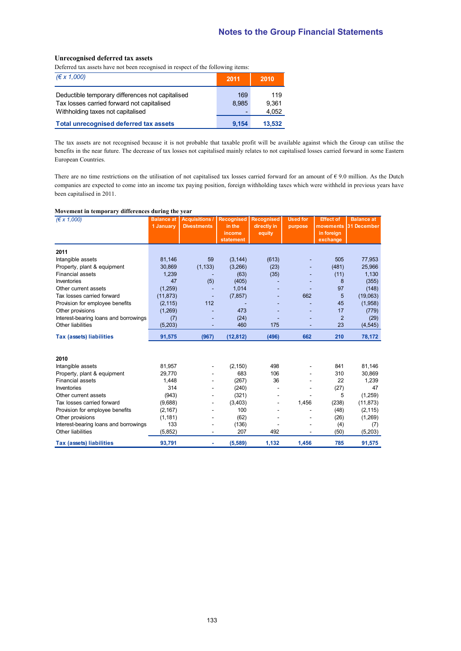# **Unrecognised deferred tax assets**

Deferred tax assets have not been recognised in respect of the following items:

| $(\epsilon x 1,000)$                                                                                                                | 2011              | 2010                  |
|-------------------------------------------------------------------------------------------------------------------------------------|-------------------|-----------------------|
| Deductible temporary differences not capitalised<br>Tax losses carried forward not capitalised<br>Withholding taxes not capitalised | 169<br>8.985<br>- | 119<br>9.361<br>4.052 |
| Total unrecognised deferred tax assets                                                                                              | 9.154             | 13,532                |

The tax assets are not recognised because it is not probable that taxable profit will be available against which the Group can utilise the benefits in the near future. The decrease of tax losses not capitalised mainly relates to not capitalised losses carried forward in some Eastern European Countries.

There are no time restrictions on the utilisation of not capitalised tax losses carried forward for an amount of  $\epsilon$  9.0 million. As the Dutch companies are expected to come into an income tax paying position, foreign withholding taxes which were withheld in previous years have been capitalised in 2011.

### **Movement in temporary differences during the year**

| $\ldots$<br>$(E \times 1,000)$        | <b>Balance at</b><br>1 January | <b>Acquisitions /</b><br><b>Divestments</b> | <b>Recognised</b><br>in the | <b>Recognised</b><br>directly in | <b>Used for</b><br>purpose | <b>Effect of</b><br>movements | <b>Balance at</b><br>31 December |
|---------------------------------------|--------------------------------|---------------------------------------------|-----------------------------|----------------------------------|----------------------------|-------------------------------|----------------------------------|
|                                       |                                |                                             | income<br>statement         | equity                           |                            | in foreign<br>exchange        |                                  |
| 2011                                  |                                |                                             |                             |                                  |                            |                               |                                  |
| Intangible assets                     | 81,146                         | 59                                          | (3, 144)                    | (613)                            |                            | 505                           | 77,953                           |
| Property, plant & equipment           | 30,869                         | (1, 133)                                    | (3,266)                     | (23)                             |                            | (481)                         | 25,966                           |
| Financial assets                      | 1,239                          |                                             | (63)                        | (35)                             |                            | (11)                          | 1,130                            |
| Inventories                           | 47                             | (5)                                         | (405)                       |                                  |                            | 8                             | (355)                            |
| Other current assets                  | (1, 259)                       |                                             | 1,014                       |                                  |                            | 97                            | (148)                            |
| Tax losses carried forward            | (11, 873)                      | ٠                                           | (7, 857)                    |                                  | 662                        | 5                             | (19,063)                         |
| Provision for employee benefits       | (2, 115)                       | 112                                         |                             |                                  |                            | 45                            | (1,958)                          |
| Other provisions                      | (1,269)                        |                                             | 473                         |                                  |                            | 17                            | (779)                            |
| Interest-bearing loans and borrowings | (7)                            |                                             | (24)                        |                                  |                            | $\overline{2}$                | (29)                             |
| Other liabilities                     | (5,203)                        |                                             | 460                         | 175                              |                            | 23                            | (4, 545)                         |
| Tax (assets) liabilities              | 91,575                         | (967)                                       | (12, 812)                   | (496)                            | 662                        | 210                           | 78,172                           |
|                                       |                                |                                             |                             |                                  |                            |                               |                                  |
| 2010                                  |                                |                                             |                             |                                  |                            |                               |                                  |
| Intangible assets                     | 81,957                         |                                             | (2, 150)                    | 498                              |                            | 841                           | 81,146                           |
| Property, plant & equipment           | 29,770                         |                                             | 683                         | 106                              |                            | 310                           | 30,869                           |
| Financial assets                      | 1,448                          |                                             | (267)                       | 36                               |                            | 22                            | 1,239                            |
| Inventories                           | 314                            |                                             | (240)                       |                                  |                            | (27)                          | 47                               |
| Other current assets                  | (943)                          |                                             | (321)                       |                                  |                            | 5                             | (1, 259)                         |
| Tax losses carried forward            | (9,688)                        | -                                           | (3, 403)                    |                                  | 1,456                      | (238)                         | (11, 873)                        |
| Provision for employee benefits       | (2, 167)                       |                                             | 100                         |                                  |                            | (48)                          | (2, 115)                         |
| Other provisions                      | (1, 181)                       |                                             | (62)                        |                                  |                            | (26)                          | (1,269)                          |
| Interest-bearing loans and borrowings | 133                            |                                             | (136)                       |                                  |                            | (4)                           | (7)                              |
| Other liabilities                     | (5,852)                        |                                             | 207                         | 492                              |                            | (50)                          | (5,203)                          |
| <b>Tax (assets) liabilities</b>       | 93,791                         | ٠                                           | (5,589)                     | 1,132                            | 1,456                      | 785                           | 91,575                           |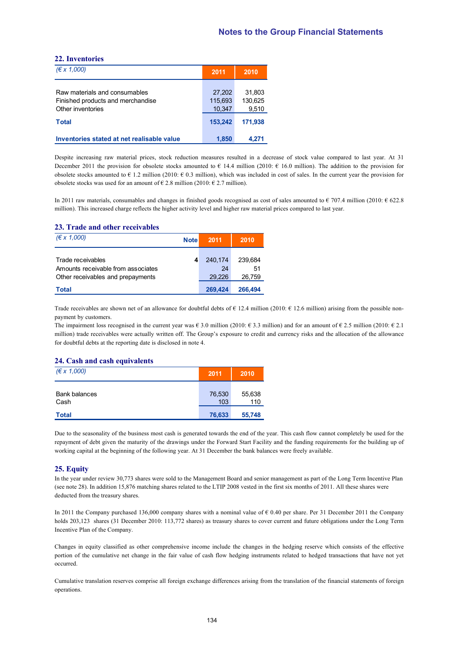# **22. Inventories**

| $(E \times 1,000)$                                                                      | 2011                        | 2010                       |
|-----------------------------------------------------------------------------------------|-----------------------------|----------------------------|
| Raw materials and consumables<br>Finished products and merchandise<br>Other inventories | 27,202<br>115,693<br>10,347 | 31.803<br>130,625<br>9,510 |
| <b>Total</b>                                                                            | 153.242                     | 171.938                    |
| Inventories stated at net realisable value                                              | 1.850                       | 4,271                      |

Despite increasing raw material prices, stock reduction measures resulted in a decrease of stock value compared to last year. At 31 December 2011 the provision for obsolete stocks amounted to  $\epsilon$  14.4 million (2010:  $\epsilon$  16.0 million). The addition to the provision for obsolete stocks amounted to  $\epsilon$  1.2 million (2010:  $\epsilon$  0.3 million), which was included in cost of sales. In the current year the provision for obsolete stocks was used for an amount of  $\epsilon$  2.8 million (2010:  $\epsilon$  2.7 million).

In 2011 raw materials, consumables and changes in finished goods recognised as cost of sales amounted to € 707.4 million (2010: € 622.8 million). This increased charge reflects the higher activity level and higher raw material prices compared to last year.

# **23. Trade and other receivables**

| $(\epsilon x 1,000)$                                                                         | <b>Note</b> | 2011                    | 2010                    |
|----------------------------------------------------------------------------------------------|-------------|-------------------------|-------------------------|
| Trade receivables<br>Amounts receivable from associates<br>Other receivables and prepayments | 4           | 240,174<br>24<br>29,226 | 239,684<br>51<br>26,759 |
| <b>Total</b>                                                                                 |             | 269.424                 | 266,494                 |

Trade receivables are shown net of an allowance for doubtful debts of  $\epsilon$  12.4 million (2010:  $\epsilon$  12.6 million) arising from the possible nonpayment by customers.

The impairment loss recognised in the current year was  $\epsilon$  3.0 million (2010:  $\epsilon$  3.3 million) and for an amount of  $\epsilon$  2.5 million (2010:  $\epsilon$  2.1 million) trade receivables were actually written off. The Group's exposure to credit and currency risks and the allocation of the allowance for doubtful debts at the reporting date is disclosed in note 4.

## **24. Cash and cash equivalents**

| $(\epsilon x 1,000)$         | 2011          | 2010          |
|------------------------------|---------------|---------------|
| <b>Bank balances</b><br>Cash | 76,530<br>103 | 55,638<br>110 |
| <b>Total</b>                 | 76,633        | 55,748        |

Due to the seasonality of the business most cash is generated towards the end of the year. This cash flow cannot completely be used for the repayment of debt given the maturity of the drawings under the Forward Start Facility and the funding requirements for the building up of working capital at the beginning of the following year. At 31 December the bank balances were freely available.

## **25. Equity**

In the year under review 30,773 shares were sold to the Management Board and senior management as part of the Long Term Incentive Plan (see note 28). In addition 15,876 matching shares related to the LTIP 2008 vested in the first six months of 2011. All these shares were deducted from the treasury shares.

In 2011 the Company purchased 136,000 company shares with a nominal value of € 0.40 per share. Per 31 December 2011 the Company holds 203,123 shares (31 December 2010: 113,772 shares) as treasury shares to cover current and future obligations under the Long Term Incentive Plan of the Company.

Changes in equity classified as other comprehensive income include the changes in the hedging reserve which consists of the effective portion of the cumulative net change in the fair value of cash flow hedging instruments related to hedged transactions that have not yet occurred.

Cumulative translation reserves comprise all foreign exchange differences arising from the translation of the financial statements of foreign operations.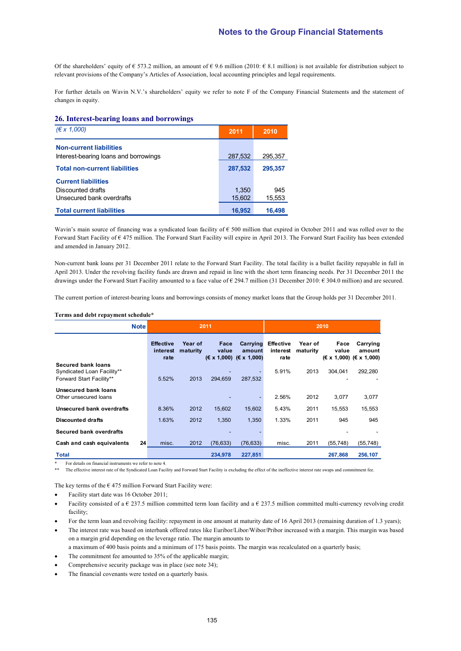Of the shareholders' equity of  $\epsilon$  573.2 million, an amount of  $\epsilon$  9.6 million (2010:  $\epsilon$  8.1 million) is not available for distribution subject to relevant provisions of the Company's Articles of Association, local accounting principles and legal requirements.

For further details on Wavin N.V.'s shareholders' equity we refer to note F of the Company Financial Statements and the statement of changes in equity.

# **26. Interest-bearing loans and borrowings**

| $(E \times 1,000)$                    | 2011    | 2010    |
|---------------------------------------|---------|---------|
| <b>Non-current liabilities</b>        |         |         |
| Interest-bearing loans and borrowings | 287,532 | 295,357 |
| <b>Total non-current liabilities</b>  | 287,532 | 295,357 |
| <b>Current liabilities</b>            |         |         |
| Discounted drafts                     | 1,350   | 945     |
| Unsecured bank overdrafts             | 15,602  | 15,553  |
| <b>Total current liabilities</b>      | 16,952  | 16,498  |

Wavin's main source of financing was a syndicated loan facility of € 500 million that expired in October 2011 and was rolled over to the Forward Start Facility of € 475 million. The Forward Start Facility will expire in April 2013. The Forward Start Facility has been extended and amended in January 2012.

Non-current bank loans per 31 December 2011 relate to the Forward Start Facility. The total facility is a bullet facility repayable in full in April 2013. Under the revolving facility funds are drawn and repaid in line with the short term financing needs. Per 31 December 2011 the drawings under the Forward Start Facility amounted to a face value of € 294.7 million (31 December 2010: € 304.0 million) and are secured.

The current portion of interest-bearing loans and borrowings consists of money market loans that the Group holds per 31 December 2011.

#### **Terms and debt repayment schedule\***

| <b>Note</b>                                                                  | 2011                                 |                     |               |                                                                           |                                      |                     | 2010          |                                                                           |
|------------------------------------------------------------------------------|--------------------------------------|---------------------|---------------|---------------------------------------------------------------------------|--------------------------------------|---------------------|---------------|---------------------------------------------------------------------------|
|                                                                              | <b>Effective</b><br>interest<br>rate | Year of<br>maturity | Face<br>value | Carrying<br>amount<br>$(\epsilon \times 1,000)$ $(\epsilon \times 1,000)$ | <b>Effective</b><br>interest<br>rate | Year of<br>maturity | Face<br>value | Carrying<br>amount<br>$(\epsilon \times 1,000)$ $(\epsilon \times 1,000)$ |
| Secured bank loans<br>Syndicated Loan Facility**<br>Forward Start Facility** | 5.52%                                | 2013                | 294.659       | 287,532                                                                   | 5.91%                                | 2013                | 304.041       | 292,280                                                                   |
| Unsecured bank loans<br>Other unsecured loans                                |                                      |                     |               |                                                                           | 2.56%                                | 2012                | 3,077         | 3,077                                                                     |
| Unsecured bank overdrafts                                                    | 8.36%                                | 2012                | 15,602        | 15,602                                                                    | 5.43%                                | 2011                | 15,553        | 15,553                                                                    |
| <b>Discounted drafts</b>                                                     | 1.63%                                | 2012                | 1,350         | 1,350                                                                     | 1.33%                                | 2011                | 945           | 945                                                                       |
| Secured bank overdrafts                                                      |                                      |                     |               |                                                                           |                                      |                     |               |                                                                           |
| 24<br>Cash and cash equivalents                                              | misc.                                | 2012                | (76, 633)     | (76, 633)                                                                 | misc.                                | 2011                | (55, 748)     | (55,748)                                                                  |
| <b>Total</b>                                                                 |                                      |                     | 234.978       | 227.851                                                                   |                                      |                     | 267.868       | 256,107                                                                   |

\* For details on financial instruments we refer to note 4.

The effective interest rate of the Syndicated Loan Facility and Forward Start Facility is excluding the effect of the ineffective interest rate swaps and commitment fee.

The key terms of the  $\epsilon$  475 million Forward Start Facility were:

- Facility start date was 16 October 2011;
- Facility consisted of a  $\epsilon$  237.5 million committed term loan facility and a  $\epsilon$  237.5 million committed multi-currency revolving credit facility;
- For the term loan and revolving facility: repayment in one amount at maturity date of 16 April 2013 (remaining duration of 1.3 years);
- · The interest rate was based on interbank offered rates like Euribor/Libor/Wibor/Pribor increased with a margin. This margin was based on a margin grid depending on the leverage ratio. The margin amounts to
	- a maximum of 400 basis points and a minimum of 175 basis points. The margin was recalculated on a quarterly basis;
- The commitment fee amounted to 35% of the applicable margin;
- Comprehensive security package was in place (see note 34);
- The financial covenants were tested on a quarterly basis.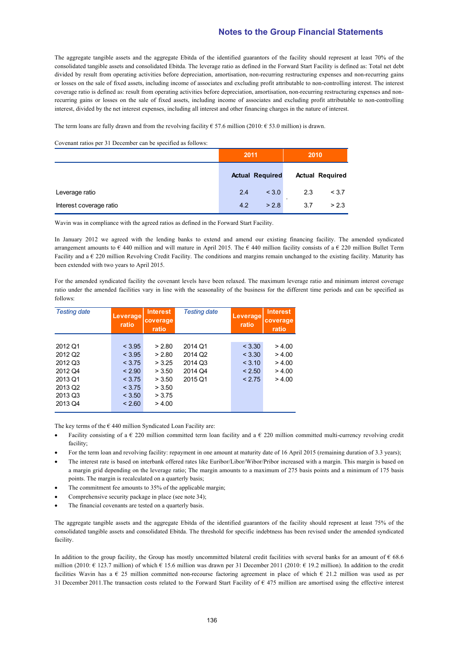The aggregate tangible assets and the aggregate Ebitda of the identified guarantors of the facility should represent at least 70% of the consolidated tangible assets and consolidated Ebitda. The leverage ratio as defined in the Forward Start Facility is defined as: Total net debt divided by result from operating activities before depreciation, amortisation, non-recurring restructuring expenses and non-recurring gains or losses on the sale of fixed assets, including income of associates and excluding profit attributable to non-controlling interest. The interest coverage ratio is defined as: result from operating activities before depreciation, amortisation, non-recurring restructuring expenses and nonrecurring gains or losses on the sale of fixed assets, including income of associates and excluding profit attributable to non-controlling interest, divided by the net interest expenses, including all interest and other financing charges in the nature of interest.

The term loans are fully drawn and from the revolving facility  $\epsilon$  57.6 million (2010:  $\epsilon$  53.0 million) is drawn.

Covenant ratios per 31 December can be specified as follows:

|                         | 2011 |                        | 2010           |                        |  |
|-------------------------|------|------------------------|----------------|------------------------|--|
|                         |      | <b>Actual Required</b> |                | <b>Actual Required</b> |  |
| Leverage ratio          | 2.4  | < 3.0                  | 2.3            | < 3.7                  |  |
| Interest coverage ratio | 4.2  | >28                    | $\cdot$<br>3.7 | > 2.3                  |  |

Wavin was in compliance with the agreed ratios as defined in the Forward Start Facility.

In January 2012 we agreed with the lending banks to extend and amend our existing financing facility. The amended syndicated arrangement amounts to  $\epsilon$  440 million and will mature in April 2015. The  $\epsilon$  440 million facility consists of a  $\epsilon$  220 million Bullet Term Facility and a € 220 million Revolving Credit Facility. The conditions and margins remain unchanged to the existing facility. Maturity has been extended with two years to April 2015.

For the amended syndicated facility the covenant levels have been relaxed. The maximum leverage ratio and minimum interest coverage ratio under the amended facilities vary in line with the seasonality of the business for the different time periods and can be specified as follows:

| <b>Testing date</b> | Leverage<br>ratio | <b>Interest</b><br>coverage<br>ratio | <b>Testing date</b> | Leverage<br>ratio | Interest<br>coverage<br>ratio |
|---------------------|-------------------|--------------------------------------|---------------------|-------------------|-------------------------------|
|                     |                   |                                      |                     |                   |                               |
| 2012 Q1             | < 3.95            | > 2.80                               | 2014 Q1             | < 3.30            | > 4.00                        |
| 2012 Q <sub>2</sub> | < 3.95            | > 2.80                               | 2014 Q <sub>2</sub> | < 3.30            | > 4.00                        |
| 2012 Q3             | < 3.75            | > 3.25                               | 2014 Q3             | < 3.10            | > 4.00                        |
| 2012 Q4             | < 2.90            | > 3.50                               | 2014 Q4             | < 2.50            | > 4.00                        |
| 2013 Q1             | < 3.75            | > 3.50                               | 2015 Q1             | < 2.75            | > 4.00                        |
| 2013 Q <sub>2</sub> | < 3.75            | > 3.50                               |                     |                   |                               |
| 2013 Q3             | < 3.50            | > 3.75                               |                     |                   |                               |
| 2013 Q4             | < 2.60            | > 4.00                               |                     |                   |                               |

The key terms of the  $\epsilon$  440 million Syndicated Loan Facility are:

- Facility consisting of a  $\epsilon$  220 million committed term loan facility and a  $\epsilon$  220 million committed multi-currency revolving credit facility;
- For the term loan and revolving facility: repayment in one amount at maturity date of 16 April 2015 (remaining duration of 3.3 years);
- The interest rate is based on interbank offered rates like Euribor/Libor/Wibor/Pribor increased with a margin. This margin is based on a margin grid depending on the leverage ratio; The margin amounts to a maximum of 275 basis points and a minimum of 175 basis points. The margin is recalculated on a quarterly basis;
- The commitment fee amounts to 35% of the applicable margin;
- Comprehensive security package in place (see note 34);
- The financial covenants are tested on a quarterly basis.

The aggregate tangible assets and the aggregate Ebitda of the identified guarantors of the facility should represent at least 75% of the consolidated tangible assets and consolidated Ebitda. The threshold for specific indebtness has been revised under the amended syndicated facility.

In addition to the group facility, the Group has mostly uncommitted bilateral credit facilities with several banks for an amount of  $\epsilon$  68.6 million (2010: € 123.7 million) of which € 15.6 million was drawn per 31 December 2011 (2010: € 19.2 million). In addition to the credit facilities Wavin has a  $\epsilon$  25 million committed non-recourse factoring agreement in place of which  $\epsilon$  21.2 million was used as per 31 December 2011.The transaction costs related to the Forward Start Facility of € 475 million are amortised using the effective interest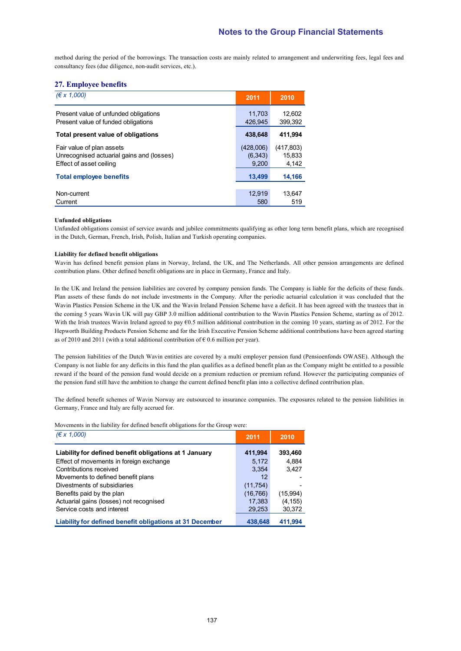method during the period of the borrowings. The transaction costs are mainly related to arrangement and underwriting fees, legal fees and consultancy fees (due diligence, non-audit services, etc.).

# **27. Employee benefits**

| $(E \times 1,000)$                        | 2011      | 2010       |
|-------------------------------------------|-----------|------------|
| Present value of unfunded obligations     | 11,703    | 12.602     |
| Present value of funded obligations       | 426.945   | 399,392    |
| Total present value of obligations        | 438,648   | 411,994    |
| Fair value of plan assets                 | (428,006) | (417, 803) |
| Unrecognised actuarial gains and (losses) | (6, 343)  | 15,833     |
| Effect of asset ceiling                   | 9,200     | 4,142      |
| <b>Total employee benefits</b>            | 13,499    | 14,166     |
| Non-current                               | 12.919    | 13,647     |
| Current                                   | 580       | 519        |

## **Unfunded obligations**

Unfunded obligations consist of service awards and jubilee commitments qualifying as other long term benefit plans, which are recognised in the Dutch, German, French, Irish, Polish, Italian and Turkish operating companies.

## **Liability for defined benefit obligations**

Wavin has defined benefit pension plans in Norway, Ireland, the UK, and The Netherlands. All other pension arrangements are defined contribution plans. Other defined benefit obligations are in place in Germany, France and Italy.

In the UK and Ireland the pension liabilities are covered by company pension funds. The Company is liable for the deficits of these funds. Plan assets of these funds do not include investments in the Company. After the periodic actuarial calculation it was concluded that the Wavin Plastics Pension Scheme in the UK and the Wavin Ireland Pension Scheme have a deficit. It has been agreed with the trustees that in the coming 5 years Wavin UK will pay GBP 3.0 million additional contribution to the Wavin Plastics Pension Scheme, starting as of 2012. With the Irish trustees Wavin Ireland agreed to pay  $60.5$  million additional contribution in the coming 10 years, starting as of 2012. For the Hepworth Building Products Pension Scheme and for the Irish Executive Pension Scheme additional contributions have been agreed starting as of 2010 and 2011 (with a total additional contribution of  $\epsilon$  0.6 million per year).

The pension liabilities of the Dutch Wavin entities are covered by a multi employer pension fund (Pensioenfonds OWASE). Although the Company is not liable for any deficits in this fund the plan qualifies as a defined benefit plan as the Company might be entitled to a possible reward if the board of the pension fund would decide on a premium reduction or premium refund. However the participating companies of the pension fund still have the ambition to change the current defined benefit plan into a collective defined contribution plan.

The defined benefit schemes of Wavin Norway are outsourced to insurance companies. The exposures related to the pension liabilities in Germany, France and Italy are fully accrued for.

Movements in the liability for defined benefit obligations for the Group were:

| $(\epsilon x 1,000)$                                     | 2011      | 2010     |
|----------------------------------------------------------|-----------|----------|
| Liability for defined benefit obligations at 1 January   | 411,994   | 393,460  |
| Effect of movements in foreign exchange                  | 5.172     | 4.884    |
| Contributions received                                   | 3.354     | 3.427    |
| Movements to defined benefit plans                       | 12        |          |
| Divestments of subsidiaries                              | (11,754)  |          |
| Benefits paid by the plan                                | (16, 766) | (15,994) |
| Actuarial gains (losses) not recognised                  | 17,383    | (4, 155) |
| Service costs and interest                               | 29,253    | 30,372   |
| Liability for defined benefit obligations at 31 December | 438,648   | 411,994  |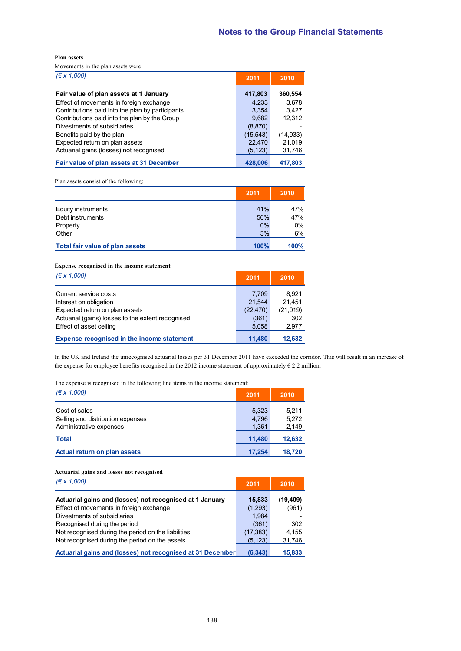## **Plan assets**

| Movements in the plan assets were: |  |  |  |  |  |
|------------------------------------|--|--|--|--|--|
|------------------------------------|--|--|--|--|--|

| $(E \times 1,000)$                               | 2011      | 2010      |
|--------------------------------------------------|-----------|-----------|
| Fair value of plan assets at 1 January           | 417,803   | 360,554   |
| Effect of movements in foreign exchange          | 4.233     | 3.678     |
| Contributions paid into the plan by participants | 3.354     | 3.427     |
| Contributions paid into the plan by the Group    | 9,682     | 12.312    |
| Divestments of subsidiaries                      | (8,870)   |           |
| Benefits paid by the plan                        | (15, 543) | (14, 933) |
| Expected return on plan assets                   | 22,470    | 21,019    |
| Actuarial gains (losses) not recognised          | (5, 123)  | 31,746    |
| Fair value of plan assets at 31 December         | 428.006   | 417.803   |

Plan assets consist of the following:

|                                 | 2011 | 2010  |
|---------------------------------|------|-------|
| Equity instruments              | 41%  | 47%   |
| Debt instruments                | 56%  | 47%   |
| Property                        | 0%   | $0\%$ |
| Other                           | 3%   | 6%    |
| Total fair value of plan assets | 100% | 100%  |

# **Expense recognised in the income statement**

| $(E \times 1,000)$                                | 2011      | 2010      |
|---------------------------------------------------|-----------|-----------|
| Current service costs                             | 7.709     | 8.921     |
| Interest on obligation                            | 21.544    | 21.451    |
| Expected return on plan assets                    | (22, 470) | (21, 019) |
| Actuarial (gains) losses to the extent recognised | (361)     | 302       |
| Effect of asset ceiling                           | 5.058     | 2,977     |
| <b>Expense recognised in the income statement</b> | 11.480    | 12.632    |

In the UK and Ireland the unrecognised actuarial losses per 31 December 2011 have exceeded the corridor. This will result in an increase of the expense for employee benefits recognised in the 2012 income statement of approximately  $\epsilon$  2.2 million.

The expense is recognised in the following line items in the income statement:

| $(\epsilon x 1,000)$                                                          | 2011                    | 2010                    |
|-------------------------------------------------------------------------------|-------------------------|-------------------------|
| Cost of sales<br>Selling and distribution expenses<br>Administrative expenses | 5.323<br>4.796<br>1,361 | 5,211<br>5.272<br>2,149 |
| <b>Total</b>                                                                  | 11,480                  | 12,632                  |
| <b>Actual return on plan assets</b>                                           | 17.254                  | 18.720                  |

# **Actuarial gains and losses not recognised**

| $(E \times 1,000)$                                         | 2011      | 2010      |
|------------------------------------------------------------|-----------|-----------|
| Actuarial gains and (losses) not recognised at 1 January   | 15,833    | (19, 409) |
| Effect of movements in foreign exchange                    | (1, 293)  | (961)     |
| Divestments of subsidiaries                                | 1.984     |           |
| Recognised during the period                               | (361)     | 302       |
| Not recognised during the period on the liabilities        | (17, 383) | 4.155     |
| Not recognised during the period on the assets             | (5, 123)  | 31,746    |
| Actuarial gains and (losses) not recognised at 31 December | (6, 343)  | 15,833    |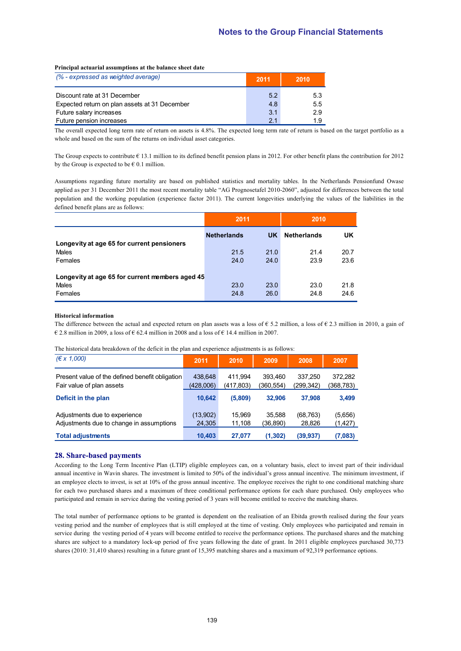|  | Principal actuarial assumptions at the balance sheet date |  |  |
|--|-----------------------------------------------------------|--|--|
|  |                                                           |  |  |

| (% - expressed as weighted average)           |     | 2010 |
|-----------------------------------------------|-----|------|
| Discount rate at 31 December                  | 5.2 | 5.3  |
| Expected return on plan assets at 31 December | 4.8 | 5.5  |
| Future salary increases                       | 3.1 | 2.9  |
| Future pension increases                      | 2.1 | 1.9  |

The overall expected long term rate of return on assets is 4.8%. The expected long term rate of return is based on the target portfolio as a whole and based on the sum of the returns on individual asset categories.

The Group expects to contribute  $\epsilon$  13.1 million to its defined benefit pension plans in 2012. For other benefit plans the contribution for 2012 by the Group is expected to be  $\epsilon$  0.1 million.

Assumptions regarding future mortality are based on published statistics and mortality tables. In the Netherlands Pensionfund Owase applied as per 31 December 2011 the most recent mortality table "AG Prognosetafel 2010-2060", adjusted for differences between the total population and the working population (experience factor 2011). The current longevities underlying the values of the liabilities in the defined benefit plans are as follows:

|                                                 | 2011               |           | 2010               |      |
|-------------------------------------------------|--------------------|-----------|--------------------|------|
|                                                 | <b>Netherlands</b> | <b>UK</b> | <b>Netherlands</b> | UK   |
| Longevity at age 65 for current pensioners      |                    |           |                    |      |
| Males                                           | 21.5               | 21.0      | 21.4               | 20.7 |
| Females                                         | 24.0               | 24.0      | 23.9               | 23.6 |
|                                                 |                    |           |                    |      |
| Longevity at age 65 for current members aged 45 |                    |           |                    |      |
| <b>Males</b>                                    | 23.0               | 23.0      | 23.0               | 21.8 |
| Females                                         | 24.8               | 26.0      | 24.8               | 24.6 |

### **Historical information**

The difference between the actual and expected return on plan assets was a loss of  $\epsilon$  5.2 million, a loss of  $\epsilon$  2.3 million in 2010, a gain of € 2.8 million in 2009, a loss of € 62.4 million in 2008 and a loss of € 14.4 million in 2007.

The historical data breakdown of the deficit in the plan and experience adjustments is as follows:

| $(E \times 1,000)$                                                           | 2011                 | 2010                 | 2009                 | 2008                 | 2007                 |
|------------------------------------------------------------------------------|----------------------|----------------------|----------------------|----------------------|----------------------|
| Present value of the defined benefit obligation<br>Fair value of plan assets | 438,648<br>(428,006) | 411.994<br>(417,803) | 393.460<br>(360,554) | 337,250<br>(299,342) | 372,282<br>(368,783) |
| Deficit in the plan                                                          | 10,642               | (5,809)              | 32,906               | 37,908               | 3,499                |
| Adjustments due to experience<br>Adjustments due to change in assumptions    | (13,902)<br>24,305   | 15.969<br>11,108     | 35.588<br>(36, 890)  | (68, 763)<br>28,826  | (5,656)<br>(1, 427)  |
| <b>Total adjustments</b>                                                     | 10,403               | 27,077               | (1, 302)             | (39,937)             | (7,083)              |

# **28. Share-based payments**

According to the Long Term Incentive Plan (LTIP) eligible employees can, on a voluntary basis, elect to invest part of their individual annual incentive in Wavin shares. The investment is limited to 50% of the individual's gross annual incentive. The minimum investment, if an employee elects to invest, is set at 10% of the gross annual incentive. The employee receives the right to one conditional matching share for each two purchased shares and a maximum of three conditional performance options for each share purchased. Only employees who participated and remain in service during the vesting period of 3 years will become entitled to receive the matching shares.

The total number of performance options to be granted is dependent on the realisation of an Ebitda growth realised during the four years vesting period and the number of employees that is still employed at the time of vesting. Only employees who participated and remain in service during the vesting period of 4 years will become entitled to receive the performance options. The purchased shares and the matching shares are subject to a mandatory lock-up period of five years following the date of grant. In 2011 eligible employees purchased 30,773 shares (2010: 31,410 shares) resulting in a future grant of 15,395 matching shares and a maximum of 92,319 performance options.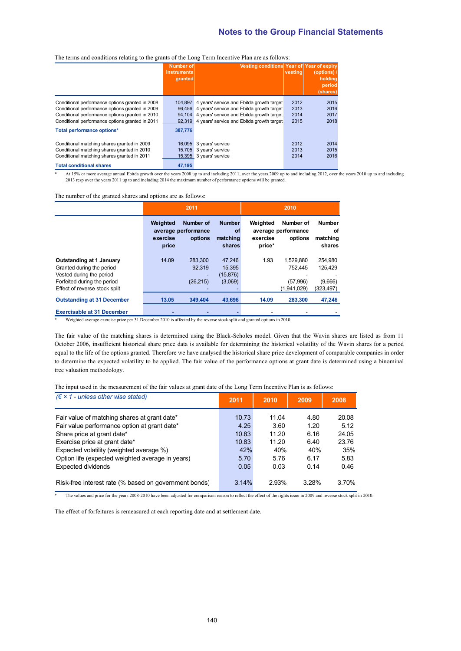### The terms and conditions relating to the grants of the Long Term Incentive Plan are as follows:

|                                                                                                                                                                                                          | Number of<br><b>instruments</b><br>granted | Vesting conditions Year of Year of expiry                                                                                                                                        | vestinal                     | (options) /<br>holding<br>period<br>(shares) |
|----------------------------------------------------------------------------------------------------------------------------------------------------------------------------------------------------------|--------------------------------------------|----------------------------------------------------------------------------------------------------------------------------------------------------------------------------------|------------------------------|----------------------------------------------|
| Conditional performance options granted in 2008<br>Conditional performance options granted in 2009<br>Conditional performance options granted in 2010<br>Conditional performance options granted in 2011 | 104.897<br>96.456<br>94.104<br>92.319      | 4 years' service and Ebitda growth target<br>4 years' service and Ebitda growth target<br>4 years' service and Ebitda growth target<br>4 years' service and Ebitda growth target | 2012<br>2013<br>2014<br>2015 | 2015<br>2016<br>2017<br>2018                 |
| Total performance options*                                                                                                                                                                               | 387,776                                    |                                                                                                                                                                                  |                              |                                              |
| Conditional matching shares granted in 2009<br>Conditional matching shares granted in 2010<br>Conditional matching shares granted in 2011                                                                | 16.095<br>15.705                           | 3 years' service<br>3 years' service<br>15,395 3 years' service                                                                                                                  | 2012<br>2013<br>2014         | 2014<br>2015<br>2016                         |
| <b>Total conditional shares</b>                                                                                                                                                                          | 47,195                                     |                                                                                                                                                                                  |                              |                                              |

At 15% or more average annual Ebitda growth over the years 2008 up to and including 2011, over the years 2009 up to and including 2012, over the years 2010 up to and including 2013 resp over the years 2011 up to and including 2014 the maximum number of performance options will be granted.

### The number of the granted shares and options are as follows:

|                                                                                                                                                   | 2011                          |                                             |                                                  |                                | 2010                                            |                                             |  |
|---------------------------------------------------------------------------------------------------------------------------------------------------|-------------------------------|---------------------------------------------|--------------------------------------------------|--------------------------------|-------------------------------------------------|---------------------------------------------|--|
|                                                                                                                                                   | Weighted<br>exercise<br>price | Number of<br>average performance<br>options | <b>Number</b><br><b>of</b><br>matching<br>shares | Weighted<br>exercise<br>price* | Number of<br>average performance<br>options     | <b>Number</b><br>οf<br>matching<br>shares   |  |
| Outstanding at 1 January<br>Granted during the period<br>Vested during the period<br>Forfeited during the period<br>Effect of reverse stock split | 14.09                         | 283,300<br>92.319<br>(26, 215)              | 47.246<br>15.395<br>(15, 876)<br>(3,069)         | 1.93                           | 1.529.880<br>752.445<br>(57,996)<br>(1,941,029) | 254.980<br>125.429<br>(9,666)<br>(323, 497) |  |
| <b>Outstanding at 31 December</b>                                                                                                                 | 13.05                         | 349,404                                     | 43.696                                           | 14.09                          | 283.300                                         | 47,246                                      |  |
| <b>Exercisable at 31 December</b>                                                                                                                 |                               |                                             |                                                  |                                |                                                 |                                             |  |

Weighted average exercise price per 31 December 2010 is affected by the reverse stock split and granted options in 2010.

The fair value of the matching shares is determined using the Black-Scholes model. Given that the Wavin shares are listed as from 11 October 2006, insufficient historical share price data is available for determining the historical volatility of the Wavin shares for a period equal to the life of the options granted. Therefore we have analysed the historical share price development of comparable companies in order to determine the expected volatility to be applied. The fair value of the performance options at grant date is determined using a binominal tree valuation methodology.

### The input used in the measurement of the fair values at grant date of the Long Term Incentive Plan is as follows:

| $(\epsilon \times 1$ - unless other wise stated)      | 2011  | 2010  | 2009  | 2008  |
|-------------------------------------------------------|-------|-------|-------|-------|
| Fair value of matching shares at grant date*          | 10.73 | 11.04 | 4.80  | 20.08 |
| Fair value performance option at grant date*          | 4.25  | 3.60  | 1.20  | 5.12  |
| Share price at grant date*                            | 10.83 | 11.20 | 6.16  | 24.05 |
| Exercise price at grant date*                         | 10.83 | 11.20 | 6.40  | 23.76 |
| Expected volatility (weighted average %)              | 42%   | 40%   | 40%   | 35%   |
| Option life (expected weighted average in years)      | 5.70  | 5.76  | 6.17  | 5.83  |
| <b>Expected dividends</b>                             | 0.05  | 0.03  | 0.14  | 0.46  |
|                                                       |       |       |       |       |
| Risk-free interest rate (% based on government bonds) | 3.14% | 2.93% | 3.28% | 3.70% |

\* The values and price for the years 2008-2010 have been adjusted for comparison reason to reflect the effect of the rights issue in 2009 and reverse stock split in 2010.

The effect of forfeitures is remeasured at each reporting date and at settlement date.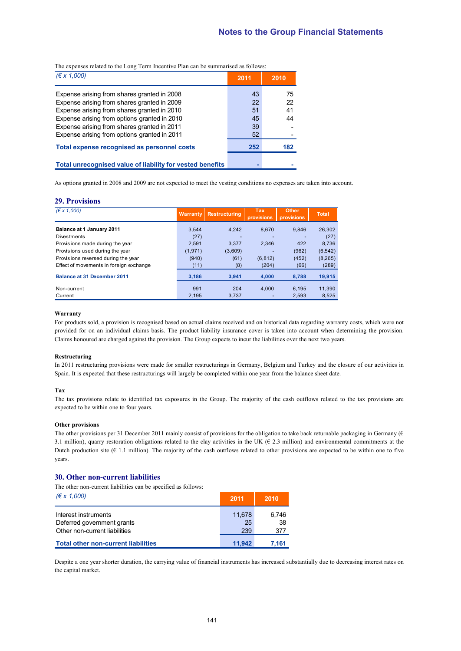The expenses related to the Long Term Incentive Plan can be summarised as follows:

| $(E \times 1,000)$                                        | 2011 | 2010 |
|-----------------------------------------------------------|------|------|
| Expense arising from shares granted in 2008               | 43   | 75   |
| Expense arising from shares granted in 2009               | 22   | 22   |
| Expense arising from shares granted in 2010               | 51   | 41   |
| Expense arising from options granted in 2010              | 45   | 44   |
| Expense arising from shares granted in 2011               | 39   |      |
| Expense arising from options granted in 2011              | 52   |      |
| Total expense recognised as personnel costs               | 252  | 182  |
| Total unrecognised value of liability for vested benefits |      |      |

As options granted in 2008 and 2009 are not expected to meet the vesting conditions no expenses are taken into account.

# **29. Provisions**

| $(E \times 1,000)$                      | <b>Warranty</b> | <b>Restructuring</b> | Tax<br>provisions | <b>Other</b><br>provisions | Total    |
|-----------------------------------------|-----------------|----------------------|-------------------|----------------------------|----------|
| Balance at 1 January 2011               | 3.544           | 4.242                | 8.670             | 9.846                      | 26,302   |
| Divestments                             | (27)            |                      |                   |                            | (27)     |
| Provisions made during the year         | 2.591           | 3.377                | 2.346             | 422                        | 8.736    |
| Provisions used during the year         | (1,971)         | (3,609)              |                   | (962)                      | (6, 542) |
| Provisions reversed during the year     | (940)           | (61)                 | (6, 812)          | (452)                      | (8,265)  |
| Effect of movements in foreign exchange | (11)            | (8)                  | (204)             | (66)                       | (289)    |
| <b>Balance at 31 December 2011</b>      | 3,186           | 3,941                | 4,000             | 8,788                      | 19,915   |
| Non-current                             | 991             | 204                  | 4.000             | 6.195                      | 11,390   |
| Current                                 | 2,195           | 3,737                |                   | 2,593                      | 8,525    |

# **Warranty**

For products sold, a provision is recognised based on actual claims received and on historical data regarding warranty costs, which were not provided for on an individual claims basis. The product liability insurance cover is taken into account when determining the provision. Claims honoured are charged against the provision. The Group expects to incur the liabilities over the next two years.

### **Restructuring**

In 2011 restructuring provisions were made for smaller restructurings in Germany, Belgium and Turkey and the closure of our activities in Spain. It is expected that these restructurings will largely be completed within one year from the balance sheet date.

## **Tax**

The tax provisions relate to identified tax exposures in the Group. The majority of the cash outflows related to the tax provisions are expected to be within one to four years.

### **Other provisions**

The other provisions per 31 December 2011 mainly consist of provisions for the obligation to take back returnable packaging in Germany ( $\epsilon$ ) 3.1 million), quarry restoration obligations related to the clay activities in the UK (€ 2.3 million) and environmental commitments at the Dutch production site  $(E 1.1$  million). The majority of the cash outflows related to other provisions are expected to be within one to five years.

## **30. Other non-current liabilities**

The other non-current liabilities can be specified as follows:

| The other hold ethicity huomined earl of specified as follows:                      |                     |                     |  |  |
|-------------------------------------------------------------------------------------|---------------------|---------------------|--|--|
| $(E \times 1,000)$                                                                  | 2011                | 2010                |  |  |
| Interest instruments<br>Deferred government grants<br>Other non-current liabilities | 11,678<br>25<br>239 | 6.746<br>-38<br>377 |  |  |
| <b>Total other non-current liabilities</b>                                          | 11.942              | 7.161               |  |  |

Despite a one year shorter duration, the carrying value of financial instruments has increased substantially due to decreasing interest rates on the capital market.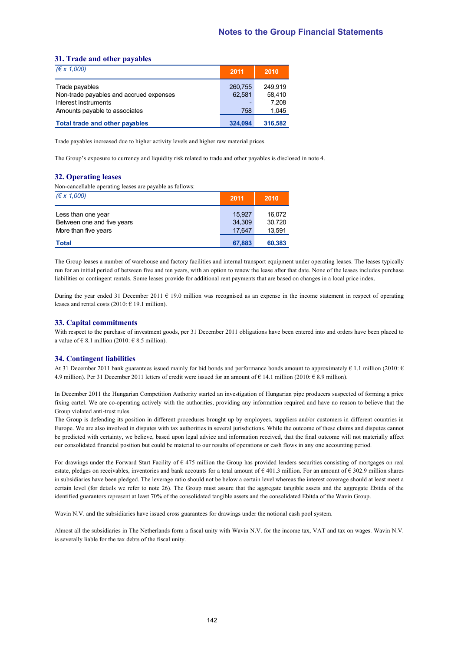# **31. Trade and other payables**

| $(E \times 1,000)$                                                                                                 | 2011                     | 2010                                |
|--------------------------------------------------------------------------------------------------------------------|--------------------------|-------------------------------------|
| Trade payables<br>Non-trade payables and accrued expenses<br>Interest instruments<br>Amounts payable to associates | 260,755<br>62,581<br>758 | 249.919<br>58.410<br>7.208<br>1.045 |
| <b>Total trade and other payables</b>                                                                              | 324,094                  | 316,582                             |

Trade payables increased due to higher activity levels and higher raw material prices.

The Group's exposure to currency and liquidity risk related to trade and other payables is disclosed in note 4.

### **32. Operating leases**

Non-cancellable operating leases are payable as follows:

| $(\epsilon x 1,000)$                                                     | 2011                       | 2010                       |
|--------------------------------------------------------------------------|----------------------------|----------------------------|
| Less than one year<br>Between one and five years<br>More than five years | 15.927<br>34.309<br>17.647 | 16.072<br>30,720<br>13,591 |
| <b>Total</b>                                                             | 67,883                     | 60,383                     |

The Group leases a number of warehouse and factory facilities and internal transport equipment under operating leases. The leases typically run for an initial period of between five and ten years, with an option to renew the lease after that date. None of the leases includes purchase liabilities or contingent rentals. Some leases provide for additional rent payments that are based on changes in a local price index.

During the year ended 31 December 2011  $\epsilon$  19.0 million was recognised as an expense in the income statement in respect of operating leases and rental costs (2010:  $\in$  19.1 million).

### **33. Capital commitments**

With respect to the purchase of investment goods, per 31 December 2011 obligations have been entered into and orders have been placed to a value of  $\in$  8.1 million (2010:  $\in$  8.5 million).

## **34. Contingent liabilities**

At 31 December 2011 bank guarantees issued mainly for bid bonds and performance bonds amount to approximately € 1.1 million (2010: € 4.9 million). Per 31 December 2011 letters of credit were issued for an amount of € 14.1 million (2010: € 8.9 million).

In December 2011 the Hungarian Competition Authority started an investigation of Hungarian pipe producers suspected of forming a price fixing cartel. We are co-operating actively with the authorities, providing any information required and have no reason to believe that the Group violated anti-trust rules.

The Group is defending its position in different procedures brought up by employees, suppliers and/or customers in different countries in Europe. We are also involved in disputes with tax authorities in several jurisdictions. While the outcome of these claims and disputes cannot be predicted with certainty, we believe, based upon legal advice and information received, that the final outcome will not materially affect our consolidated financial position but could be material to our results of operations or cash flows in any one accounting period.

For drawings under the Forward Start Facility of € 475 million the Group has provided lenders securities consisting of mortgages on real estate, pledges on receivables, inventories and bank accounts for a total amount of € 401.3 million. For an amount of € 302.9 million shares in subsidiaries have been pledged. The leverage ratio should not be below a certain level whereas the interest coverage should at least meet a certain level (for details we refer to note 26). The Group must assure that the aggregate tangible assets and the aggregate Ebitda of the identified guarantors represent at least 70% of the consolidated tangible assets and the consolidated Ebitda of the Wavin Group.

Wavin N.V. and the subsidiaries have issued cross guarantees for drawings under the notional cash pool system.

Almost all the subsidiaries in The Netherlands form a fiscal unity with Wavin N.V. for the income tax, VAT and tax on wages. Wavin N.V. is severally liable for the tax debts of the fiscal unity.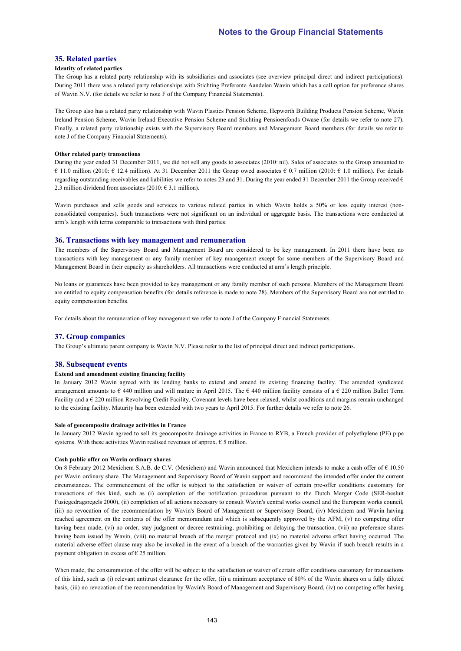### **35. Related parties**

#### **Identity of related parties**

The Group has a related party relationship with its subsidiaries and associates (see overview principal direct and indirect participations). During 2011 there was a related party relationships with Stichting Preferente Aandelen Wavin which has a call option for preference shares of Wavin N.V. (for details we refer to note F of the Company Financial Statements).

The Group also has a related party relationship with Wavin Plastics Pension Scheme, Hepworth Building Products Pension Scheme, Wavin Ireland Pension Scheme, Wavin Ireland Executive Pension Scheme and Stichting Pensioenfonds Owase (for details we refer to note 27). Finally, a related party relationship exists with the Supervisory Board members and Management Board members (for details we refer to note J of the Company Financial Statements).

#### **Other related party transactions**

During the year ended 31 December 2011, we did not sell any goods to associates (2010: nil). Sales of associates to the Group amounted to € 11.0 million (2010: € 12.4 million). At 31 December 2011 the Group owed associates € 0.7 million (2010: € 1.0 million). For details regarding outstanding receivables and liabilities we refer to notes 23 and 31. During the year ended 31 December 2011 the Group received  $\epsilon$ 2.3 million dividend from associates (2010:  $\epsilon$  3.1 million).

Wavin purchases and sells goods and services to various related parties in which Wavin holds a 50% or less equity interest (nonconsolidated companies). Such transactions were not significant on an individual or aggregate basis. The transactions were conducted at arm's length with terms comparable to transactions with third parties.

### **36. Transactions with key management and remuneration**

The members of the Supervisory Board and Management Board are considered to be key management. In 2011 there have been no transactions with key management or any family member of key management except for some members of the Supervisory Board and Management Board in their capacity as shareholders. All transactions were conducted at arm's length principle.

No loans or guarantees have been provided to key management or any family member of such persons. Members of the Management Board are entitled to equity compensation benefits (for details reference is made to note 28). Members of the Supervisory Board are not entitled to equity compensation benefits.

For details about the remuneration of key management we refer to note J of the Company Financial Statements.

### **37. Group companies**

The Group's ultimate parent company is Wavin N.V. Please refer to the list of principal direct and indirect participations.

### **38. Subsequent events**

#### **Extend and amendment existing financing facility**

In January 2012 Wavin agreed with its lending banks to extend and amend its existing financing facility. The amended syndicated arrangement amounts to  $\epsilon$  440 million and will mature in April 2015. The  $\epsilon$  440 million facility consists of a  $\epsilon$  220 million Bullet Term Facility and a € 220 million Revolving Credit Facility. Covenant levels have been relaxed, whilst conditions and margins remain unchanged to the existing facility. Maturity has been extended with two years to April 2015. For further details we refer to note 26.

#### **Sale of geocomposite drainage activities in France**

In January 2012 Wavin agreed to sell its geocomposite drainage activities in France to RYB, a French provider of polyethylene (PE) pipe systems. With these activities Wavin realised revenues of approx.  $\epsilon$  5 million.

#### **Cash public offer on Wavin ordinary shares**

On 8 February 2012 Mexichem S.A.B. de C.V. (Mexichem) and Wavin announced that Mexichem intends to make a cash offer of € 10.50 per Wavin ordinary share. The Management and Supervisory Board of Wavin support and recommend the intended offer under the current circumstances. The commencement of the offer is subject to the satisfaction or waiver of certain pre-offer conditions customary for transactions of this kind, such as (i) completion of the notification procedures pursuant to the Dutch Merger Code (SER-besluit Fusiegedragsregels 2000), (ii) completion of all actions necessary to consult Wavin's central works council and the European works council, (iii) no revocation of the recommendation by Wavin's Board of Management or Supervisory Board, (iv) Mexichem and Wavin having reached agreement on the contents of the offer memorandum and which is subsequently approved by the AFM, (v) no competing offer having been made, (vi) no order, stay judgment or decree restraining, prohibiting or delaying the transaction, (vii) no preference shares having been issued by Wavin, (viii) no material breach of the merger protocol and (ix) no material adverse effect having occurred. The material adverse effect clause may also be invoked in the event of a breach of the warranties given by Wavin if such breach results in a payment obligation in excess of  $\epsilon$  25 million.

When made, the consummation of the offer will be subject to the satisfaction or waiver of certain offer conditions customary for transactions of this kind, such as (i) relevant antitrust clearance for the offer, (ii) a minimum acceptance of 80% of the Wavin shares on a fully diluted basis, (iii) no revocation of the recommendation by Wavin's Board of Management and Supervisory Board, (iv) no competing offer having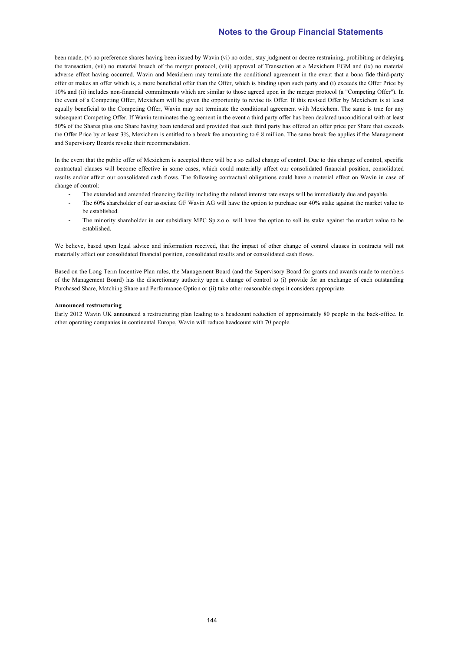## **Notes to the Group Financial Statements**

been made, (v) no preference shares having been issued by Wavin (vi) no order, stay judgment or decree restraining, prohibiting or delaying the transaction, (vii) no material breach of the merger protocol, (viii) approval of Transaction at a Mexichem EGM and (ix) no material adverse effect having occurred. Wavin and Mexichem may terminate the conditional agreement in the event that a bona fide third-party offer or makes an offer which is, a more beneficial offer than the Offer, which is binding upon such party and (i) exceeds the Offer Price by 10% and (ii) includes non-financial commitments which are similar to those agreed upon in the merger protocol (a "Competing Offer"). In the event of a Competing Offer, Mexichem will be given the opportunity to revise its Offer. If this revised Offer by Mexichem is at least equally beneficial to the Competing Offer, Wavin may not terminate the conditional agreement with Mexichem. The same is true for any subsequent Competing Offer. If Wavin terminates the agreement in the event a third party offer has been declared unconditional with at least 50% of the Shares plus one Share having been tendered and provided that such third party has offered an offer price per Share that exceeds the Offer Price by at least 3%, Mexichem is entitled to a break fee amounting to  $\epsilon$  8 million. The same break fee applies if the Management and Supervisory Boards revoke their recommendation.

In the event that the public offer of Mexichem is accepted there will be a so called change of control. Due to this change of control, specific contractual clauses will become effective in some cases, which could materially affect our consolidated financial position, consolidated results and/or affect our consolidated cash flows. The following contractual obligations could have a material effect on Wavin in case of change of control:

- The extended and amended financing facility including the related interest rate swaps will be immediately due and payable.
- The 60% shareholder of our associate GF Wavin AG will have the option to purchase our 40% stake against the market value to be established.
- The minority shareholder in our subsidiary MPC Sp.z.o.o. will have the option to sell its stake against the market value to be established.

We believe, based upon legal advice and information received, that the impact of other change of control clauses in contracts will not materially affect our consolidated financial position, consolidated results and or consolidated cash flows.

Based on the Long Term Incentive Plan rules, the Management Board (and the Supervisory Board for grants and awards made to members of the Management Board) has the discretionary authority upon a change of control to (i) provide for an exchange of each outstanding Purchased Share, Matching Share and Performance Option or (ii) take other reasonable steps it considers appropriate.

### **Announced restructuring**

Early 2012 Wavin UK announced a restructuring plan leading to a headcount reduction of approximately 80 people in the back-office. In other operating companies in continental Europe, Wavin will reduce headcount with 70 people.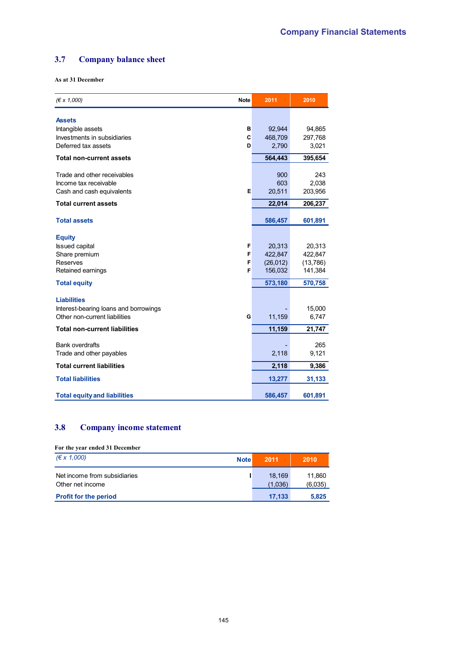# **3.7 Company balance sheet**

## **As at 31 December**

| $(E \times 1,000)$                    | <b>Note</b> | 2011      | 2010     |
|---------------------------------------|-------------|-----------|----------|
|                                       |             |           |          |
| <b>Assets</b><br>Intangible assets    | в           | 92,944    | 94,865   |
| Investments in subsidiaries           | C           | 468,709   | 297,768  |
| Deferred tax assets                   | D           | 2,790     | 3,021    |
|                                       |             |           |          |
| <b>Total non-current assets</b>       |             | 564.443   | 395,654  |
| Trade and other receivables           |             | 900       | 243      |
| Income tax receivable                 |             | 603       | 2,038    |
| Cash and cash equivalents             | Е           | 20,511    | 203,956  |
| <b>Total current assets</b>           |             | 22,014    | 206,237  |
|                                       |             |           |          |
| <b>Total assets</b>                   |             | 586,457   | 601,891  |
| <b>Equity</b>                         |             |           |          |
| <b>Issued capital</b>                 | F           | 20,313    | 20,313   |
| Share premium                         | F           | 422,847   | 422,847  |
| <b>Reserves</b>                       | F           | (26, 012) | (13,786) |
| Retained earnings                     | F           | 156,032   | 141,384  |
| <b>Total equity</b>                   |             | 573,180   | 570,758  |
| <b>Liabilities</b>                    |             |           |          |
| Interest-bearing loans and borrowings |             |           | 15,000   |
| Other non-current liabilities         | G           | 11,159    | 6,747    |
| <b>Total non-current liabilities</b>  |             |           |          |
|                                       |             | 11,159    | 21,747   |
| <b>Bank overdrafts</b>                |             |           | 265      |
| Trade and other payables              |             | 2,118     | 9,121    |
| <b>Total current liabilities</b>      |             | 2,118     | 9,386    |
| <b>Total liabilities</b>              |             | 13,277    | 31,133   |
| <b>Total equity and liabilities</b>   |             | 586,457   | 601,891  |

# **3.8 Company income statement**

## **For the year ended 31 December**

| $(\epsilon x 1,000)$<br><b>Note</b>              | 2011              | 2010              |
|--------------------------------------------------|-------------------|-------------------|
| Net income from subsidiaries<br>Other net income | 18.169<br>(1,036) | 11.860<br>(6.035) |
| <b>Profit for the period</b>                     | 17.133            | 5,825             |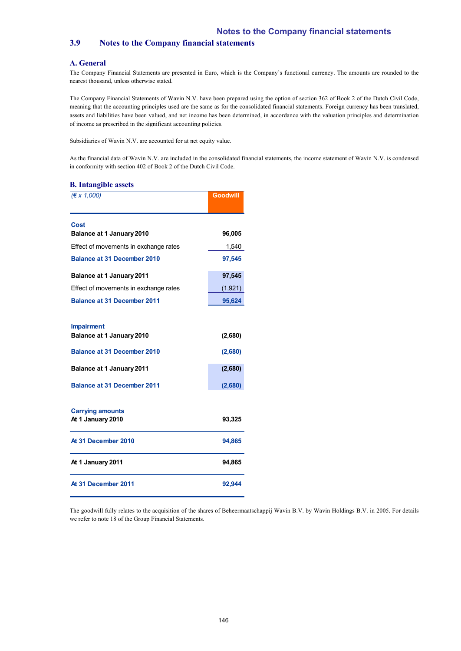### **A. General**

The Company Financial Statements are presented in Euro, which is the Company's functional currency. The amounts are rounded to the nearest thousand, unless otherwise stated.

The Company Financial Statements of Wavin N.V. have been prepared using the option of section 362 of Book 2 of the Dutch Civil Code, meaning that the accounting principles used are the same as for the consolidated financial statements. Foreign currency has been translated, assets and liabilities have been valued, and net income has been determined, in accordance with the valuation principles and determination of income as prescribed in the significant accounting policies.

Subsidiaries of Wavin N.V. are accounted for at net equity value.

As the financial data of Wavin N.V. are included in the consolidated financial statements, the income statement of Wavin N.V. is condensed in conformity with section 402 of Book 2 of the Dutch Civil Code.

### **B. Intangible assets**

| $(\epsilon x 1,000)$                                  | <b>Goodwill</b> |
|-------------------------------------------------------|-----------------|
| Cost                                                  |                 |
| <b>Balance at 1 January 2010</b>                      | 96,005          |
| Effect of movements in exchange rates                 | 1,540           |
| <b>Balance at 31 December 2010</b>                    | 97,545          |
| <b>Balance at 1 January 2011</b>                      | 97,545          |
| Effect of movements in exchange rates                 | (1, 921)        |
| <b>Balance at 31 December 2011</b>                    | 95,624          |
|                                                       |                 |
| <b>Impairment</b><br><b>Balance at 1 January 2010</b> | (2,680)         |
| <b>Balance at 31 December 2010</b>                    | (2,680)         |
| <b>Balance at 1 January 2011</b>                      | (2,680)         |
| <b>Balance at 31 December 2011</b>                    | (2,680)         |
|                                                       |                 |
| <b>Carrying amounts</b><br>At 1 January 2010          | 93,325          |
| At 31 December 2010                                   | 94,865          |
| At 1 January 2011                                     | 94,865          |
| At 31 December 2011                                   | 92,944          |

The goodwill fully relates to the acquisition of the shares of Beheermaatschappij Wavin B.V. by Wavin Holdings B.V. in 2005. For details we refer to note 18 of the Group Financial Statements.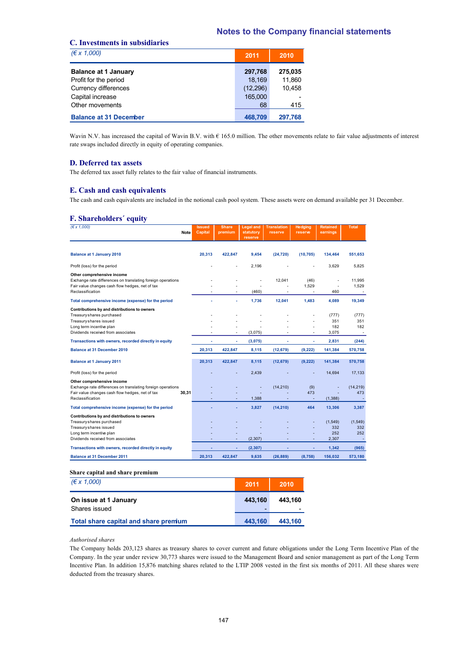### **C. Investments in subsidiaries**

| $(\epsilon x 1,000)$          | 2011      | 2010    |
|-------------------------------|-----------|---------|
| <b>Balance at 1 January</b>   | 297,768   | 275,035 |
| Profit for the period         | 18.169    | 11,860  |
| Currency differences          | (12, 296) | 10.458  |
| Capital increase              | 165,000   |         |
| Other movements               | 68        | 415     |
| <b>Balance at 31 December</b> | 468.709   | 297.768 |

Wavin N.V. has increased the capital of Wavin B.V. with  $\epsilon$  165.0 million. The other movements relate to fair value adjustments of interest rate swaps included directly in equity of operating companies.

### **D. Deferred tax assets**

The deferred tax asset fully relates to the fair value of financial instruments.

### **E. Cash and cash equivalents**

The cash and cash equivalents are included in the notional cash pool system. These assets were on demand available per 31 December.

### **F. Shareholders´ equity**

| $(E \times 1,000)$<br><b>Note</b>                                                                                                                                         | <b>Issued</b><br><b>Capital</b> | <b>Share</b><br>premium | <b>Legal and</b><br>statutory<br>reserve | <b>Translation</b><br>reserve | <b>Hedging</b><br>reserve                 | <b>Retained</b><br>earnings    | Total                                              |
|---------------------------------------------------------------------------------------------------------------------------------------------------------------------------|---------------------------------|-------------------------|------------------------------------------|-------------------------------|-------------------------------------------|--------------------------------|----------------------------------------------------|
| <b>Balance at 1 January 2010</b>                                                                                                                                          | 20,313                          | 422,847                 | 9,454                                    | (24, 720)                     | (10, 705)                                 | 134,464                        | 551,653                                            |
| Profit (loss) for the period                                                                                                                                              |                                 |                         | 2.196                                    |                               |                                           | 3,629                          | 5.825                                              |
| Other comprehensive income<br>Exchange rate differences on translating foreign operations<br>Fair value changes cash flow hedges, net of tax<br>Reclassification          |                                 |                         | (460)                                    | 12,041<br>$\overline{a}$      | (46)<br>1,529<br>$\overline{\phantom{a}}$ | 460                            | 11,995<br>1,529<br>$\sim$                          |
| Total comprehensive income (expense) for the period                                                                                                                       |                                 | ÷,                      | 1,736                                    | 12,041                        | 1,483                                     | 4,089                          | 19,349                                             |
| Contributions by and distributions to owners<br>Treasury shares purchased<br>Treasury shares issued<br>Long term incentive plan<br>Dividends received from associates     |                                 | ٠                       | (3,075)                                  |                               | ä,                                        | (777)<br>351<br>182<br>3,075   | (777)<br>351<br>182<br>$\overline{\phantom{a}}$    |
| Transactions with owners, recorded directly in equity                                                                                                                     |                                 | ٠                       | (3,075)                                  |                               | ٠                                         | 2,831                          | (244)                                              |
| <b>Balance at 31 December 2010</b>                                                                                                                                        | 20,313                          | 422,847                 | 8,115                                    | (12, 679)                     | (9, 222)                                  | 141,384                        | 570,758                                            |
| <b>Balance at 1 January 2011</b>                                                                                                                                          | 20,313                          | 422,847                 | 8,115                                    | (12, 679)                     | (9, 222)                                  | 141,384                        | 570,758                                            |
| Profit (loss) for the period                                                                                                                                              |                                 |                         | 2,439                                    |                               |                                           | 14,694                         | 17,133                                             |
| Other comprehensive income<br>Exchange rate differences on translating foreign operations<br>Fair value changes cash flow hedges, net of tax<br>30,31<br>Reclassification |                                 | ٠                       | 1,388                                    | (14, 210)<br>÷                | (9)<br>473<br>$\omega$                    | (1,388)                        | (14, 219)<br>473<br>$\sim$                         |
| Total comprehensive income (expense) for the period                                                                                                                       |                                 | ٠                       | 3,827                                    | (14, 210)                     | 464                                       | 13,306                         | 3,387                                              |
| Contributions by and distributions to owners<br>Treasury shares purchased<br>Treasury shares issued<br>Long term incentive plan<br>Dividends received from associates     |                                 |                         | (2, 307)                                 |                               |                                           | (1,549)<br>332<br>252<br>2,307 | (1, 549)<br>332<br>252<br>$\overline{\phantom{a}}$ |
| Transactions with owners, recorded directly in equity                                                                                                                     |                                 |                         | (2, 307)                                 |                               |                                           | 1,342                          | (965)                                              |
| Balance at 31 December 2011                                                                                                                                               | 20.313                          | 422.847                 | 9.635                                    | (26, 889)                     | (8,758)                                   | 156.032                        | 573,180                                            |

#### **Share capital and share premium**

| $(\epsilon x 1,000)$                   | 2011    | 2010    |
|----------------------------------------|---------|---------|
| On issue at 1 January<br>Shares issued | 443.160 | 443.160 |
| Total share capital and share premium  | 443.160 | 443.160 |

#### *Authorised shares*

The Company holds 203,123 shares as treasury shares to cover current and future obligations under the Long Term Incentive Plan of the Company. In the year under review 30,773 shares were issued to the Management Board and senior management as part of the Long Term Incentive Plan. In addition 15,876 matching shares related to the LTIP 2008 vested in the first six months of 2011. All these shares were deducted from the treasury shares.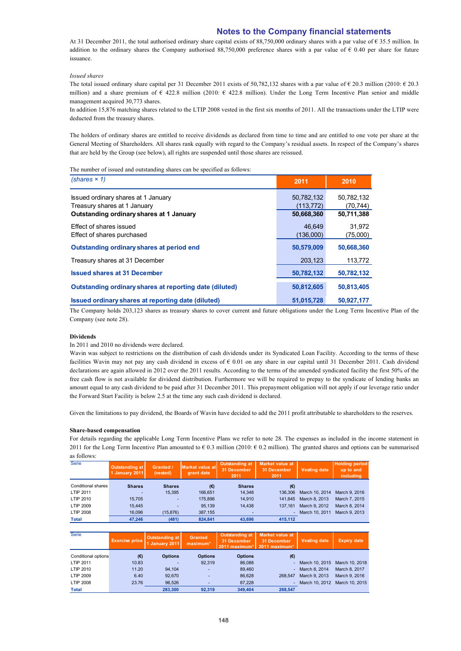At 31 December 2011, the total authorised ordinary share capital exists of 88,750,000 ordinary shares with a par value of  $\epsilon$  35.5 million. In addition to the ordinary shares the Company authorised 88,750,000 preference shares with a par value of  $\epsilon$  0.40 per share for future issuance.

#### *Issued shares*

The total issued ordinary share capital per 31 December 2011 exists of 50,782,132 shares with a par value of  $\epsilon$  20.3 million (2010:  $\epsilon$  20.3 million) and a share premium of  $\epsilon$  422.8 million (2010:  $\epsilon$  422.8 million). Under the Long Term Incentive Plan senior and middle management acquired 30,773 shares.

In addition 15,876 matching shares related to the LTIP 2008 vested in the first six months of 2011. All the transactions under the LTIP were deducted from the treasury shares.

The holders of ordinary shares are entitled to receive dividends as declared from time to time and are entitled to one vote per share at the General Meeting of Shareholders. All shares rank equally with regard to the Company's residual assets. In respect of the Company's shares that are held by the Group (see below), all rights are suspended until those shares are reissued.

The number of issued and outstanding shares can be specified as follows:

| $(shares \times 1)$                                                                                             | 2011                                   | 2010                                  |
|-----------------------------------------------------------------------------------------------------------------|----------------------------------------|---------------------------------------|
| Issued ordinary shares at 1 January<br>Treasury shares at 1 January<br>Outstanding ordinary shares at 1 January | 50.782.132<br>(113, 772)<br>50,668,360 | 50.782.132<br>(70, 744)<br>50,711,388 |
| Effect of shares issued<br>Effect of shares purchased                                                           | 46.649<br>(136,000)                    | 31.972<br>(75,000)                    |
| Outstanding ordinary shares at period end                                                                       | 50,579,009                             | 50,668,360                            |
| Treasury shares at 31 December                                                                                  | 203.123                                | 113,772                               |
| <b>Issued shares at 31 December</b>                                                                             | 50,782,132                             | 50,782,132                            |
| Outstanding ordinary shares at reporting date (diluted)                                                         | 50,812,605                             | 50,813,405                            |
| Issued ordinary shares at reporting date (diluted)                                                              | 51,015,728                             | 50,927,177                            |

The Company holds 203,123 shares as treasury shares to cover current and future obligations under the Long Term Incentive Plan of the Company (see note 28).

#### **Dividends**

In 2011 and 2010 no dividends were declared.

Wavin was subject to restrictions on the distribution of cash dividends under its Syndicated Loan Facility. According to the terms of these facilities Wavin may not pay any cash dividend in excess of € 0.01 on any share in our capital until 31 December 2011. Cash dividend declarations are again allowed in 2012 over the 2011 results. According to the terms of the amended syndicated facility the first 50% of the free cash flow is not available for dividend distribution. Furthermore we will be required to prepay to the syndicate of lending banks an amount equal to any cash dividend to be paid after 31 December 2011. This prepayment obligation will not apply if our leverage ratio under the Forward Start Facility is below 2.5 at the time any such cash dividend is declared.

Given the limitations to pay dividend, the Boards of Wavin have decided to add the 2011 profit attributable to shareholders to the reserves.

#### **Share-based compensation**

For details regarding the applicable Long Term Incentive Plans we refer to note 28. The expenses as included in the income statement in 2011 for the Long Term Incentive Plan amounted to  $\epsilon$  0.3 million (2010:  $\epsilon$  0.2 million). The granted shares and options can be summarised as follows:

| <b>Serie</b>       | Outstanding at<br>1 January 2011 | Granted /<br>(vested) | <b>Market value at</b><br>grant date | <b>Outstanding at</b><br>31 December<br>2011 | <b>Market value at</b><br>31 December<br>2011 | <b>Vesting date</b> | <b>Holding period</b><br>up to and<br>including, |
|--------------------|----------------------------------|-----------------------|--------------------------------------|----------------------------------------------|-----------------------------------------------|---------------------|--------------------------------------------------|
| Conditional shares | <b>Shares</b>                    | <b>Shares</b>         | (€)                                  | <b>Shares</b>                                | (€)                                           |                     |                                                  |
| LTIP 2011          |                                  | 15.395                | 166.651                              | 14.348                                       | 136,306                                       | March 10, 2014      | March 9, 2016                                    |
| LTIP 2010          | 15.705                           | ۰.                    | 175,896                              | 14.910                                       | 141.645                                       | March 8, 2013       | March 7, 2015                                    |
| LTIP 2009          | 15.445                           |                       | 95.139                               | 14.438                                       | 137.161                                       | March 9, 2012       | March 8, 2014                                    |
| <b>LTIP 2008</b>   | 16.096                           | (15, 876)             | 387,155                              |                                              |                                               | - March 10, 2011    | March 9, 2013                                    |
| <b>Total</b>       | 47.246                           | (481)                 | 824,841                              | 43,696                                       | 415,112                                       |                     |                                                  |

| <b>Serie</b>        | <b>Exercise price</b> | Outstanding at<br>January 2011 | <b>Granted</b><br>$maximum*$ | <b>Outstanding at</b><br>31 December<br>2011 maximum* | <b>Market value at</b><br>31 December<br>2011 maximum* | Vesting date                    | <b>Expiry date</b> |
|---------------------|-----------------------|--------------------------------|------------------------------|-------------------------------------------------------|--------------------------------------------------------|---------------------------------|--------------------|
| Conditional options | (€)                   | <b>Options</b>                 | <b>Options</b>               | <b>Options</b>                                        | $(\epsilon)$                                           |                                 |                    |
| LTIP 2011           | 10.83                 |                                | 92.319                       | 86,088                                                |                                                        | - March 10, 2015 March 10, 2018 |                    |
| LTIP 2010           | 11.20                 | 94.104                         |                              | 89,460                                                |                                                        | - March 8, 2014                 | March 8, 2017      |
| LTIP 2009           | 6.40                  | 92.670                         |                              | 86,628                                                | 268,547                                                | March 9, 2013                   | March 9, 2016      |
| <b>LTIP 2008</b>    | 23.76                 | 96.526                         |                              | 87,228                                                |                                                        | - March 10, 2012 March 10, 2015 |                    |
| <b>Total</b>        |                       | 283.300                        | 92.319                       | 349.404                                               | 268.547                                                |                                 |                    |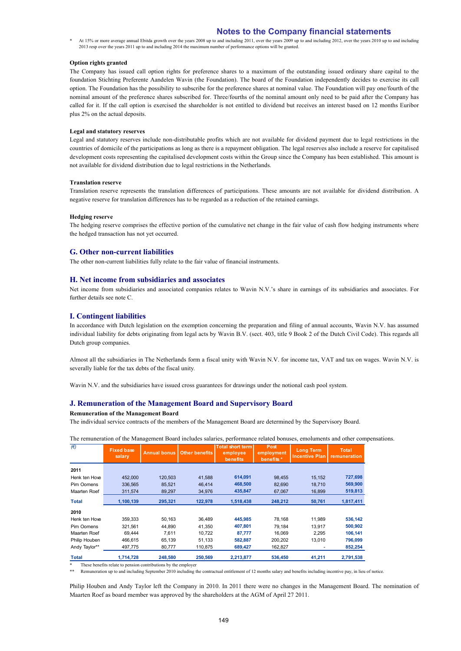At 15% or more average annual Ebitda growth over the years 2008 up to and including 2011, over the years 2009 up to and including 2012, over the years 2010 up to and including 2013 resp over the years 2011 up to and including 2014 the maximum number of performance options will be granted.

### **Option rights granted**

The Company has issued call option rights for preference shares to a maximum of the outstanding issued ordinary share capital to the foundation Stichting Preferente Aandelen Wavin (the Foundation). The board of the Foundation independently decides to exercise its call option. The Foundation has the possibility to subscribe for the preference shares at nominal value. The Foundation will pay one/fourth of the nominal amount of the preference shares subscribed for. Three/fourths of the nominal amount only need to be paid after the Company has called for it. If the call option is exercised the shareholder is not entitled to dividend but receives an interest based on 12 months Euribor plus 2% on the actual deposits.

### **Legal and statutory reserves**

Legal and statutory reserves include non-distributable profits which are not available for dividend payment due to legal restrictions in the countries of domicile of the participations as long as there is a repayment obligation. The legal reserves also include a reserve for capitalised development costs representing the capitalised development costs within the Group since the Company has been established. This amount is not available for dividend distribution due to legal restrictions in the Netherlands.

### **Translation reserve**

Translation reserve represents the translation differences of participations. These amounts are not available for dividend distribution. A negative reserve for translation differences has to be regarded as a reduction of the retained earnings.

### **Hedging reserve**

The hedging reserve comprises the effective portion of the cumulative net change in the fair value of cash flow hedging instruments where the hedged transaction has not yet occurred.

### **G. Other non-current liabilities**

The other non-current liabilities fully relate to the fair value of financial instruments.

### **H. Net income from subsidiaries and associates**

Net income from subsidiaries and associated companies relates to Wavin N.V.'s share in earnings of its subsidiaries and associates. For further details see note C.

### **I. Contingent liabilities**

In accordance with Dutch legislation on the exemption concerning the preparation and filing of annual accounts, Wavin N.V. has assumed individual liability for debts originating from legal acts by Wavin B.V. (sect. 403, title 9 Book 2 of the Dutch Civil Code). This regards all Dutch group companies.

Almost all the subsidiaries in The Netherlands form a fiscal unity with Wavin N.V. for income tax, VAT and tax on wages. Wavin N.V. is severally liable for the tax debts of the fiscal unity*.*

Wavin N.V. and the subsidiaries have issued cross guarantees for drawings under the notional cash pool system.

### **J. Remuneration of the Management Board and Supervisory Board**

#### **Remuneration of the Management Board**

The individual service contracts of the members of the Management Board are determined by the Supervisory Board.

| rne remaneration or the management board merades salaries, performance related condition, emotionics and other con |                             |                     |                       |                                          |                                  |                                           |                              |  |  |  |
|--------------------------------------------------------------------------------------------------------------------|-----------------------------|---------------------|-----------------------|------------------------------------------|----------------------------------|-------------------------------------------|------------------------------|--|--|--|
| $(\epsilon)$                                                                                                       | <b>Fixed base</b><br>salary | <b>Annual bonus</b> | <b>Other benefits</b> | Total short term<br>employee<br>benefits | Post<br>employment<br>benefits * | <b>Long Term</b><br><b>Incentive Plan</b> | <b>Total</b><br>remuneration |  |  |  |
|                                                                                                                    |                             |                     |                       |                                          |                                  |                                           |                              |  |  |  |
| 2011                                                                                                               |                             |                     |                       |                                          |                                  |                                           |                              |  |  |  |
| Henk ten Hove                                                                                                      | 452,000                     | 120.503             | 41.588                | 614,091                                  | 98.455                           | 15.152                                    | 727,698                      |  |  |  |
| Pim Oomens                                                                                                         | 336,565                     | 85.521              | 46.414                | 468,500                                  | 82.690                           | 18.710                                    | 569,900                      |  |  |  |
| Maarten Roef                                                                                                       | 311,574                     | 89,297              | 34,976                | 435,847                                  | 67,067                           | 16,899                                    | 519,813                      |  |  |  |
| Total                                                                                                              | 1,100,139                   | 295,321             | 122,978               | 1,518,438                                | 248,212                          | 50,761                                    | 1,817,411                    |  |  |  |
| 2010                                                                                                               |                             |                     |                       |                                          |                                  |                                           |                              |  |  |  |
| Henk ten Hove                                                                                                      | 359.333                     | 50.163              | 36.489                | 445,985                                  | 78.168                           | 11.989                                    | 536,142                      |  |  |  |
| Pim Oomens                                                                                                         | 321.561                     | 44.890              | 41.350                | 407,801                                  | 79.184                           | 13.917                                    | 500,902                      |  |  |  |
| Maarten Roef                                                                                                       | 69.444                      | 7,611               | 10.722                | 87,777                                   | 16.069                           | 2.295                                     | 106,141                      |  |  |  |
| Philip Houben                                                                                                      | 466,615                     | 65,139              | 51,133                | 582,887                                  | 200,202                          | 13,010                                    | 796,099                      |  |  |  |
| Andy Taylor**                                                                                                      | 497.775                     | 80.777              | 110.875               | 689,427                                  | 162.827                          |                                           | 852,254                      |  |  |  |
| <b>Total</b>                                                                                                       | 1,714,728                   | 248,580             | 250.569               | 2,213,877                                | 536,450                          | 41,211                                    | 2,791,538                    |  |  |  |

The remuneration of the Management Board includes salaries, performance related bonuses, emoluments and other compensations.

These benefits relate to pension contributions by the employer

\*\* Remuneration up to and including September 2010 including the contractual entitlement of 12 months salary and benefits including incentive pay, in lieu of notice.

Philip Houben and Andy Taylor left the Company in 2010. In 2011 there were no changes in the Management Board. The nomination of Maarten Roef as board member was approved by the shareholders at the AGM of April 27 2011.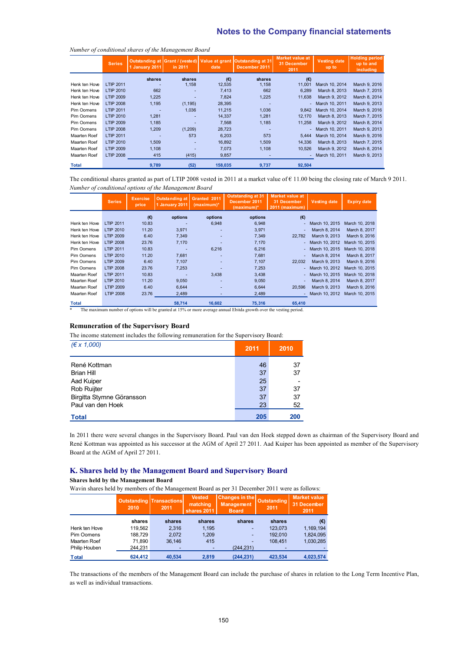### *Number of conditional shares of the Management Board*

|               | <b>Series</b>    | 1 January 2011 | Outstanding at Grant / (vested)<br>in 2011 | date    | Value at grant Outstanding at 31<br>December 2011 | <b>Market value at</b><br>31 December<br>2011 | <b>Vesting date</b><br>up to | <b>Holding period</b><br>up to and<br>including |
|---------------|------------------|----------------|--------------------------------------------|---------|---------------------------------------------------|-----------------------------------------------|------------------------------|-------------------------------------------------|
|               |                  | shares         | shares                                     | (E)     | shares                                            | (E)                                           |                              |                                                 |
| Henk ten Hove | LTIP 2011        |                | 1.158                                      | 12,535  | 1.158                                             | 11.001                                        | March 10, 2014               | March 9, 2016                                   |
| Henk ten Hove | LTIP 2010        | 662            |                                            | 7,413   | 662                                               | 6.289                                         | March 8, 2013                | March 7, 2015                                   |
| Henk ten Hove | <b>LTIP 2009</b> | 1,225          |                                            | 7,824   | 1,225                                             | 11,638                                        | March 9, 2012                | March 8, 2014                                   |
| Henk ten Hove | <b>LTIP 2008</b> | 1,195          | (1, 195)                                   | 28,395  |                                                   | ٠.                                            | March 10, 2011               | March 9, 2013                                   |
| Pim Oomens    | <b>LTIP 2011</b> |                | 1.036                                      | 11.215  | 1.036                                             | 9.842                                         | March 10, 2014               | March 9, 2016                                   |
| Pim Oomens    | LTIP 2010        | 1.281          |                                            | 14.337  | 1.281                                             | 12.170                                        | March 8, 2013                | March 7, 2015                                   |
| Pim Oomens    | <b>LTIP 2009</b> | 1.185          |                                            | 7,568   | 1,185                                             | 11.258                                        | March 9, 2012                | March 8, 2014                                   |
| Pim Oomens    | <b>LTIP 2008</b> | 1,209          | (1,209)                                    | 28,723  |                                                   |                                               | March 10, 2011               | March 9, 2013                                   |
| Maarten Roef  | <b>LTIP 2011</b> |                | 573                                        | 6,203   | 573                                               | 5.444                                         | March 10, 2014               | March 9, 2016                                   |
| Maarten Roef  | <b>LTIP 2010</b> | 1,509          |                                            | 16,892  | 1,509                                             | 14.336                                        | March 8, 2013                | March 7, 2015                                   |
| Maarten Roef  | <b>LTIP 2009</b> | 1.108          |                                            | 7,073   | 1,108                                             | 10.526                                        | March 9, 2012                | March 8, 2014                                   |
| Maarten Roef  | <b>LTIP 2008</b> | 415            | (415)                                      | 9,857   | ۰                                                 |                                               | March 10, 2011               | March 9, 2013                                   |
| Total         |                  | 9,789          | (52)                                       | 158,035 | 9,737                                             | 92,504                                        |                              |                                                 |

The conditional shares granted as part of LTIP 2008 vested in 2011 at a market value of € 11.00 being the closing rate of March 9 2011. *Number of conditional options of the Management Board*

|               | <b>Series</b>    | <b>Exercise</b><br>price | Outstanding at<br>1 January 2011 | Granted 2011<br>$(maximum)^*$ | <b>Outstanding at 31</b><br>December 2011<br>$(maximum)^*$ | <b>Market value at</b><br><b>31 December</b><br>2011 (maximum) | <b>Vesting date</b> | <b>Expiry date</b> |
|---------------|------------------|--------------------------|----------------------------------|-------------------------------|------------------------------------------------------------|----------------------------------------------------------------|---------------------|--------------------|
|               |                  | (E)                      | options                          | options                       | options                                                    | (E)                                                            |                     |                    |
| Henk ten Hove | <b>LTIP 2011</b> | 10.83                    |                                  | 6,948                         | 6,948                                                      |                                                                | March 10, 2015      | March 10, 2018     |
| Henk ten Hove | LTIP 2010        | 11.20                    | 3,971                            |                               | 3,971                                                      |                                                                | March 8, 2014       | March 8, 2017      |
| Henk ten Hove | <b>LTIP 2009</b> | 6.40                     | 7,349                            | ٠                             | 7,349                                                      | 22,782                                                         | March 9, 2013       | March 9, 2016      |
| Henk ten Hove | <b>LTIP 2008</b> | 23.76                    | 7,170                            |                               | 7,170                                                      |                                                                | March 10, 2012      | March 10, 2015     |
| Pim Oomens    | LTIP 2011        | 10.83                    | ٠                                | 6,216                         | 6,216                                                      |                                                                | March 10, 2015      | March 10, 2018     |
| Pim Oomens    | <b>LTIP 2010</b> | 11.20                    | 7.681                            | ۰                             | 7.681                                                      |                                                                | March 8, 2014       | March 8, 2017      |
| Pim Oomens    | <b>LTIP 2009</b> | 6.40                     | 7,107                            |                               | 7,107                                                      | 22,032                                                         | March 9, 2013       | March 9, 2016      |
| Pim Oomens    | <b>LTIP 2008</b> | 23.76                    | 7,253                            |                               | 7,253                                                      |                                                                | March 10, 2012      | March 10, 2015     |
| Maarten Roef  | LTIP 2011        | 10.83                    | ٠                                | 3,438                         | 3,438                                                      |                                                                | March 10, 2015      | March 10, 2018     |
| Maarten Roef  | <b>LTIP 2010</b> | 11.20                    | 9,050                            |                               | 9,050                                                      |                                                                | March 8, 2014       | March 8, 2017      |
| Maarten Roef  | <b>LTIP 2009</b> | 6.40                     | 6,644                            | ٠                             | 6,644                                                      | 20.596                                                         | March 9, 2013       | March 9, 2016      |
| Maarten Roef  | <b>LTIP 2008</b> | 23.76                    | 2,489                            |                               | 2,489                                                      |                                                                | March 10, 2012      | March 10, 2015     |
| Total         |                  |                          | 58,714                           | 16,602                        | 75,316                                                     | 65,410                                                         |                     |                    |

\* The maximum number of options will be granted at 15% or more average annual Ebitda growth over the vesting period.

### **Remuneration of the Supervisory Board**

The income statement includes the following remuneration for the Supervisory Board:

| $(\epsilon x 1,000)$      | 2011 | 2010 |
|---------------------------|------|------|
| René Kottman              | 46   | 37   |
| <b>Brian Hill</b>         | 37   | 37   |
| Aad Kuiper                | 25   |      |
| Rob Ruijter               | 37   | 37   |
| Birgitta Stymne Göransson | 37   | 37   |
| Paul van den Hoek         | 23   | 52   |
| <b>Total</b>              | 205  | 200  |

In 2011 there were several changes in the Supervisory Board. Paul van den Hoek stepped down as chairman of the Supervisory Board and René Kottman was appointed as his successor at the AGM of April 27 2011. Aad Kuiper has been appointed as member of the Supervisory Board at the AGM of April 27 2011.

### **K. Shares held by the Management Board and Supervisory Board**

### **Shares held by the Management Board**

Wavin shares held by members of the Management Board as per 31 December 2011 were as follows:

|               | 2010    | <b>Outstanding Transactions</b><br>2011 | <b>Vested</b><br>matching<br>shares 2011 | <b>Changes in the</b><br><b>Management</b><br><b>Board</b> | Outstanding<br>2011 | <b>Market value</b><br>31 December<br>2011 |
|---------------|---------|-----------------------------------------|------------------------------------------|------------------------------------------------------------|---------------------|--------------------------------------------|
|               | shares  | shares                                  | shares                                   | shares                                                     | shares              | (€)                                        |
| Henk ten Hove | 119.562 | 2.316                                   | 1.195                                    |                                                            | 123.073             | 1,169,194                                  |
| Pim Oomens    | 188.729 | 2.072                                   | 1.209                                    |                                                            | 192.010             | 1.824.095                                  |
| Maarten Roef  | 71.890  | 36,146                                  | 415                                      |                                                            | 108.451             | 1,030,285                                  |
| Philip Houben | 244.231 |                                         |                                          | (244, 231)                                                 |                     |                                            |
| <b>T</b> otal | 624,412 | 40.534                                  | 2,819                                    | (244, 231)                                                 | 423,534             | 4,023,574                                  |

The transactions of the members of the Management Board can include the purchase of shares in relation to the Long Term Incentive Plan, as well as individual transactions.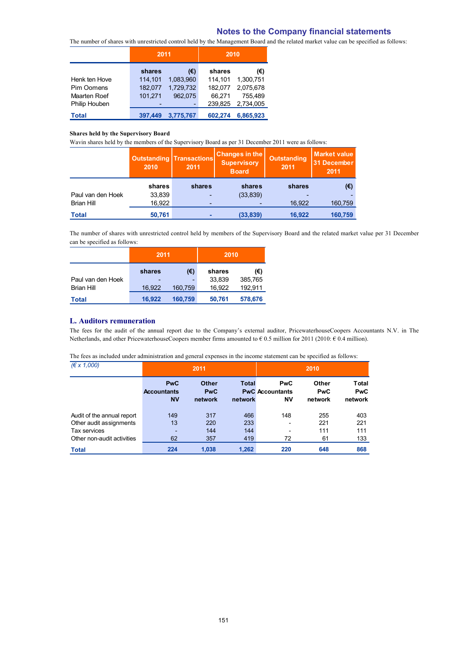The number of shares with unrestricted control held by the Management Board and the related market value can be specified as follows:

|               | 2011    |           | 2010    |           |  |
|---------------|---------|-----------|---------|-----------|--|
|               | shares  | (€)       | shares  | (€)       |  |
| Henk ten Hove | 114,101 | 1.083.960 | 114.101 | 1.300.751 |  |
| Pim Oomens    | 182,077 | 1,729,732 | 182.077 | 2.075.678 |  |
| Maarten Roef  | 101,271 | 962,075   | 66.271  | 755.489   |  |
| Philip Houben |         |           | 239.825 | 2,734,005 |  |
| <b>Total</b>  | 397.449 | 3.775.767 | 602.274 | 6.865.923 |  |

### **Shares held by the Supervisory Board**

Wavin shares held by the members of the Supervisory Board as per 31 December 2011 were as follows:

|                   | 2010   | <b>Outstanding Transactions</b><br>2011 | Changes in the<br><b>Supervisory</b><br><b>Board</b> | <b>Outstanding</b><br>2011 | <b>Market value</b><br>31 December<br>2011 |
|-------------------|--------|-----------------------------------------|------------------------------------------------------|----------------------------|--------------------------------------------|
|                   | shares | shares                                  | shares                                               | shares                     | $(\epsilon)$                               |
| Paul van den Hoek | 33,839 |                                         | (33, 839)                                            |                            |                                            |
| <b>Brian Hill</b> | 16,922 |                                         |                                                      | 16,922                     | 160,759                                    |
| <b>Total</b>      | 50,761 |                                         | (33, 839)                                            | 16,922                     | 160,759                                    |

The number of shares with unrestricted control held by members of the Supervisory Board and the related market value per 31 December can be specified as follows:

|                   | 2011                     |         | 2010   |         |  |
|-------------------|--------------------------|---------|--------|---------|--|
|                   | shares                   | (€)     | shares | (€)     |  |
| Paul van den Hoek | $\overline{\phantom{0}}$ |         | 33.839 | 385.765 |  |
| <b>Brian Hill</b> | 16.922                   | 160,759 | 16,922 | 192,911 |  |
| Total             | 16.922                   | 160.759 | 50,761 | 578,676 |  |

### **L. Auditors remuneration**

The fees for the audit of the annual report due to the Company's external auditor, PricewaterhouseCoopers Accountants N.V. in The Netherlands, and other PricewaterhouseCoopers member firms amounted to € 0.5 million for 2011 (2010: € 0.4 million).

The fees as included under administration and general expenses in the income statement can be specified as follows:

| $(E \times 1,000)$                                                                                  | 2011                                          |                                       |                          | 2010                                       |                                |                                |
|-----------------------------------------------------------------------------------------------------|-----------------------------------------------|---------------------------------------|--------------------------|--------------------------------------------|--------------------------------|--------------------------------|
|                                                                                                     | <b>PwC</b><br><b>Accountants</b><br><b>NV</b> | <b>Other</b><br><b>PwC</b><br>network | <b>Total</b><br>network  | <b>PwC</b><br><b>PwC</b> Accountants<br>ΝV | Other<br><b>PwC</b><br>network | Total<br><b>PwC</b><br>network |
| Audit of the annual report<br>Other audit assignments<br>Tax services<br>Other non-audit activities | 149<br>13<br>$\overline{\phantom{0}}$<br>62   | 317<br>220<br>144<br>357              | 466<br>233<br>144<br>419 | 148<br>72                                  | 255<br>221<br>111<br>61        | 403<br>221<br>111<br>133       |
| <b>Total</b>                                                                                        | 224                                           | 1.038                                 | 1,262                    | 220                                        | 648                            | 868                            |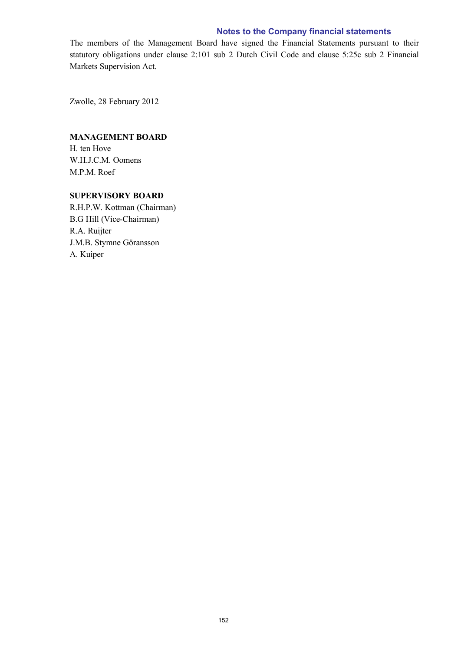The members of the Management Board have signed the Financial Statements pursuant to their statutory obligations under clause 2:101 sub 2 Dutch Civil Code and clause 5:25c sub 2 Financial Markets Supervision Act.

Zwolle, 28 February 2012

## **MANAGEMENT BOARD**

H. ten Hove W.H.J.C.M. Oomens M.P.M. Roef

## **SUPERVISORY BOARD**

R.H.P.W. Kottman (Chairman) B.G Hill (Vice-Chairman) R.A. Ruijter J.M.B. Stymne Göransson A. Kuiper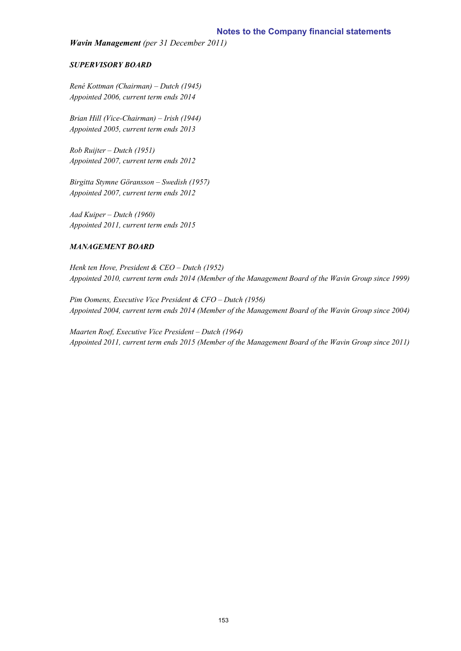*Wavin Management (per 31 December 2011)*

### *SUPERVISORY BOARD*

*René Kottman (Chairman) – Dutch (1945) Appointed 2006, current term ends 2014*

*Brian Hill (Vice-Chairman) – Irish (1944) Appointed 2005, current term ends 2013*

*Rob Ruijter – Dutch (1951) Appointed 2007, current term ends 2012*

*Birgitta Stymne Göransson – Swedish (1957) Appointed 2007, current term ends 2012*

*Aad Kuiper – Dutch (1960) Appointed 2011, current term ends 2015*

## *MANAGEMENT BOARD*

*Henk ten Hove, President & CEO – Dutch (1952) Appointed 2010, current term ends 2014 (Member of the Management Board of the Wavin Group since 1999)*

*Pim Oomens, Executive Vice President & CFO – Dutch (1956) Appointed 2004, current term ends 2014 (Member of the Management Board of the Wavin Group since 2004)*

*Maarten Roef, Executive Vice President – Dutch (1964) Appointed 2011, current term ends 2015 (Member of the Management Board of the Wavin Group since 2011)*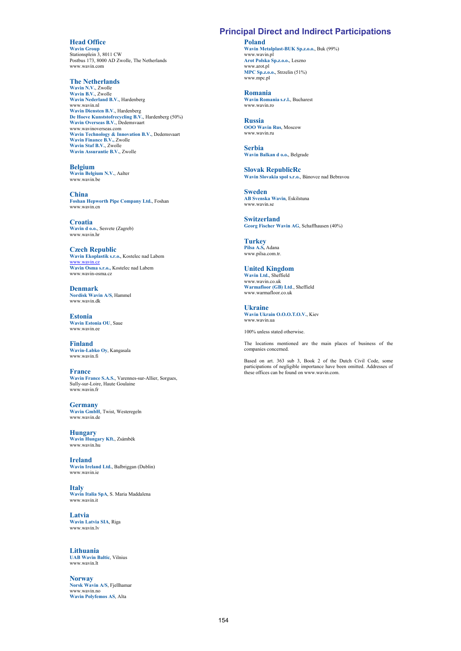**Head Office Wavin Group** Stationsplein 3, 8011 CW Postbus 173, 8000 AD Zwolle, The Netherlands <www.wavin.com>

**The Netherlands Wavin N.V.**, Zwolle **Wavin B.V.**, Zwolle **Wavin Nederland B.V.**, Hardenberg <www.wavin.nl> **Wavin Diensten B.V.**, Hardenberg **De Hoeve Kunststofrecycling B.V.**, Hardenberg (50%) **Wavin Overseas B.V.**, Dedemsvaart <www.wavinoverseas.com> **Wavin Technology & Innovation B.V.**, Dedemsvaart **Wavin Finance B.V.,** Zwolle **Wavin Staf B.V.**, Zwolle **Wavin Assurantie B.V.**, Zwolle

**Belgium Wavin Belgium N.V.**, Aalter www.wavin<sub>be</sub>

**China Foshan Hepworth Pipe Company Ltd.**, Foshan <www.wavin.cn>

**Croatia Wavin d o.o.**, Sesvete (Zagreb) <www.wavin.hr>

**Czech Republic Wavin Ekoplastik s.r.o.**, Kostelec nad Labem [www.wavin.c](http://www.wavin.cz/)[z](www.wavin.cz) **Wavin Osma s.r.o.,** Kostelec nad Labem <www.wavin-osma.cz>

**Denmark Nordisk Wavin A/S**, Hammel <www.wavin.dk>

**Estonia Wavin Estonia OU**, Saue <www.wavin.ee>

**Finland Wavin-Labko Oy**, Kangasala <www.wavin.fi>

**France Wavin France S.A.S.**, Varennes-sur-Allier, Sorgues, Sully-sur-Loire, Haute Goulaine <www.wavin.fr>

**Germany Wavin GmbH**, Twist, Westeregeln <www.wavin.de>

**Hungary Wavin Hungary Kft.**, Zsámbék <www.wavin.hu>

**Ireland Wavin Ireland Ltd.**, Balbriggan (Dublin) <www.wavin.ie>

**Italy Wavin Italia SpA**, S. Maria Maddalena <www.wavin.it>

**Latvia Wavin Latvia SIA**, Riga <www.wavin.lv>

**Lithuania UAB Wavin Baltic**, Vilnius <www.wavin.lt>

**Norway Norsk Wavin A/S**, Fjellhamar <www.wavin.no> **Wavin Polyfemos AS**, Alta

## **Principal Direct and Indirect Participations**

**Poland Wavin Metalplast-BUK Sp.z.o.o.**, Buk (99%) <www.wavin.pl> **Arot Polska Sp.z.o.o.**, Leszno <www.arot.pl> **MPC Sp.z.o.o.**, Strzelin (51%) <www.mpc.pl>

**Romania Wavin Romania s.r.l.**, Bucharest <www.wavin.ro>

**Russia OOO Wavin Rus**, Moscow www.wavin.ru

**Serbia Wavin Balkan d o.o.**, Belgrade

**Slovak RepublicRc Wavin Slovakia spol s.r.o.**, Bànovce nad Bebravou

**Sweden AB Svenska Wavin**, Eskilstuna <www.wavin.se>

**Switzerland Georg Fischer Wavin AG**, Schaffhausen (40%)

**Turkey Pilsa A.S,** Adana <www.pilsa.com.tr.>

**United Kingdom Wavin Ltd.**, Sheffield <www.wavin.co.uk> **Warmafloor (GB) Ltd**., Sheffield <www.warmafloor.co.uk>

**Ukraine Wavin Ukrain O.O.O.T.O.V.**, Kiev <www.wavin.ua>

100% unless stated otherwise.

The locations mentioned are the main places of business of the companies concerned.

Based on art. 363 sub 3, Book 2 of the Dutch Civil Code, some participations of negligible importance have been omitted. Addresses of these offices can be found on <www.wavin.com.>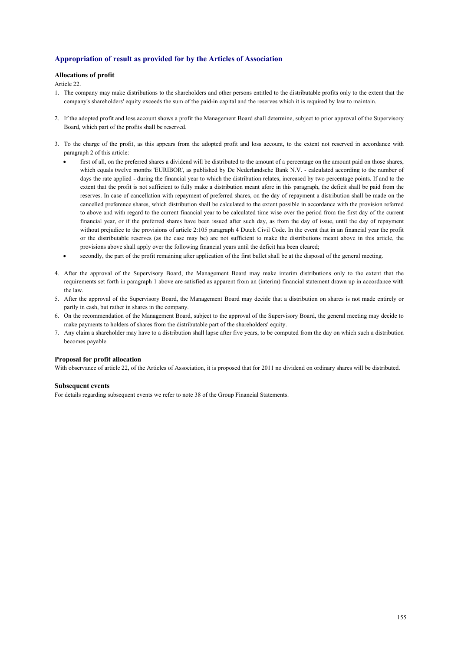## **Appropriation of result as provided for by the Articles of Association**

### **Allocations of profit**

Article 22.

- 1. The company may make distributions to the shareholders and other persons entitled to the distributable profits only to the extent that the company's shareholders' equity exceeds the sum of the paid-in capital and the reserves which it is required by law to maintain.
- 2. If the adopted profit and loss account shows a profit the Management Board shall determine, subject to prior approval of the Supervisory Board, which part of the profits shall be reserved.
- 3. To the charge of the profit, as this appears from the adopted profit and loss account, to the extent not reserved in accordance with paragraph 2 of this article:
	- first of all, on the preferred shares a dividend will be distributed to the amount of a percentage on the amount paid on those shares, which equals twelve months 'EURIBOR', as published by De Nederlandsche Bank N.V. - calculated according to the number of days the rate applied - during the financial year to which the distribution relates, increased by two percentage points. If and to the extent that the profit is not sufficient to fully make a distribution meant afore in this paragraph, the deficit shall be paid from the reserves. In case of cancellation with repayment of preferred shares, on the day of repayment a distribution shall be made on the cancelled preference shares, which distribution shall be calculated to the extent possible in accordance with the provision referred to above and with regard to the current financial year to be calculated time wise over the period from the first day of the current financial year, or if the preferred shares have been issued after such day, as from the day of issue, until the day of repayment without prejudice to the provisions of article 2:105 paragraph 4 Dutch Civil Code. In the event that in an financial year the profit or the distributable reserves (as the case may be) are not sufficient to make the distributions meant above in this article, the provisions above shall apply over the following financial years until the deficit has been cleared;
	- secondly, the part of the profit remaining after application of the first bullet shall be at the disposal of the general meeting.
- 4. After the approval of the Supervisory Board, the Management Board may make interim distributions only to the extent that the requirements set forth in paragraph 1 above are satisfied as apparent from an (interim) financial statement drawn up in accordance with the law.
- 5. After the approval of the Supervisory Board, the Management Board may decide that a distribution on shares is not made entirely or partly in cash, but rather in shares in the company.
- 6. On the recommendation of the Management Board, subject to the approval of the Supervisory Board, the general meeting may decide to make payments to holders of shares from the distributable part of the shareholders' equity.
- 7. Any claim a shareholder may have to a distribution shall lapse after five years, to be computed from the day on which such a distribution becomes payable.

### **Proposal for profit allocation**

With observance of article 22, of the Articles of Association, it is proposed that for 2011 no dividend on ordinary shares will be distributed.

### **Subsequent events**

For details regarding subsequent events we refer to note 38 of the Group Financial Statements.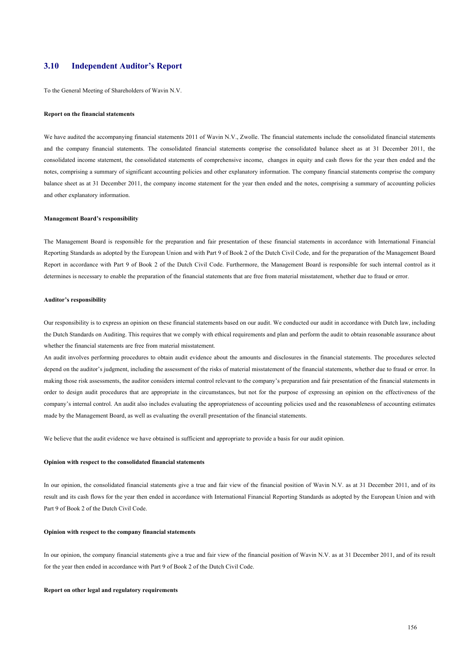## **3.10 Independent Auditor's Report**

To the General Meeting of Shareholders of Wavin N.V.

#### **Report on the financial statements**

We have audited the accompanying financial statements 2011 of Wavin N.V., Zwolle. The financial statements include the consolidated financial statements and the company financial statements. The consolidated financial statements comprise the consolidated balance sheet as at 31 December 2011, the consolidated income statement, the consolidated statements of comprehensive income, changes in equity and cash flows for the year then ended and the notes, comprising a summary of significant accounting policies and other explanatory information. The company financial statements comprise the company balance sheet as at 31 December 2011, the company income statement for the year then ended and the notes, comprising a summary of accounting policies and other explanatory information.

#### **Management Board's responsibility**

The Management Board is responsible for the preparation and fair presentation of these financial statements in accordance with International Financial Reporting Standards as adopted by the European Union and with Part 9 of Book 2 of the Dutch Civil Code, and for the preparation of the Management Board Report in accordance with Part 9 of Book 2 of the Dutch Civil Code. Furthermore, the Management Board is responsible for such internal control as it determines is necessary to enable the preparation of the financial statements that are free from material misstatement, whether due to fraud or error.

#### **Auditor's responsibility**

Our responsibility is to express an opinion on these financial statements based on our audit. We conducted our audit in accordance with Dutch law, including the Dutch Standards on Auditing. This requires that we comply with ethical requirements and plan and perform the audit to obtain reasonable assurance about whether the financial statements are free from material misstatement.

An audit involves performing procedures to obtain audit evidence about the amounts and disclosures in the financial statements. The procedures selected depend on the auditor's judgment, including the assessment of the risks of material misstatement of the financial statements, whether due to fraud or error. In making those risk assessments, the auditor considers internal control relevant to the company's preparation and fair presentation of the financial statements in order to design audit procedures that are appropriate in the circumstances, but not for the purpose of expressing an opinion on the effectiveness of the company's internal control. An audit also includes evaluating the appropriateness of accounting policies used and the reasonableness of accounting estimates made by the Management Board, as well as evaluating the overall presentation of the financial statements.

We believe that the audit evidence we have obtained is sufficient and appropriate to provide a basis for our audit opinion.

#### **Opinion with respect to the consolidated financial statements**

In our opinion, the consolidated financial statements give a true and fair view of the financial position of Wavin N.V. as at 31 December 2011, and of its result and its cash flows for the year then ended in accordance with International Financial Reporting Standards as adopted by the European Union and with Part 9 of Book 2 of the Dutch Civil Code.

### **Opinion with respect to the company financial statements**

In our opinion, the company financial statements give a true and fair view of the financial position of Wavin N.V. as at 31 December 2011, and of its result for the year then ended in accordance with Part 9 of Book 2 of the Dutch Civil Code.

#### **Report on other legal and regulatory requirements**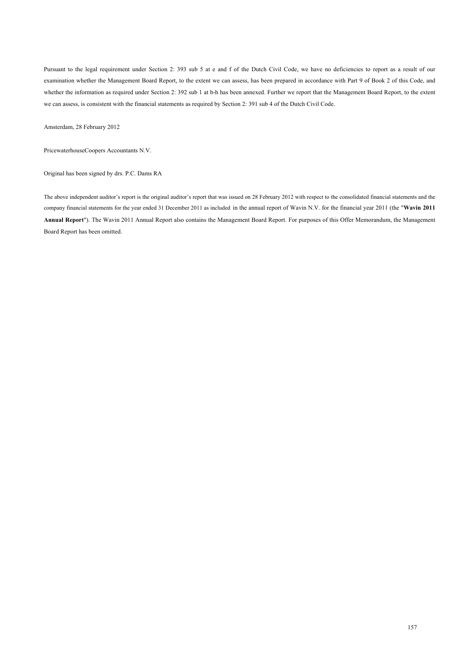Pursuant to the legal requirement under Section 2: 393 sub 5 at e and f of the Dutch Civil Code, we have no deficiencies to report as a result of our examination whether the Management Board Report, to the extent we can assess, has been prepared in accordance with Part 9 of Book 2 of this Code, and whether the information as required under Section 2: 392 sub 1 at b-h has been annexed. Further we report that the Management Board Report, to the extent we can assess, is consistent with the financial statements as required by Section 2: 391 sub 4 of the Dutch Civil Code.

Amsterdam, 28 February 2012

PricewaterhouseCoopers Accountants N.V.

Original has been signed by drs. P.C. Dams RA

The above independent auditor's report is the original auditor's report that was issued on 28 February 2012 with respect to the consolidated financial statements and the company financial statements for the year ended 31 December 2011 as included in the annual report of Wavin N.V. for the financial year 2011 (the "**Wavin 2011 Annual Report**"). The Wavin 2011 Annual Report also contains the Management Board Report. For purposes of this Offer Memorandum, the Management Board Report has been omitted.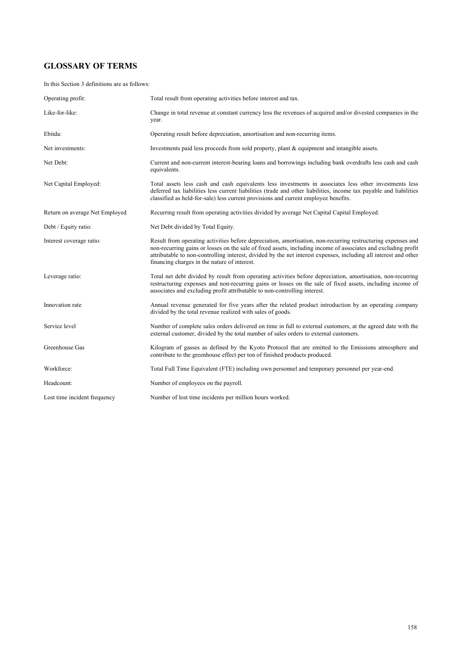# **GLOSSARY OF TERMS**

In this Section 3 definitions are as follows:

| Operating profit:              | Total result from operating activities before interest and tax.                                                                                                                                                                                                                                                                                                                                    |
|--------------------------------|----------------------------------------------------------------------------------------------------------------------------------------------------------------------------------------------------------------------------------------------------------------------------------------------------------------------------------------------------------------------------------------------------|
| Like-for-like:                 | Change in total revenue at constant currency less the revenues of acquired and/or divested companies in the<br>year.                                                                                                                                                                                                                                                                               |
| Ebitda:                        | Operating result before depreciation, amortisation and non-recurring items.                                                                                                                                                                                                                                                                                                                        |
| Net investments:               | Investments paid less proceeds from sold property, plant & equipment and intangible assets.                                                                                                                                                                                                                                                                                                        |
| Net Debt:                      | Current and non-current interest-bearing loans and borrowings including bank overdrafts less cash and cash<br>equivalents.                                                                                                                                                                                                                                                                         |
| Net Capital Employed:          | Total assets less cash and cash equivalents less investments in associates less other investments less<br>deferred tax liabilities less current liabilities (trade and other liabilities, income tax payable and liabilities<br>classified as held-for-sale) less current provisions and current employee benefits.                                                                                |
| Return on average Net Employed | Recurring result from operating activities divided by average Net Capital Capital Employed.                                                                                                                                                                                                                                                                                                        |
| Debt / Equity ratio:           | Net Debt divided by Total Equity.                                                                                                                                                                                                                                                                                                                                                                  |
| Interest coverage ratio:       | Result from operating activities before depreciation, amortisation, non-recurring restructuring expenses and<br>non-recurring gains or losses on the sale of fixed assets, including income of associates and excluding profit<br>attributable to non-controlling interest, divided by the net interest expenses, including all interest and other<br>financing charges in the nature of interest. |
| Leverage ratio:                | Total net debt divided by result from operating activities before depreciation, amortisation, non-recurring<br>restructuring expenses and non-recurring gains or losses on the sale of fixed assets, including income of<br>associates and excluding profit attributable to non-controlling interest.                                                                                              |
| Innovation rate                | Annual revenue generated for five years after the related product introduction by an operating company<br>divided by the total revenue realized with sales of goods.                                                                                                                                                                                                                               |
| Service level                  | Number of complete sales orders delivered on time in full to external customers, at the agreed date with the<br>external customer, divided by the total number of sales orders to external customers.                                                                                                                                                                                              |
| Greenhouse Gas                 | Kilogram of gasses as defined by the Kyoto Protocol that are emitted to the Emissions atmosphere and<br>contribute to the greenhouse effect per ton of finished products produced.                                                                                                                                                                                                                 |
| Workforce:                     | Total Full Time Equivalent (FTE) including own personnel and temporary personnel per year-end.                                                                                                                                                                                                                                                                                                     |
| Headcount:                     | Number of employees on the payroll.                                                                                                                                                                                                                                                                                                                                                                |
| Lost time incident frequency   | Number of lost time incidents per million hours worked.                                                                                                                                                                                                                                                                                                                                            |